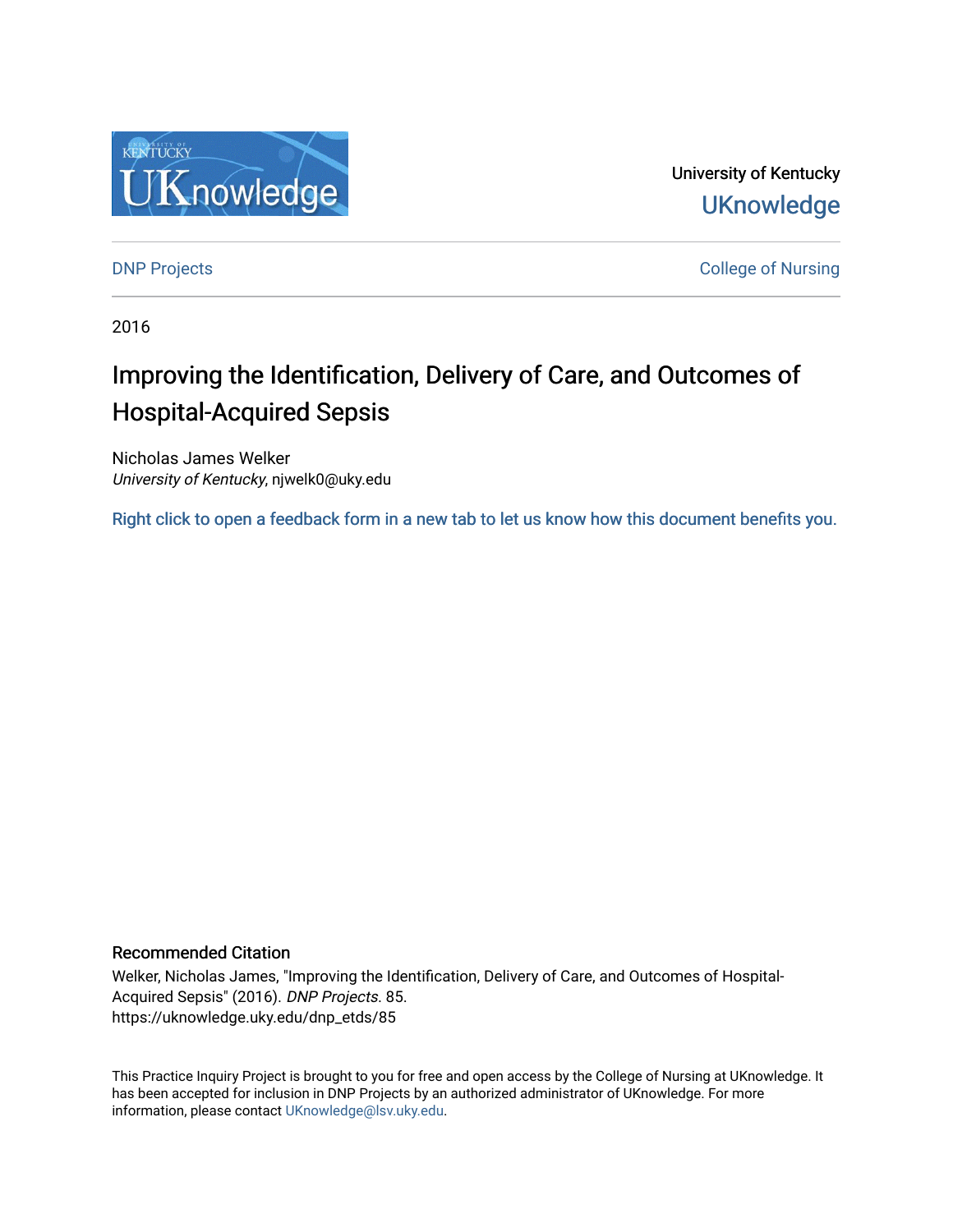

University of Kentucky **UKnowledge** 

**DNP Projects** College of Nursing

2016

# Improving the Identification, Delivery of Care, and Outcomes of Hospital-Acquired Sepsis

Nicholas James Welker University of Kentucky, njwelk0@uky.edu

[Right click to open a feedback form in a new tab to let us know how this document benefits you.](https://uky.az1.qualtrics.com/jfe/form/SV_9mq8fx2GnONRfz7)

#### Recommended Citation

Welker, Nicholas James, "Improving the Identification, Delivery of Care, and Outcomes of Hospital-Acquired Sepsis" (2016). DNP Projects. 85. https://uknowledge.uky.edu/dnp\_etds/85

This Practice Inquiry Project is brought to you for free and open access by the College of Nursing at UKnowledge. It has been accepted for inclusion in DNP Projects by an authorized administrator of UKnowledge. For more information, please contact [UKnowledge@lsv.uky.edu](mailto:UKnowledge@lsv.uky.edu).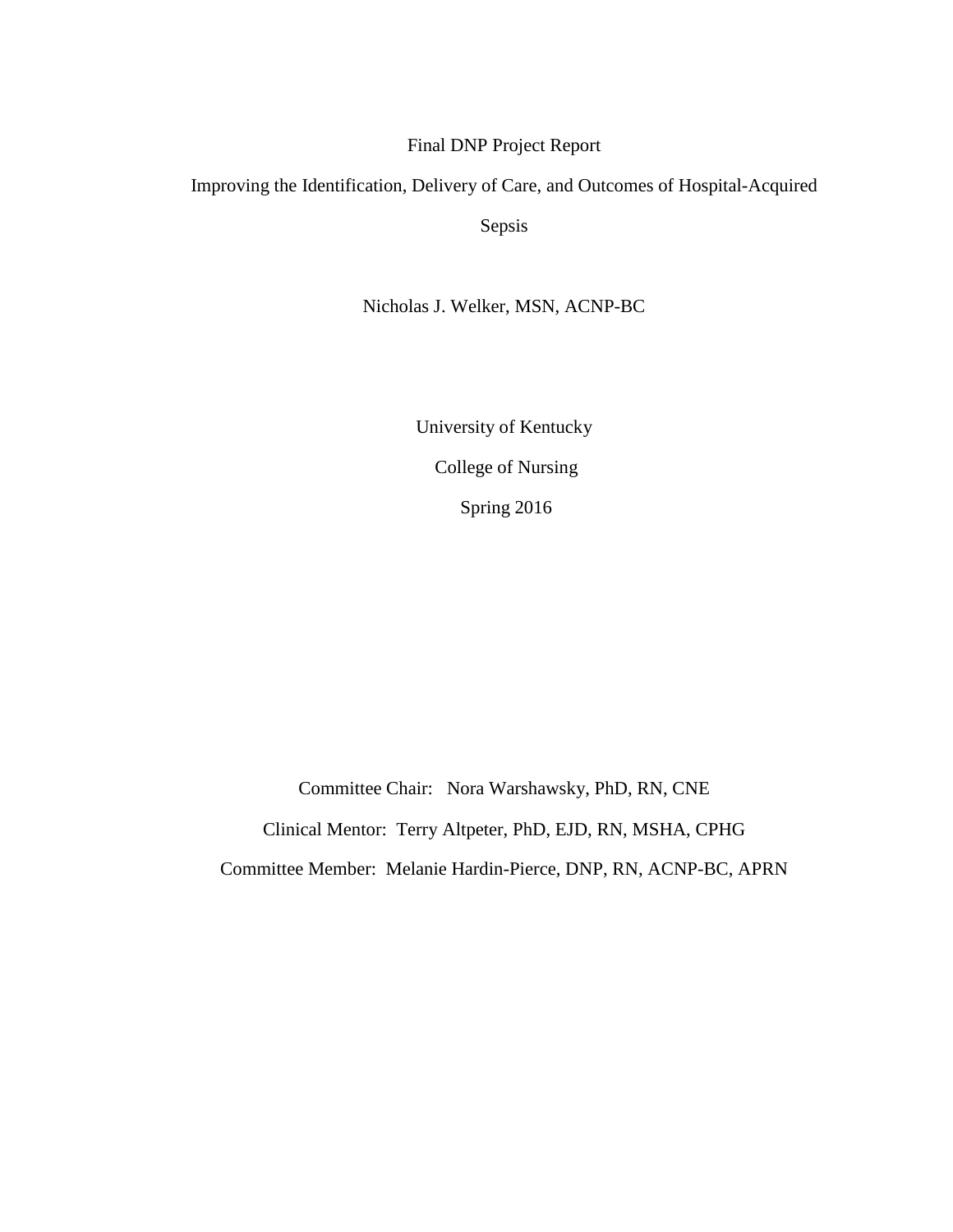#### Final DNP Project Report

# Improving the Identification, Delivery of Care, and Outcomes of Hospital-Acquired

Sepsis

Nicholas J. Welker, MSN, ACNP-BC

University of Kentucky College of Nursing Spring 2016

Committee Chair: Nora Warshawsky, PhD, RN, CNE Clinical Mentor: Terry Altpeter, PhD, EJD, RN, MSHA, CPHG Committee Member: Melanie Hardin-Pierce, DNP, RN, ACNP-BC, APRN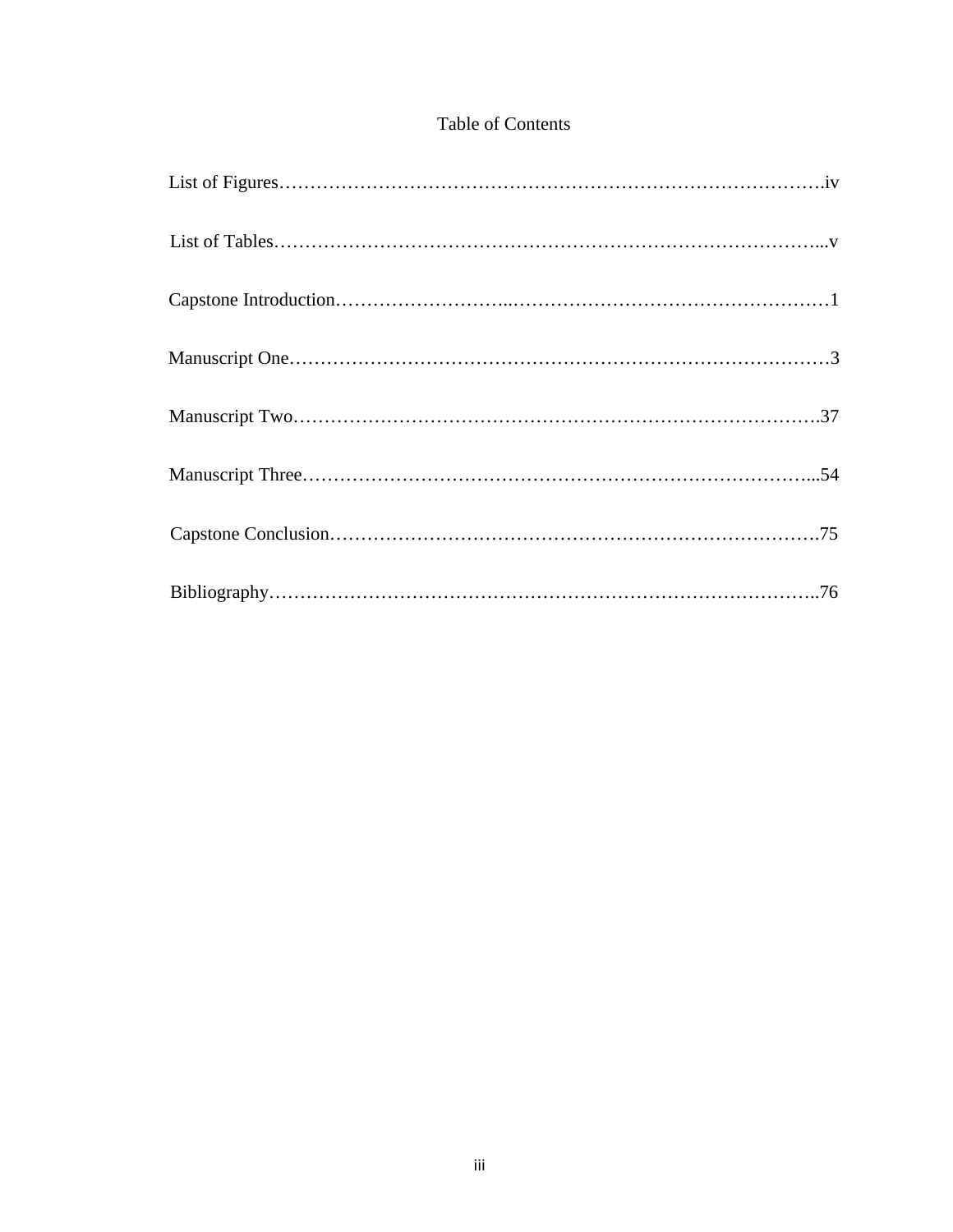### Table of Contents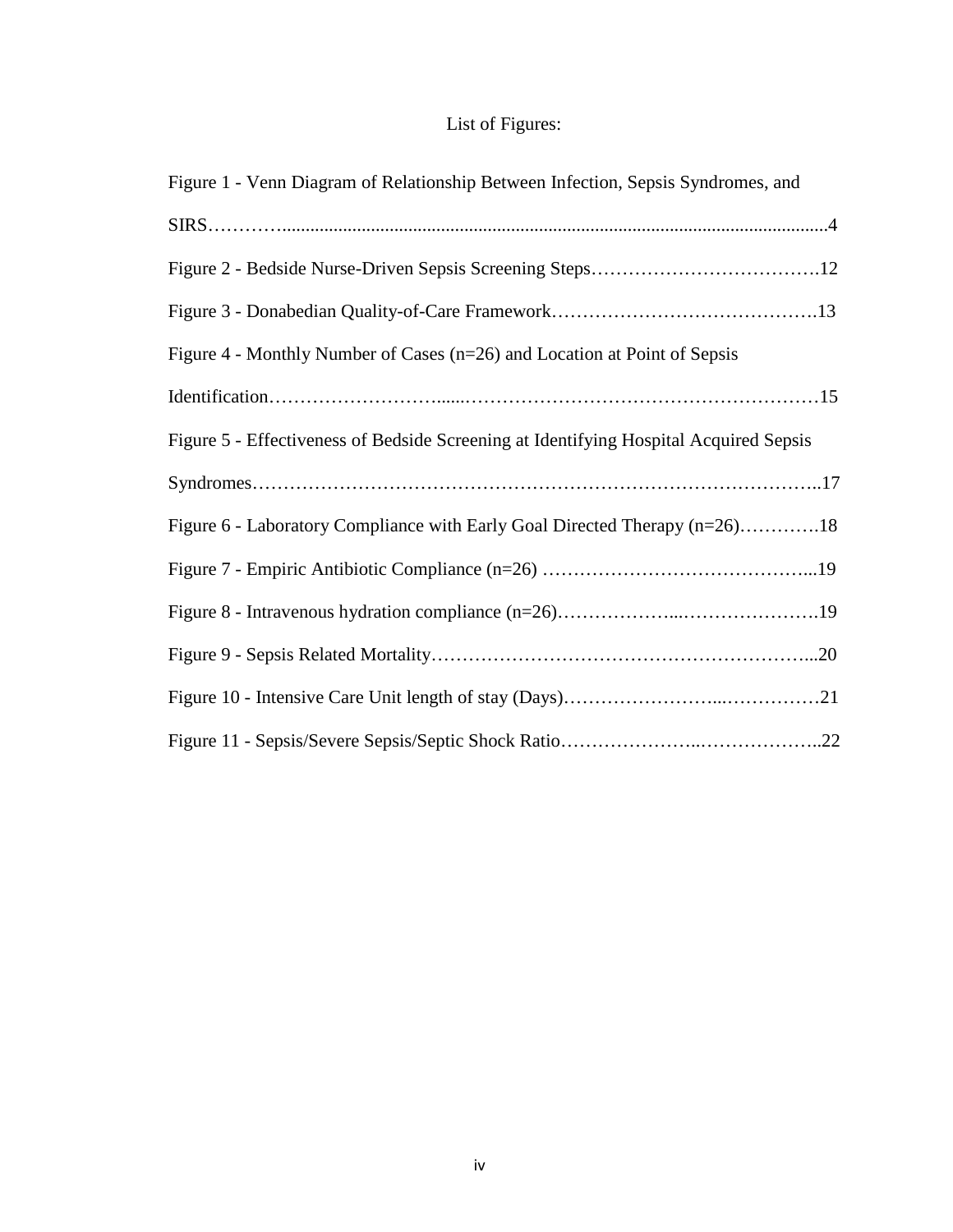## List of Figures:

| Figure 1 - Venn Diagram of Relationship Between Infection, Sepsis Syndromes, and      |
|---------------------------------------------------------------------------------------|
|                                                                                       |
|                                                                                       |
|                                                                                       |
| Figure 4 - Monthly Number of Cases (n=26) and Location at Point of Sepsis             |
|                                                                                       |
| Figure 5 - Effectiveness of Bedside Screening at Identifying Hospital Acquired Sepsis |
|                                                                                       |
|                                                                                       |
| Figure 6 - Laboratory Compliance with Early Goal Directed Therapy (n=26)18            |
|                                                                                       |
|                                                                                       |
|                                                                                       |
|                                                                                       |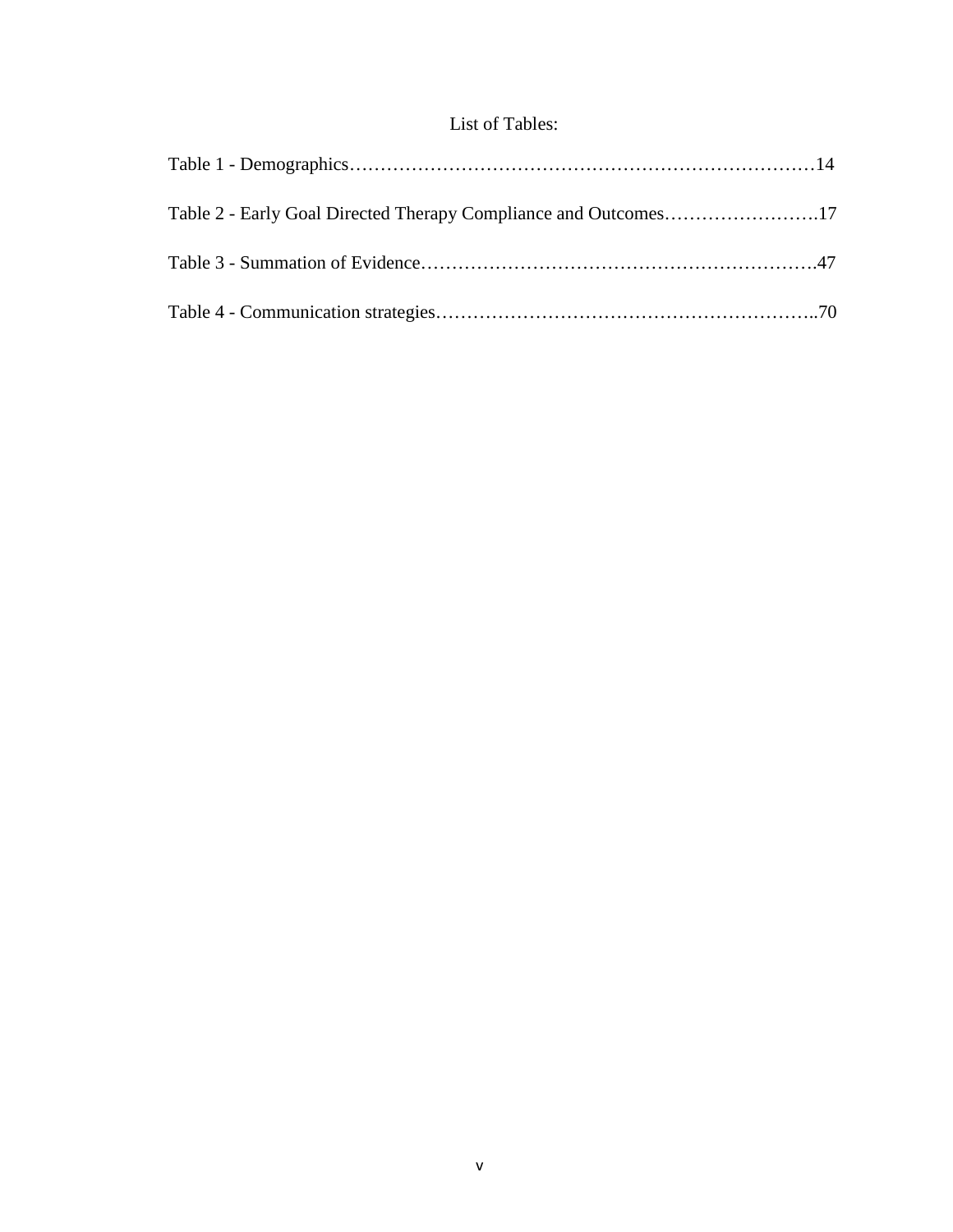## List of Tables: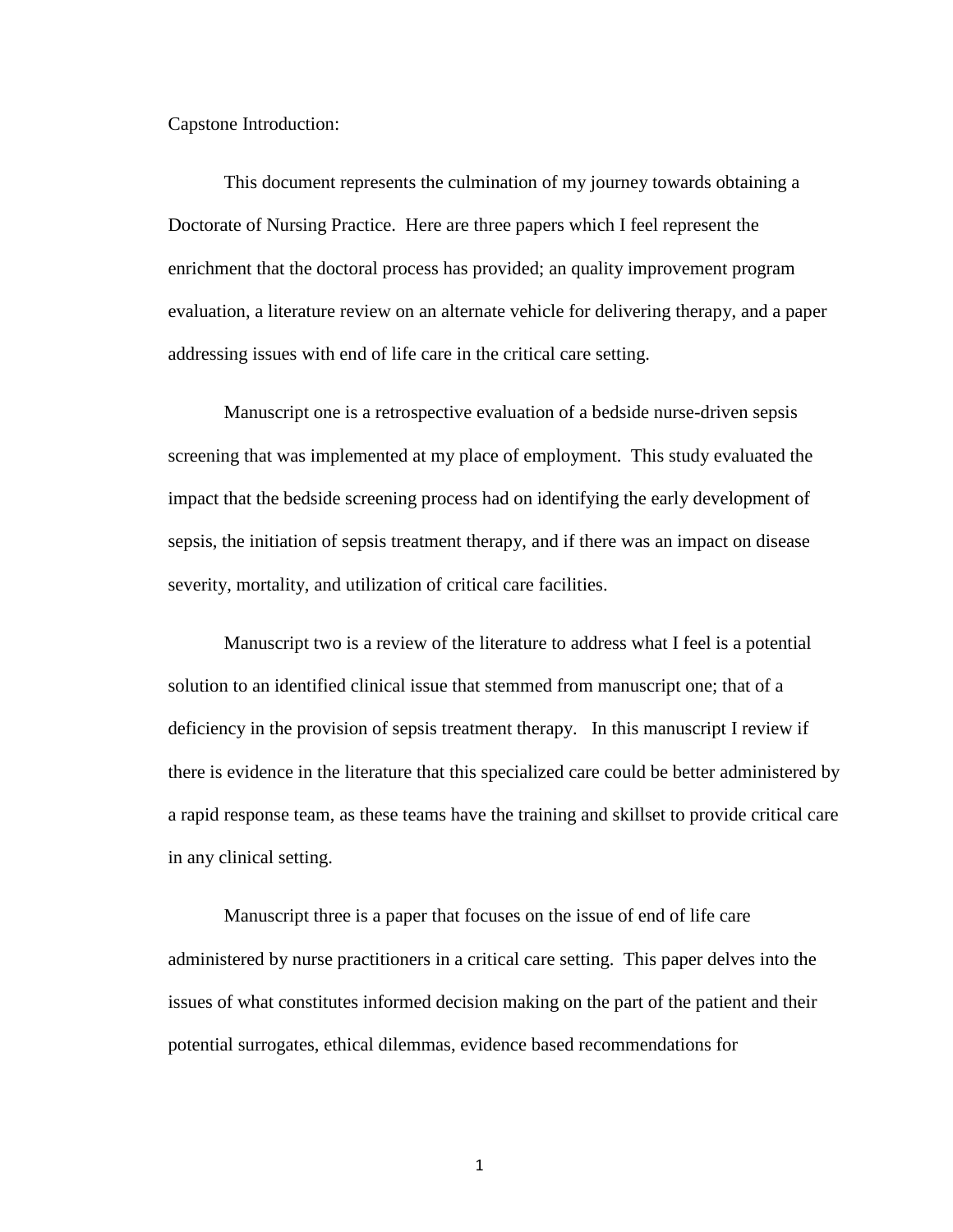Capstone Introduction:

This document represents the culmination of my journey towards obtaining a Doctorate of Nursing Practice. Here are three papers which I feel represent the enrichment that the doctoral process has provided; an quality improvement program evaluation, a literature review on an alternate vehicle for delivering therapy, and a paper addressing issues with end of life care in the critical care setting.

Manuscript one is a retrospective evaluation of a bedside nurse-driven sepsis screening that was implemented at my place of employment. This study evaluated the impact that the bedside screening process had on identifying the early development of sepsis, the initiation of sepsis treatment therapy, and if there was an impact on disease severity, mortality, and utilization of critical care facilities.

Manuscript two is a review of the literature to address what I feel is a potential solution to an identified clinical issue that stemmed from manuscript one; that of a deficiency in the provision of sepsis treatment therapy. In this manuscript I review if there is evidence in the literature that this specialized care could be better administered by a rapid response team, as these teams have the training and skillset to provide critical care in any clinical setting.

Manuscript three is a paper that focuses on the issue of end of life care administered by nurse practitioners in a critical care setting. This paper delves into the issues of what constitutes informed decision making on the part of the patient and their potential surrogates, ethical dilemmas, evidence based recommendations for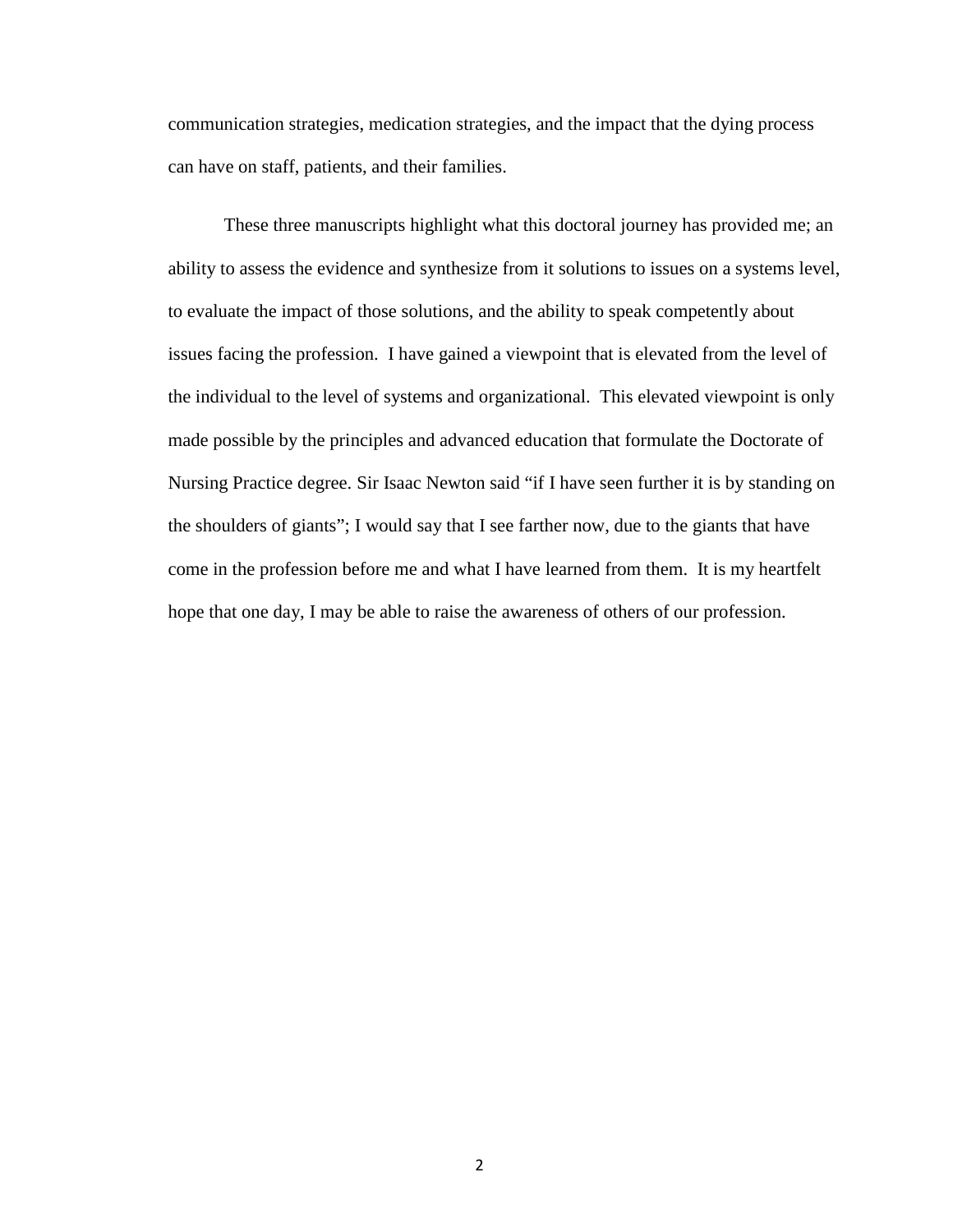communication strategies, medication strategies, and the impact that the dying process can have on staff, patients, and their families.

These three manuscripts highlight what this doctoral journey has provided me; an ability to assess the evidence and synthesize from it solutions to issues on a systems level, to evaluate the impact of those solutions, and the ability to speak competently about issues facing the profession. I have gained a viewpoint that is elevated from the level of the individual to the level of systems and organizational. This elevated viewpoint is only made possible by the principles and advanced education that formulate the Doctorate of Nursing Practice degree. Sir Isaac Newton said "if I have seen further it is by standing on the shoulders of giants"; I would say that I see farther now, due to the giants that have come in the profession before me and what I have learned from them. It is my heartfelt hope that one day, I may be able to raise the awareness of others of our profession.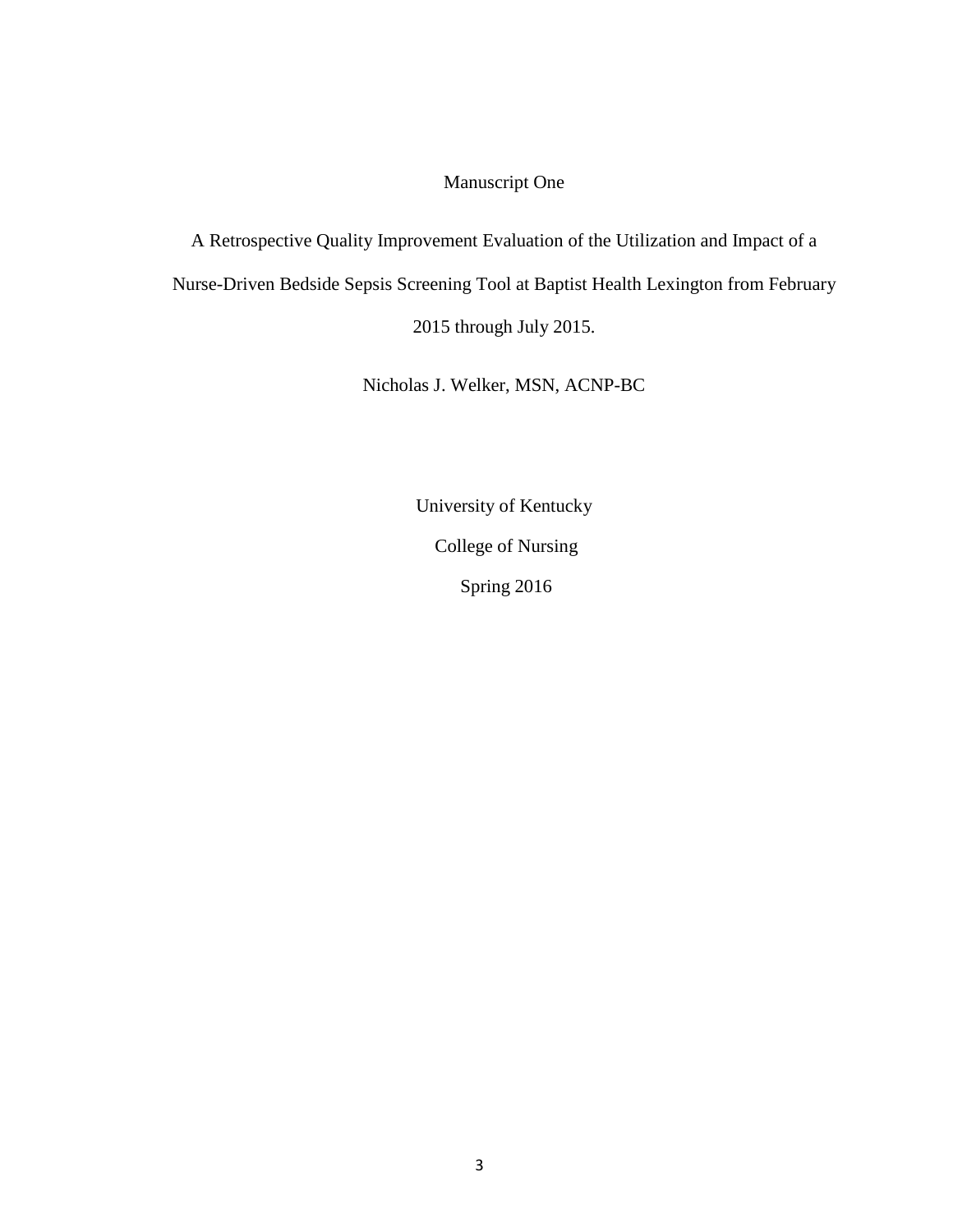### Manuscript One

A Retrospective Quality Improvement Evaluation of the Utilization and Impact of a Nurse-Driven Bedside Sepsis Screening Tool at Baptist Health Lexington from February 2015 through July 2015.

Nicholas J. Welker, MSN, ACNP-BC

University of Kentucky College of Nursing Spring 2016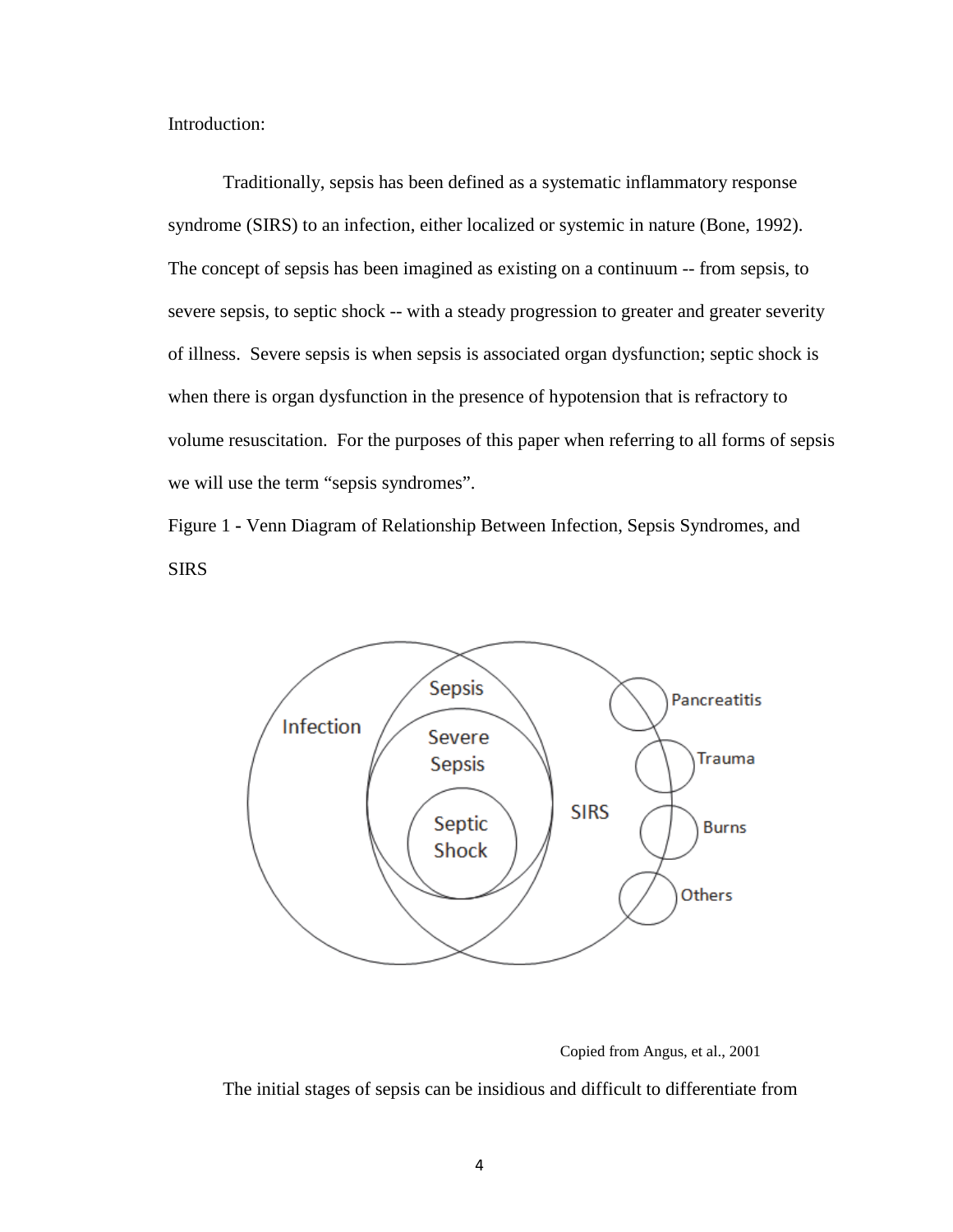Introduction:

Traditionally, sepsis has been defined as a systematic inflammatory response syndrome (SIRS) to an infection, either localized or systemic in nature (Bone, 1992). The concept of sepsis has been imagined as existing on a continuum -- from sepsis, to severe sepsis, to septic shock -- with a steady progression to greater and greater severity of illness. Severe sepsis is when sepsis is associated organ dysfunction; septic shock is when there is organ dysfunction in the presence of hypotension that is refractory to volume resuscitation. For the purposes of this paper when referring to all forms of sepsis we will use the term "sepsis syndromes".

Figure 1 **-** Venn Diagram of Relationship Between Infection, Sepsis Syndromes, and SIRS



Copied from Angus, et al., 2001

The initial stages of sepsis can be insidious and difficult to differentiate from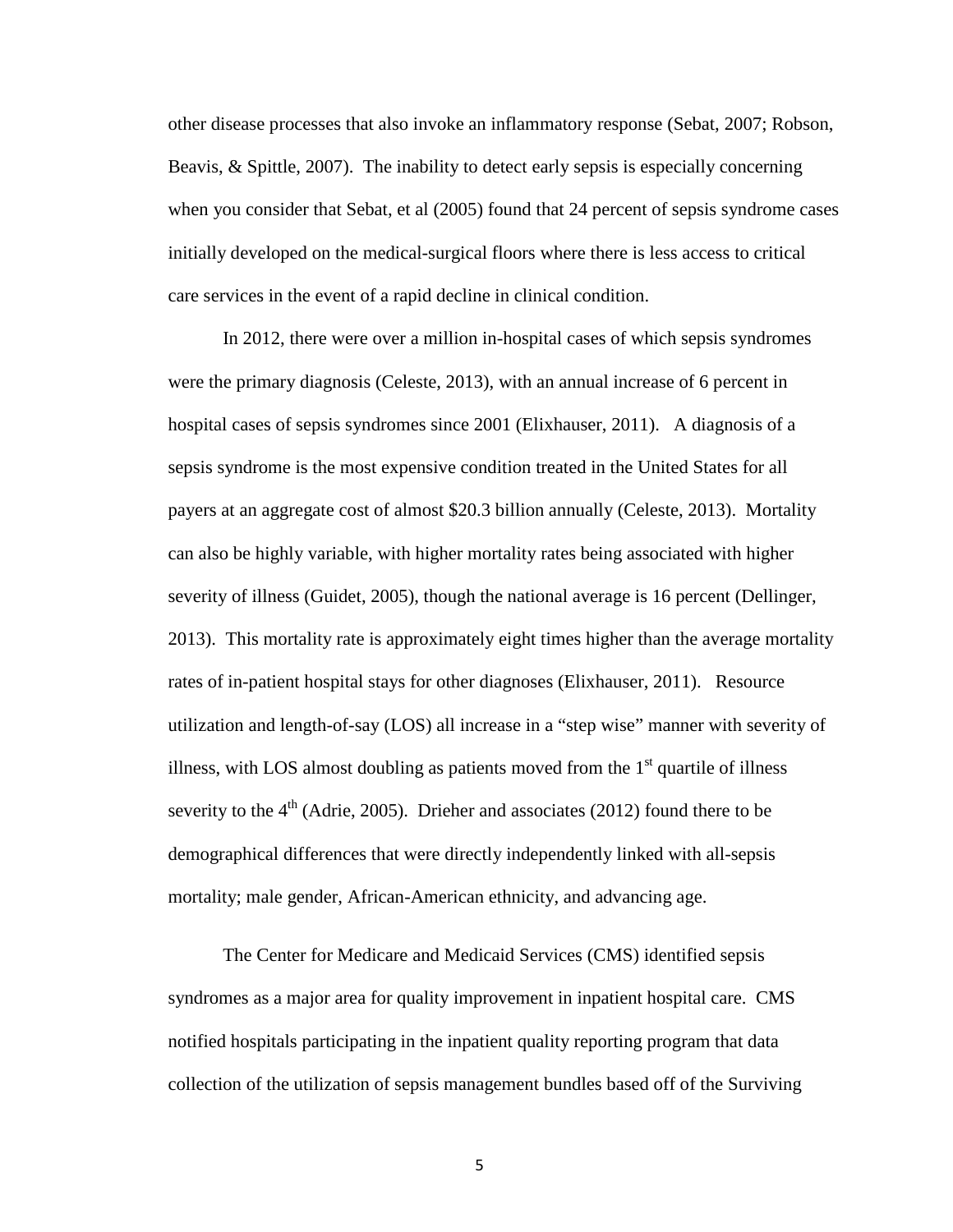other disease processes that also invoke an inflammatory response (Sebat, 2007; Robson, Beavis, & Spittle, 2007). The inability to detect early sepsis is especially concerning when you consider that Sebat, et al (2005) found that 24 percent of sepsis syndrome cases initially developed on the medical-surgical floors where there is less access to critical care services in the event of a rapid decline in clinical condition.

In 2012, there were over a million in-hospital cases of which sepsis syndromes were the primary diagnosis (Celeste, 2013), with an annual increase of 6 percent in hospital cases of sepsis syndromes since 2001 (Elixhauser, 2011). A diagnosis of a sepsis syndrome is the most expensive condition treated in the United States for all payers at an aggregate cost of almost \$20.3 billion annually (Celeste, 2013). Mortality can also be highly variable, with higher mortality rates being associated with higher severity of illness (Guidet, 2005), though the national average is 16 percent (Dellinger, 2013). This mortality rate is approximately eight times higher than the average mortality rates of in-patient hospital stays for other diagnoses (Elixhauser, 2011). Resource utilization and length-of-say (LOS) all increase in a "step wise" manner with severity of illness, with LOS almost doubling as patients moved from the  $1<sup>st</sup>$  quartile of illness severity to the  $4<sup>th</sup>$  (Adrie, 2005). Drieher and associates (2012) found there to be demographical differences that were directly independently linked with all-sepsis mortality; male gender, African-American ethnicity, and advancing age.

The Center for Medicare and Medicaid Services (CMS) identified sepsis syndromes as a major area for quality improvement in inpatient hospital care. CMS notified hospitals participating in the inpatient quality reporting program that data collection of the utilization of sepsis management bundles based off of the Surviving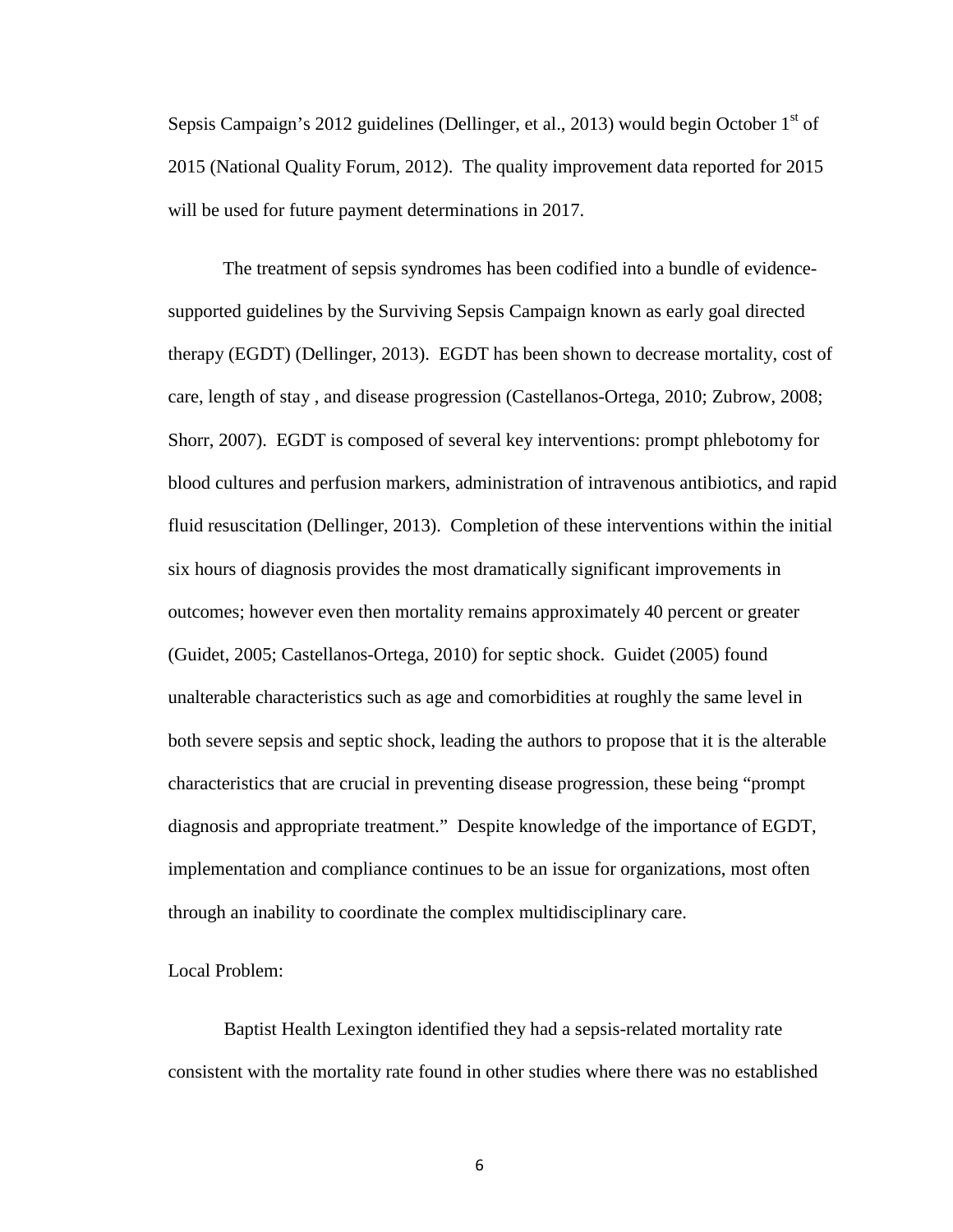Sepsis Campaign's 2012 guidelines (Dellinger, et al., 2013) would begin October  $1<sup>st</sup>$  of 2015 (National Quality Forum, 2012). The quality improvement data reported for 2015 will be used for future payment determinations in 2017.

The treatment of sepsis syndromes has been codified into a bundle of evidencesupported guidelines by the Surviving Sepsis Campaign known as early goal directed therapy (EGDT) (Dellinger, 2013). EGDT has been shown to decrease mortality, cost of care, length of stay , and disease progression (Castellanos-Ortega, 2010; Zubrow, 2008; Shorr, 2007). EGDT is composed of several key interventions: prompt phlebotomy for blood cultures and perfusion markers, administration of intravenous antibiotics, and rapid fluid resuscitation (Dellinger, 2013). Completion of these interventions within the initial six hours of diagnosis provides the most dramatically significant improvements in outcomes; however even then mortality remains approximately 40 percent or greater (Guidet, 2005; Castellanos-Ortega, 2010) for septic shock. Guidet (2005) found unalterable characteristics such as age and comorbidities at roughly the same level in both severe sepsis and septic shock, leading the authors to propose that it is the alterable characteristics that are crucial in preventing disease progression, these being "prompt diagnosis and appropriate treatment." Despite knowledge of the importance of EGDT, implementation and compliance continues to be an issue for organizations, most often through an inability to coordinate the complex multidisciplinary care.

#### Local Problem:

Baptist Health Lexington identified they had a sepsis-related mortality rate consistent with the mortality rate found in other studies where there was no established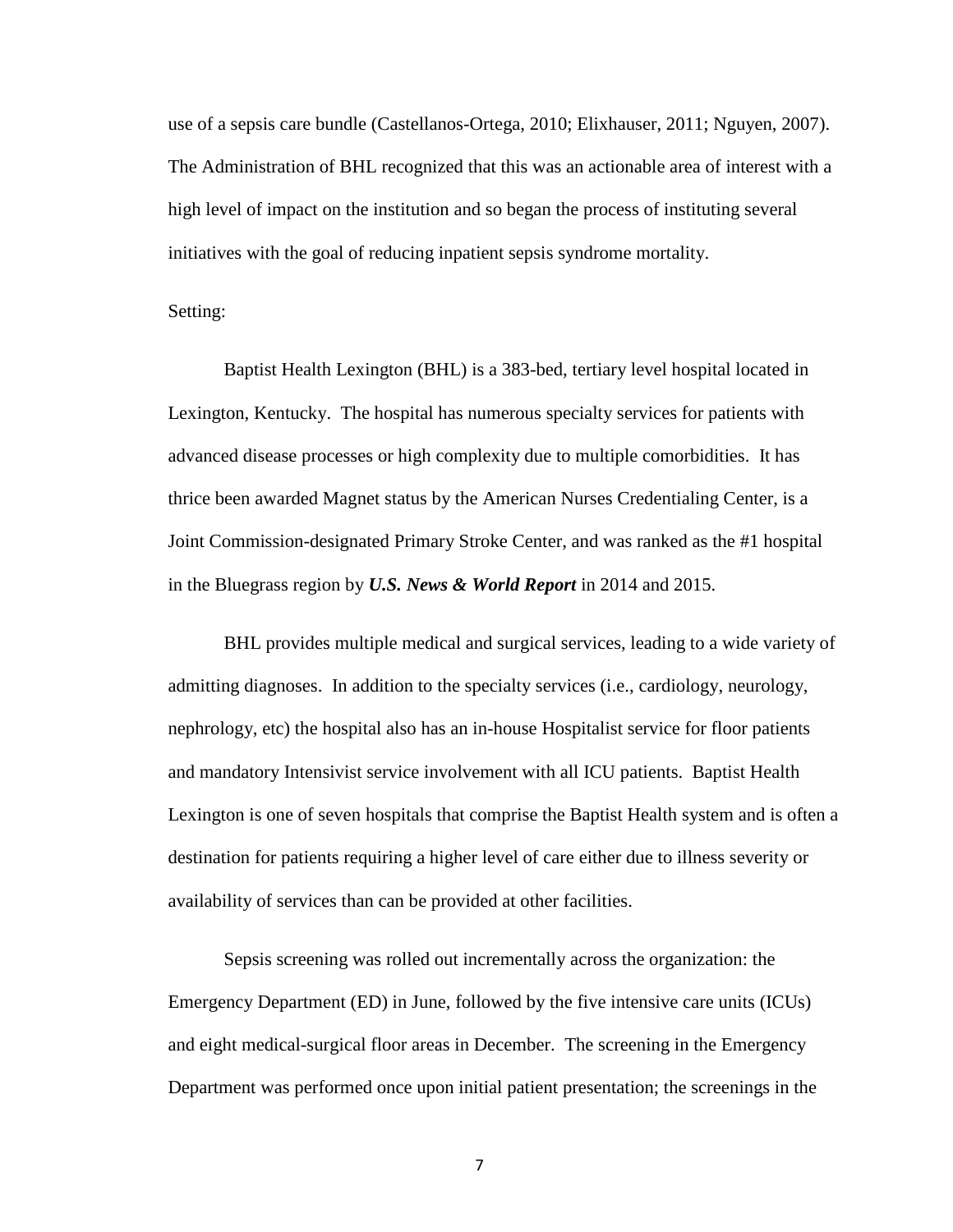use of a sepsis care bundle (Castellanos-Ortega, 2010; Elixhauser, 2011; Nguyen, 2007). The Administration of BHL recognized that this was an actionable area of interest with a high level of impact on the institution and so began the process of instituting several initiatives with the goal of reducing inpatient sepsis syndrome mortality.

#### Setting:

Baptist Health Lexington (BHL) is a 383-bed, tertiary level hospital located in Lexington, Kentucky. The hospital has numerous specialty services for patients with advanced disease processes or high complexity due to multiple comorbidities. It has thrice been awarded Magnet status by the American Nurses Credentialing Center, is a Joint Commission-designated Primary Stroke Center, and was ranked as the #1 hospital in the Bluegrass region by *U.S. News & World Report* in 2014 and 2015.

BHL provides multiple medical and surgical services, leading to a wide variety of admitting diagnoses. In addition to the specialty services (i.e., cardiology, neurology, nephrology, etc) the hospital also has an in-house Hospitalist service for floor patients and mandatory Intensivist service involvement with all ICU patients. Baptist Health Lexington is one of seven hospitals that comprise the Baptist Health system and is often a destination for patients requiring a higher level of care either due to illness severity or availability of services than can be provided at other facilities.

Sepsis screening was rolled out incrementally across the organization: the Emergency Department (ED) in June, followed by the five intensive care units (ICUs) and eight medical-surgical floor areas in December. The screening in the Emergency Department was performed once upon initial patient presentation; the screenings in the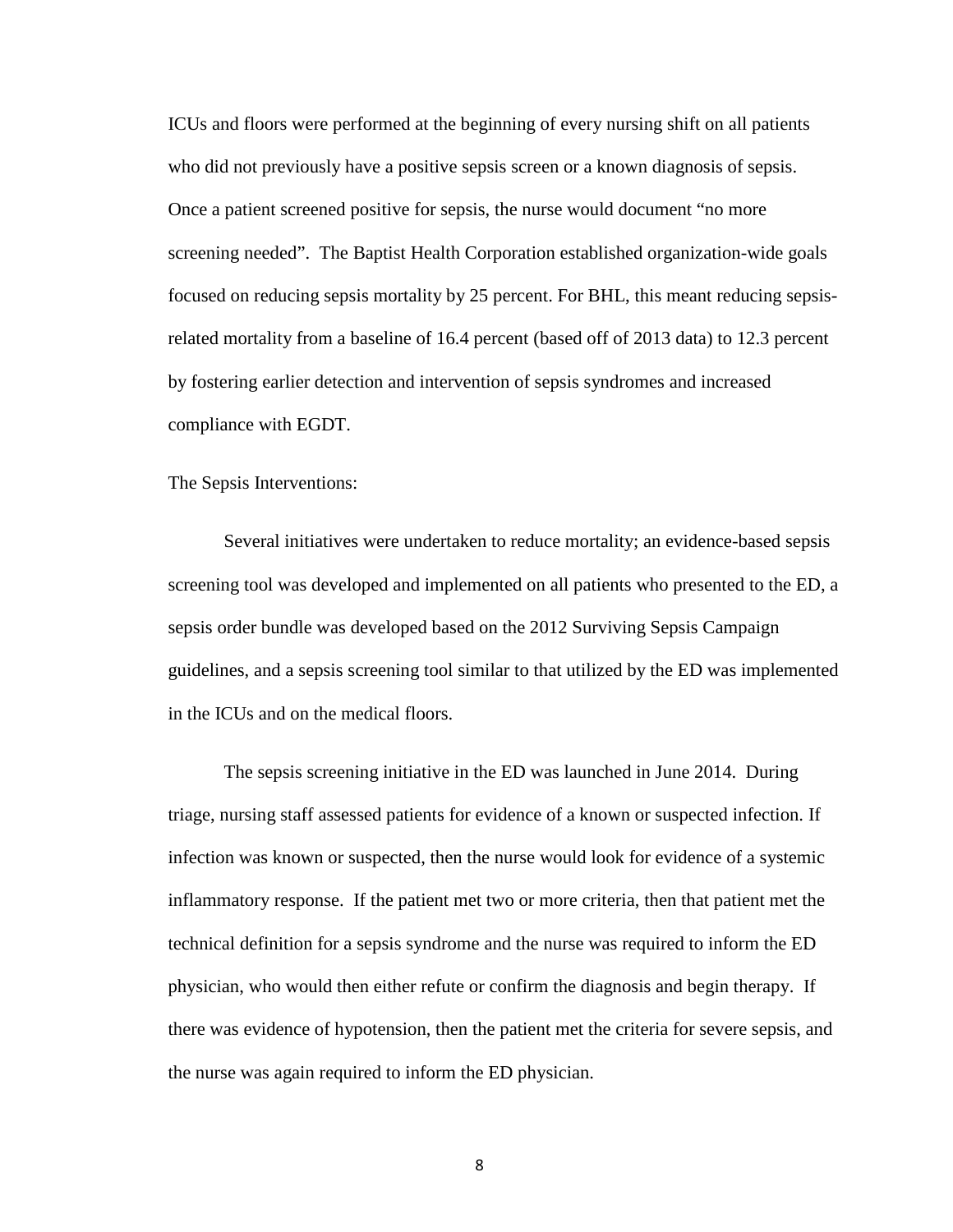ICUs and floors were performed at the beginning of every nursing shift on all patients who did not previously have a positive sepsis screen or a known diagnosis of sepsis. Once a patient screened positive for sepsis, the nurse would document "no more screening needed". The Baptist Health Corporation established organization-wide goals focused on reducing sepsis mortality by 25 percent. For BHL, this meant reducing sepsisrelated mortality from a baseline of 16.4 percent (based off of 2013 data) to 12.3 percent by fostering earlier detection and intervention of sepsis syndromes and increased compliance with EGDT.

The Sepsis Interventions:

Several initiatives were undertaken to reduce mortality; an evidence-based sepsis screening tool was developed and implemented on all patients who presented to the ED, a sepsis order bundle was developed based on the 2012 Surviving Sepsis Campaign guidelines, and a sepsis screening tool similar to that utilized by the ED was implemented in the ICUs and on the medical floors.

The sepsis screening initiative in the ED was launched in June 2014. During triage, nursing staff assessed patients for evidence of a known or suspected infection. If infection was known or suspected, then the nurse would look for evidence of a systemic inflammatory response. If the patient met two or more criteria, then that patient met the technical definition for a sepsis syndrome and the nurse was required to inform the ED physician, who would then either refute or confirm the diagnosis and begin therapy. If there was evidence of hypotension, then the patient met the criteria for severe sepsis, and the nurse was again required to inform the ED physician.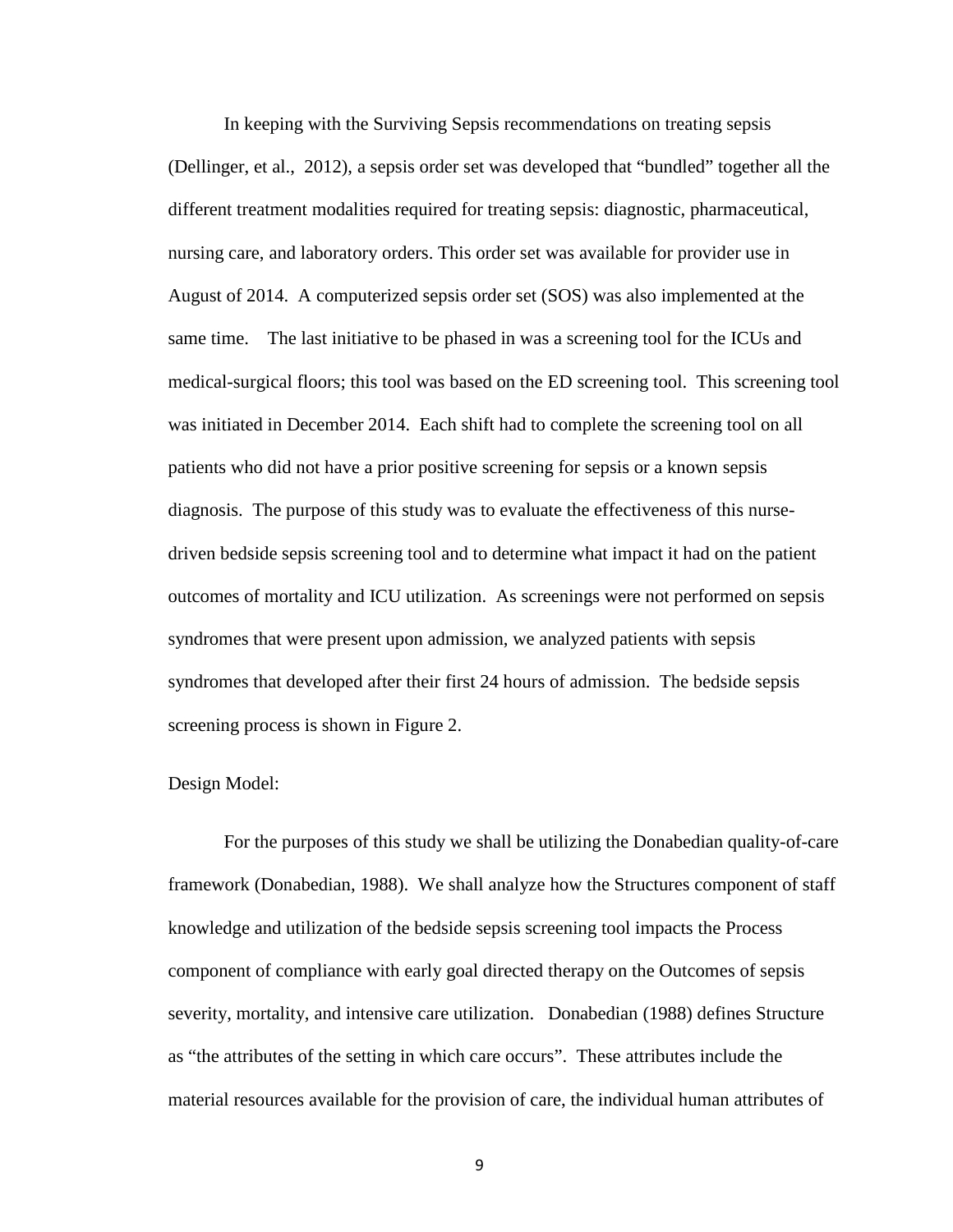In keeping with the Surviving Sepsis recommendations on treating sepsis (Dellinger, et al., 2012), a sepsis order set was developed that "bundled" together all the different treatment modalities required for treating sepsis: diagnostic, pharmaceutical, nursing care, and laboratory orders. This order set was available for provider use in August of 2014. A computerized sepsis order set (SOS) was also implemented at the same time. The last initiative to be phased in was a screening tool for the ICUs and medical-surgical floors; this tool was based on the ED screening tool. This screening tool was initiated in December 2014. Each shift had to complete the screening tool on all patients who did not have a prior positive screening for sepsis or a known sepsis diagnosis. The purpose of this study was to evaluate the effectiveness of this nursedriven bedside sepsis screening tool and to determine what impact it had on the patient outcomes of mortality and ICU utilization. As screenings were not performed on sepsis syndromes that were present upon admission, we analyzed patients with sepsis syndromes that developed after their first 24 hours of admission. The bedside sepsis screening process is shown in Figure 2.

#### Design Model:

For the purposes of this study we shall be utilizing the Donabedian quality-of-care framework (Donabedian, 1988). We shall analyze how the Structures component of staff knowledge and utilization of the bedside sepsis screening tool impacts the Process component of compliance with early goal directed therapy on the Outcomes of sepsis severity, mortality, and intensive care utilization. Donabedian (1988) defines Structure as "the attributes of the setting in which care occurs". These attributes include the material resources available for the provision of care, the individual human attributes of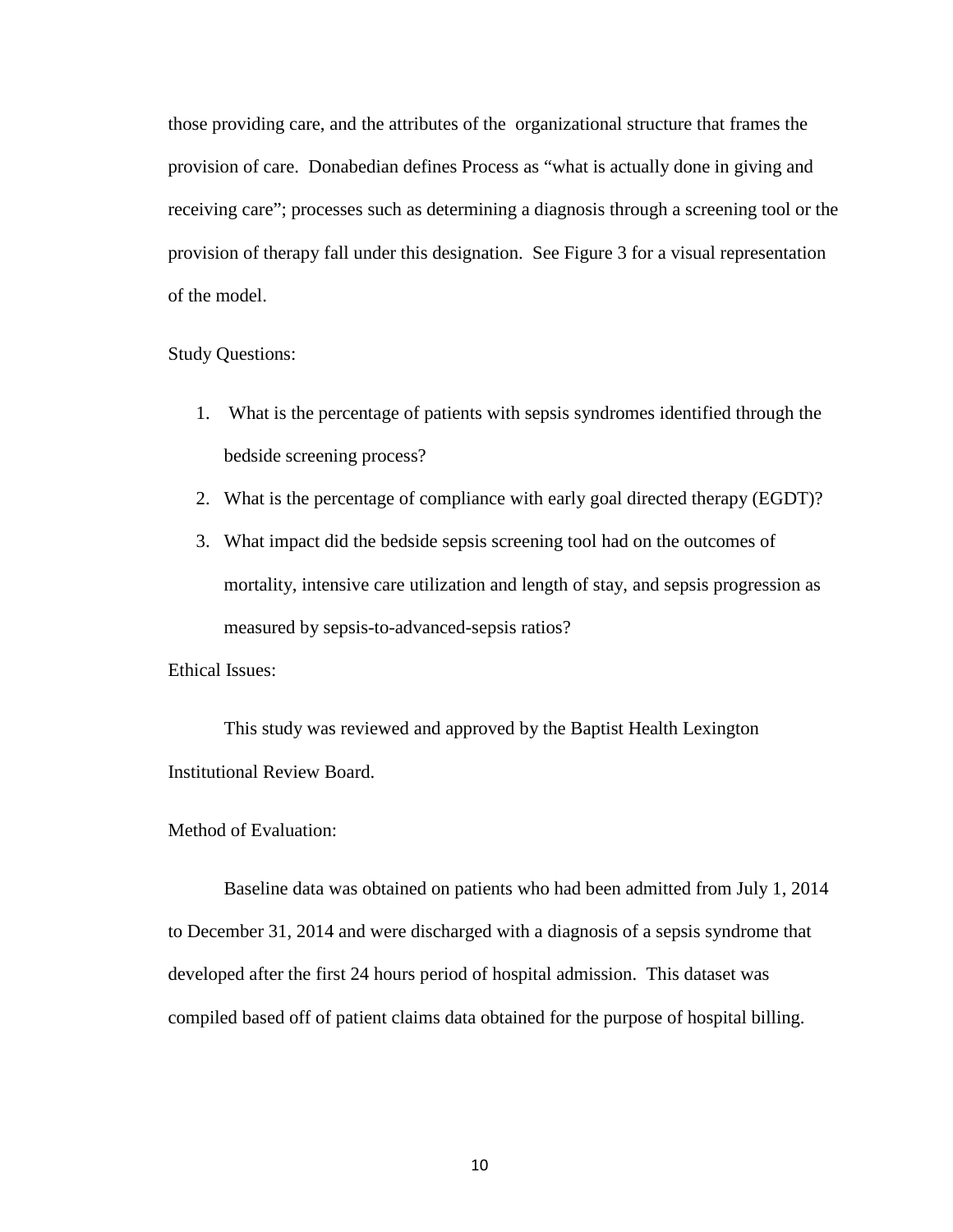those providing care, and the attributes of the organizational structure that frames the provision of care. Donabedian defines Process as "what is actually done in giving and receiving care"; processes such as determining a diagnosis through a screening tool or the provision of therapy fall under this designation. See Figure 3 for a visual representation of the model.

#### Study Questions:

- 1. What is the percentage of patients with sepsis syndromes identified through the bedside screening process?
- 2. What is the percentage of compliance with early goal directed therapy (EGDT)?
- 3. What impact did the bedside sepsis screening tool had on the outcomes of mortality, intensive care utilization and length of stay, and sepsis progression as measured by sepsis-to-advanced-sepsis ratios?

Ethical Issues:

This study was reviewed and approved by the Baptist Health Lexington Institutional Review Board.

#### Method of Evaluation:

Baseline data was obtained on patients who had been admitted from July 1, 2014 to December 31, 2014 and were discharged with a diagnosis of a sepsis syndrome that developed after the first 24 hours period of hospital admission. This dataset was compiled based off of patient claims data obtained for the purpose of hospital billing.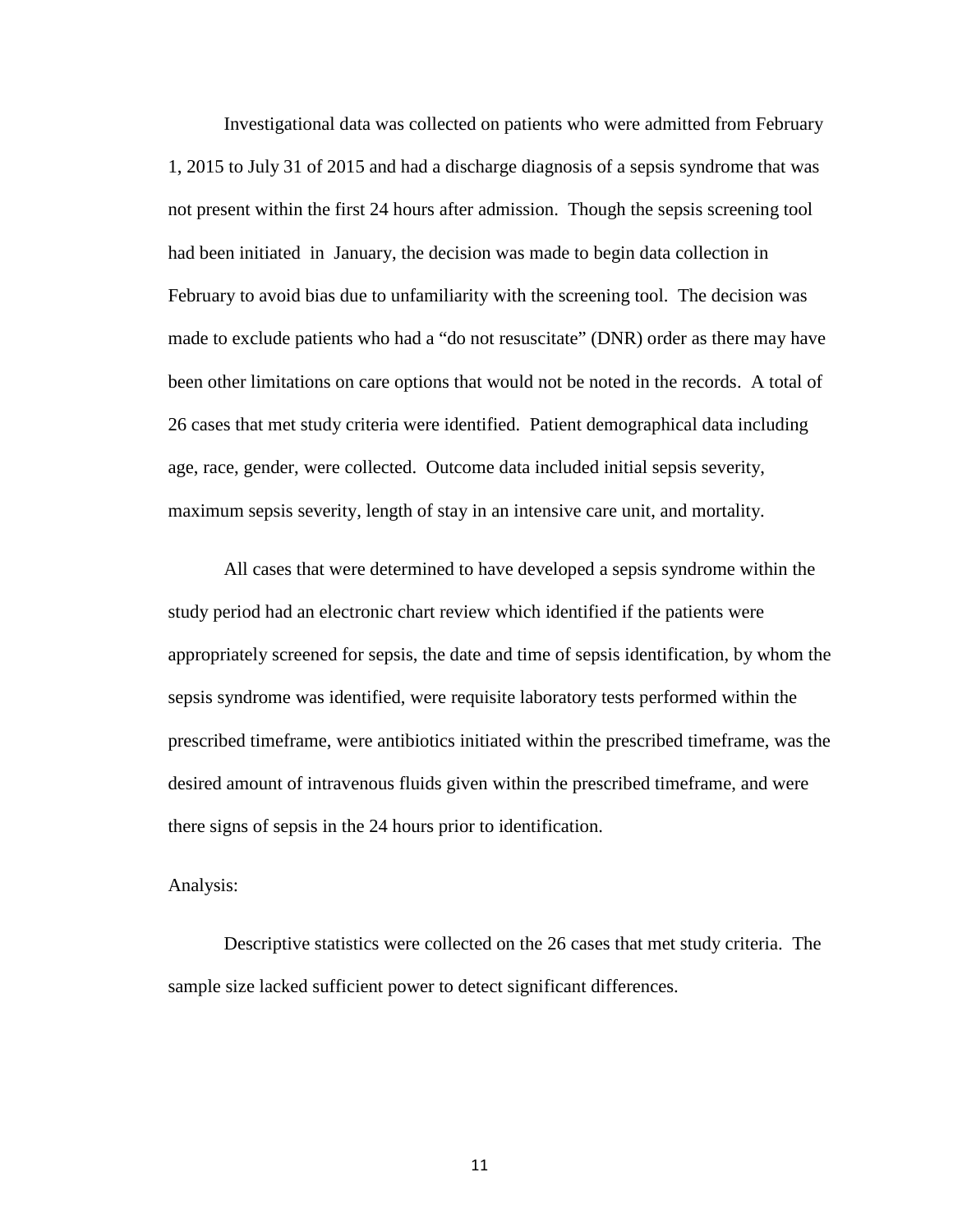Investigational data was collected on patients who were admitted from February 1, 2015 to July 31 of 2015 and had a discharge diagnosis of a sepsis syndrome that was not present within the first 24 hours after admission. Though the sepsis screening tool had been initiated in January, the decision was made to begin data collection in February to avoid bias due to unfamiliarity with the screening tool. The decision was made to exclude patients who had a "do not resuscitate" (DNR) order as there may have been other limitations on care options that would not be noted in the records. A total of 26 cases that met study criteria were identified. Patient demographical data including age, race, gender, were collected. Outcome data included initial sepsis severity, maximum sepsis severity, length of stay in an intensive care unit, and mortality.

All cases that were determined to have developed a sepsis syndrome within the study period had an electronic chart review which identified if the patients were appropriately screened for sepsis, the date and time of sepsis identification, by whom the sepsis syndrome was identified, were requisite laboratory tests performed within the prescribed timeframe, were antibiotics initiated within the prescribed timeframe, was the desired amount of intravenous fluids given within the prescribed timeframe, and were there signs of sepsis in the 24 hours prior to identification.

#### Analysis:

Descriptive statistics were collected on the 26 cases that met study criteria. The sample size lacked sufficient power to detect significant differences.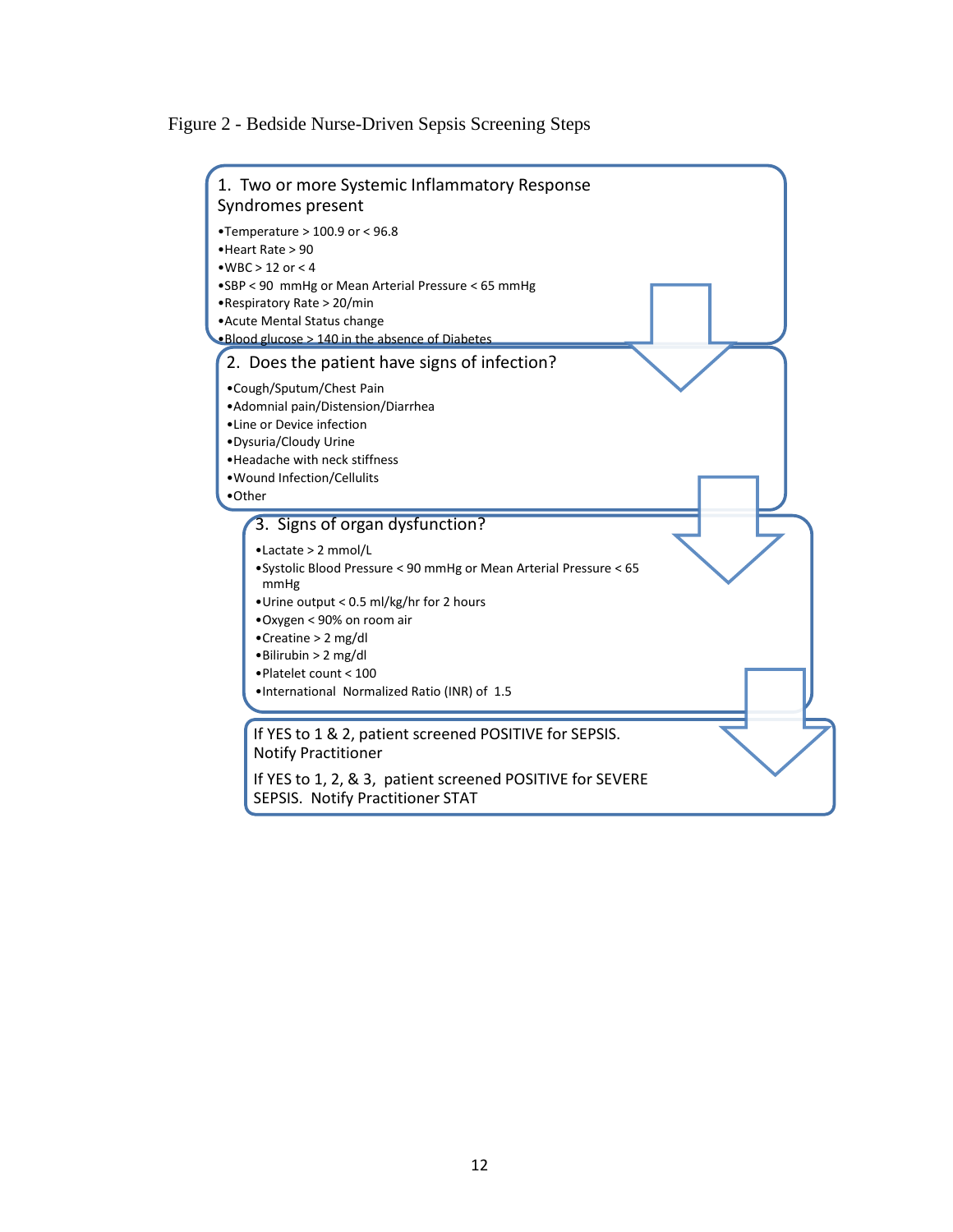Figure 2 - Bedside Nurse-Driven Sepsis Screening Steps

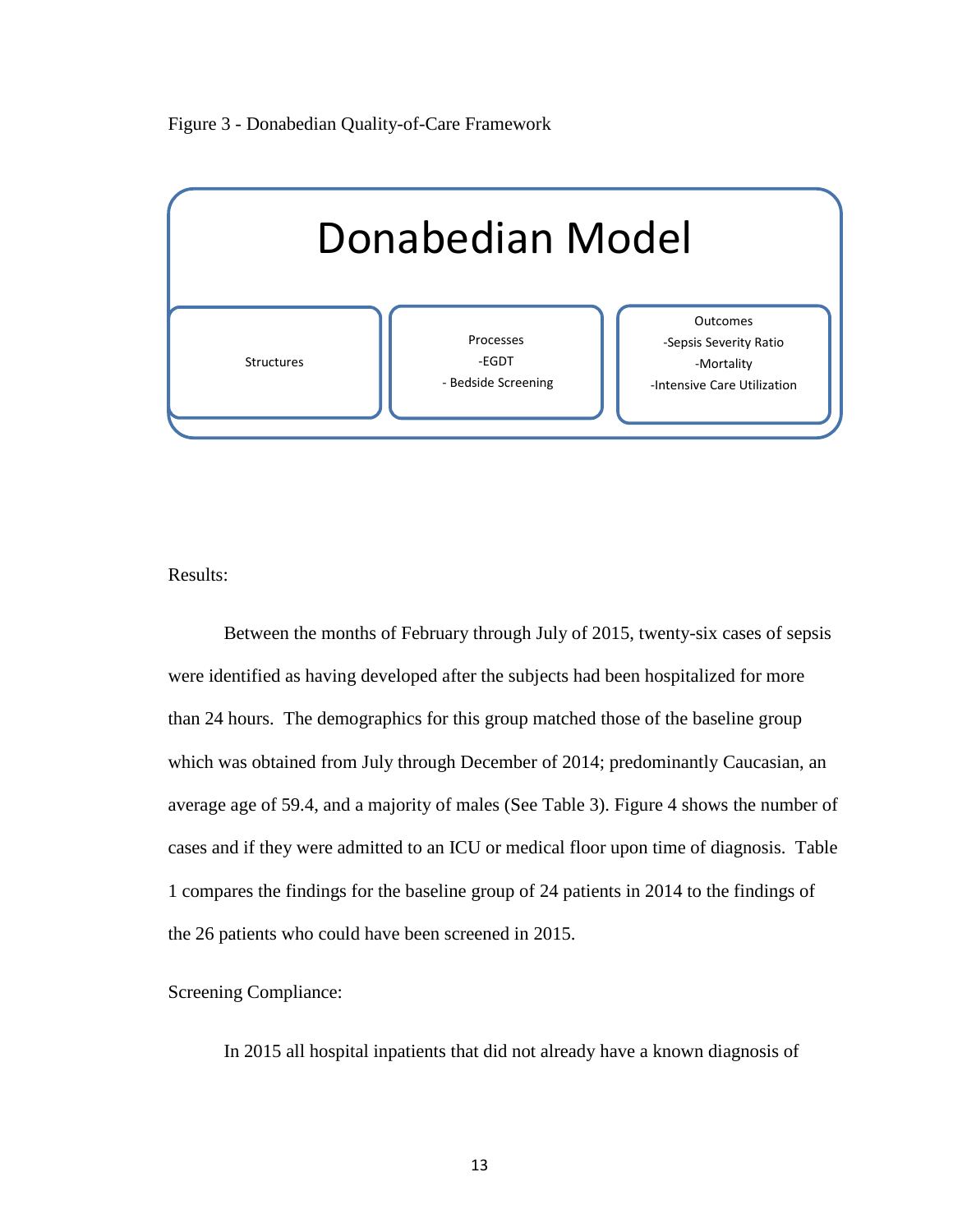



Results:

Between the months of February through July of 2015, twenty-six cases of sepsis were identified as having developed after the subjects had been hospitalized for more than 24 hours. The demographics for this group matched those of the baseline group which was obtained from July through December of 2014; predominantly Caucasian, an average age of 59.4, and a majority of males (See Table 3). Figure 4 shows the number of cases and if they were admitted to an ICU or medical floor upon time of diagnosis. Table 1 compares the findings for the baseline group of 24 patients in 2014 to the findings of the 26 patients who could have been screened in 2015.

Screening Compliance:

In 2015 all hospital inpatients that did not already have a known diagnosis of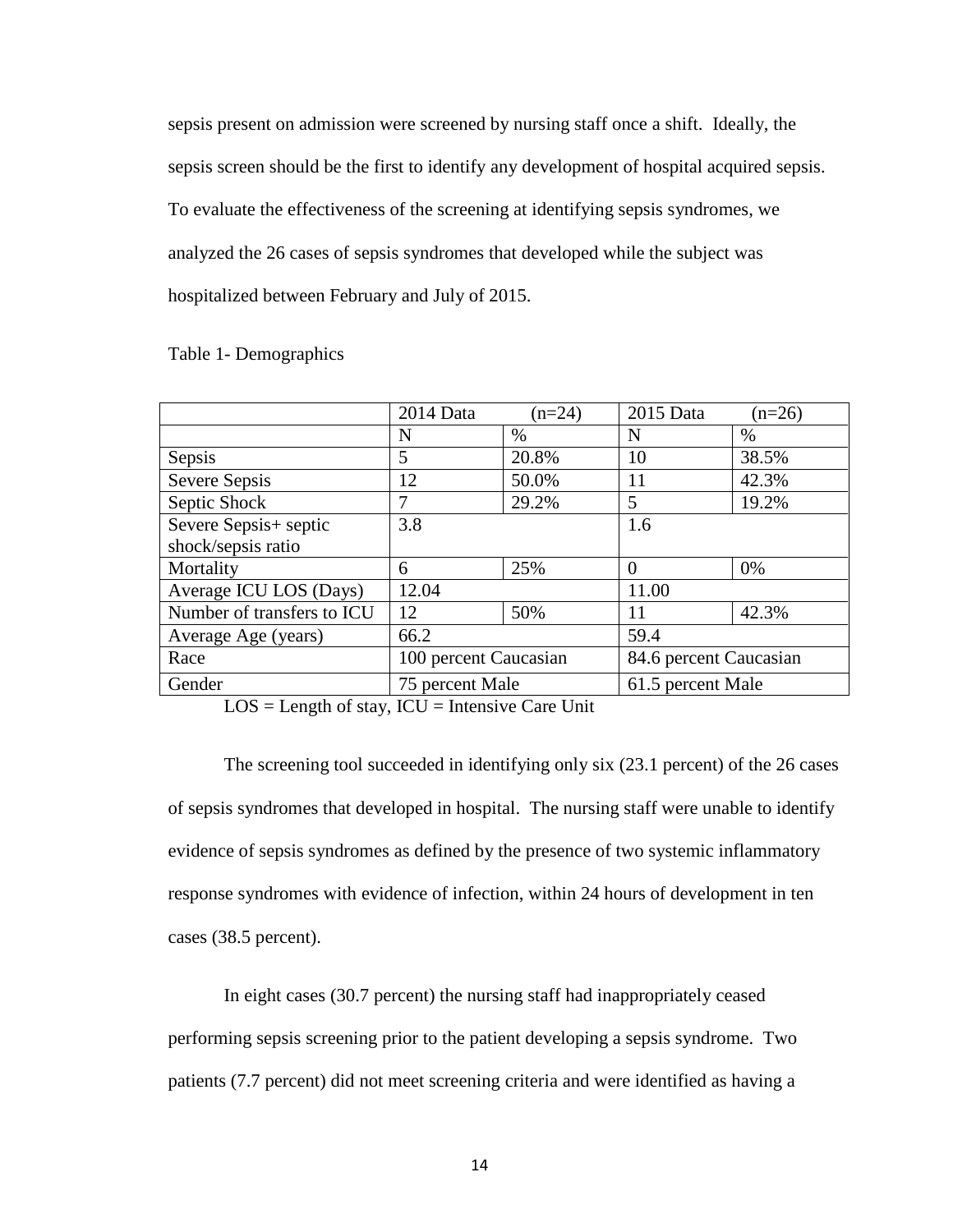sepsis present on admission were screened by nursing staff once a shift. Ideally, the sepsis screen should be the first to identify any development of hospital acquired sepsis. To evaluate the effectiveness of the screening at identifying sepsis syndromes, we analyzed the 26 cases of sepsis syndromes that developed while the subject was hospitalized between February and July of 2015.

| $2014$ Data           | $(n=24)$ | 2015 Data              | $(n=26)$ |
|-----------------------|----------|------------------------|----------|
| N                     | $\%$     | N                      | $\%$     |
| 5                     | 20.8%    | 10                     | 38.5%    |
| 12                    | 50.0%    | 11                     | 42.3%    |
| 7                     | 29.2%    | 5                      | 19.2%    |
| 3.8                   |          | 1.6                    |          |
|                       |          |                        |          |
| 6                     | 25%      | $\Omega$               | 0%       |
| 12.04                 |          | 11.00                  |          |
| 12                    | 50%      | 11                     | 42.3%    |
| 66.2                  |          | 59.4                   |          |
| 100 percent Caucasian |          | 84.6 percent Caucasian |          |
| 75 percent Male       |          | 61.5 percent Male      |          |
|                       |          |                        |          |

#### Table 1- Demographics

 $LOS = Length of stay, ICU = Intensive Care Unit$ 

The screening tool succeeded in identifying only six (23.1 percent) of the 26 cases of sepsis syndromes that developed in hospital. The nursing staff were unable to identify evidence of sepsis syndromes as defined by the presence of two systemic inflammatory response syndromes with evidence of infection, within 24 hours of development in ten cases (38.5 percent).

In eight cases (30.7 percent) the nursing staff had inappropriately ceased performing sepsis screening prior to the patient developing a sepsis syndrome. Two patients (7.7 percent) did not meet screening criteria and were identified as having a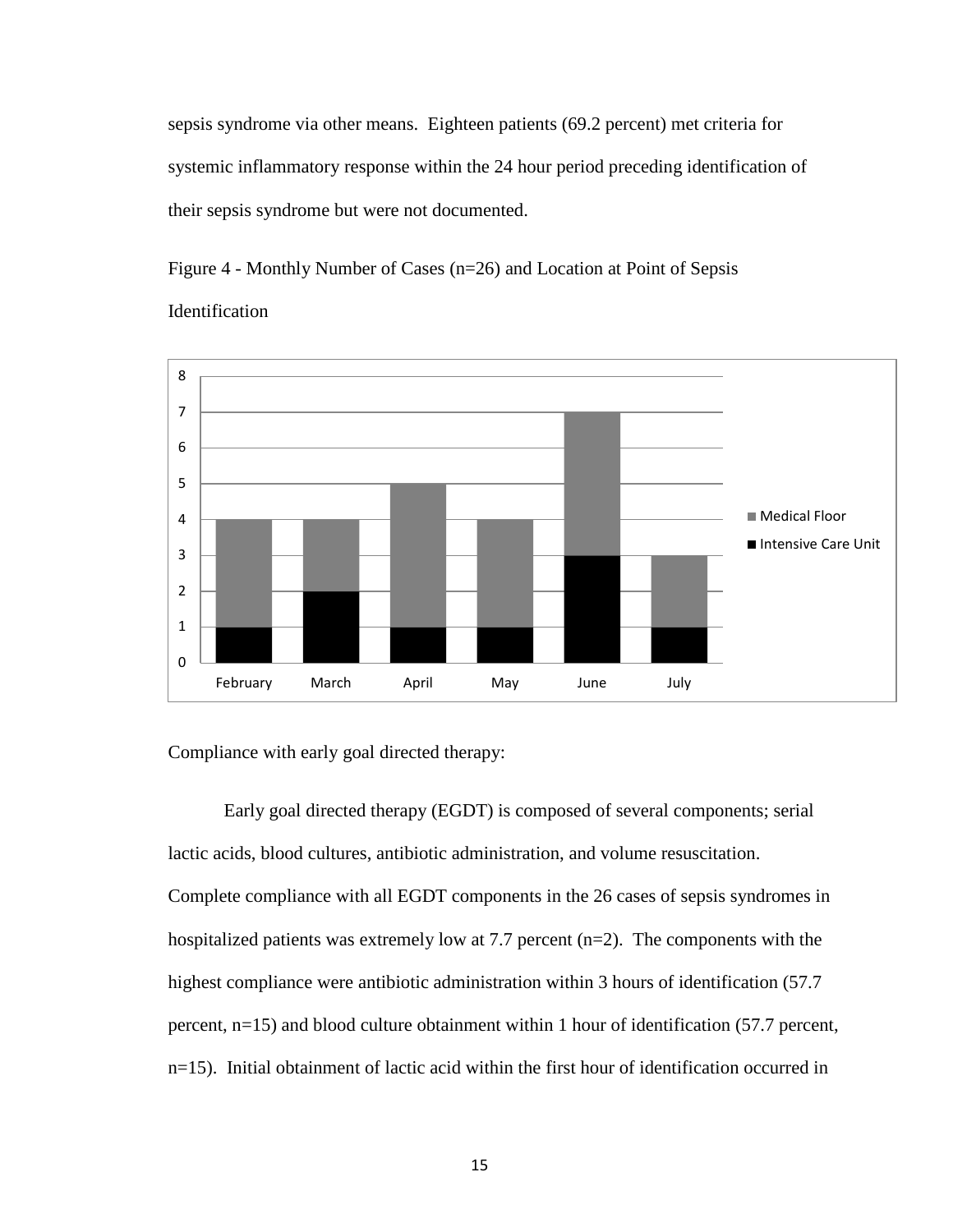sepsis syndrome via other means. Eighteen patients (69.2 percent) met criteria for systemic inflammatory response within the 24 hour period preceding identification of their sepsis syndrome but were not documented.

Figure 4 - Monthly Number of Cases (n=26) and Location at Point of Sepsis Identification



Compliance with early goal directed therapy:

Early goal directed therapy (EGDT) is composed of several components; serial lactic acids, blood cultures, antibiotic administration, and volume resuscitation. Complete compliance with all EGDT components in the 26 cases of sepsis syndromes in hospitalized patients was extremely low at 7.7 percent (n=2). The components with the highest compliance were antibiotic administration within 3 hours of identification (57.7) percent, n=15) and blood culture obtainment within 1 hour of identification (57.7 percent, n=15). Initial obtainment of lactic acid within the first hour of identification occurred in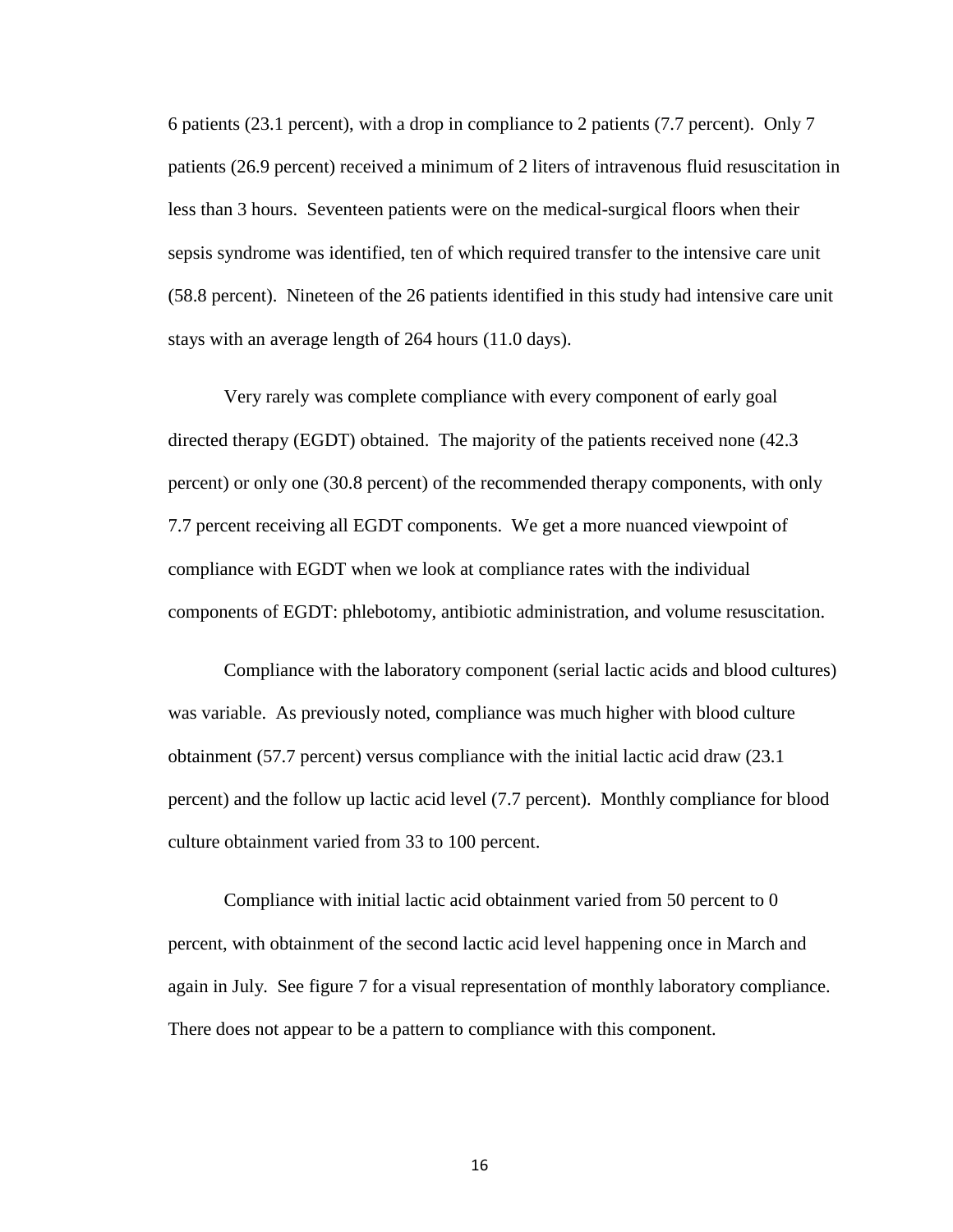6 patients (23.1 percent), with a drop in compliance to 2 patients (7.7 percent). Only 7 patients (26.9 percent) received a minimum of 2 liters of intravenous fluid resuscitation in less than 3 hours. Seventeen patients were on the medical-surgical floors when their sepsis syndrome was identified, ten of which required transfer to the intensive care unit (58.8 percent). Nineteen of the 26 patients identified in this study had intensive care unit stays with an average length of 264 hours (11.0 days).

Very rarely was complete compliance with every component of early goal directed therapy (EGDT) obtained. The majority of the patients received none (42.3 percent) or only one (30.8 percent) of the recommended therapy components, with only 7.7 percent receiving all EGDT components. We get a more nuanced viewpoint of compliance with EGDT when we look at compliance rates with the individual components of EGDT: phlebotomy, antibiotic administration, and volume resuscitation.

Compliance with the laboratory component (serial lactic acids and blood cultures) was variable. As previously noted, compliance was much higher with blood culture obtainment (57.7 percent) versus compliance with the initial lactic acid draw (23.1 percent) and the follow up lactic acid level (7.7 percent). Monthly compliance for blood culture obtainment varied from 33 to 100 percent.

Compliance with initial lactic acid obtainment varied from 50 percent to 0 percent, with obtainment of the second lactic acid level happening once in March and again in July. See figure 7 for a visual representation of monthly laboratory compliance. There does not appear to be a pattern to compliance with this component.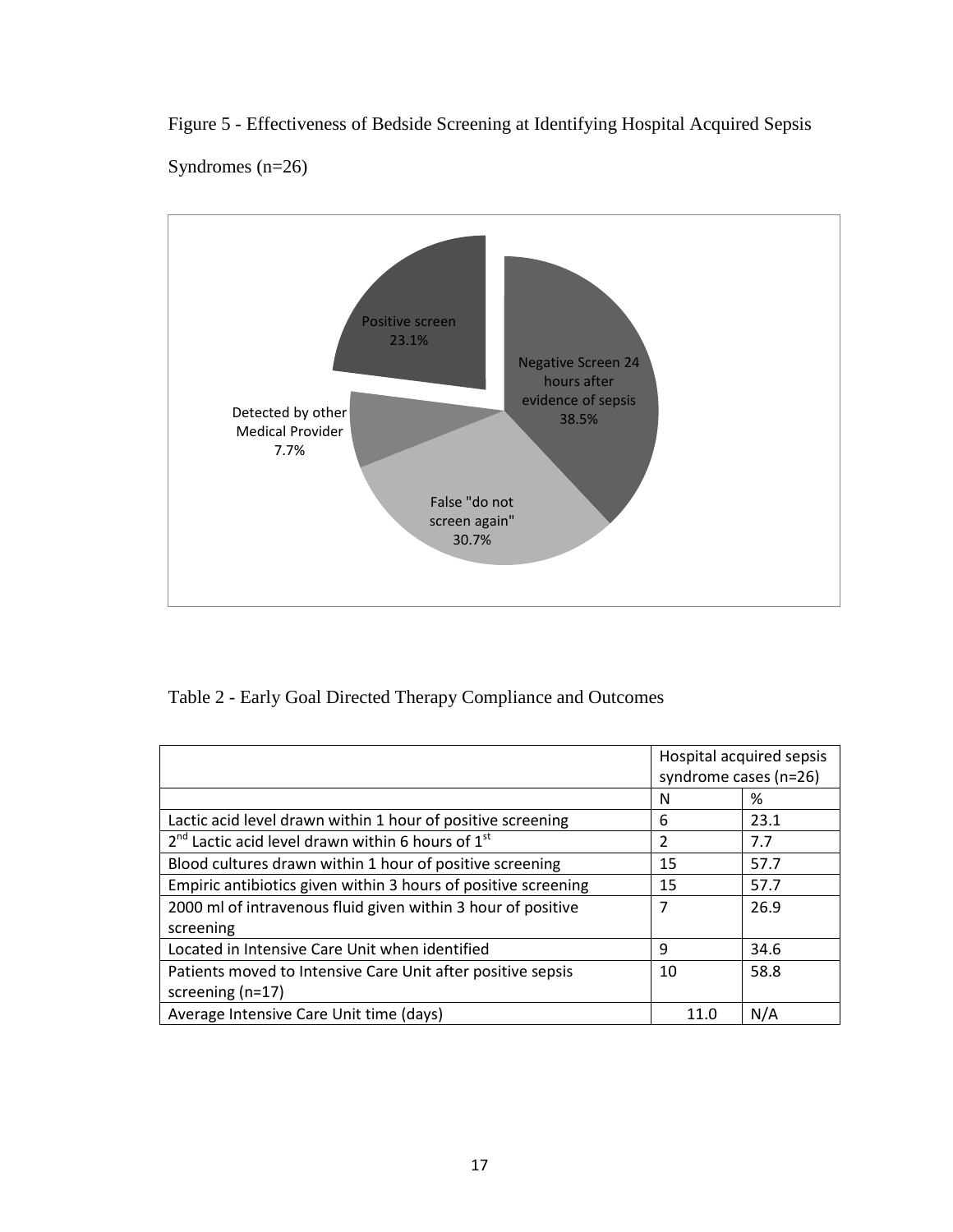Figure 5 - Effectiveness of Bedside Screening at Identifying Hospital Acquired Sepsis Syndromes (n=26)



Table 2 - Early Goal Directed Therapy Compliance and Outcomes

|                                                                | Hospital acquired sepsis<br>syndrome cases (n=26) |      |
|----------------------------------------------------------------|---------------------------------------------------|------|
|                                                                | N                                                 | %    |
| Lactic acid level drawn within 1 hour of positive screening    | 6                                                 | 23.1 |
| $2nd$ Lactic acid level drawn within 6 hours of $1st$          | 2                                                 | 7.7  |
| Blood cultures drawn within 1 hour of positive screening       | 15                                                | 57.7 |
| Empiric antibiotics given within 3 hours of positive screening | 15                                                | 57.7 |
| 2000 ml of intravenous fluid given within 3 hour of positive   | 7                                                 | 26.9 |
| screening                                                      |                                                   |      |
| Located in Intensive Care Unit when identified                 | 9                                                 | 34.6 |
| Patients moved to Intensive Care Unit after positive sepsis    | 10                                                | 58.8 |
| screening (n=17)                                               |                                                   |      |
| Average Intensive Care Unit time (days)                        | 11.0                                              | N/A  |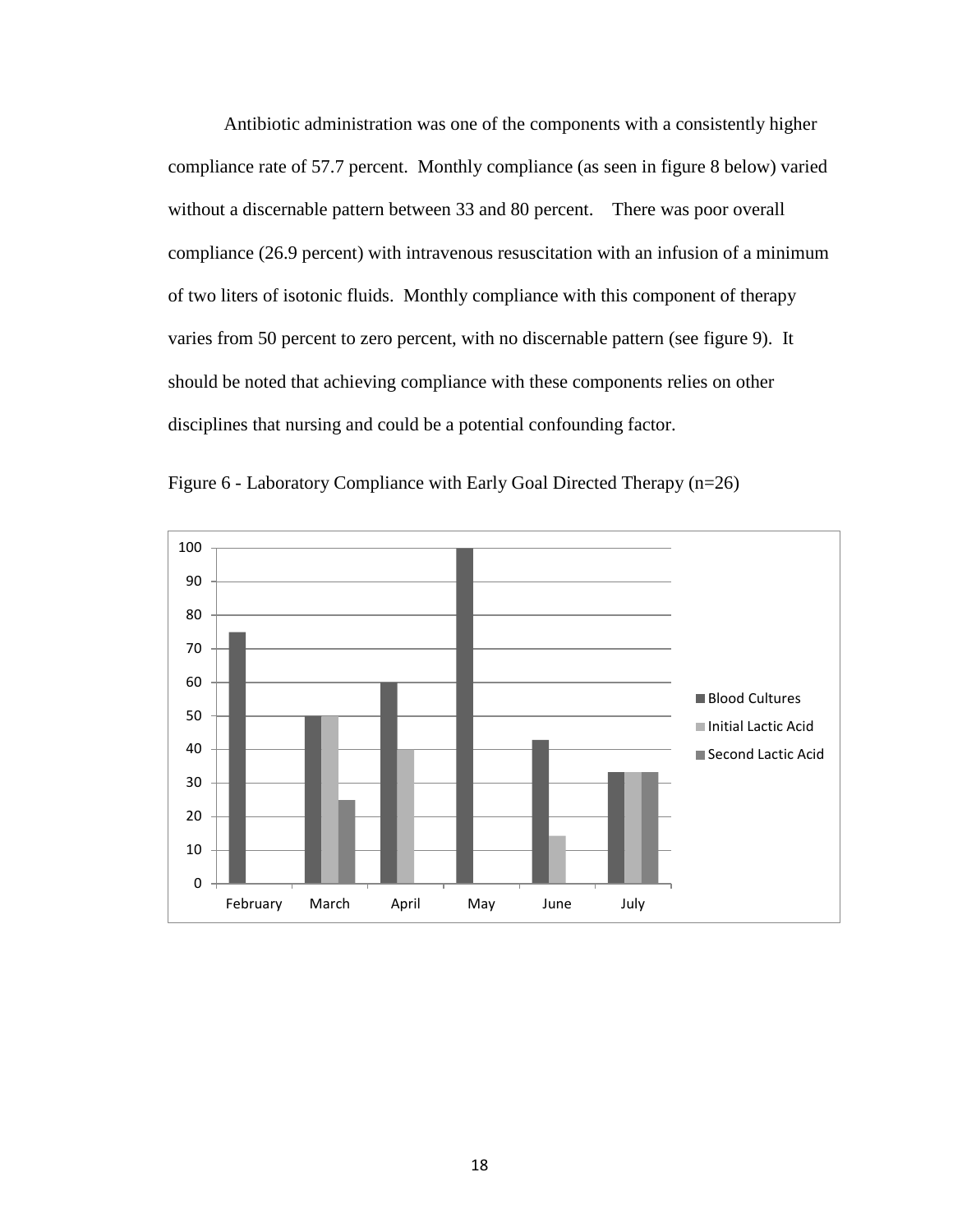Antibiotic administration was one of the components with a consistently higher compliance rate of 57.7 percent. Monthly compliance (as seen in figure 8 below) varied without a discernable pattern between 33 and 80 percent. There was poor overall compliance (26.9 percent) with intravenous resuscitation with an infusion of a minimum of two liters of isotonic fluids. Monthly compliance with this component of therapy varies from 50 percent to zero percent, with no discernable pattern (see figure 9). It should be noted that achieving compliance with these components relies on other disciplines that nursing and could be a potential confounding factor.



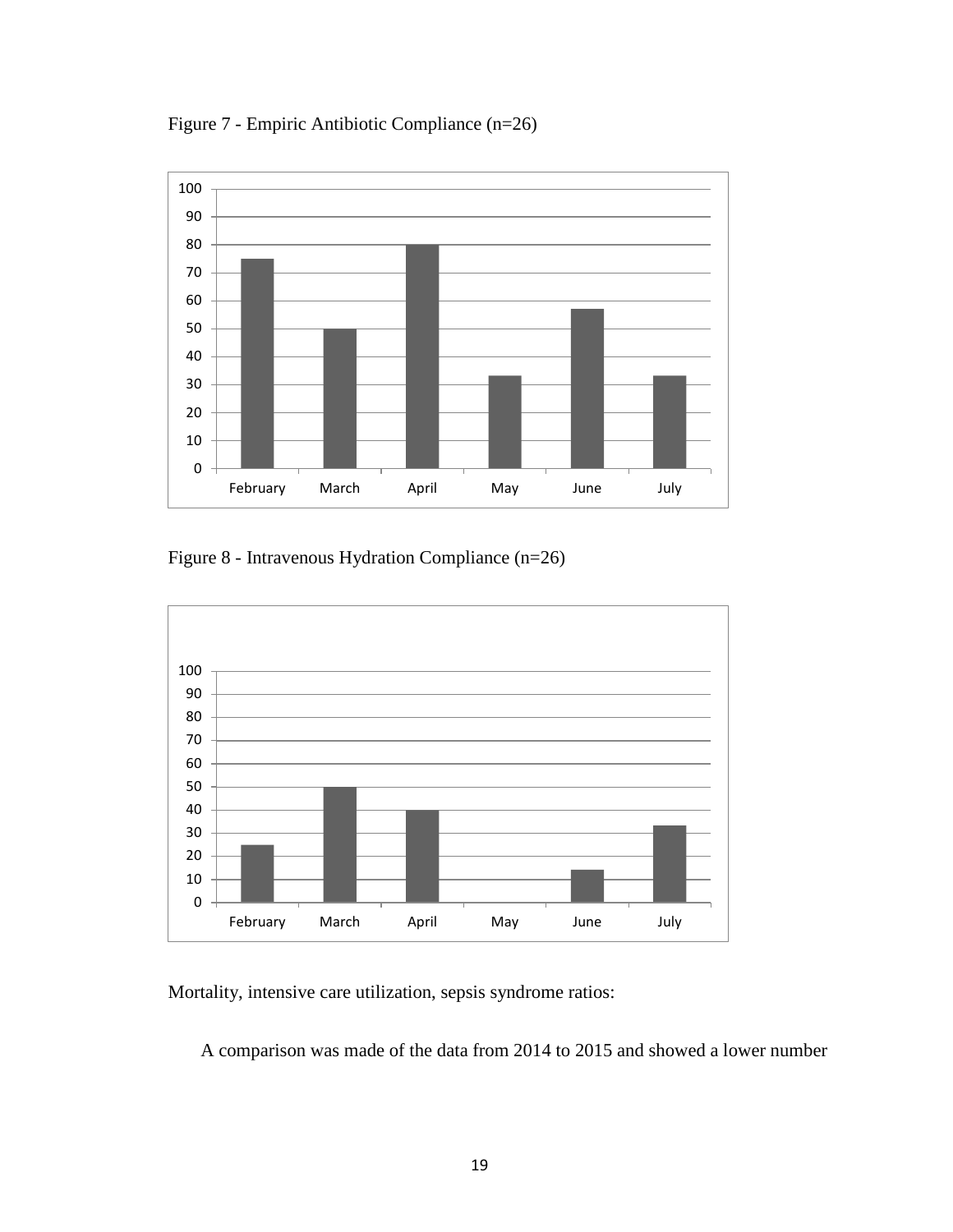Figure 7 - Empiric Antibiotic Compliance (n=26)



Figure 8 - Intravenous Hydration Compliance (n=26)



Mortality, intensive care utilization, sepsis syndrome ratios:

A comparison was made of the data from 2014 to 2015 and showed a lower number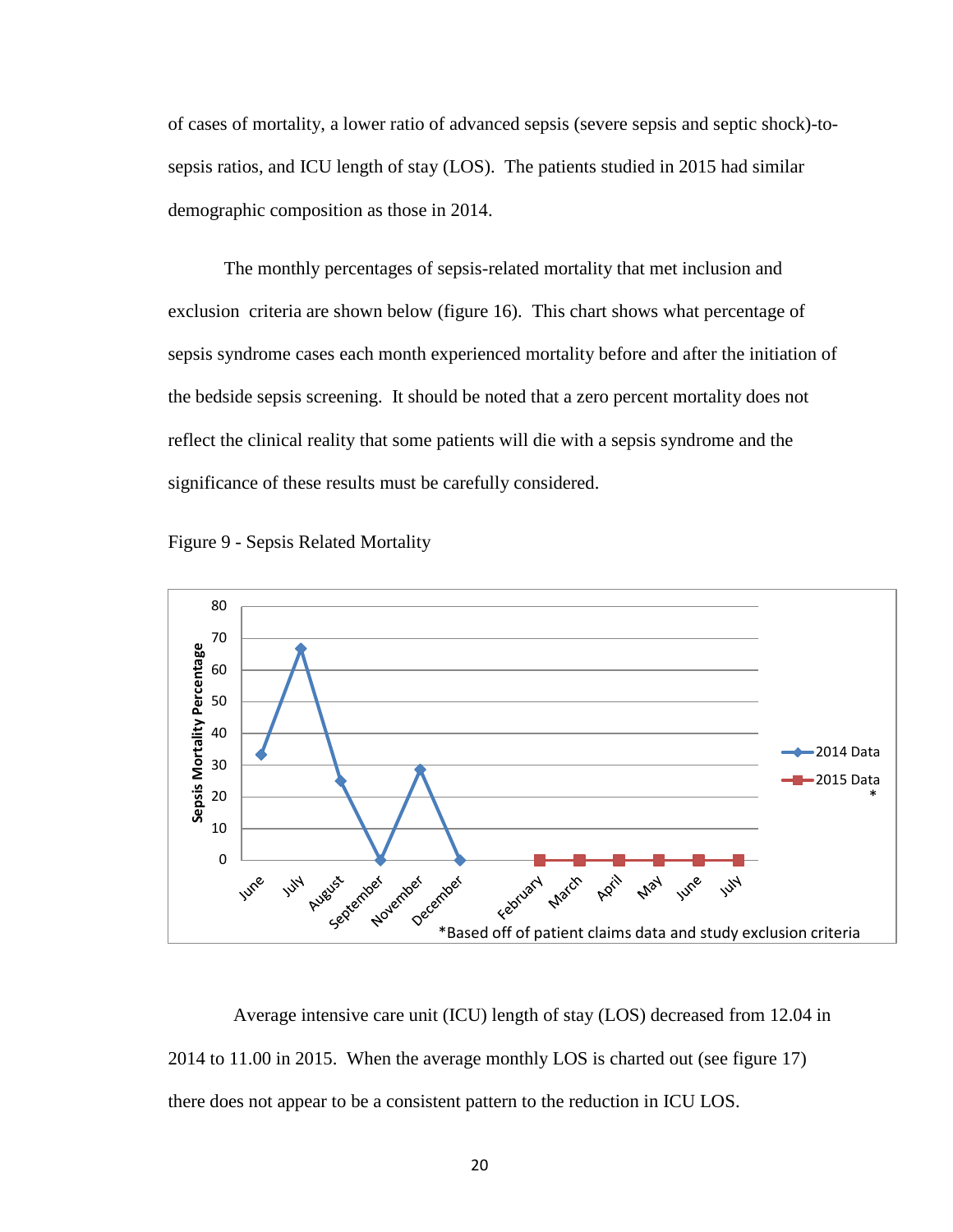of cases of mortality, a lower ratio of advanced sepsis (severe sepsis and septic shock)-tosepsis ratios, and ICU length of stay (LOS). The patients studied in 2015 had similar demographic composition as those in 2014.

 The monthly percentages of sepsis-related mortality that met inclusion and exclusion criteria are shown below (figure 16). This chart shows what percentage of sepsis syndrome cases each month experienced mortality before and after the initiation of the bedside sepsis screening. It should be noted that a zero percent mortality does not reflect the clinical reality that some patients will die with a sepsis syndrome and the significance of these results must be carefully considered.





 Average intensive care unit (ICU) length of stay (LOS) decreased from 12.04 in 2014 to 11.00 in 2015. When the average monthly LOS is charted out (see figure 17) there does not appear to be a consistent pattern to the reduction in ICU LOS.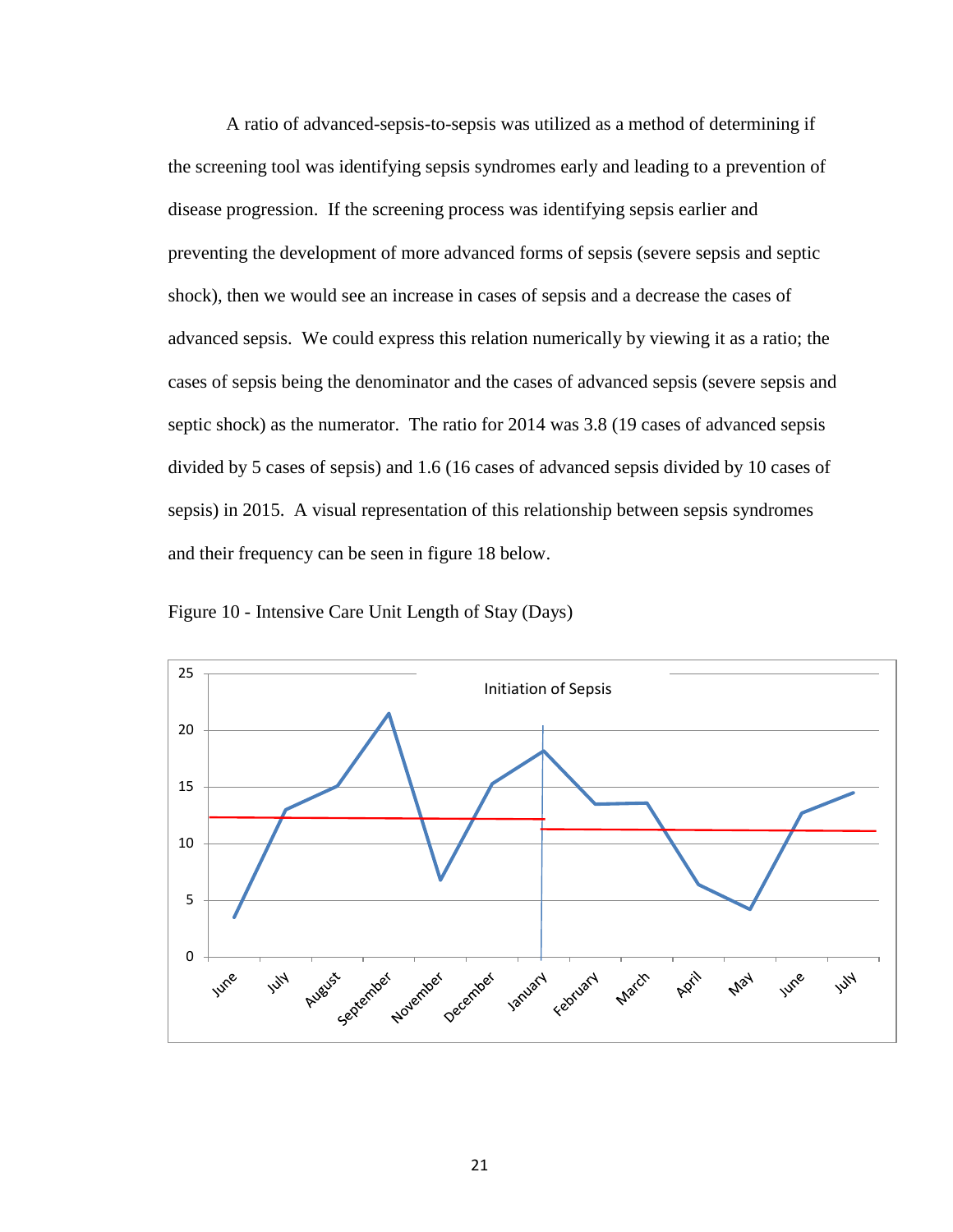A ratio of advanced-sepsis-to-sepsis was utilized as a method of determining if the screening tool was identifying sepsis syndromes early and leading to a prevention of disease progression. If the screening process was identifying sepsis earlier and preventing the development of more advanced forms of sepsis (severe sepsis and septic shock), then we would see an increase in cases of sepsis and a decrease the cases of advanced sepsis. We could express this relation numerically by viewing it as a ratio; the cases of sepsis being the denominator and the cases of advanced sepsis (severe sepsis and septic shock) as the numerator. The ratio for 2014 was 3.8 (19 cases of advanced sepsis divided by 5 cases of sepsis) and 1.6 (16 cases of advanced sepsis divided by 10 cases of sepsis) in 2015. A visual representation of this relationship between sepsis syndromes and their frequency can be seen in figure 18 below.



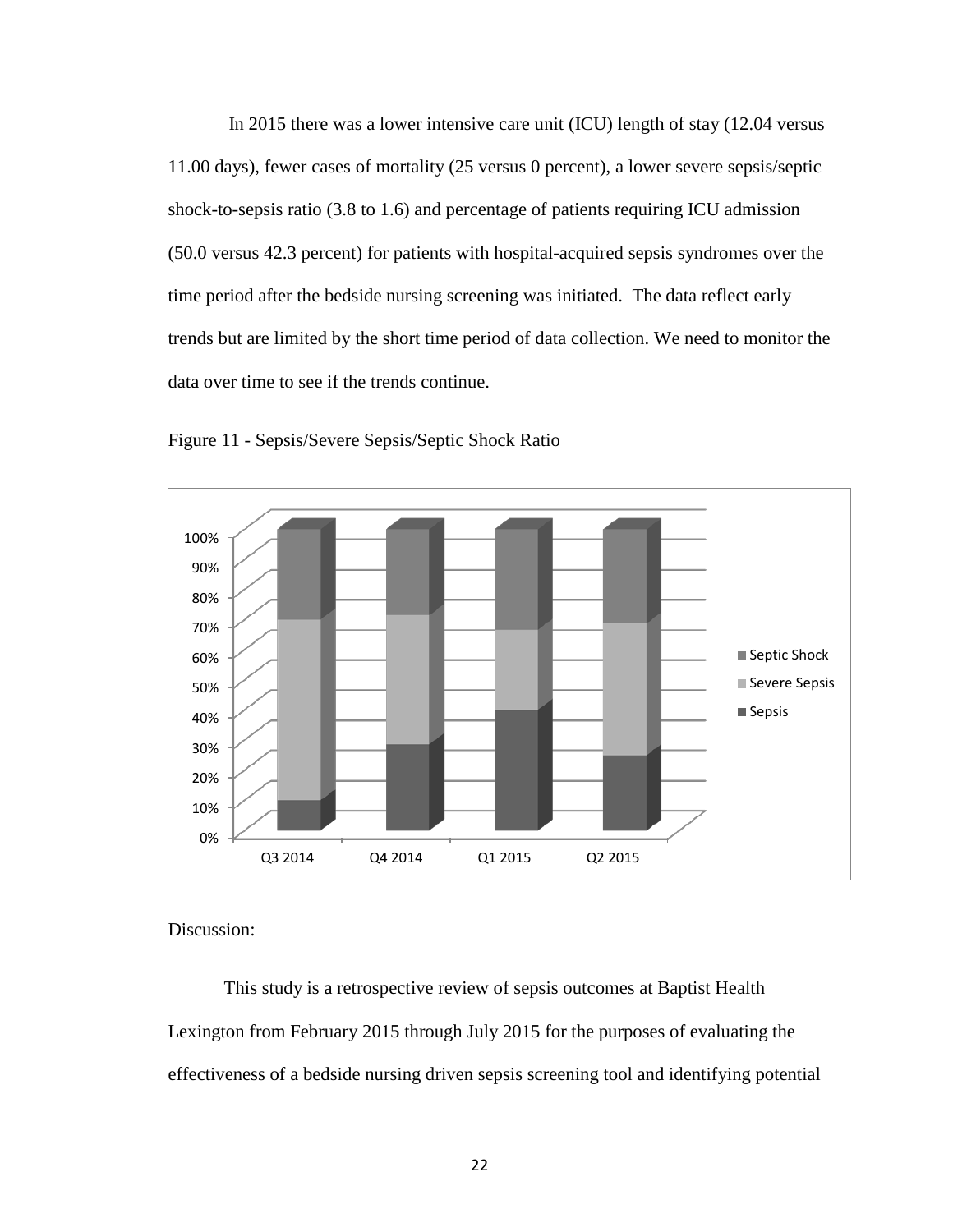In 2015 there was a lower intensive care unit (ICU) length of stay (12.04 versus 11.00 days), fewer cases of mortality (25 versus 0 percent), a lower severe sepsis/septic shock-to-sepsis ratio (3.8 to 1.6) and percentage of patients requiring ICU admission (50.0 versus 42.3 percent) for patients with hospital-acquired sepsis syndromes over the time period after the bedside nursing screening was initiated. The data reflect early trends but are limited by the short time period of data collection. We need to monitor the data over time to see if the trends continue.





Discussion:

This study is a retrospective review of sepsis outcomes at Baptist Health Lexington from February 2015 through July 2015 for the purposes of evaluating the effectiveness of a bedside nursing driven sepsis screening tool and identifying potential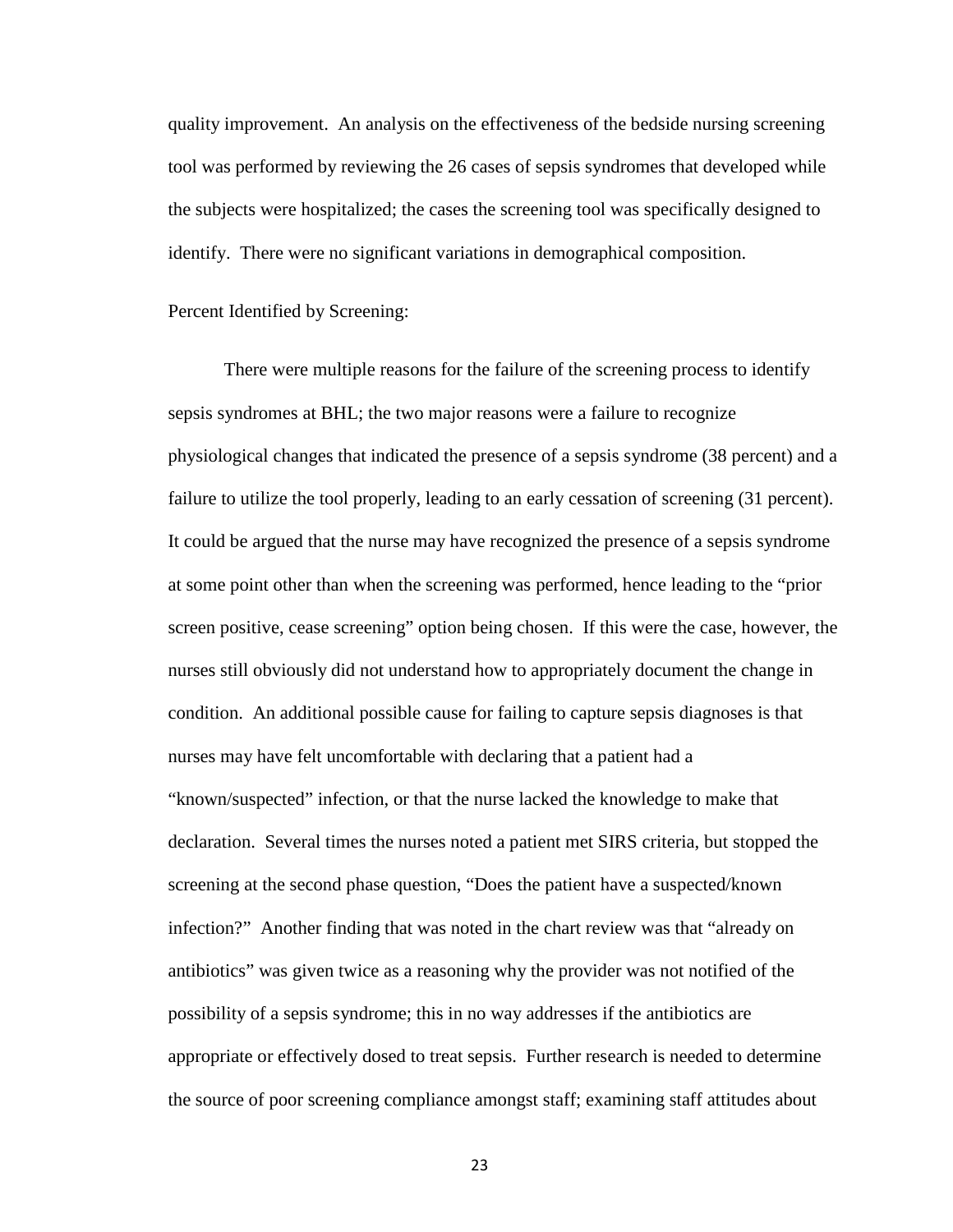quality improvement. An analysis on the effectiveness of the bedside nursing screening tool was performed by reviewing the 26 cases of sepsis syndromes that developed while the subjects were hospitalized; the cases the screening tool was specifically designed to identify. There were no significant variations in demographical composition.

#### Percent Identified by Screening:

There were multiple reasons for the failure of the screening process to identify sepsis syndromes at BHL; the two major reasons were a failure to recognize physiological changes that indicated the presence of a sepsis syndrome (38 percent) and a failure to utilize the tool properly, leading to an early cessation of screening (31 percent). It could be argued that the nurse may have recognized the presence of a sepsis syndrome at some point other than when the screening was performed, hence leading to the "prior screen positive, cease screening" option being chosen. If this were the case, however, the nurses still obviously did not understand how to appropriately document the change in condition. An additional possible cause for failing to capture sepsis diagnoses is that nurses may have felt uncomfortable with declaring that a patient had a "known/suspected" infection, or that the nurse lacked the knowledge to make that declaration. Several times the nurses noted a patient met SIRS criteria, but stopped the screening at the second phase question, "Does the patient have a suspected/known infection?" Another finding that was noted in the chart review was that "already on antibiotics" was given twice as a reasoning why the provider was not notified of the possibility of a sepsis syndrome; this in no way addresses if the antibiotics are appropriate or effectively dosed to treat sepsis. Further research is needed to determine the source of poor screening compliance amongst staff; examining staff attitudes about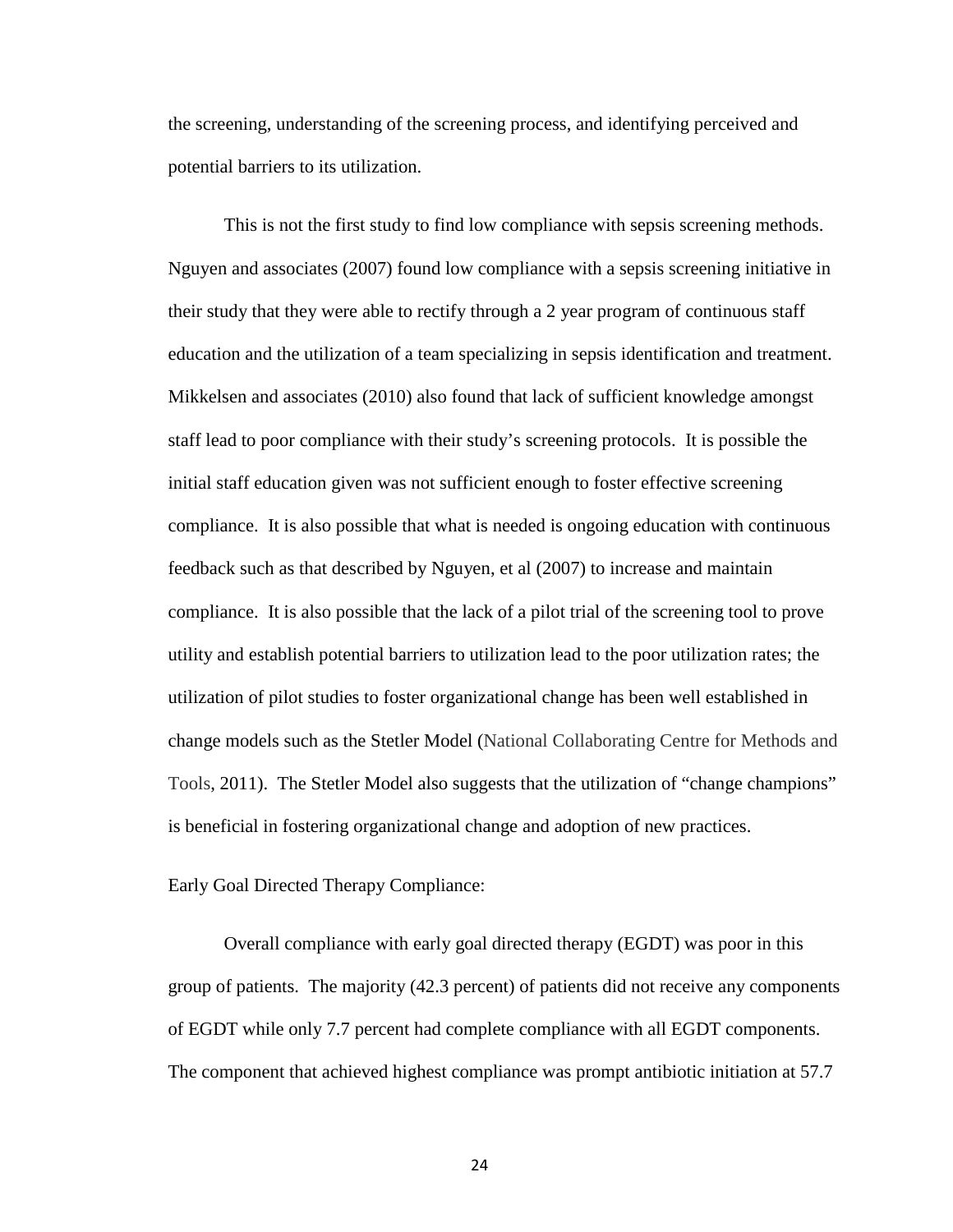the screening, understanding of the screening process, and identifying perceived and potential barriers to its utilization.

This is not the first study to find low compliance with sepsis screening methods. Nguyen and associates (2007) found low compliance with a sepsis screening initiative in their study that they were able to rectify through a 2 year program of continuous staff education and the utilization of a team specializing in sepsis identification and treatment. Mikkelsen and associates (2010) also found that lack of sufficient knowledge amongst staff lead to poor compliance with their study's screening protocols. It is possible the initial staff education given was not sufficient enough to foster effective screening compliance. It is also possible that what is needed is ongoing education with continuous feedback such as that described by Nguyen, et al (2007) to increase and maintain compliance. It is also possible that the lack of a pilot trial of the screening tool to prove utility and establish potential barriers to utilization lead to the poor utilization rates; the utilization of pilot studies to foster organizational change has been well established in change models such as the Stetler Model (National Collaborating Centre for Methods and Tools, 2011). The Stetler Model also suggests that the utilization of "change champions" is beneficial in fostering organizational change and adoption of new practices.

Early Goal Directed Therapy Compliance:

Overall compliance with early goal directed therapy (EGDT) was poor in this group of patients. The majority (42.3 percent) of patients did not receive any components of EGDT while only 7.7 percent had complete compliance with all EGDT components. The component that achieved highest compliance was prompt antibiotic initiation at 57.7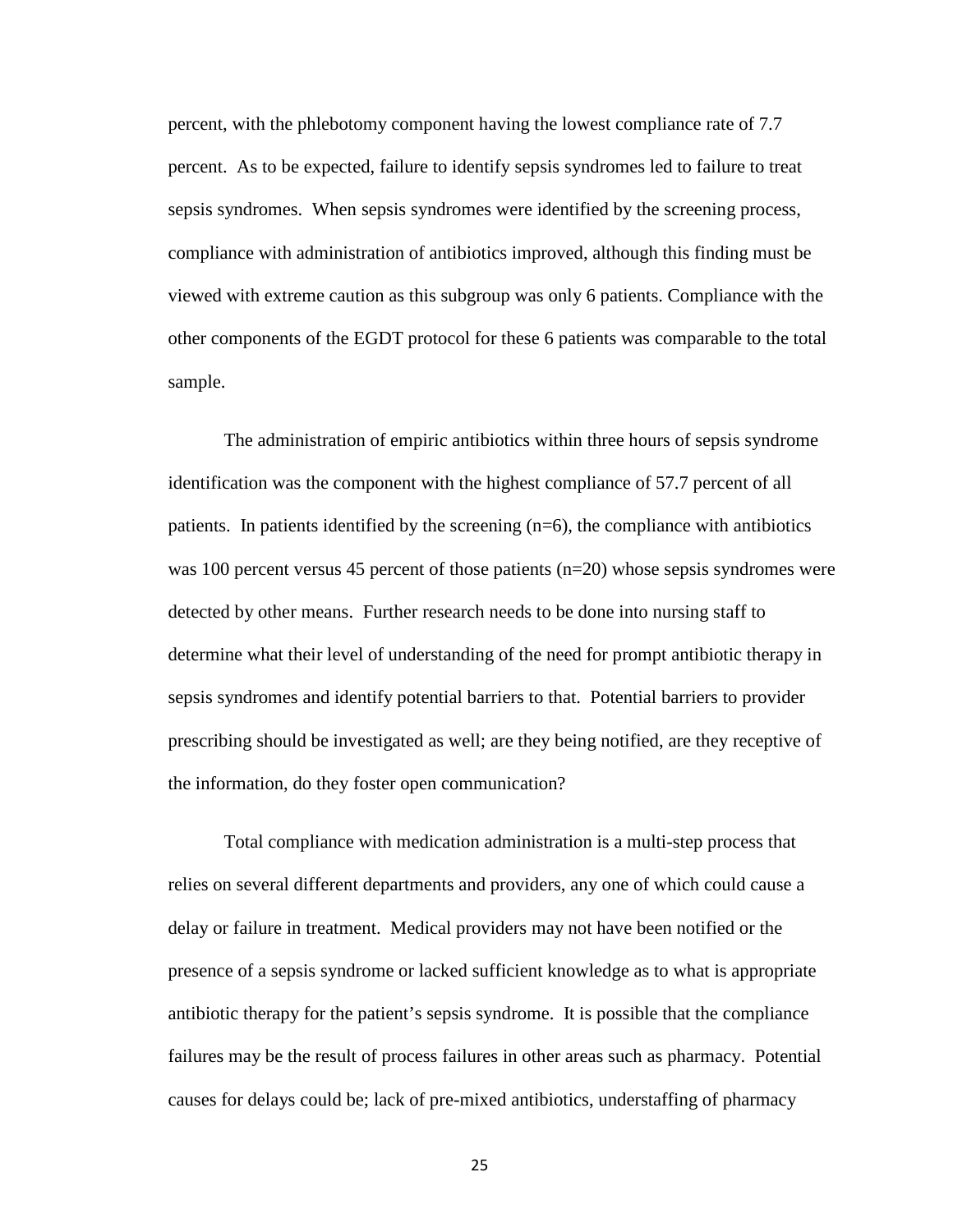percent, with the phlebotomy component having the lowest compliance rate of 7.7 percent. As to be expected, failure to identify sepsis syndromes led to failure to treat sepsis syndromes. When sepsis syndromes were identified by the screening process, compliance with administration of antibiotics improved, although this finding must be viewed with extreme caution as this subgroup was only 6 patients. Compliance with the other components of the EGDT protocol for these 6 patients was comparable to the total sample.

The administration of empiric antibiotics within three hours of sepsis syndrome identification was the component with the highest compliance of 57.7 percent of all patients. In patients identified by the screening (n=6), the compliance with antibiotics was 100 percent versus 45 percent of those patients (n=20) whose sepsis syndromes were detected by other means. Further research needs to be done into nursing staff to determine what their level of understanding of the need for prompt antibiotic therapy in sepsis syndromes and identify potential barriers to that. Potential barriers to provider prescribing should be investigated as well; are they being notified, are they receptive of the information, do they foster open communication?

Total compliance with medication administration is a multi-step process that relies on several different departments and providers, any one of which could cause a delay or failure in treatment. Medical providers may not have been notified or the presence of a sepsis syndrome or lacked sufficient knowledge as to what is appropriate antibiotic therapy for the patient's sepsis syndrome. It is possible that the compliance failures may be the result of process failures in other areas such as pharmacy. Potential causes for delays could be; lack of pre-mixed antibiotics, understaffing of pharmacy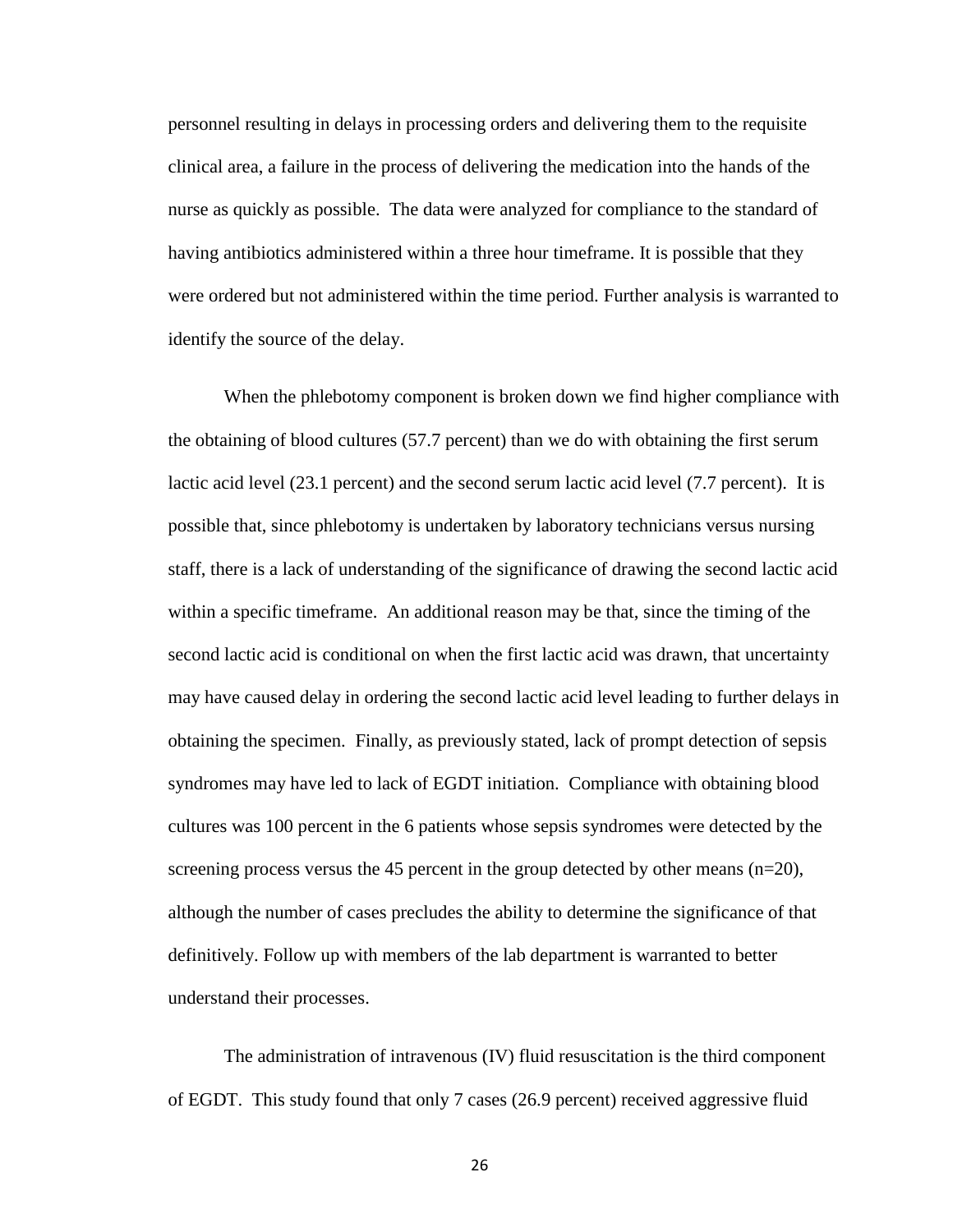personnel resulting in delays in processing orders and delivering them to the requisite clinical area, a failure in the process of delivering the medication into the hands of the nurse as quickly as possible. The data were analyzed for compliance to the standard of having antibiotics administered within a three hour timeframe. It is possible that they were ordered but not administered within the time period. Further analysis is warranted to identify the source of the delay.

When the phlebotomy component is broken down we find higher compliance with the obtaining of blood cultures (57.7 percent) than we do with obtaining the first serum lactic acid level (23.1 percent) and the second serum lactic acid level (7.7 percent). It is possible that, since phlebotomy is undertaken by laboratory technicians versus nursing staff, there is a lack of understanding of the significance of drawing the second lactic acid within a specific timeframe. An additional reason may be that, since the timing of the second lactic acid is conditional on when the first lactic acid was drawn, that uncertainty may have caused delay in ordering the second lactic acid level leading to further delays in obtaining the specimen. Finally, as previously stated, lack of prompt detection of sepsis syndromes may have led to lack of EGDT initiation. Compliance with obtaining blood cultures was 100 percent in the 6 patients whose sepsis syndromes were detected by the screening process versus the 45 percent in the group detected by other means  $(n=20)$ , although the number of cases precludes the ability to determine the significance of that definitively. Follow up with members of the lab department is warranted to better understand their processes.

The administration of intravenous (IV) fluid resuscitation is the third component of EGDT. This study found that only 7 cases (26.9 percent) received aggressive fluid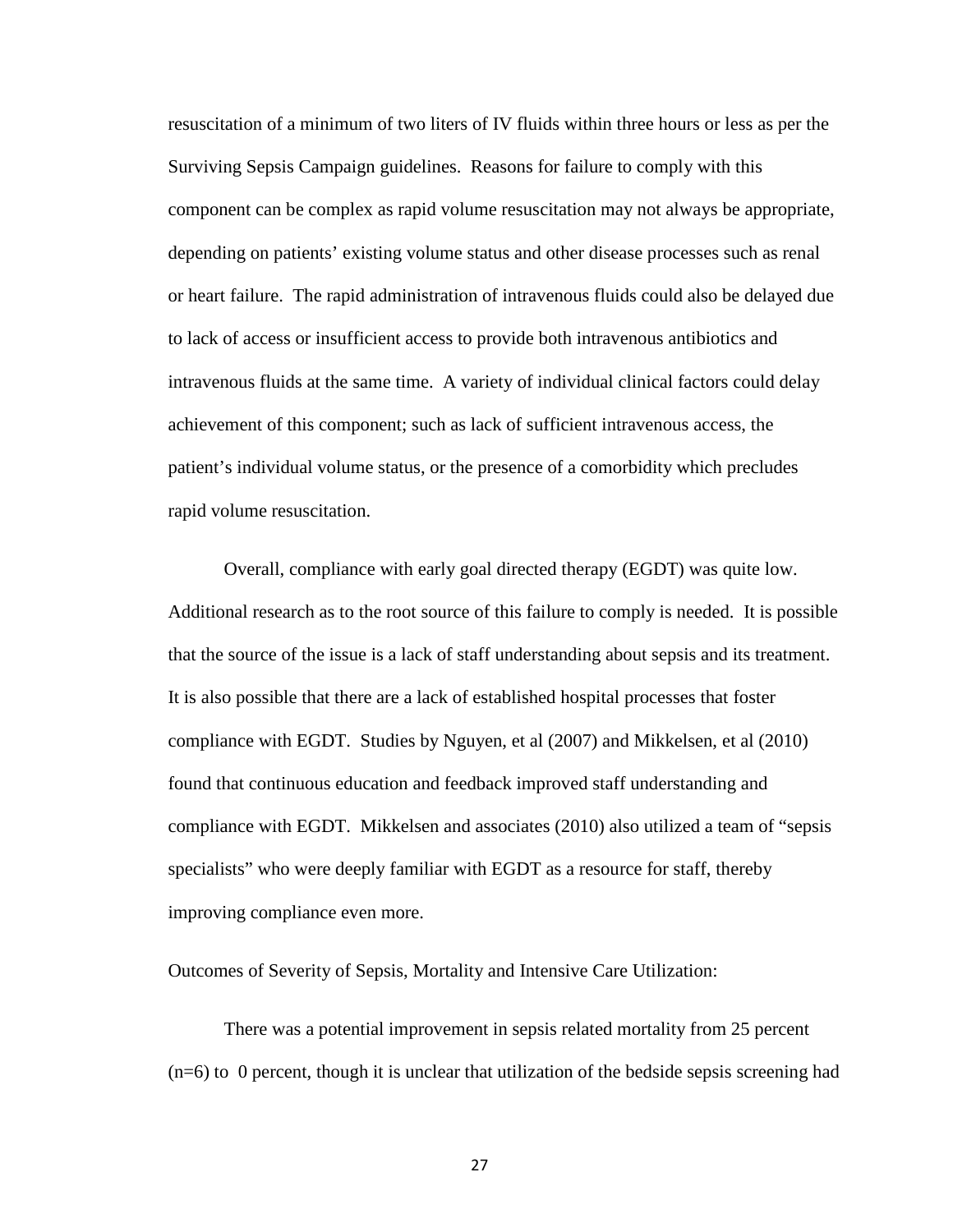resuscitation of a minimum of two liters of IV fluids within three hours or less as per the Surviving Sepsis Campaign guidelines. Reasons for failure to comply with this component can be complex as rapid volume resuscitation may not always be appropriate, depending on patients' existing volume status and other disease processes such as renal or heart failure. The rapid administration of intravenous fluids could also be delayed due to lack of access or insufficient access to provide both intravenous antibiotics and intravenous fluids at the same time. A variety of individual clinical factors could delay achievement of this component; such as lack of sufficient intravenous access, the patient's individual volume status, or the presence of a comorbidity which precludes rapid volume resuscitation.

Overall, compliance with early goal directed therapy (EGDT) was quite low. Additional research as to the root source of this failure to comply is needed. It is possible that the source of the issue is a lack of staff understanding about sepsis and its treatment. It is also possible that there are a lack of established hospital processes that foster compliance with EGDT. Studies by Nguyen, et al (2007) and Mikkelsen, et al (2010) found that continuous education and feedback improved staff understanding and compliance with EGDT. Mikkelsen and associates (2010) also utilized a team of "sepsis specialists" who were deeply familiar with EGDT as a resource for staff, thereby improving compliance even more.

#### Outcomes of Severity of Sepsis, Mortality and Intensive Care Utilization:

There was a potential improvement in sepsis related mortality from 25 percent  $(n=6)$  to 0 percent, though it is unclear that utilization of the bedside sepsis screening had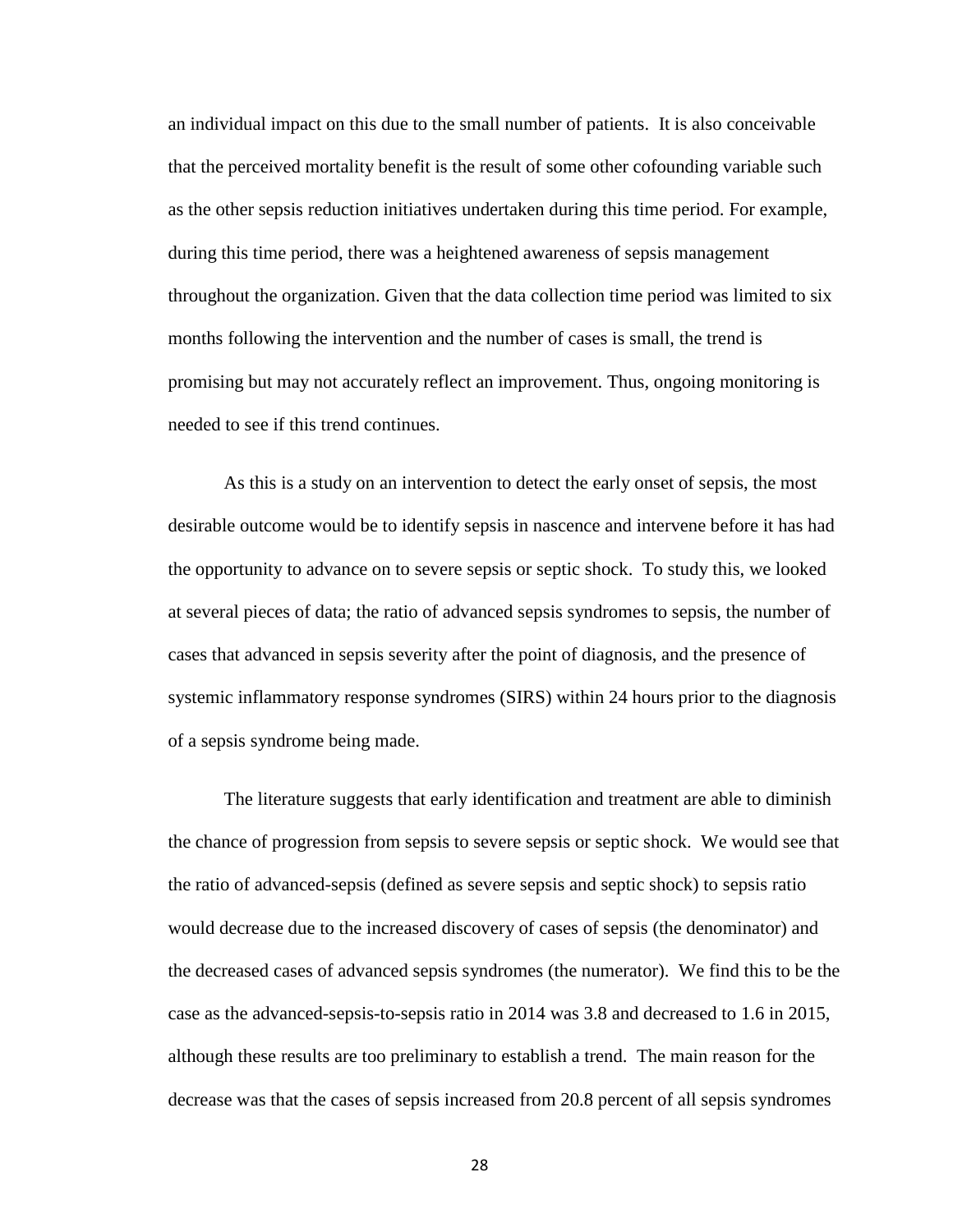an individual impact on this due to the small number of patients. It is also conceivable that the perceived mortality benefit is the result of some other cofounding variable such as the other sepsis reduction initiatives undertaken during this time period. For example, during this time period, there was a heightened awareness of sepsis management throughout the organization. Given that the data collection time period was limited to six months following the intervention and the number of cases is small, the trend is promising but may not accurately reflect an improvement. Thus, ongoing monitoring is needed to see if this trend continues.

As this is a study on an intervention to detect the early onset of sepsis, the most desirable outcome would be to identify sepsis in nascence and intervene before it has had the opportunity to advance on to severe sepsis or septic shock. To study this, we looked at several pieces of data; the ratio of advanced sepsis syndromes to sepsis, the number of cases that advanced in sepsis severity after the point of diagnosis, and the presence of systemic inflammatory response syndromes (SIRS) within 24 hours prior to the diagnosis of a sepsis syndrome being made.

The literature suggests that early identification and treatment are able to diminish the chance of progression from sepsis to severe sepsis or septic shock. We would see that the ratio of advanced-sepsis (defined as severe sepsis and septic shock) to sepsis ratio would decrease due to the increased discovery of cases of sepsis (the denominator) and the decreased cases of advanced sepsis syndromes (the numerator). We find this to be the case as the advanced-sepsis-to-sepsis ratio in 2014 was 3.8 and decreased to 1.6 in 2015, although these results are too preliminary to establish a trend. The main reason for the decrease was that the cases of sepsis increased from 20.8 percent of all sepsis syndromes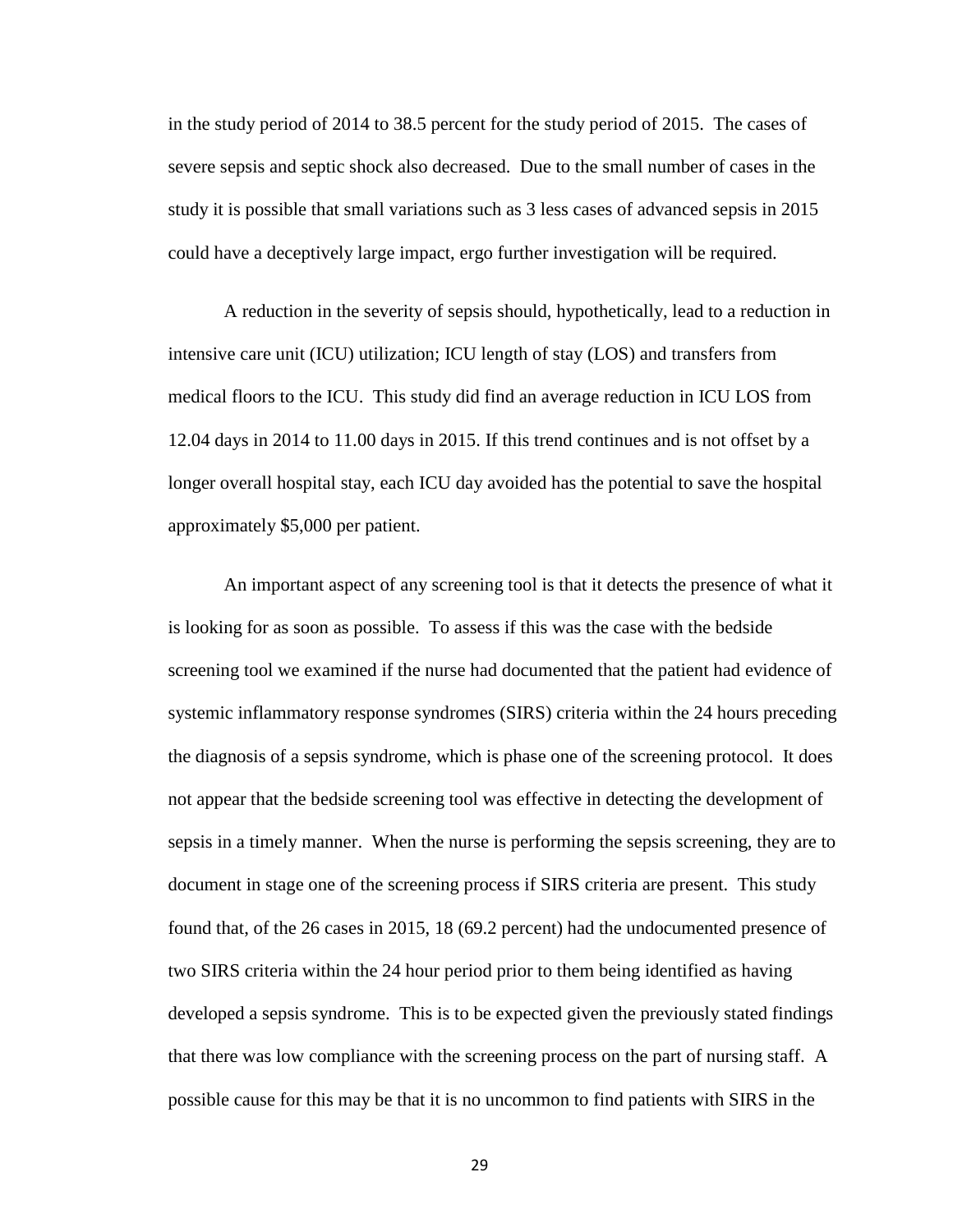in the study period of 2014 to 38.5 percent for the study period of 2015. The cases of severe sepsis and septic shock also decreased. Due to the small number of cases in the study it is possible that small variations such as 3 less cases of advanced sepsis in 2015 could have a deceptively large impact, ergo further investigation will be required.

A reduction in the severity of sepsis should, hypothetically, lead to a reduction in intensive care unit (ICU) utilization; ICU length of stay (LOS) and transfers from medical floors to the ICU. This study did find an average reduction in ICU LOS from 12.04 days in 2014 to 11.00 days in 2015. If this trend continues and is not offset by a longer overall hospital stay, each ICU day avoided has the potential to save the hospital approximately \$5,000 per patient.

An important aspect of any screening tool is that it detects the presence of what it is looking for as soon as possible. To assess if this was the case with the bedside screening tool we examined if the nurse had documented that the patient had evidence of systemic inflammatory response syndromes (SIRS) criteria within the 24 hours preceding the diagnosis of a sepsis syndrome, which is phase one of the screening protocol. It does not appear that the bedside screening tool was effective in detecting the development of sepsis in a timely manner. When the nurse is performing the sepsis screening, they are to document in stage one of the screening process if SIRS criteria are present. This study found that, of the 26 cases in 2015, 18 (69.2 percent) had the undocumented presence of two SIRS criteria within the 24 hour period prior to them being identified as having developed a sepsis syndrome. This is to be expected given the previously stated findings that there was low compliance with the screening process on the part of nursing staff. A possible cause for this may be that it is no uncommon to find patients with SIRS in the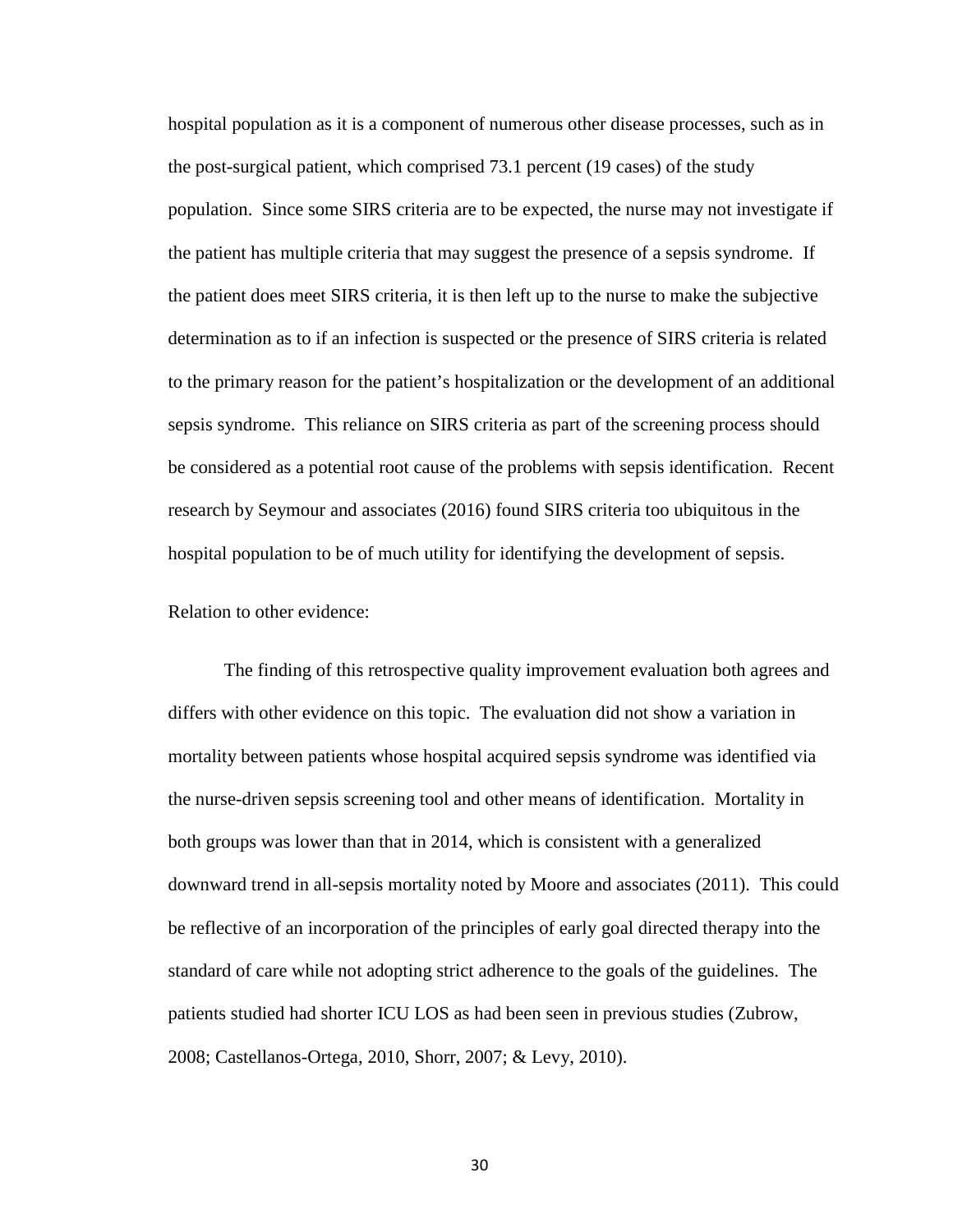hospital population as it is a component of numerous other disease processes, such as in the post-surgical patient, which comprised 73.1 percent (19 cases) of the study population. Since some SIRS criteria are to be expected, the nurse may not investigate if the patient has multiple criteria that may suggest the presence of a sepsis syndrome. If the patient does meet SIRS criteria, it is then left up to the nurse to make the subjective determination as to if an infection is suspected or the presence of SIRS criteria is related to the primary reason for the patient's hospitalization or the development of an additional sepsis syndrome. This reliance on SIRS criteria as part of the screening process should be considered as a potential root cause of the problems with sepsis identification. Recent research by Seymour and associates (2016) found SIRS criteria too ubiquitous in the hospital population to be of much utility for identifying the development of sepsis.

Relation to other evidence:

The finding of this retrospective quality improvement evaluation both agrees and differs with other evidence on this topic. The evaluation did not show a variation in mortality between patients whose hospital acquired sepsis syndrome was identified via the nurse-driven sepsis screening tool and other means of identification. Mortality in both groups was lower than that in 2014, which is consistent with a generalized downward trend in all-sepsis mortality noted by Moore and associates (2011). This could be reflective of an incorporation of the principles of early goal directed therapy into the standard of care while not adopting strict adherence to the goals of the guidelines. The patients studied had shorter ICU LOS as had been seen in previous studies (Zubrow, 2008; Castellanos-Ortega, 2010, Shorr, 2007; & Levy, 2010).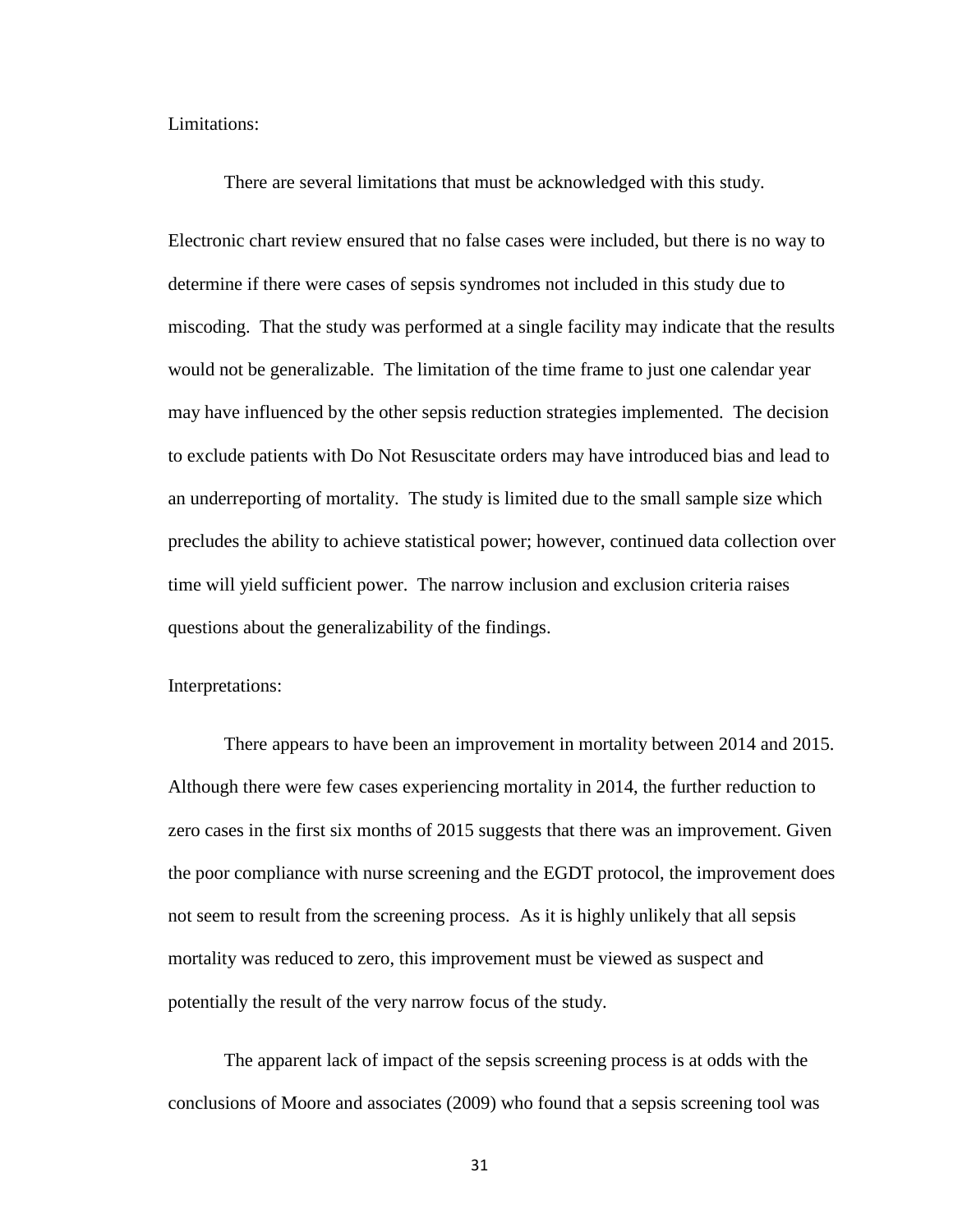#### Limitations:

There are several limitations that must be acknowledged with this study.

Electronic chart review ensured that no false cases were included, but there is no way to determine if there were cases of sepsis syndromes not included in this study due to miscoding. That the study was performed at a single facility may indicate that the results would not be generalizable. The limitation of the time frame to just one calendar year may have influenced by the other sepsis reduction strategies implemented. The decision to exclude patients with Do Not Resuscitate orders may have introduced bias and lead to an underreporting of mortality. The study is limited due to the small sample size which precludes the ability to achieve statistical power; however, continued data collection over time will yield sufficient power. The narrow inclusion and exclusion criteria raises questions about the generalizability of the findings.

Interpretations:

There appears to have been an improvement in mortality between 2014 and 2015. Although there were few cases experiencing mortality in 2014, the further reduction to zero cases in the first six months of 2015 suggests that there was an improvement. Given the poor compliance with nurse screening and the EGDT protocol, the improvement does not seem to result from the screening process. As it is highly unlikely that all sepsis mortality was reduced to zero, this improvement must be viewed as suspect and potentially the result of the very narrow focus of the study.

The apparent lack of impact of the sepsis screening process is at odds with the conclusions of Moore and associates (2009) who found that a sepsis screening tool was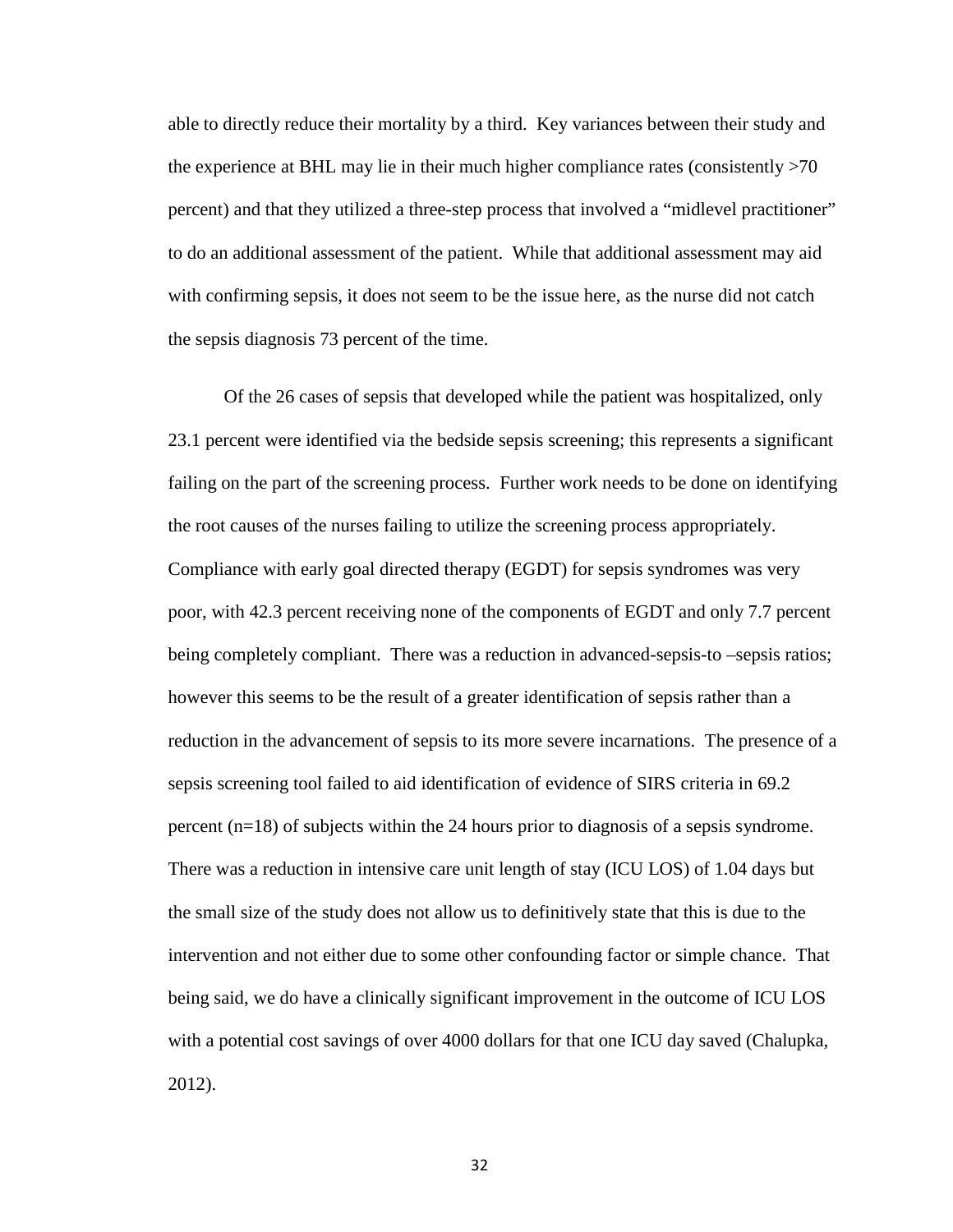able to directly reduce their mortality by a third. Key variances between their study and the experience at BHL may lie in their much higher compliance rates (consistently >70 percent) and that they utilized a three-step process that involved a "midlevel practitioner" to do an additional assessment of the patient. While that additional assessment may aid with confirming sepsis, it does not seem to be the issue here, as the nurse did not catch the sepsis diagnosis 73 percent of the time.

Of the 26 cases of sepsis that developed while the patient was hospitalized, only 23.1 percent were identified via the bedside sepsis screening; this represents a significant failing on the part of the screening process. Further work needs to be done on identifying the root causes of the nurses failing to utilize the screening process appropriately. Compliance with early goal directed therapy (EGDT) for sepsis syndromes was very poor, with 42.3 percent receiving none of the components of EGDT and only 7.7 percent being completely compliant. There was a reduction in advanced-sepsis-to –sepsis ratios; however this seems to be the result of a greater identification of sepsis rather than a reduction in the advancement of sepsis to its more severe incarnations. The presence of a sepsis screening tool failed to aid identification of evidence of SIRS criteria in 69.2 percent (n=18) of subjects within the 24 hours prior to diagnosis of a sepsis syndrome. There was a reduction in intensive care unit length of stay (ICU LOS) of 1.04 days but the small size of the study does not allow us to definitively state that this is due to the intervention and not either due to some other confounding factor or simple chance. That being said, we do have a clinically significant improvement in the outcome of ICU LOS with a potential cost savings of over 4000 dollars for that one ICU day saved (Chalupka, 2012).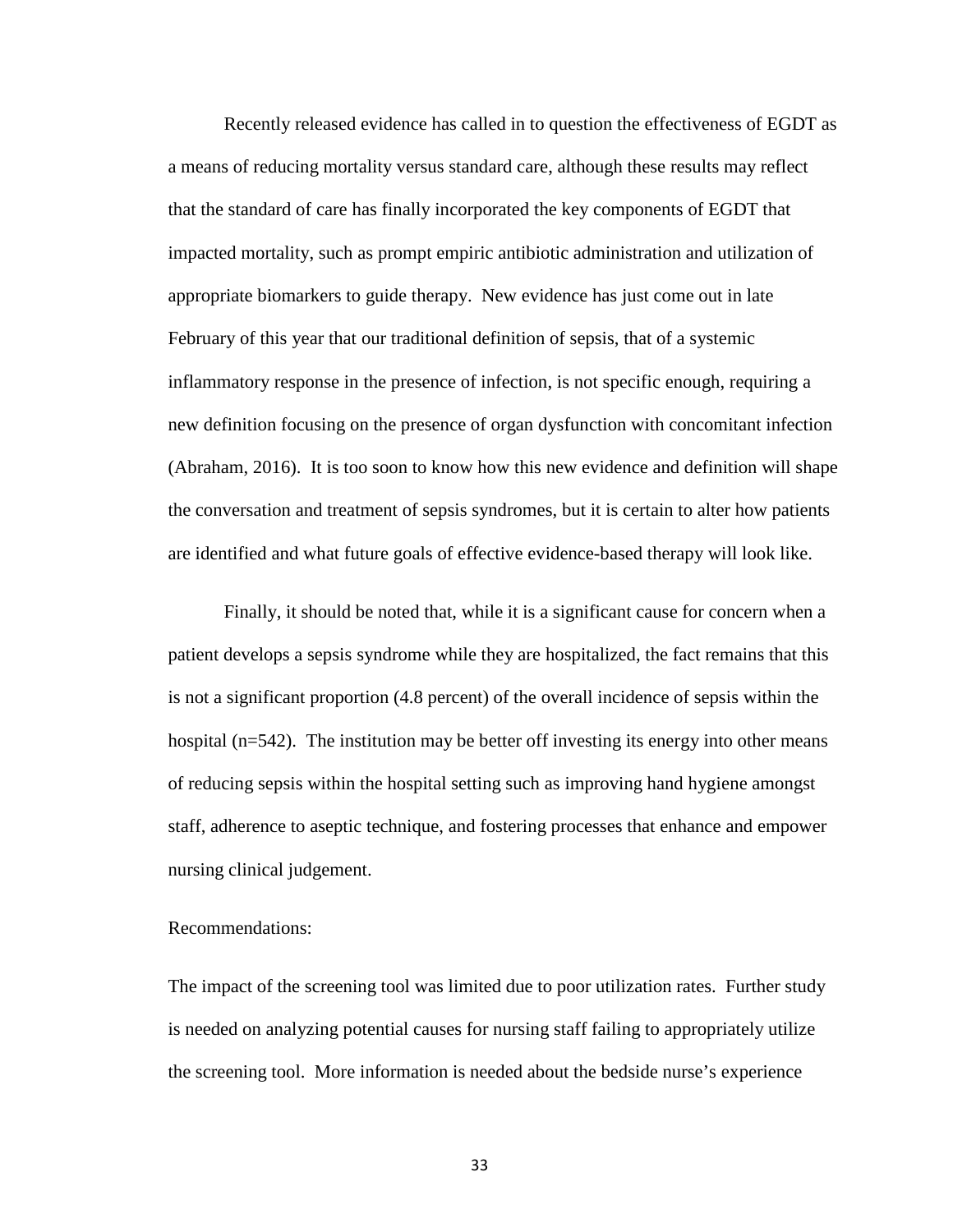Recently released evidence has called in to question the effectiveness of EGDT as a means of reducing mortality versus standard care, although these results may reflect that the standard of care has finally incorporated the key components of EGDT that impacted mortality, such as prompt empiric antibiotic administration and utilization of appropriate biomarkers to guide therapy. New evidence has just come out in late February of this year that our traditional definition of sepsis, that of a systemic inflammatory response in the presence of infection, is not specific enough, requiring a new definition focusing on the presence of organ dysfunction with concomitant infection (Abraham, 2016). It is too soon to know how this new evidence and definition will shape the conversation and treatment of sepsis syndromes, but it is certain to alter how patients are identified and what future goals of effective evidence-based therapy will look like.

Finally, it should be noted that, while it is a significant cause for concern when a patient develops a sepsis syndrome while they are hospitalized, the fact remains that this is not a significant proportion (4.8 percent) of the overall incidence of sepsis within the hospital (n=542). The institution may be better off investing its energy into other means of reducing sepsis within the hospital setting such as improving hand hygiene amongst staff, adherence to aseptic technique, and fostering processes that enhance and empower nursing clinical judgement.

# Recommendations:

The impact of the screening tool was limited due to poor utilization rates. Further study is needed on analyzing potential causes for nursing staff failing to appropriately utilize the screening tool. More information is needed about the bedside nurse's experience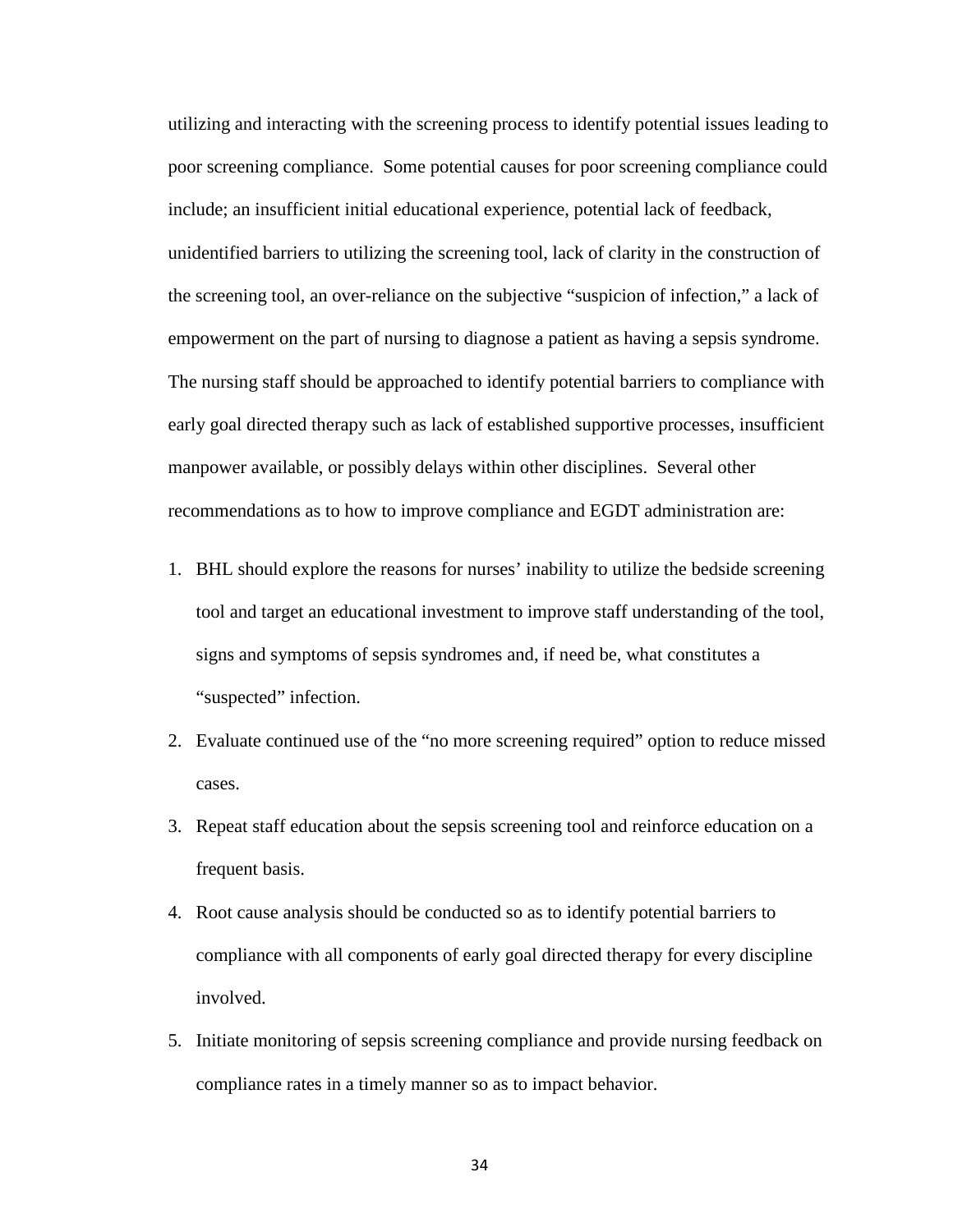utilizing and interacting with the screening process to identify potential issues leading to poor screening compliance. Some potential causes for poor screening compliance could include; an insufficient initial educational experience, potential lack of feedback, unidentified barriers to utilizing the screening tool, lack of clarity in the construction of the screening tool, an over-reliance on the subjective "suspicion of infection," a lack of empowerment on the part of nursing to diagnose a patient as having a sepsis syndrome. The nursing staff should be approached to identify potential barriers to compliance with early goal directed therapy such as lack of established supportive processes, insufficient manpower available, or possibly delays within other disciplines. Several other recommendations as to how to improve compliance and EGDT administration are:

- 1. BHL should explore the reasons for nurses' inability to utilize the bedside screening tool and target an educational investment to improve staff understanding of the tool, signs and symptoms of sepsis syndromes and, if need be, what constitutes a "suspected" infection.
- 2. Evaluate continued use of the "no more screening required" option to reduce missed cases.
- 3. Repeat staff education about the sepsis screening tool and reinforce education on a frequent basis.
- 4. Root cause analysis should be conducted so as to identify potential barriers to compliance with all components of early goal directed therapy for every discipline involved.
- 5. Initiate monitoring of sepsis screening compliance and provide nursing feedback on compliance rates in a timely manner so as to impact behavior.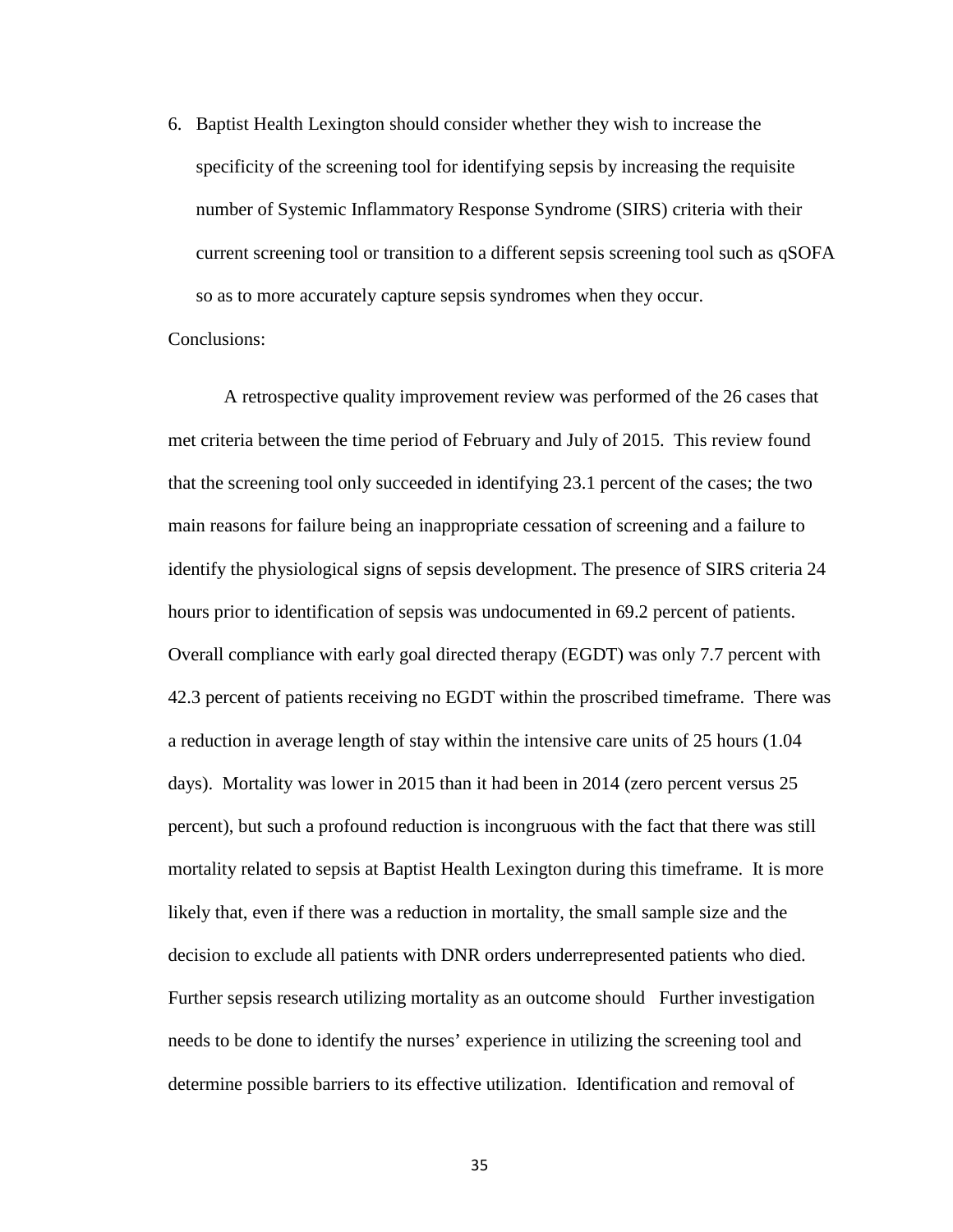6. Baptist Health Lexington should consider whether they wish to increase the specificity of the screening tool for identifying sepsis by increasing the requisite number of Systemic Inflammatory Response Syndrome (SIRS) criteria with their current screening tool or transition to a different sepsis screening tool such as qSOFA so as to more accurately capture sepsis syndromes when they occur.

Conclusions:

A retrospective quality improvement review was performed of the 26 cases that met criteria between the time period of February and July of 2015. This review found that the screening tool only succeeded in identifying 23.1 percent of the cases; the two main reasons for failure being an inappropriate cessation of screening and a failure to identify the physiological signs of sepsis development. The presence of SIRS criteria 24 hours prior to identification of sepsis was undocumented in 69.2 percent of patients. Overall compliance with early goal directed therapy (EGDT) was only 7.7 percent with 42.3 percent of patients receiving no EGDT within the proscribed timeframe. There was a reduction in average length of stay within the intensive care units of 25 hours (1.04 days). Mortality was lower in 2015 than it had been in 2014 (zero percent versus 25 percent), but such a profound reduction is incongruous with the fact that there was still mortality related to sepsis at Baptist Health Lexington during this timeframe. It is more likely that, even if there was a reduction in mortality, the small sample size and the decision to exclude all patients with DNR orders underrepresented patients who died. Further sepsis research utilizing mortality as an outcome should Further investigation needs to be done to identify the nurses' experience in utilizing the screening tool and determine possible barriers to its effective utilization. Identification and removal of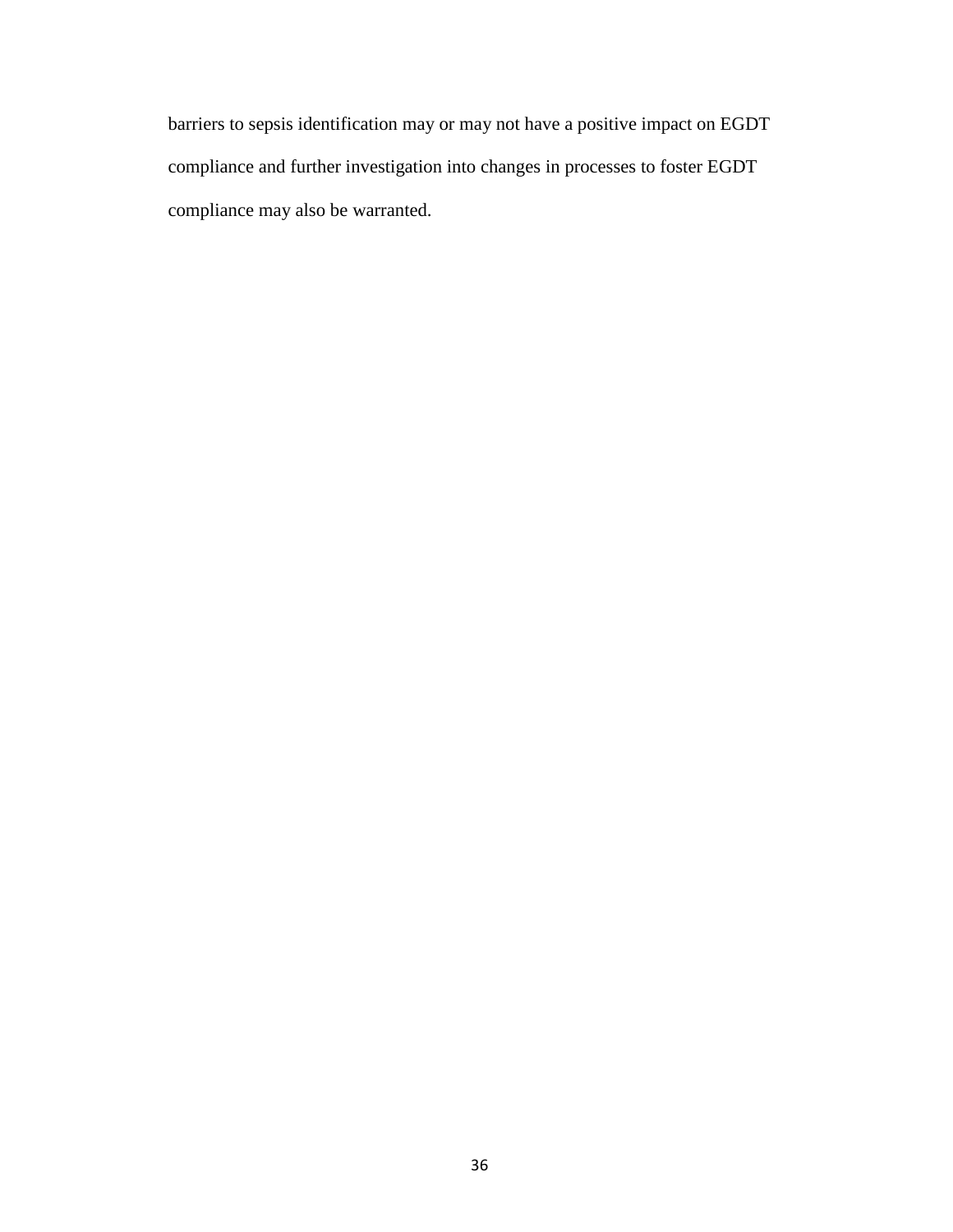barriers to sepsis identification may or may not have a positive impact on EGDT compliance and further investigation into changes in processes to foster EGDT compliance may also be warranted.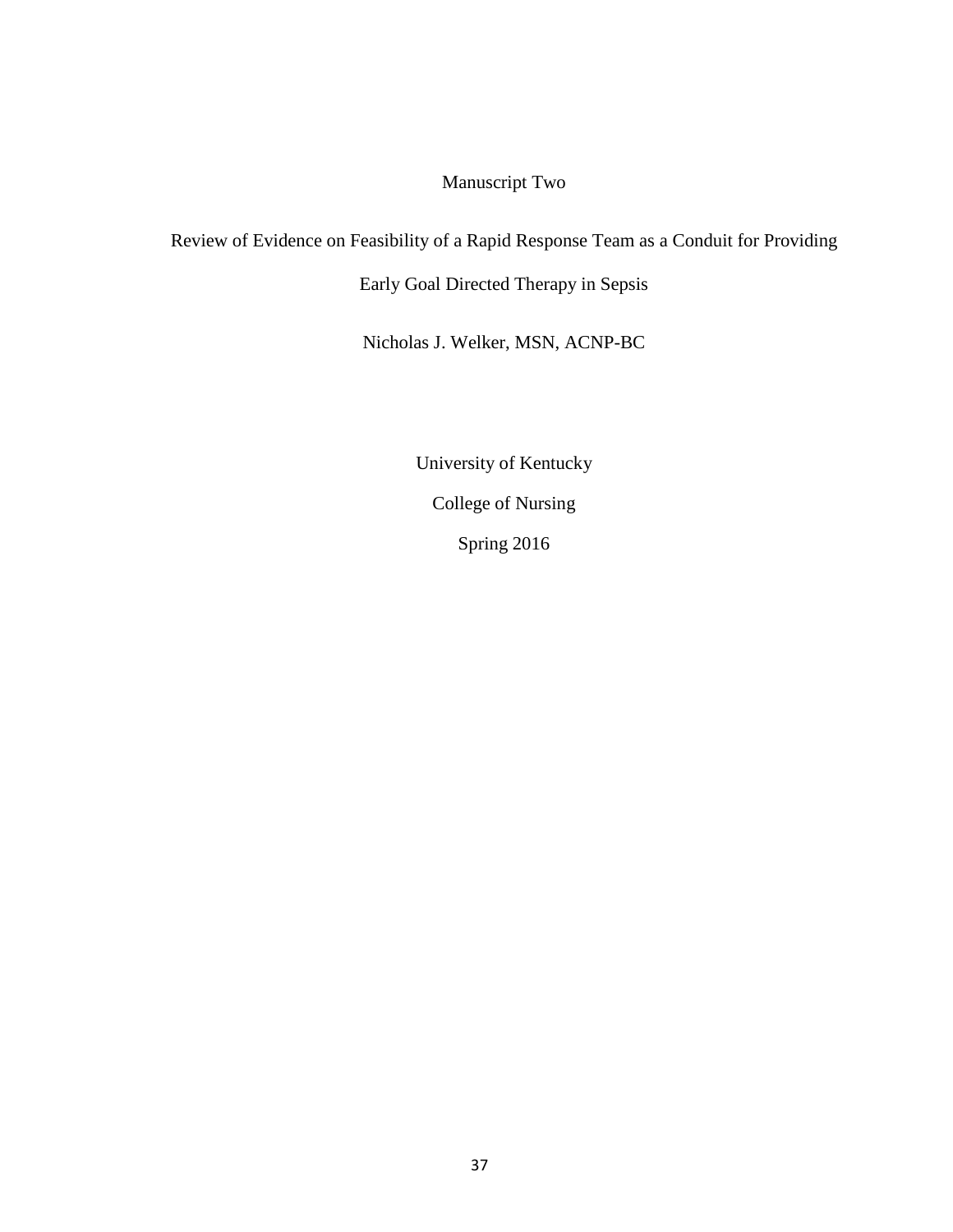# Manuscript Two

# Review of Evidence on Feasibility of a Rapid Response Team as a Conduit for Providing

Early Goal Directed Therapy in Sepsis

Nicholas J. Welker, MSN, ACNP-BC

University of Kentucky College of Nursing Spring 2016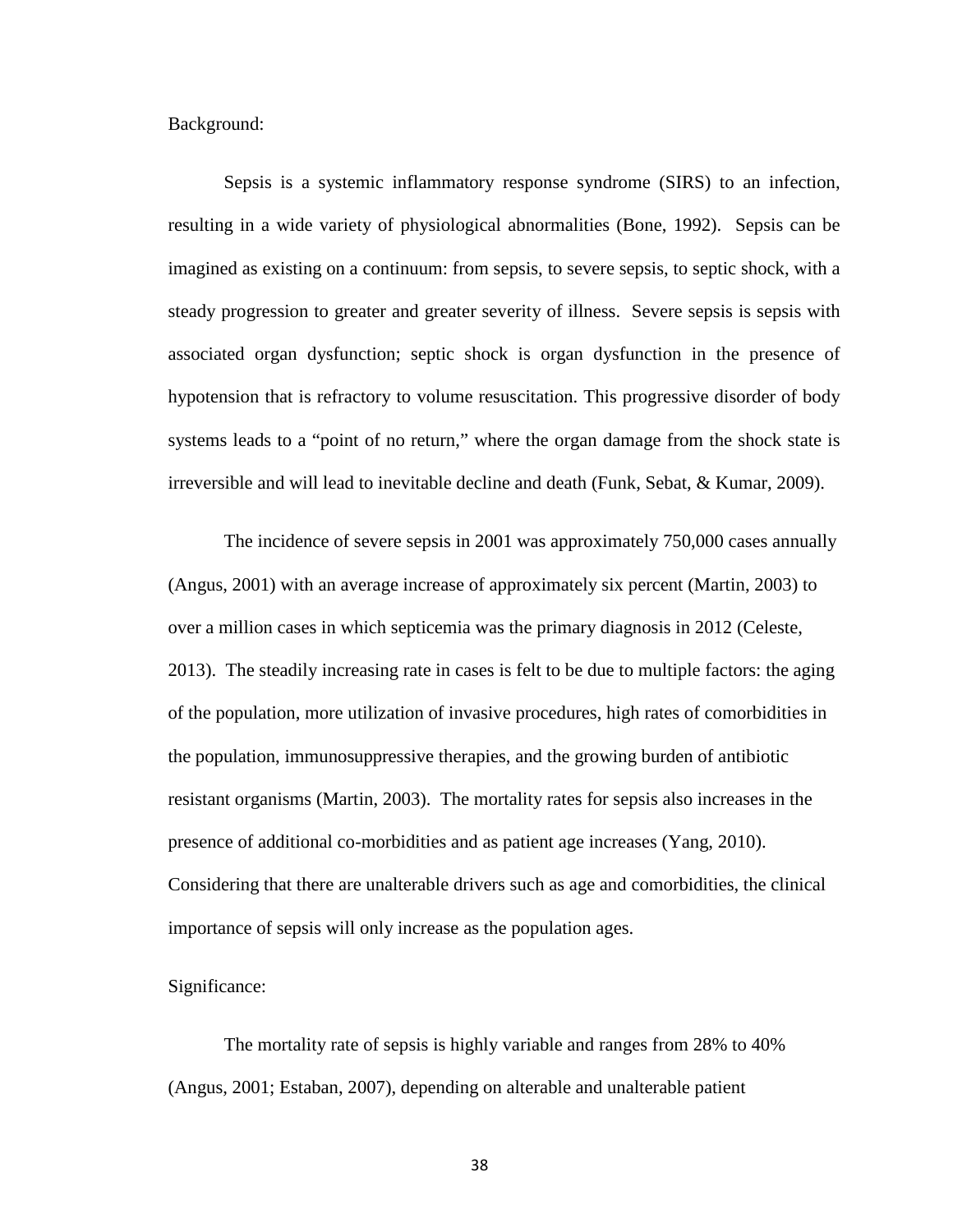Background:

Sepsis is a systemic inflammatory response syndrome (SIRS) to an infection, resulting in a wide variety of physiological abnormalities (Bone, 1992). Sepsis can be imagined as existing on a continuum: from sepsis, to severe sepsis, to septic shock, with a steady progression to greater and greater severity of illness. Severe sepsis is sepsis with associated organ dysfunction; septic shock is organ dysfunction in the presence of hypotension that is refractory to volume resuscitation. This progressive disorder of body systems leads to a "point of no return," where the organ damage from the shock state is irreversible and will lead to inevitable decline and death (Funk, Sebat, & Kumar, 2009).

The incidence of severe sepsis in 2001 was approximately 750,000 cases annually (Angus, 2001) with an average increase of approximately six percent (Martin, 2003) to over a million cases in which septicemia was the primary diagnosis in 2012 (Celeste, 2013). The steadily increasing rate in cases is felt to be due to multiple factors: the aging of the population, more utilization of invasive procedures, high rates of comorbidities in the population, immunosuppressive therapies, and the growing burden of antibiotic resistant organisms (Martin, 2003). The mortality rates for sepsis also increases in the presence of additional co-morbidities and as patient age increases (Yang, 2010). Considering that there are unalterable drivers such as age and comorbidities, the clinical importance of sepsis will only increase as the population ages.

#### Significance:

The mortality rate of sepsis is highly variable and ranges from 28% to 40% (Angus, 2001; Estaban, 2007), depending on alterable and unalterable patient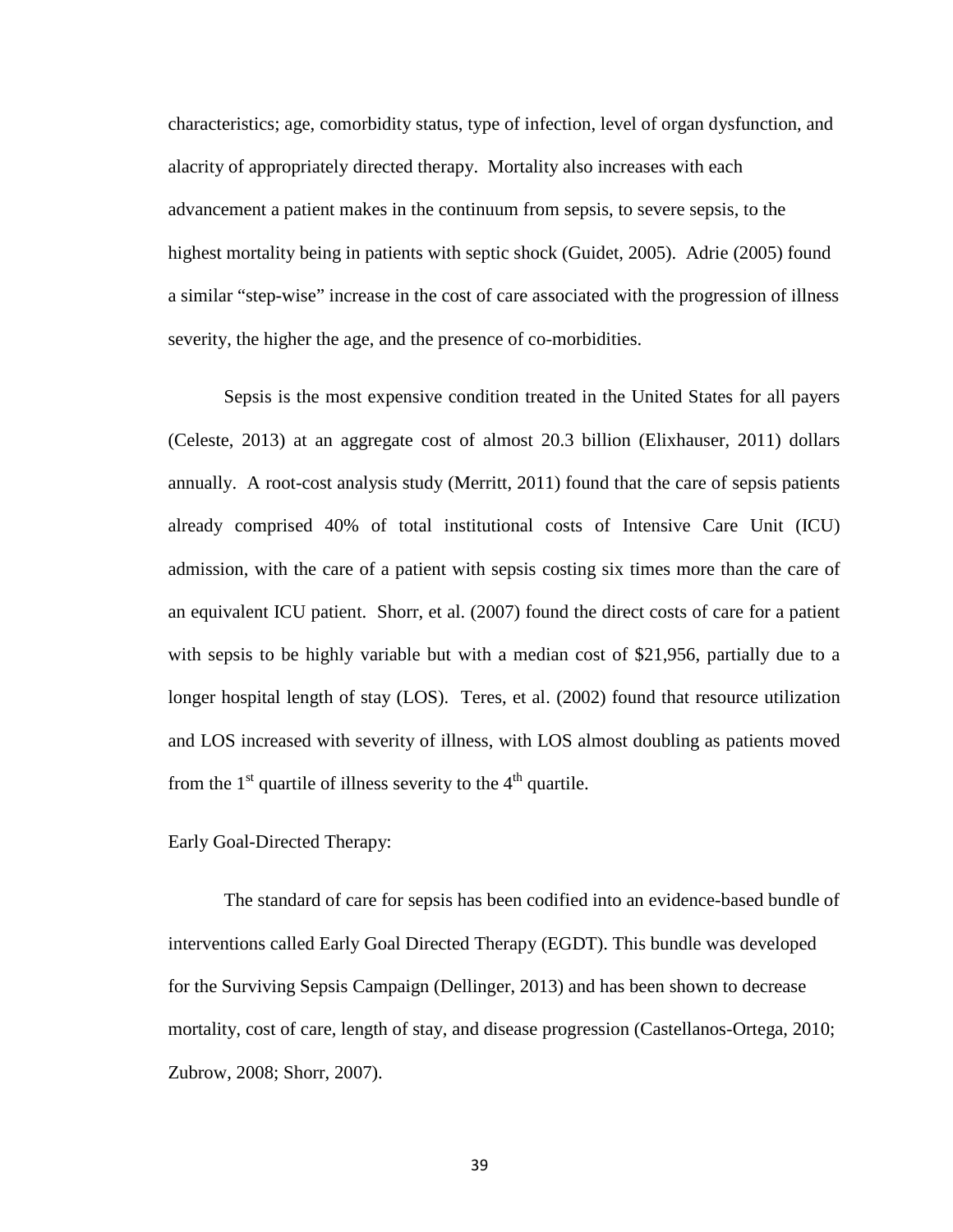characteristics; age, comorbidity status, type of infection, level of organ dysfunction, and alacrity of appropriately directed therapy. Mortality also increases with each advancement a patient makes in the continuum from sepsis, to severe sepsis, to the highest mortality being in patients with septic shock (Guidet, 2005). Adrie (2005) found a similar "step-wise" increase in the cost of care associated with the progression of illness severity, the higher the age, and the presence of co-morbidities.

Sepsis is the most expensive condition treated in the United States for all payers (Celeste, 2013) at an aggregate cost of almost 20.3 billion (Elixhauser, 2011) dollars annually. A root-cost analysis study (Merritt, 2011) found that the care of sepsis patients already comprised 40% of total institutional costs of Intensive Care Unit (ICU) admission, with the care of a patient with sepsis costing six times more than the care of an equivalent ICU patient. Shorr, et al. (2007) found the direct costs of care for a patient with sepsis to be highly variable but with a median cost of \$21,956, partially due to a longer hospital length of stay (LOS). Teres, et al. (2002) found that resource utilization and LOS increased with severity of illness, with LOS almost doubling as patients moved from the  $1<sup>st</sup>$  quartile of illness severity to the  $4<sup>th</sup>$  quartile.

## Early Goal-Directed Therapy:

The standard of care for sepsis has been codified into an evidence-based bundle of interventions called Early Goal Directed Therapy (EGDT). This bundle was developed for the Surviving Sepsis Campaign (Dellinger, 2013) and has been shown to decrease mortality, cost of care, length of stay, and disease progression (Castellanos-Ortega, 2010; Zubrow, 2008; Shorr, 2007).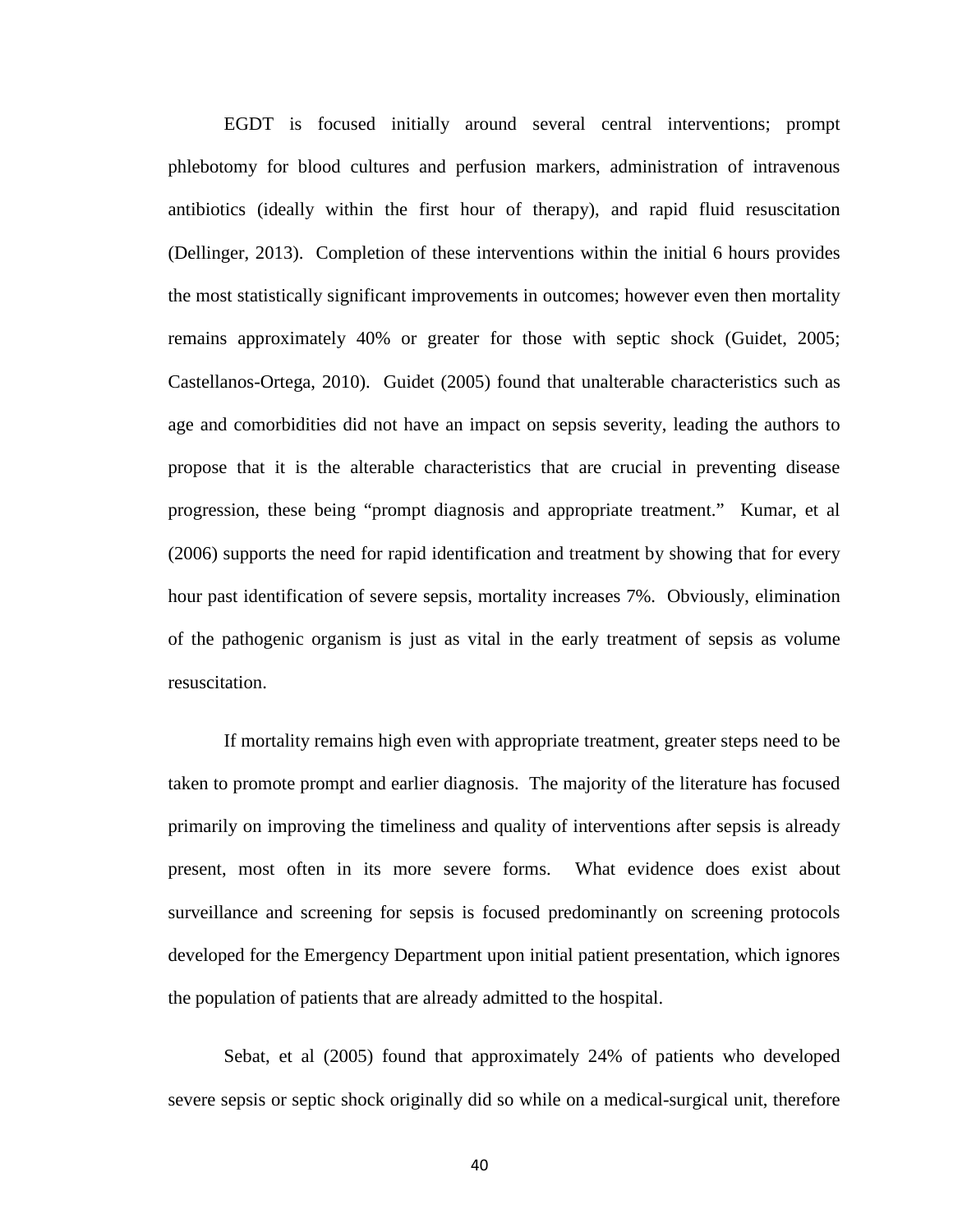EGDT is focused initially around several central interventions; prompt phlebotomy for blood cultures and perfusion markers, administration of intravenous antibiotics (ideally within the first hour of therapy), and rapid fluid resuscitation (Dellinger, 2013). Completion of these interventions within the initial 6 hours provides the most statistically significant improvements in outcomes; however even then mortality remains approximately 40% or greater for those with septic shock (Guidet, 2005; Castellanos-Ortega, 2010). Guidet (2005) found that unalterable characteristics such as age and comorbidities did not have an impact on sepsis severity, leading the authors to propose that it is the alterable characteristics that are crucial in preventing disease progression, these being "prompt diagnosis and appropriate treatment." Kumar, et al (2006) supports the need for rapid identification and treatment by showing that for every hour past identification of severe sepsis, mortality increases 7%. Obviously, elimination of the pathogenic organism is just as vital in the early treatment of sepsis as volume resuscitation.

If mortality remains high even with appropriate treatment, greater steps need to be taken to promote prompt and earlier diagnosis. The majority of the literature has focused primarily on improving the timeliness and quality of interventions after sepsis is already present, most often in its more severe forms. What evidence does exist about surveillance and screening for sepsis is focused predominantly on screening protocols developed for the Emergency Department upon initial patient presentation, which ignores the population of patients that are already admitted to the hospital.

Sebat, et al (2005) found that approximately 24% of patients who developed severe sepsis or septic shock originally did so while on a medical-surgical unit, therefore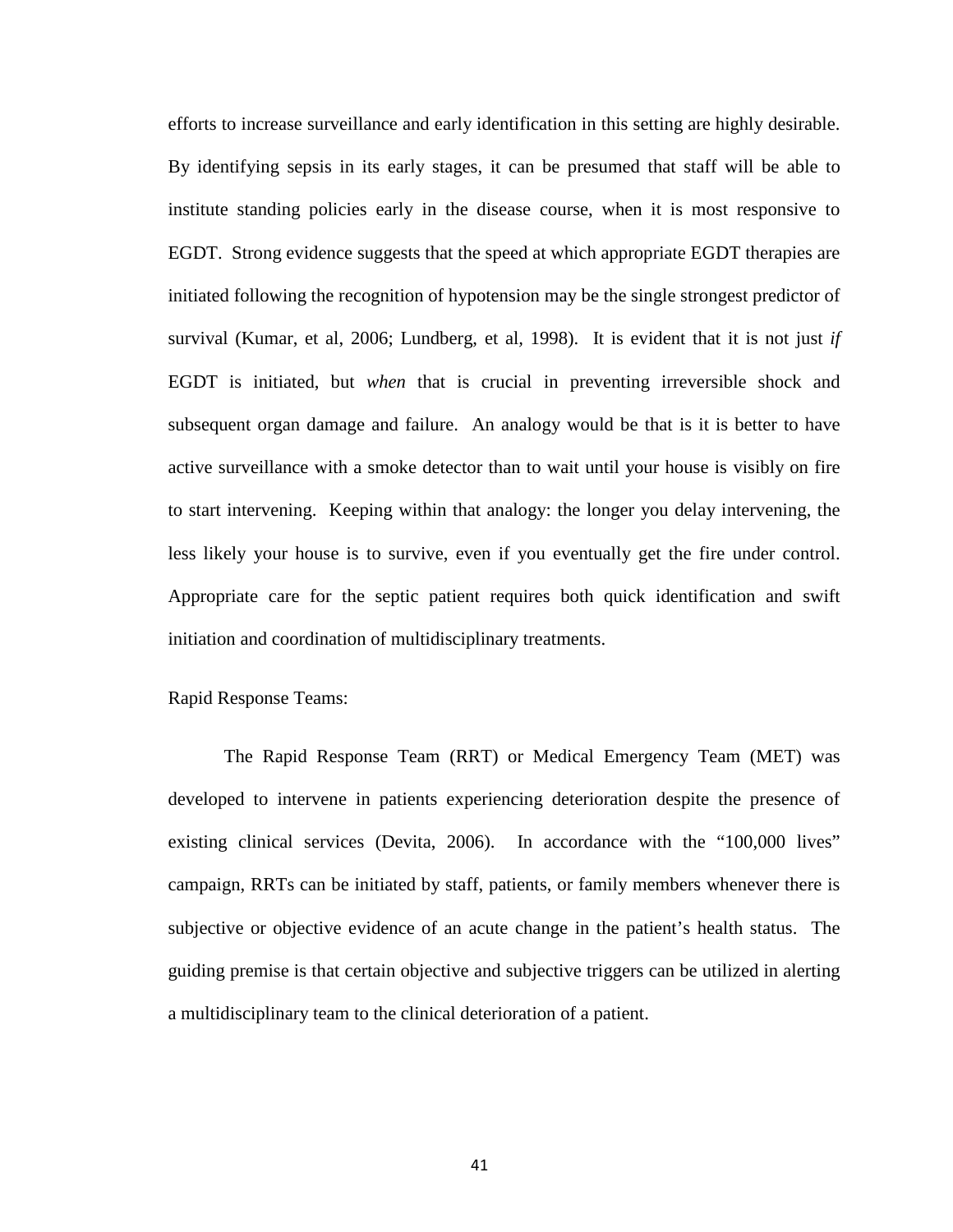efforts to increase surveillance and early identification in this setting are highly desirable. By identifying sepsis in its early stages, it can be presumed that staff will be able to institute standing policies early in the disease course, when it is most responsive to EGDT. Strong evidence suggests that the speed at which appropriate EGDT therapies are initiated following the recognition of hypotension may be the single strongest predictor of survival (Kumar, et al, 2006; Lundberg, et al*,* 1998). It is evident that it is not just *if*  EGDT is initiated, but *when* that is crucial in preventing irreversible shock and subsequent organ damage and failure. An analogy would be that is it is better to have active surveillance with a smoke detector than to wait until your house is visibly on fire to start intervening. Keeping within that analogy: the longer you delay intervening, the less likely your house is to survive, even if you eventually get the fire under control. Appropriate care for the septic patient requires both quick identification and swift initiation and coordination of multidisciplinary treatments.

Rapid Response Teams:

The Rapid Response Team (RRT) or Medical Emergency Team (MET) was developed to intervene in patients experiencing deterioration despite the presence of existing clinical services (Devita, 2006). In accordance with the "100,000 lives" campaign, RRTs can be initiated by staff, patients, or family members whenever there is subjective or objective evidence of an acute change in the patient's health status. The guiding premise is that certain objective and subjective triggers can be utilized in alerting a multidisciplinary team to the clinical deterioration of a patient.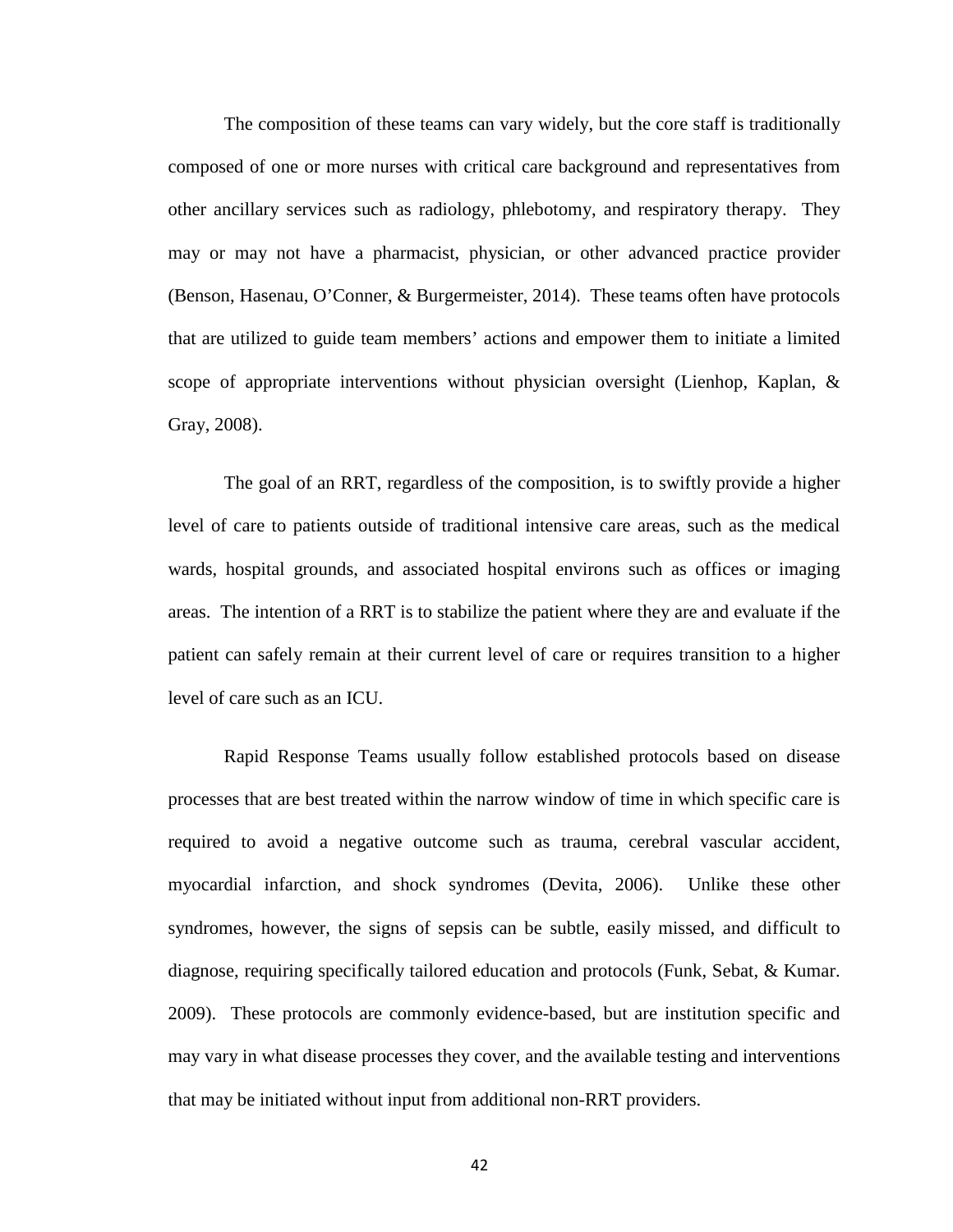The composition of these teams can vary widely, but the core staff is traditionally composed of one or more nurses with critical care background and representatives from other ancillary services such as radiology, phlebotomy, and respiratory therapy. They may or may not have a pharmacist, physician, or other advanced practice provider (Benson, Hasenau, O'Conner, & Burgermeister, 2014). These teams often have protocols that are utilized to guide team members' actions and empower them to initiate a limited scope of appropriate interventions without physician oversight (Lienhop, Kaplan, & Gray, 2008).

The goal of an RRT, regardless of the composition, is to swiftly provide a higher level of care to patients outside of traditional intensive care areas, such as the medical wards, hospital grounds, and associated hospital environs such as offices or imaging areas. The intention of a RRT is to stabilize the patient where they are and evaluate if the patient can safely remain at their current level of care or requires transition to a higher level of care such as an ICU.

Rapid Response Teams usually follow established protocols based on disease processes that are best treated within the narrow window of time in which specific care is required to avoid a negative outcome such as trauma, cerebral vascular accident, myocardial infarction, and shock syndromes (Devita, 2006). Unlike these other syndromes, however, the signs of sepsis can be subtle, easily missed, and difficult to diagnose, requiring specifically tailored education and protocols (Funk, Sebat, & Kumar. 2009). These protocols are commonly evidence-based, but are institution specific and may vary in what disease processes they cover, and the available testing and interventions that may be initiated without input from additional non-RRT providers.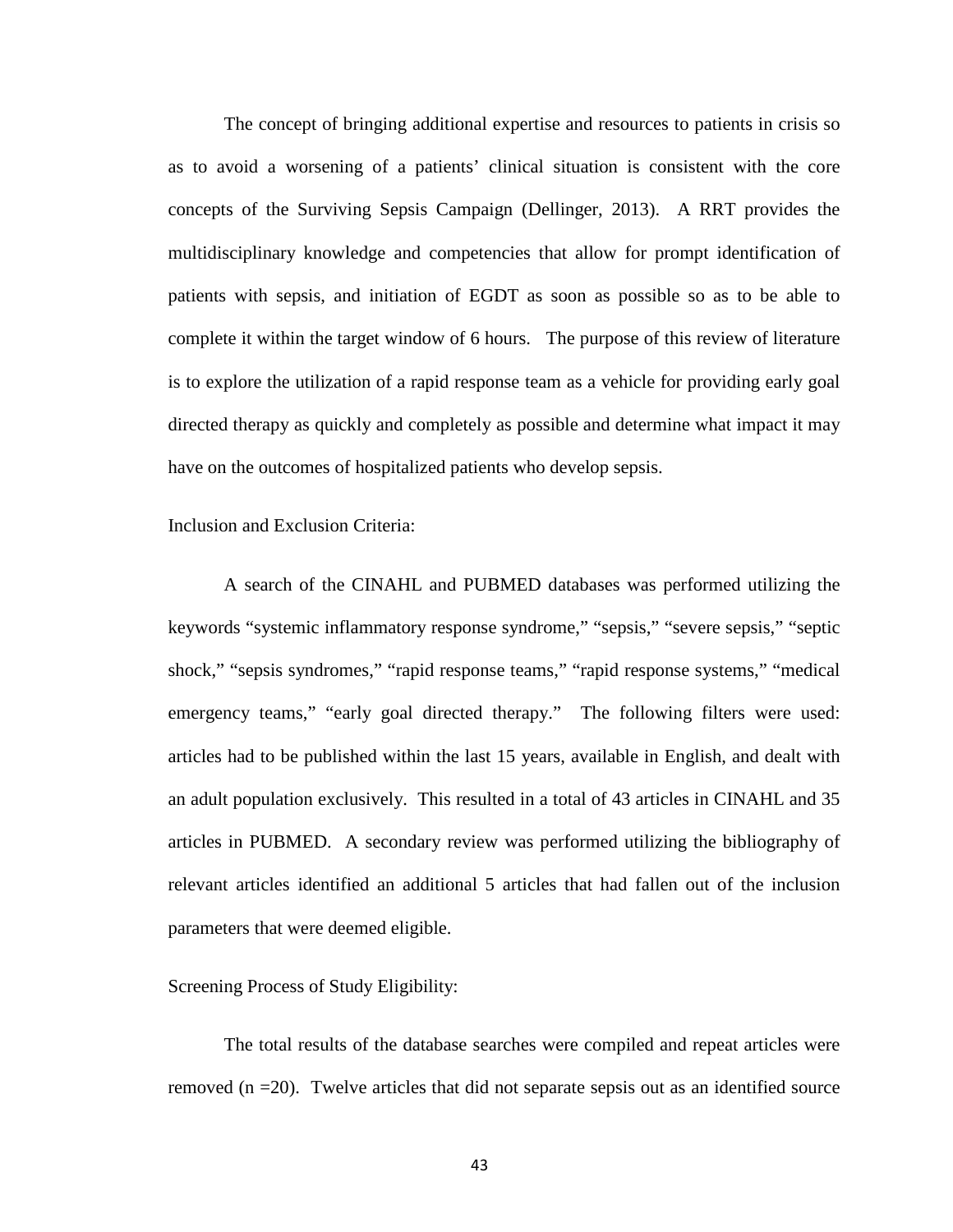The concept of bringing additional expertise and resources to patients in crisis so as to avoid a worsening of a patients' clinical situation is consistent with the core concepts of the Surviving Sepsis Campaign (Dellinger, 2013). A RRT provides the multidisciplinary knowledge and competencies that allow for prompt identification of patients with sepsis, and initiation of EGDT as soon as possible so as to be able to complete it within the target window of 6 hours. The purpose of this review of literature is to explore the utilization of a rapid response team as a vehicle for providing early goal directed therapy as quickly and completely as possible and determine what impact it may have on the outcomes of hospitalized patients who develop sepsis.

Inclusion and Exclusion Criteria:

A search of the CINAHL and PUBMED databases was performed utilizing the keywords "systemic inflammatory response syndrome," "sepsis," "severe sepsis," "septic shock," "sepsis syndromes," "rapid response teams," "rapid response systems," "medical emergency teams," "early goal directed therapy." The following filters were used: articles had to be published within the last 15 years, available in English, and dealt with an adult population exclusively. This resulted in a total of 43 articles in CINAHL and 35 articles in PUBMED. A secondary review was performed utilizing the bibliography of relevant articles identified an additional 5 articles that had fallen out of the inclusion parameters that were deemed eligible.

# Screening Process of Study Eligibility:

The total results of the database searches were compiled and repeat articles were removed  $(n = 20)$ . Twelve articles that did not separate sepsis out as an identified source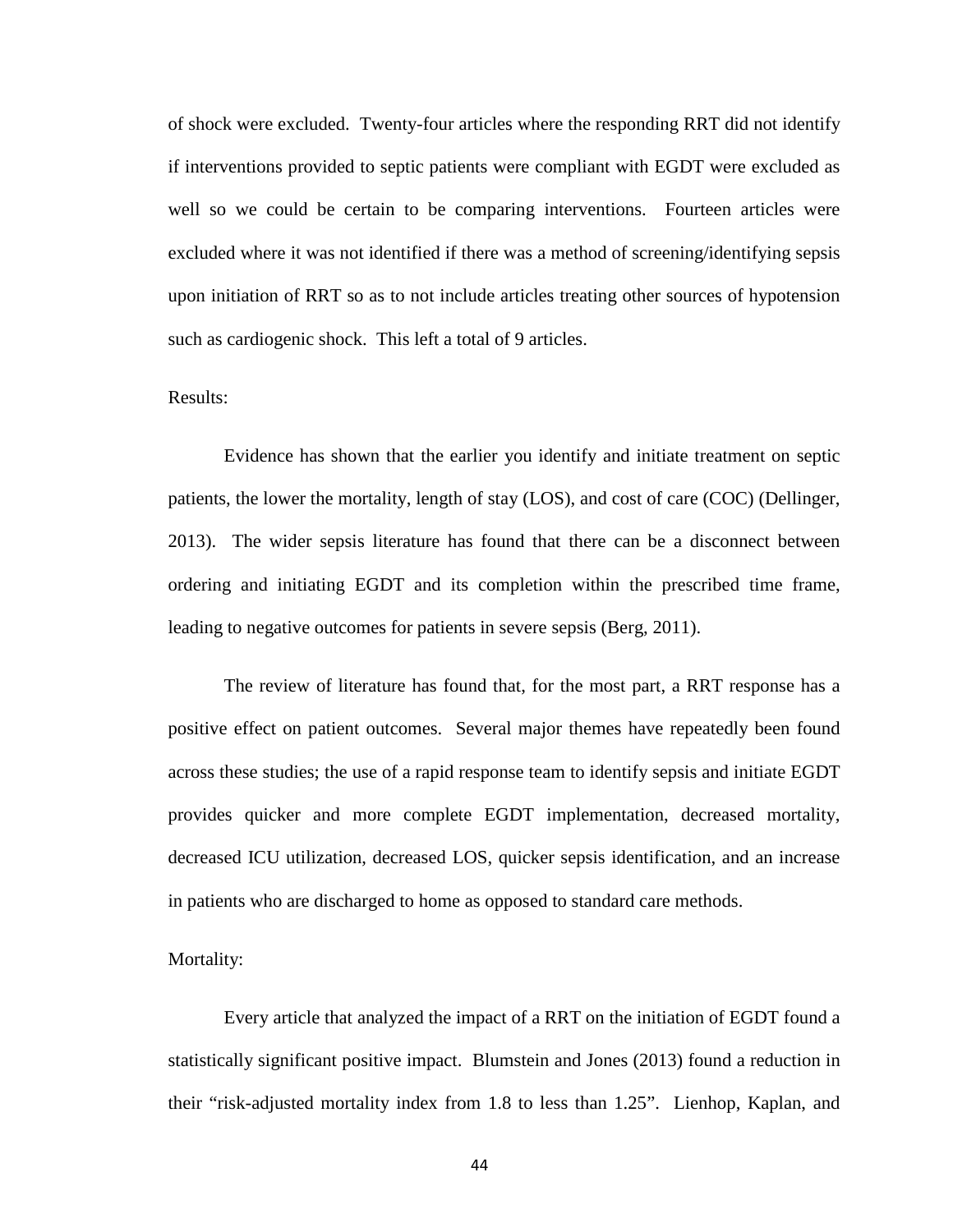of shock were excluded. Twenty-four articles where the responding RRT did not identify if interventions provided to septic patients were compliant with EGDT were excluded as well so we could be certain to be comparing interventions. Fourteen articles were excluded where it was not identified if there was a method of screening/identifying sepsis upon initiation of RRT so as to not include articles treating other sources of hypotension such as cardiogenic shock. This left a total of 9 articles.

#### Results:

Evidence has shown that the earlier you identify and initiate treatment on septic patients, the lower the mortality, length of stay (LOS), and cost of care (COC) (Dellinger, 2013). The wider sepsis literature has found that there can be a disconnect between ordering and initiating EGDT and its completion within the prescribed time frame, leading to negative outcomes for patients in severe sepsis (Berg, 2011).

The review of literature has found that, for the most part, a RRT response has a positive effect on patient outcomes. Several major themes have repeatedly been found across these studies; the use of a rapid response team to identify sepsis and initiate EGDT provides quicker and more complete EGDT implementation, decreased mortality, decreased ICU utilization, decreased LOS, quicker sepsis identification, and an increase in patients who are discharged to home as opposed to standard care methods.

#### Mortality:

Every article that analyzed the impact of a RRT on the initiation of EGDT found a statistically significant positive impact. Blumstein and Jones (2013) found a reduction in their "risk-adjusted mortality index from 1.8 to less than 1.25". Lienhop, Kaplan, and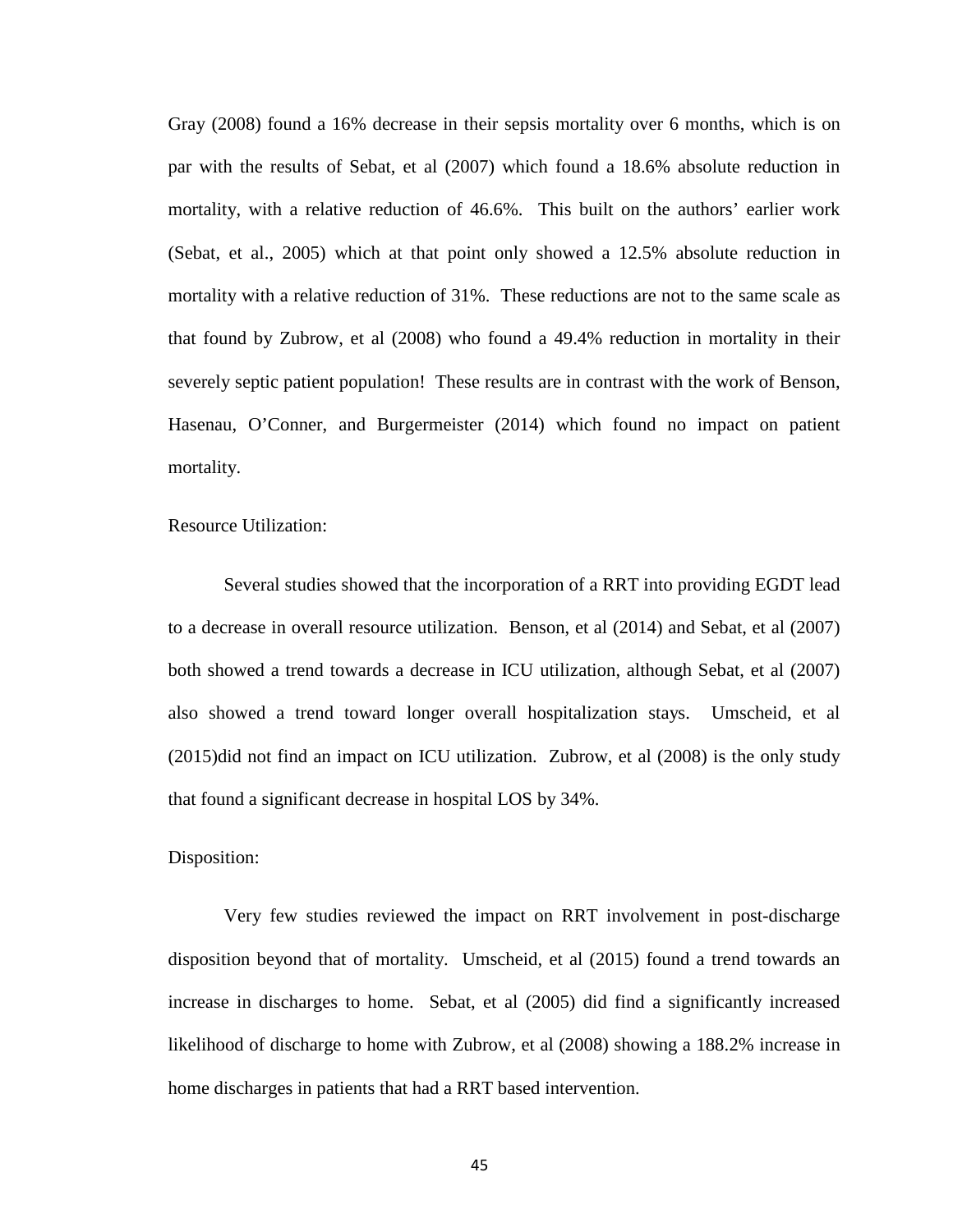Gray (2008) found a 16% decrease in their sepsis mortality over 6 months, which is on par with the results of Sebat, et al (2007) which found a 18.6% absolute reduction in mortality, with a relative reduction of 46.6%. This built on the authors' earlier work (Sebat, et al., 2005) which at that point only showed a 12.5% absolute reduction in mortality with a relative reduction of 31%. These reductions are not to the same scale as that found by Zubrow, et al (2008) who found a 49.4% reduction in mortality in their severely septic patient population! These results are in contrast with the work of Benson, Hasenau, O'Conner, and Burgermeister (2014) which found no impact on patient mortality.

Resource Utilization:

Several studies showed that the incorporation of a RRT into providing EGDT lead to a decrease in overall resource utilization. Benson, et al (2014) and Sebat, et al (2007) both showed a trend towards a decrease in ICU utilization, although Sebat, et al (2007) also showed a trend toward longer overall hospitalization stays. Umscheid, et al (2015)did not find an impact on ICU utilization. Zubrow, et al (2008) is the only study that found a significant decrease in hospital LOS by 34%.

#### Disposition:

Very few studies reviewed the impact on RRT involvement in post-discharge disposition beyond that of mortality. Umscheid, et al (2015) found a trend towards an increase in discharges to home. Sebat, et al (2005) did find a significantly increased likelihood of discharge to home with Zubrow, et al (2008) showing a 188.2% increase in home discharges in patients that had a RRT based intervention.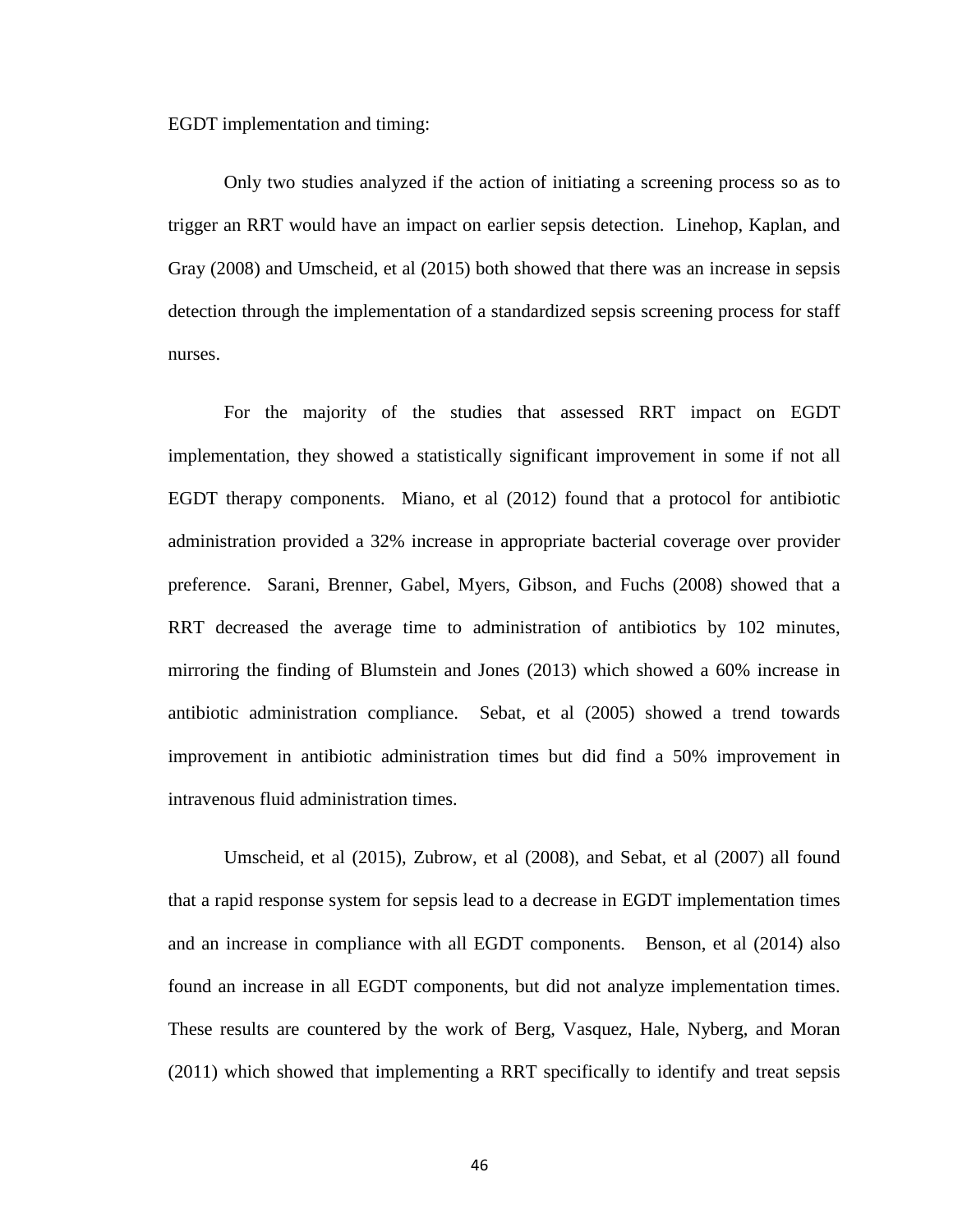EGDT implementation and timing:

Only two studies analyzed if the action of initiating a screening process so as to trigger an RRT would have an impact on earlier sepsis detection. Linehop, Kaplan, and Gray (2008) and Umscheid, et al (2015) both showed that there was an increase in sepsis detection through the implementation of a standardized sepsis screening process for staff nurses.

For the majority of the studies that assessed RRT impact on EGDT implementation, they showed a statistically significant improvement in some if not all EGDT therapy components. Miano, et al (2012) found that a protocol for antibiotic administration provided a 32% increase in appropriate bacterial coverage over provider preference. Sarani, Brenner, Gabel, Myers, Gibson, and Fuchs (2008) showed that a RRT decreased the average time to administration of antibiotics by 102 minutes, mirroring the finding of Blumstein and Jones (2013) which showed a 60% increase in antibiotic administration compliance. Sebat, et al (2005) showed a trend towards improvement in antibiotic administration times but did find a 50% improvement in intravenous fluid administration times.

Umscheid, et al (2015), Zubrow, et al (2008), and Sebat, et al (2007) all found that a rapid response system for sepsis lead to a decrease in EGDT implementation times and an increase in compliance with all EGDT components. Benson, et al (2014) also found an increase in all EGDT components, but did not analyze implementation times. These results are countered by the work of Berg, Vasquez, Hale, Nyberg, and Moran (2011) which showed that implementing a RRT specifically to identify and treat sepsis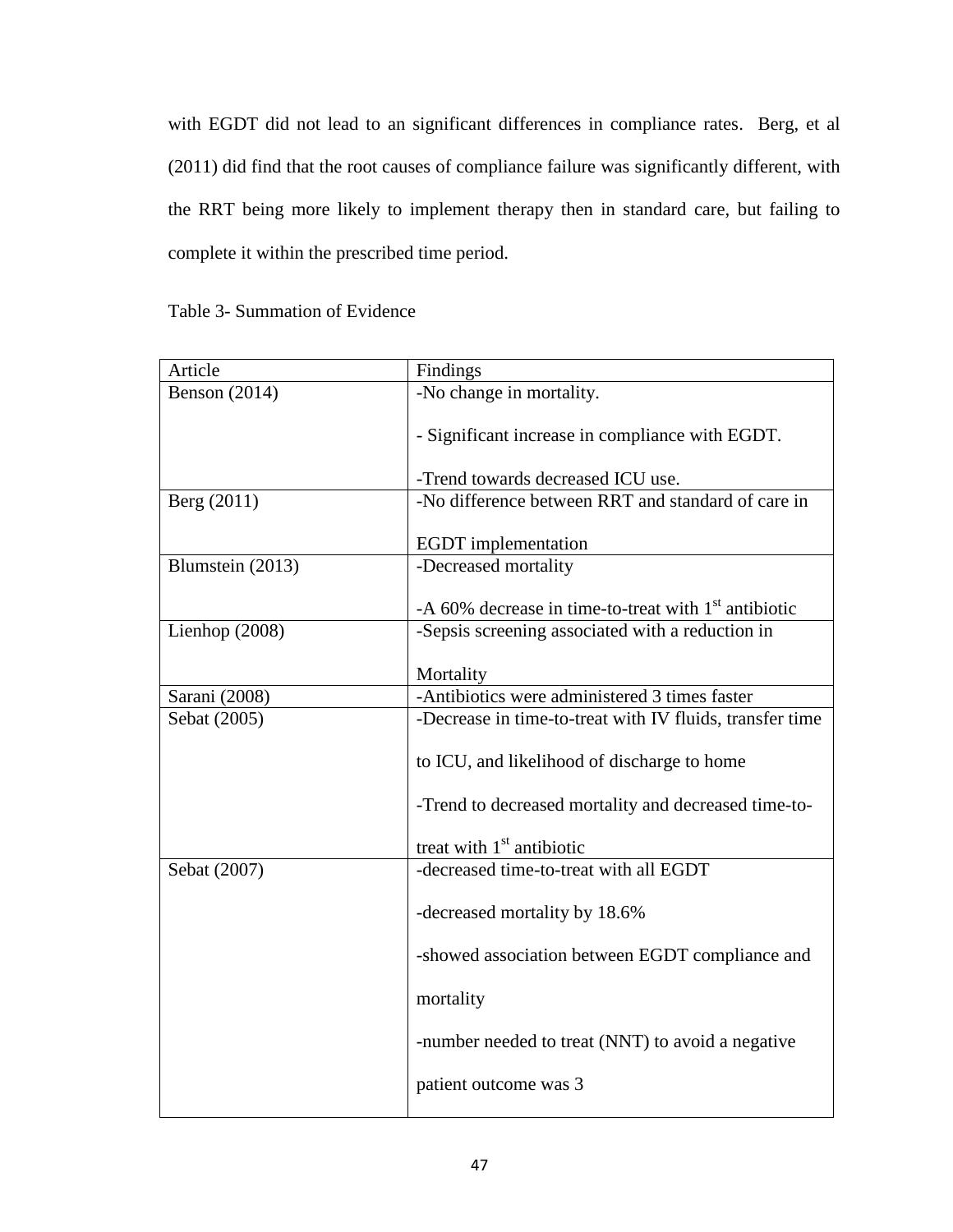with EGDT did not lead to an significant differences in compliance rates. Berg, et al (2011) did find that the root causes of compliance failure was significantly different, with the RRT being more likely to implement therapy then in standard care, but failing to complete it within the prescribed time period.

| Table 3- Summation of Evidence |  |
|--------------------------------|--|
|--------------------------------|--|

| Article              | Findings                                                  |
|----------------------|-----------------------------------------------------------|
| <b>Benson</b> (2014) | -No change in mortality.                                  |
|                      | - Significant increase in compliance with EGDT.           |
|                      | -Trend towards decreased ICU use.                         |
| Berg (2011)          | -No difference between RRT and standard of care in        |
|                      | <b>EGDT</b> implementation                                |
| Blumstein (2013)     | -Decreased mortality                                      |
|                      | -A $60\%$ decrease in time-to-treat with $1st$ antibiotic |
| Lienhop (2008)       | -Sepsis screening associated with a reduction in          |
|                      | Mortality                                                 |
| Sarani (2008)        | -Antibiotics were administered 3 times faster             |
| Sebat (2005)         | -Decrease in time-to-treat with IV fluids, transfer time  |
|                      | to ICU, and likelihood of discharge to home               |
|                      | -Trend to decreased mortality and decreased time-to-      |
|                      | treat with $1st$ antibiotic                               |
| Sebat (2007)         | -decreased time-to-treat with all EGDT                    |
|                      | -decreased mortality by 18.6%                             |
|                      | -showed association between EGDT compliance and           |
|                      | mortality                                                 |
|                      | -number needed to treat (NNT) to avoid a negative         |
|                      | patient outcome was 3                                     |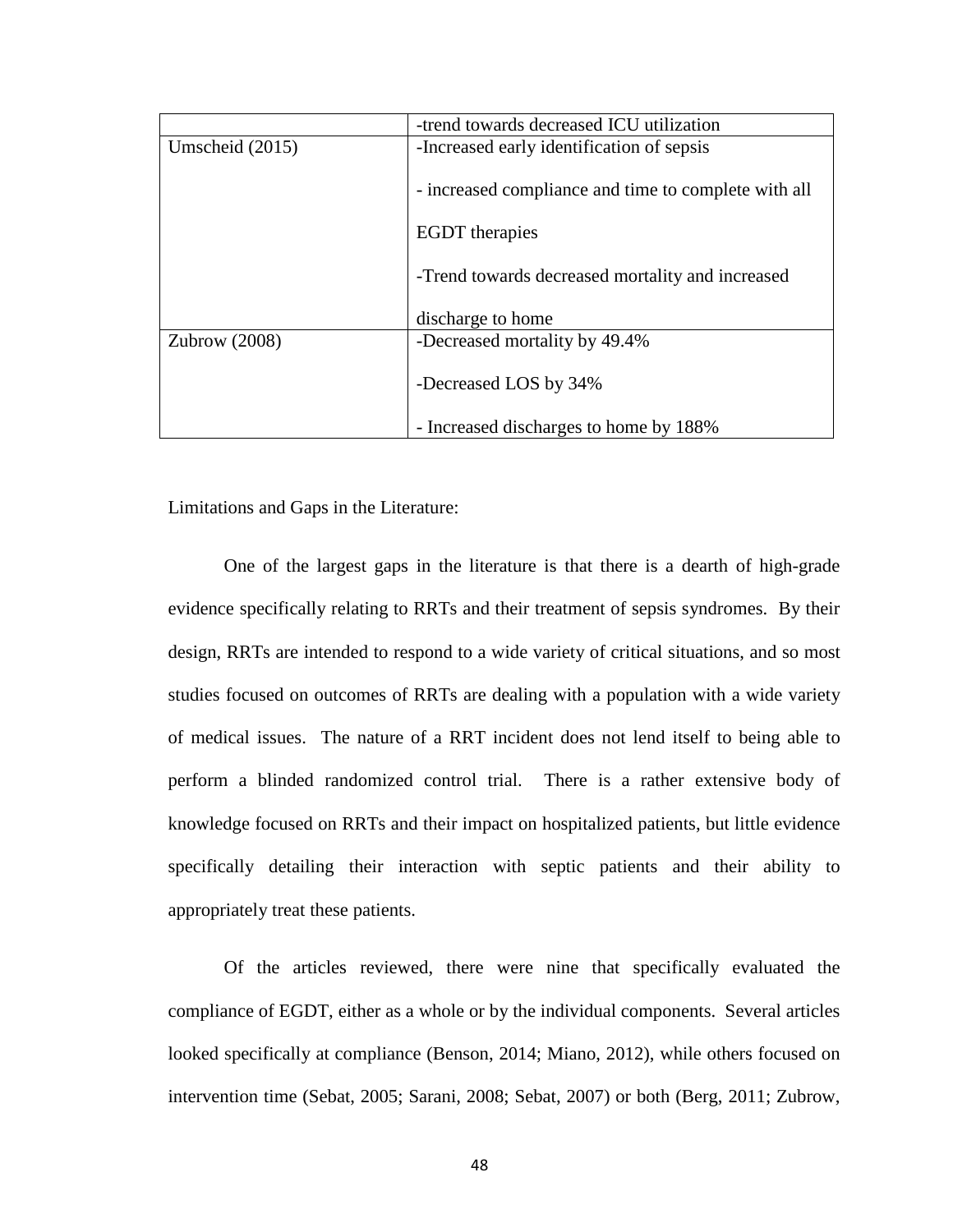|                   | -trend towards decreased ICU utilization             |
|-------------------|------------------------------------------------------|
| Umscheid $(2015)$ | -Increased early identification of sepsis            |
|                   | - increased compliance and time to complete with all |
|                   | <b>EGDT</b> therapies                                |
|                   | -Trend towards decreased mortality and increased     |
|                   | discharge to home                                    |
| Zubrow $(2008)$   | -Decreased mortality by 49.4%                        |
|                   | -Decreased LOS by 34%                                |
|                   | - Increased discharges to home by 188%               |

Limitations and Gaps in the Literature:

One of the largest gaps in the literature is that there is a dearth of high-grade evidence specifically relating to RRTs and their treatment of sepsis syndromes. By their design, RRTs are intended to respond to a wide variety of critical situations, and so most studies focused on outcomes of RRTs are dealing with a population with a wide variety of medical issues. The nature of a RRT incident does not lend itself to being able to perform a blinded randomized control trial. There is a rather extensive body of knowledge focused on RRTs and their impact on hospitalized patients, but little evidence specifically detailing their interaction with septic patients and their ability to appropriately treat these patients.

Of the articles reviewed, there were nine that specifically evaluated the compliance of EGDT, either as a whole or by the individual components. Several articles looked specifically at compliance (Benson, 2014; Miano, 2012), while others focused on intervention time (Sebat, 2005; Sarani, 2008; Sebat, 2007) or both (Berg, 2011; Zubrow,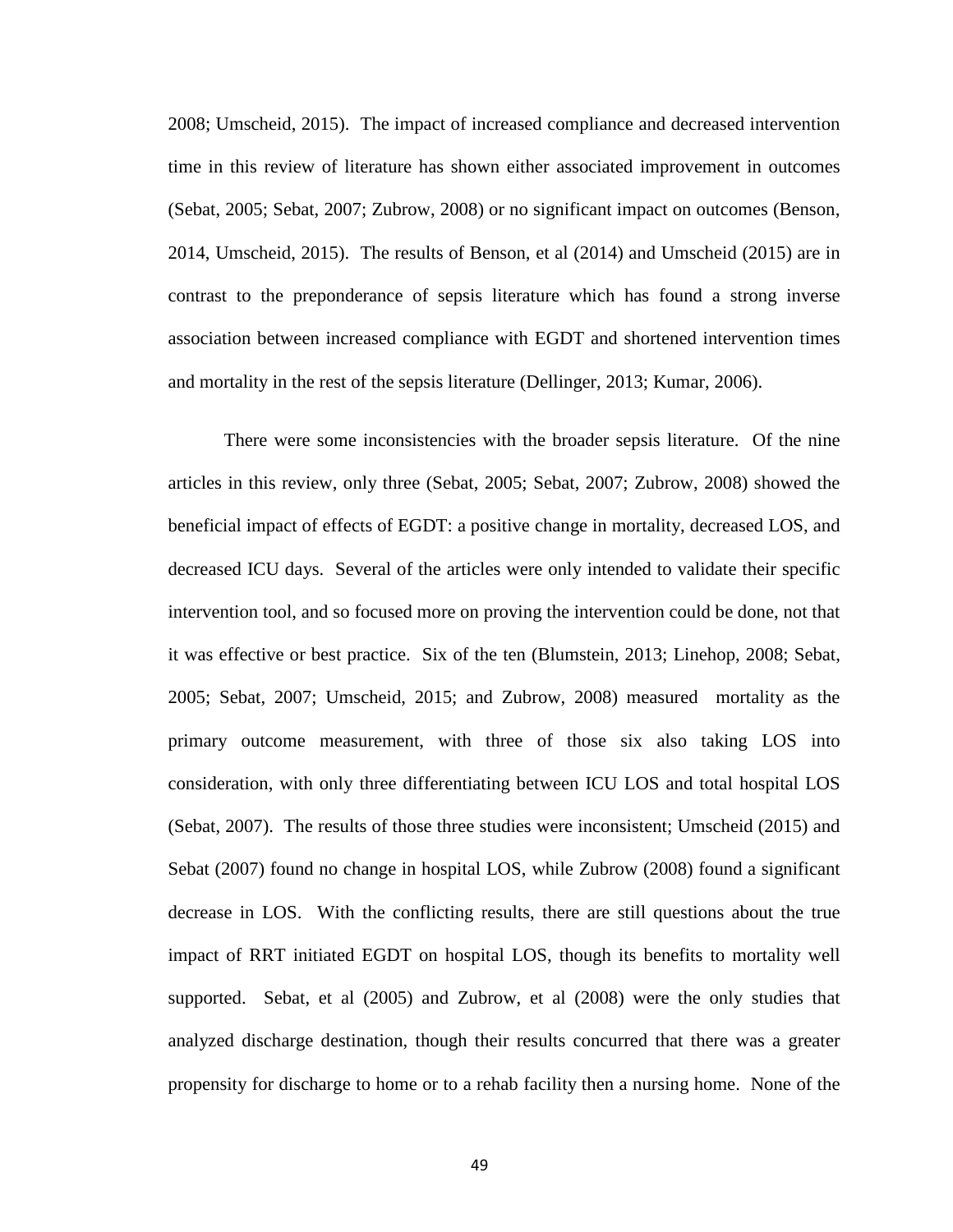2008; Umscheid, 2015). The impact of increased compliance and decreased intervention time in this review of literature has shown either associated improvement in outcomes (Sebat, 2005; Sebat, 2007; Zubrow, 2008) or no significant impact on outcomes (Benson, 2014, Umscheid, 2015). The results of Benson, et al (2014) and Umscheid (2015) are in contrast to the preponderance of sepsis literature which has found a strong inverse association between increased compliance with EGDT and shortened intervention times and mortality in the rest of the sepsis literature (Dellinger, 2013; Kumar, 2006).

There were some inconsistencies with the broader sepsis literature. Of the nine articles in this review, only three (Sebat, 2005; Sebat, 2007; Zubrow, 2008) showed the beneficial impact of effects of EGDT: a positive change in mortality, decreased LOS, and decreased ICU days. Several of the articles were only intended to validate their specific intervention tool, and so focused more on proving the intervention could be done, not that it was effective or best practice. Six of the ten (Blumstein, 2013; Linehop, 2008; Sebat, 2005; Sebat, 2007; Umscheid, 2015; and Zubrow, 2008) measured mortality as the primary outcome measurement, with three of those six also taking LOS into consideration, with only three differentiating between ICU LOS and total hospital LOS (Sebat, 2007). The results of those three studies were inconsistent; Umscheid (2015) and Sebat (2007) found no change in hospital LOS, while Zubrow (2008) found a significant decrease in LOS. With the conflicting results, there are still questions about the true impact of RRT initiated EGDT on hospital LOS, though its benefits to mortality well supported. Sebat, et al (2005) and Zubrow, et al (2008) were the only studies that analyzed discharge destination, though their results concurred that there was a greater propensity for discharge to home or to a rehab facility then a nursing home. None of the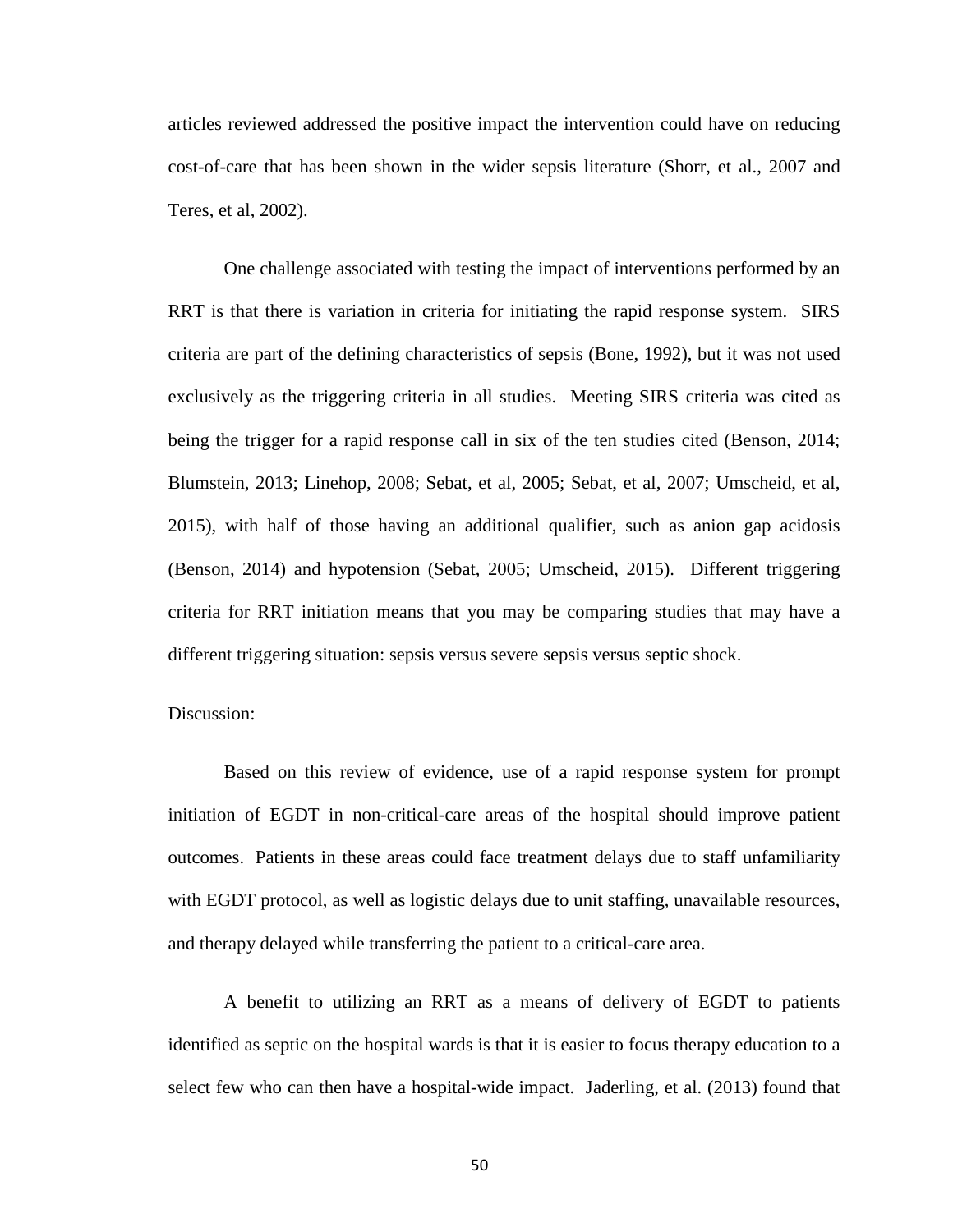articles reviewed addressed the positive impact the intervention could have on reducing cost-of-care that has been shown in the wider sepsis literature (Shorr, et al., 2007 and Teres, et al, 2002).

One challenge associated with testing the impact of interventions performed by an RRT is that there is variation in criteria for initiating the rapid response system. SIRS criteria are part of the defining characteristics of sepsis (Bone, 1992), but it was not used exclusively as the triggering criteria in all studies. Meeting SIRS criteria was cited as being the trigger for a rapid response call in six of the ten studies cited (Benson, 2014; Blumstein, 2013; Linehop, 2008; Sebat, et al, 2005; Sebat, et al, 2007; Umscheid, et al, 2015), with half of those having an additional qualifier, such as anion gap acidosis (Benson, 2014) and hypotension (Sebat, 2005; Umscheid, 2015). Different triggering criteria for RRT initiation means that you may be comparing studies that may have a different triggering situation: sepsis versus severe sepsis versus septic shock.

# Discussion:

Based on this review of evidence, use of a rapid response system for prompt initiation of EGDT in non-critical-care areas of the hospital should improve patient outcomes. Patients in these areas could face treatment delays due to staff unfamiliarity with EGDT protocol, as well as logistic delays due to unit staffing, unavailable resources, and therapy delayed while transferring the patient to a critical-care area.

A benefit to utilizing an RRT as a means of delivery of EGDT to patients identified as septic on the hospital wards is that it is easier to focus therapy education to a select few who can then have a hospital-wide impact. Jaderling, et al. (2013) found that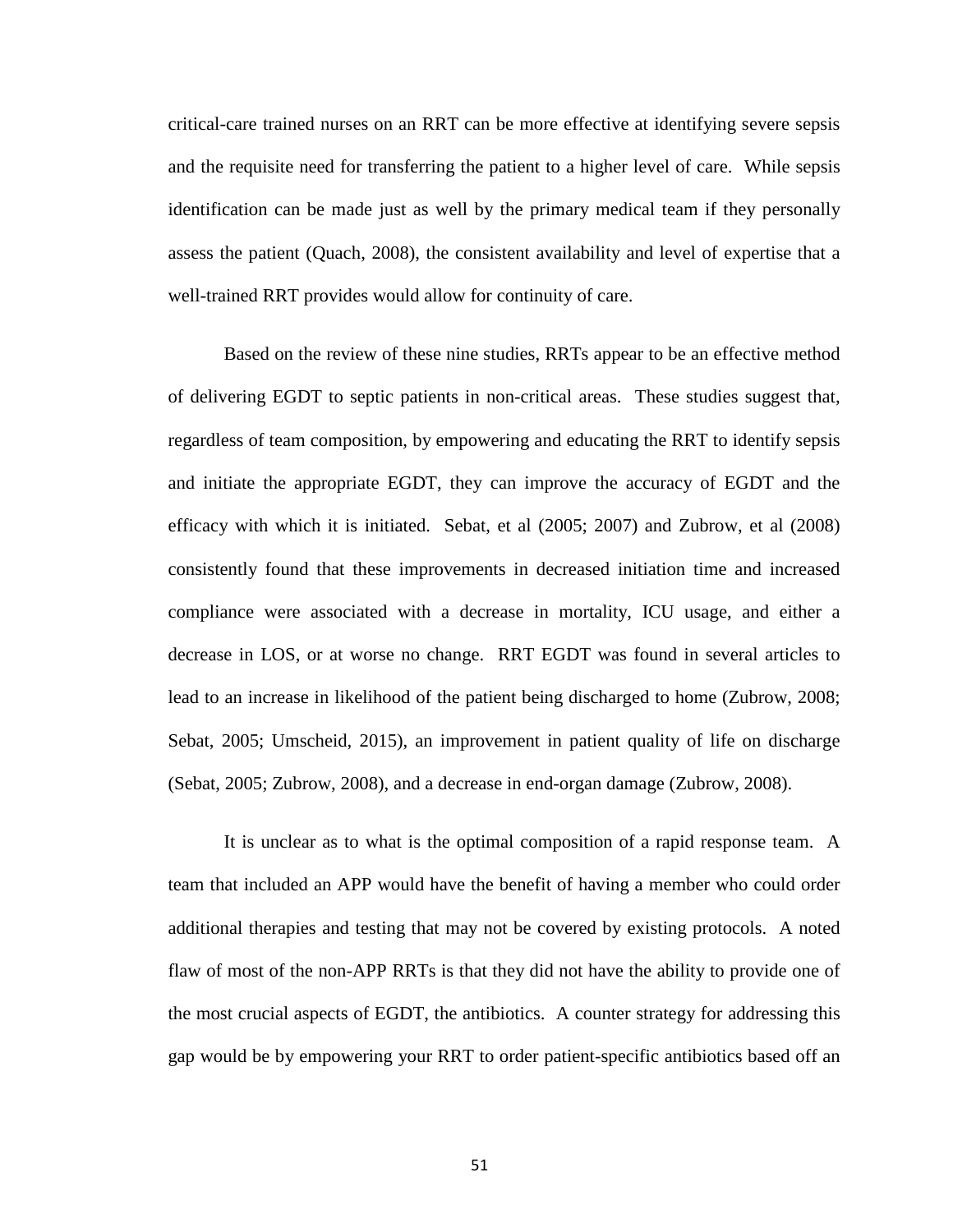critical-care trained nurses on an RRT can be more effective at identifying severe sepsis and the requisite need for transferring the patient to a higher level of care. While sepsis identification can be made just as well by the primary medical team if they personally assess the patient (Quach, 2008), the consistent availability and level of expertise that a well-trained RRT provides would allow for continuity of care.

Based on the review of these nine studies, RRTs appear to be an effective method of delivering EGDT to septic patients in non-critical areas. These studies suggest that, regardless of team composition, by empowering and educating the RRT to identify sepsis and initiate the appropriate EGDT, they can improve the accuracy of EGDT and the efficacy with which it is initiated. Sebat, et al (2005; 2007) and Zubrow, et al (2008) consistently found that these improvements in decreased initiation time and increased compliance were associated with a decrease in mortality, ICU usage, and either a decrease in LOS, or at worse no change. RRT EGDT was found in several articles to lead to an increase in likelihood of the patient being discharged to home (Zubrow, 2008; Sebat, 2005; Umscheid, 2015), an improvement in patient quality of life on discharge (Sebat, 2005; Zubrow, 2008), and a decrease in end-organ damage (Zubrow, 2008).

It is unclear as to what is the optimal composition of a rapid response team. A team that included an APP would have the benefit of having a member who could order additional therapies and testing that may not be covered by existing protocols. A noted flaw of most of the non-APP RRTs is that they did not have the ability to provide one of the most crucial aspects of EGDT, the antibiotics. A counter strategy for addressing this gap would be by empowering your RRT to order patient-specific antibiotics based off an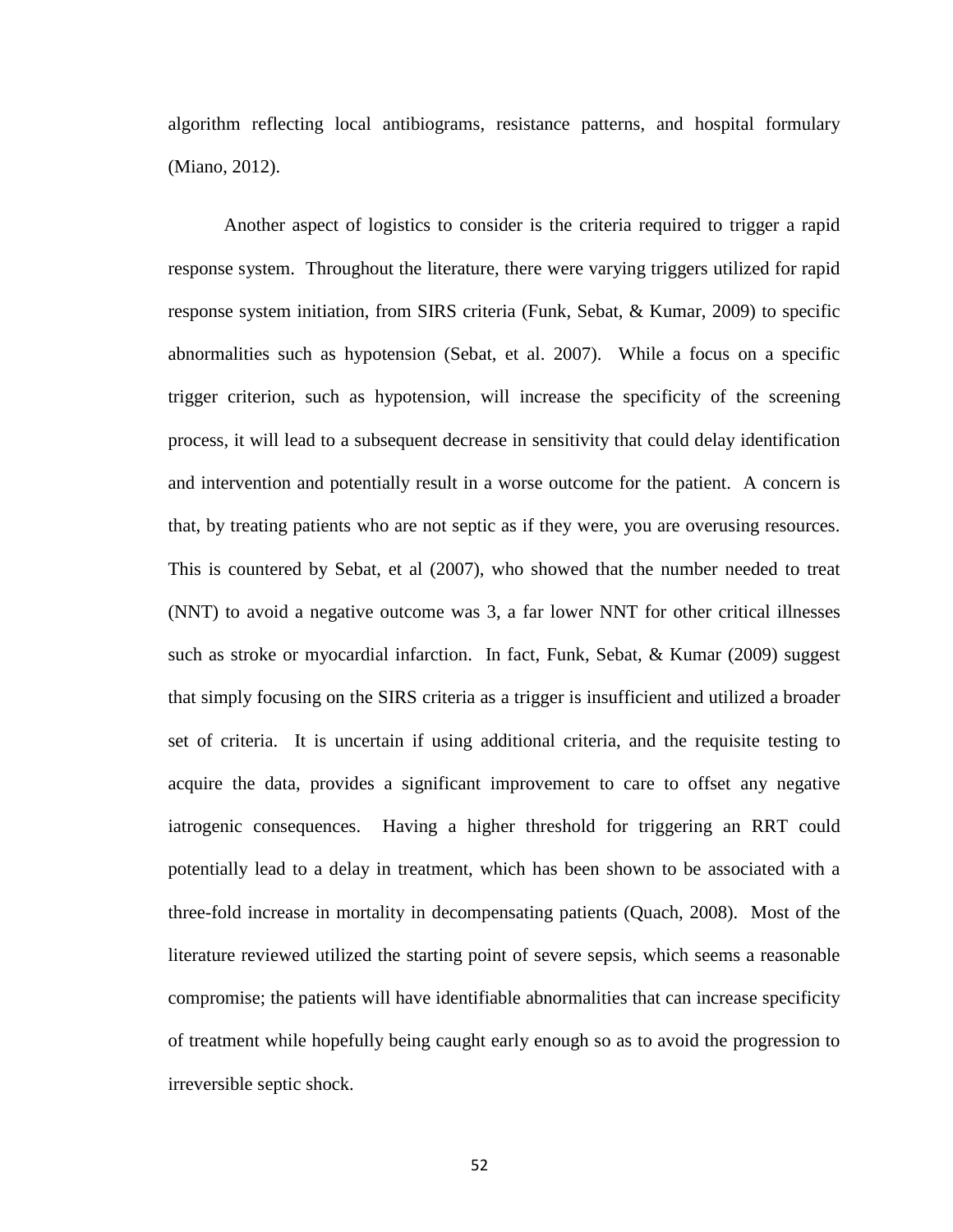algorithm reflecting local antibiograms, resistance patterns, and hospital formulary (Miano, 2012).

Another aspect of logistics to consider is the criteria required to trigger a rapid response system. Throughout the literature, there were varying triggers utilized for rapid response system initiation, from SIRS criteria (Funk, Sebat, & Kumar, 2009) to specific abnormalities such as hypotension (Sebat, et al. 2007). While a focus on a specific trigger criterion, such as hypotension, will increase the specificity of the screening process, it will lead to a subsequent decrease in sensitivity that could delay identification and intervention and potentially result in a worse outcome for the patient. A concern is that, by treating patients who are not septic as if they were, you are overusing resources. This is countered by Sebat, et al (2007), who showed that the number needed to treat (NNT) to avoid a negative outcome was 3, a far lower NNT for other critical illnesses such as stroke or myocardial infarction. In fact, Funk, Sebat, & Kumar (2009) suggest that simply focusing on the SIRS criteria as a trigger is insufficient and utilized a broader set of criteria. It is uncertain if using additional criteria, and the requisite testing to acquire the data, provides a significant improvement to care to offset any negative iatrogenic consequences. Having a higher threshold for triggering an RRT could potentially lead to a delay in treatment, which has been shown to be associated with a three-fold increase in mortality in decompensating patients (Quach, 2008). Most of the literature reviewed utilized the starting point of severe sepsis, which seems a reasonable compromise; the patients will have identifiable abnormalities that can increase specificity of treatment while hopefully being caught early enough so as to avoid the progression to irreversible septic shock.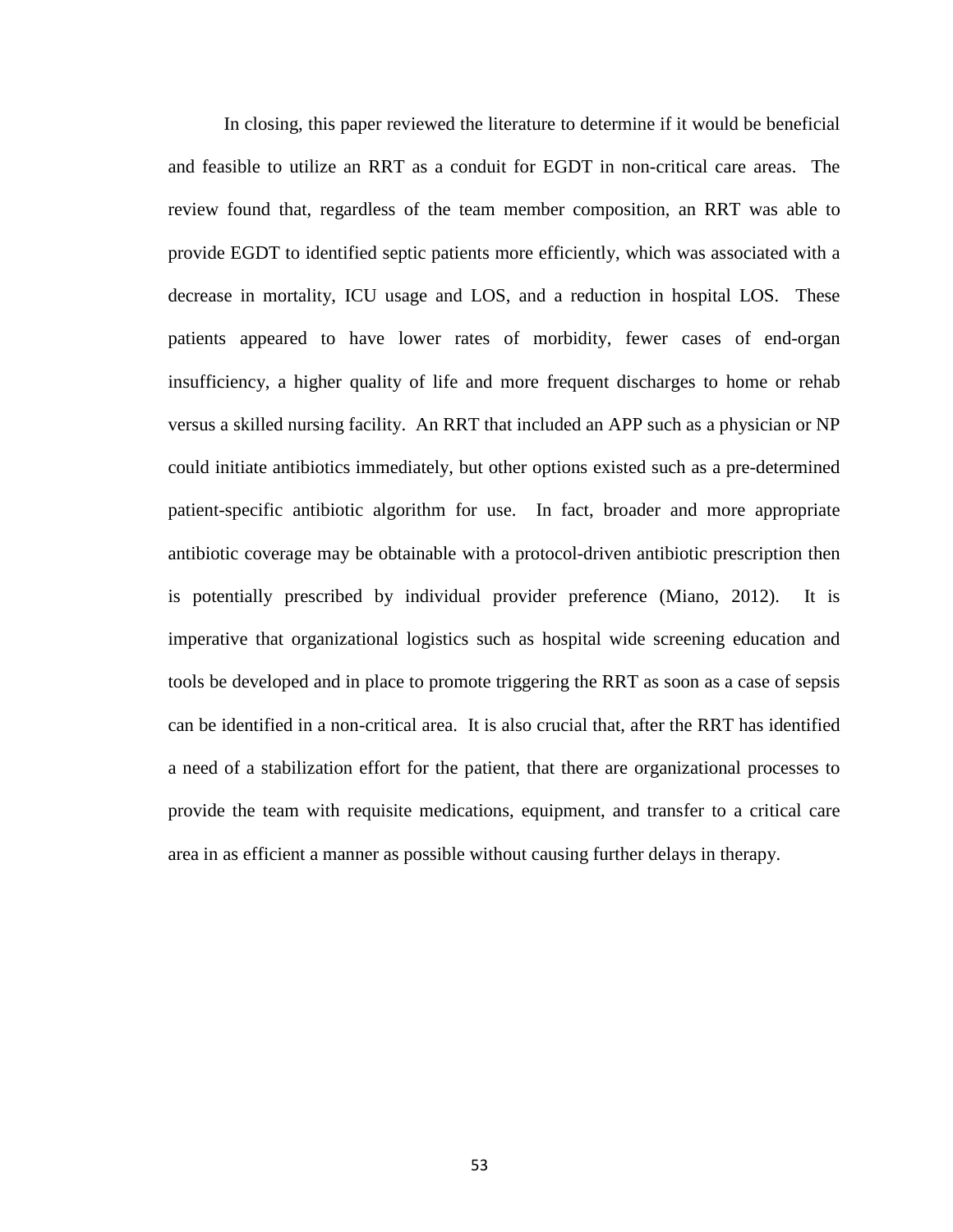In closing, this paper reviewed the literature to determine if it would be beneficial and feasible to utilize an RRT as a conduit for EGDT in non-critical care areas. The review found that, regardless of the team member composition, an RRT was able to provide EGDT to identified septic patients more efficiently, which was associated with a decrease in mortality, ICU usage and LOS, and a reduction in hospital LOS. These patients appeared to have lower rates of morbidity, fewer cases of end-organ insufficiency, a higher quality of life and more frequent discharges to home or rehab versus a skilled nursing facility. An RRT that included an APP such as a physician or NP could initiate antibiotics immediately, but other options existed such as a pre-determined patient-specific antibiotic algorithm for use. In fact, broader and more appropriate antibiotic coverage may be obtainable with a protocol-driven antibiotic prescription then is potentially prescribed by individual provider preference (Miano, 2012). It is imperative that organizational logistics such as hospital wide screening education and tools be developed and in place to promote triggering the RRT as soon as a case of sepsis can be identified in a non-critical area. It is also crucial that, after the RRT has identified a need of a stabilization effort for the patient, that there are organizational processes to provide the team with requisite medications, equipment, and transfer to a critical care area in as efficient a manner as possible without causing further delays in therapy.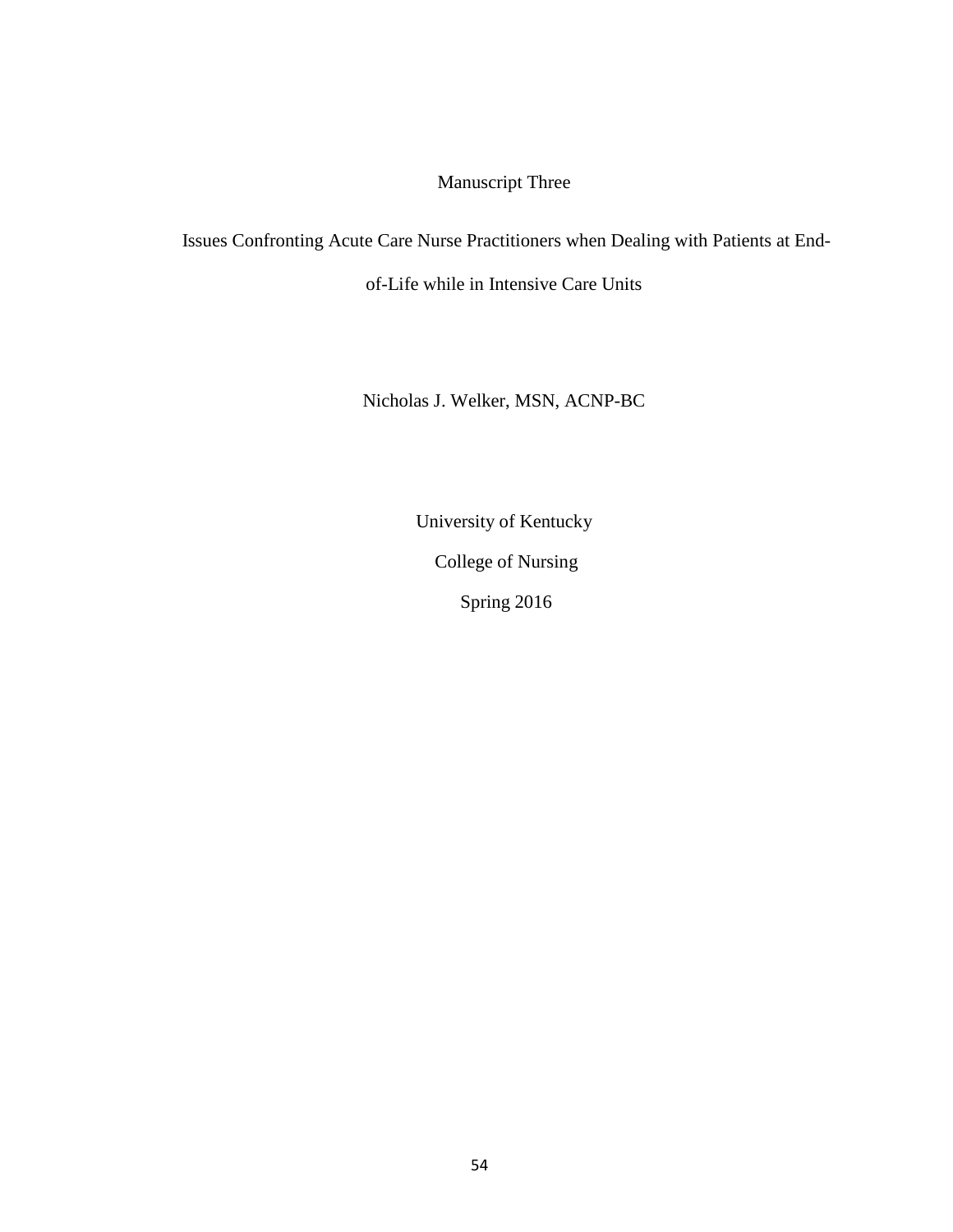# Manuscript Three

Issues Confronting Acute Care Nurse Practitioners when Dealing with Patients at End-

of-Life while in Intensive Care Units

Nicholas J. Welker, MSN, ACNP-BC

University of Kentucky

College of Nursing

Spring 2016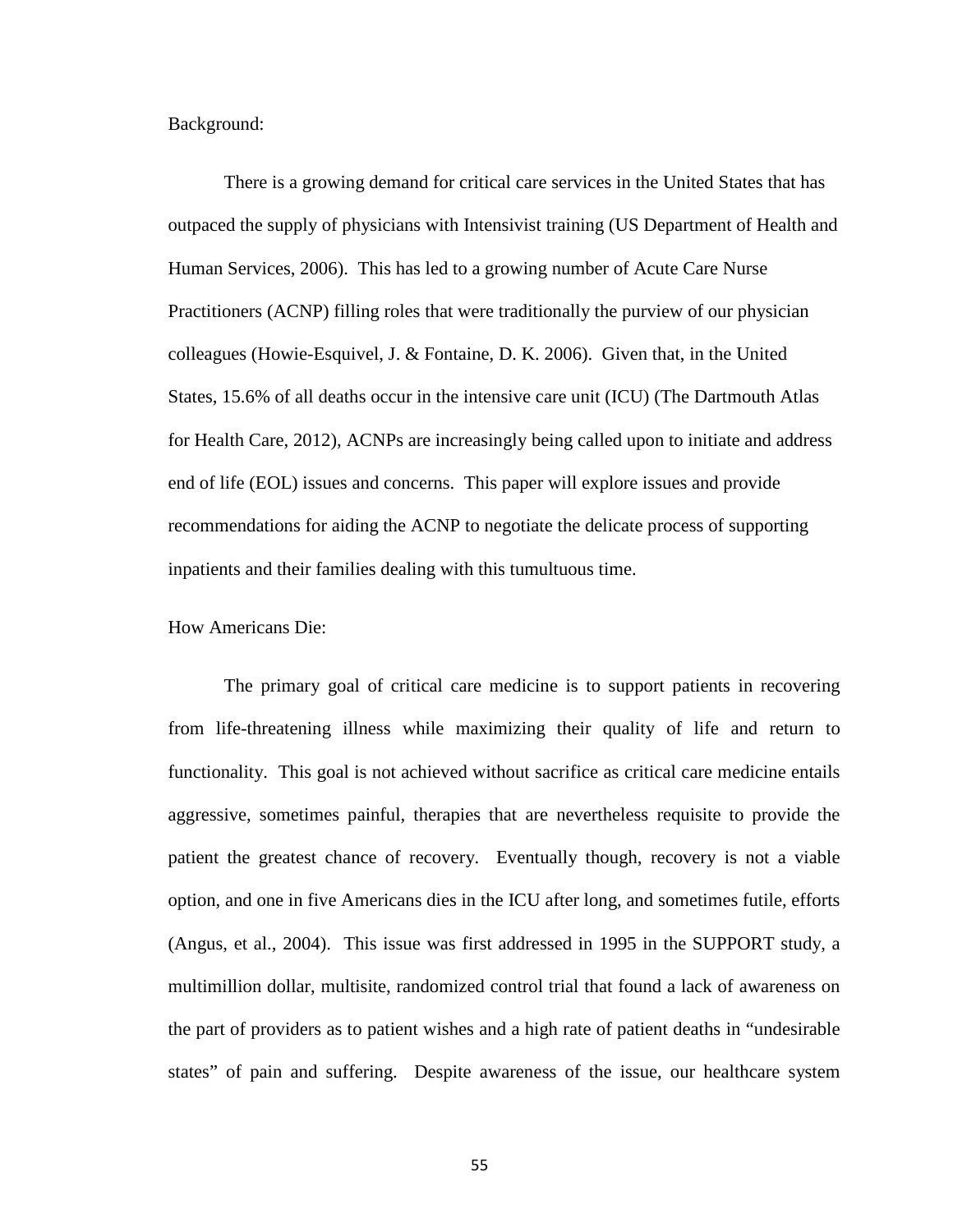Background:

There is a growing demand for critical care services in the United States that has outpaced the supply of physicians with Intensivist training (US Department of Health and Human Services, 2006). This has led to a growing number of Acute Care Nurse Practitioners (ACNP) filling roles that were traditionally the purview of our physician colleagues (Howie-Esquivel, J. & Fontaine, D. K. 2006). Given that, in the United States, 15.6% of all deaths occur in the intensive care unit (ICU) (The Dartmouth Atlas for Health Care, 2012), ACNPs are increasingly being called upon to initiate and address end of life (EOL) issues and concerns. This paper will explore issues and provide recommendations for aiding the ACNP to negotiate the delicate process of supporting inpatients and their families dealing with this tumultuous time.

How Americans Die:

The primary goal of critical care medicine is to support patients in recovering from life-threatening illness while maximizing their quality of life and return to functionality. This goal is not achieved without sacrifice as critical care medicine entails aggressive, sometimes painful, therapies that are nevertheless requisite to provide the patient the greatest chance of recovery. Eventually though, recovery is not a viable option, and one in five Americans dies in the ICU after long, and sometimes futile, efforts (Angus, et al., 2004). This issue was first addressed in 1995 in the SUPPORT study, a multimillion dollar, multisite, randomized control trial that found a lack of awareness on the part of providers as to patient wishes and a high rate of patient deaths in "undesirable states" of pain and suffering. Despite awareness of the issue, our healthcare system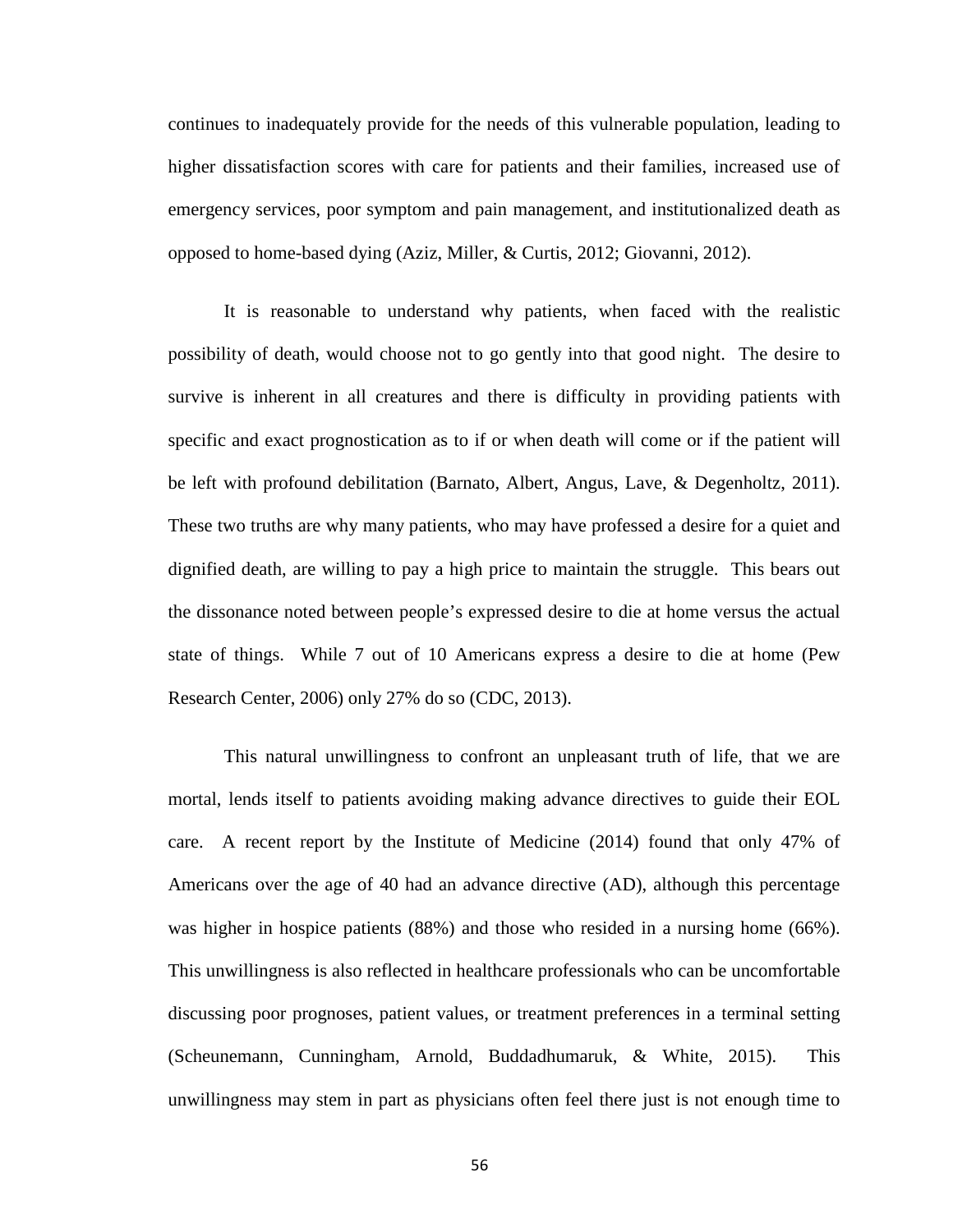continues to inadequately provide for the needs of this vulnerable population, leading to higher dissatisfaction scores with care for patients and their families, increased use of emergency services, poor symptom and pain management, and institutionalized death as opposed to home-based dying (Aziz, Miller, & Curtis, 2012; Giovanni, 2012).

It is reasonable to understand why patients, when faced with the realistic possibility of death, would choose not to go gently into that good night. The desire to survive is inherent in all creatures and there is difficulty in providing patients with specific and exact prognostication as to if or when death will come or if the patient will be left with profound debilitation (Barnato, Albert, Angus, Lave, & Degenholtz, 2011). These two truths are why many patients, who may have professed a desire for a quiet and dignified death, are willing to pay a high price to maintain the struggle. This bears out the dissonance noted between people's expressed desire to die at home versus the actual state of things. While 7 out of 10 Americans express a desire to die at home (Pew Research Center, 2006) only 27% do so (CDC, 2013).

This natural unwillingness to confront an unpleasant truth of life, that we are mortal, lends itself to patients avoiding making advance directives to guide their EOL care. A recent report by the Institute of Medicine (2014) found that only 47% of Americans over the age of 40 had an advance directive (AD), although this percentage was higher in hospice patients (88%) and those who resided in a nursing home (66%). This unwillingness is also reflected in healthcare professionals who can be uncomfortable discussing poor prognoses, patient values, or treatment preferences in a terminal setting (Scheunemann, Cunningham, Arnold, Buddadhumaruk, & White, 2015). This unwillingness may stem in part as physicians often feel there just is not enough time to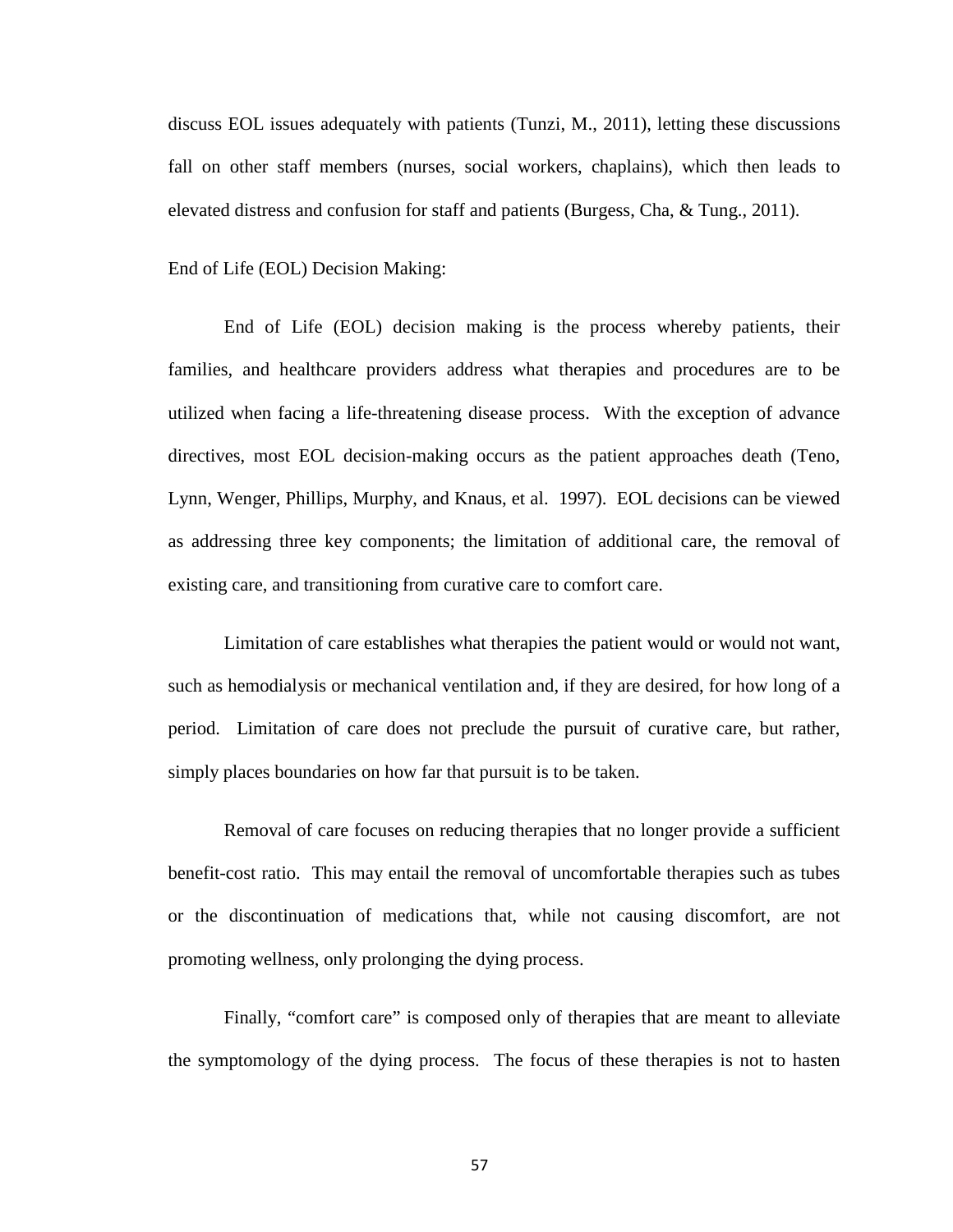discuss EOL issues adequately with patients (Tunzi, M., 2011), letting these discussions fall on other staff members (nurses, social workers, chaplains), which then leads to elevated distress and confusion for staff and patients (Burgess, Cha, & Tung., 2011).

End of Life (EOL) Decision Making:

End of Life (EOL) decision making is the process whereby patients, their families, and healthcare providers address what therapies and procedures are to be utilized when facing a life-threatening disease process. With the exception of advance directives, most EOL decision-making occurs as the patient approaches death (Teno, Lynn, Wenger, Phillips, Murphy, and Knaus, et al. 1997). EOL decisions can be viewed as addressing three key components; the limitation of additional care, the removal of existing care, and transitioning from curative care to comfort care.

Limitation of care establishes what therapies the patient would or would not want, such as hemodialysis or mechanical ventilation and, if they are desired, for how long of a period. Limitation of care does not preclude the pursuit of curative care, but rather, simply places boundaries on how far that pursuit is to be taken.

Removal of care focuses on reducing therapies that no longer provide a sufficient benefit-cost ratio. This may entail the removal of uncomfortable therapies such as tubes or the discontinuation of medications that, while not causing discomfort, are not promoting wellness, only prolonging the dying process.

Finally, "comfort care" is composed only of therapies that are meant to alleviate the symptomology of the dying process. The focus of these therapies is not to hasten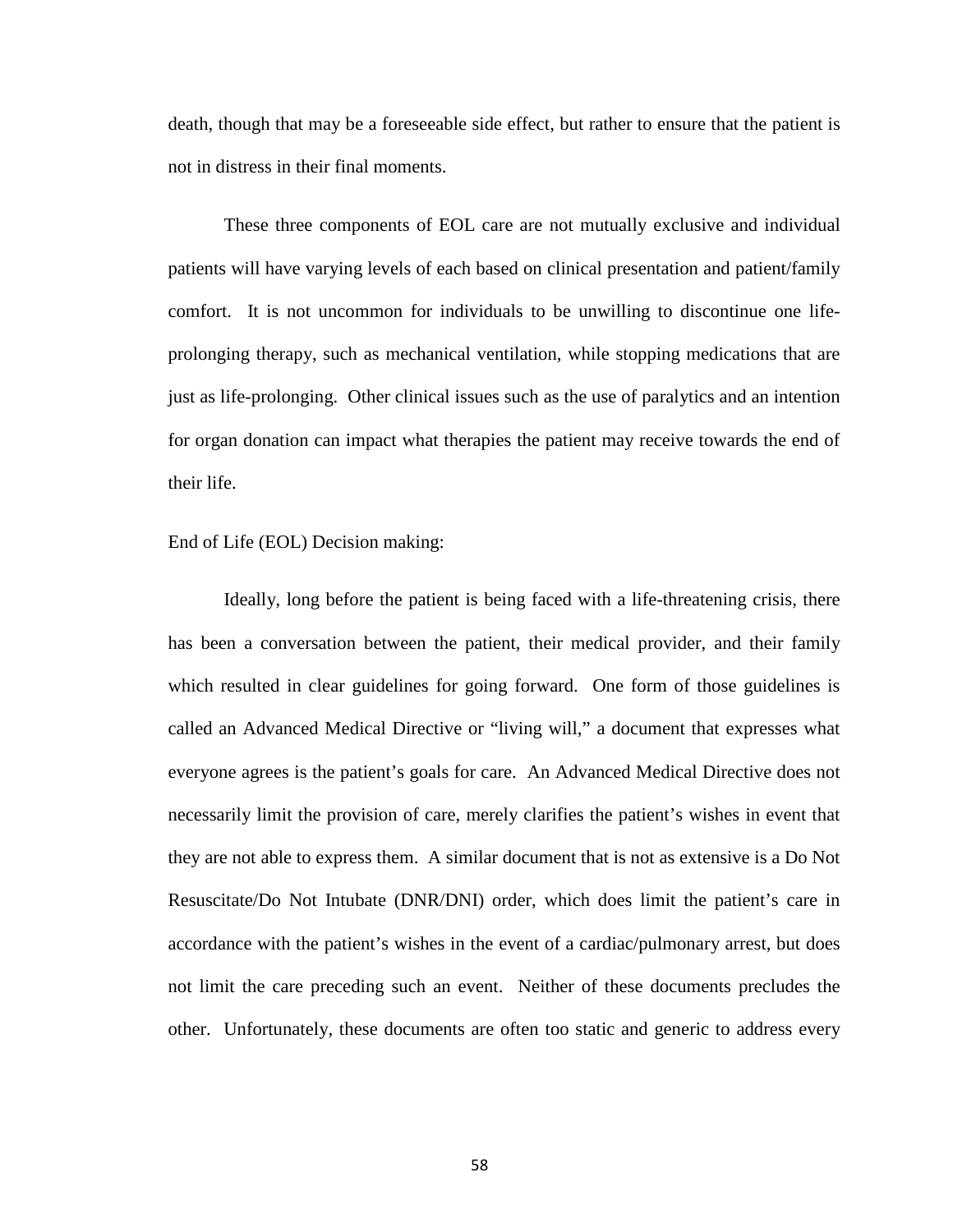death, though that may be a foreseeable side effect, but rather to ensure that the patient is not in distress in their final moments.

These three components of EOL care are not mutually exclusive and individual patients will have varying levels of each based on clinical presentation and patient/family comfort. It is not uncommon for individuals to be unwilling to discontinue one lifeprolonging therapy, such as mechanical ventilation, while stopping medications that are just as life-prolonging. Other clinical issues such as the use of paralytics and an intention for organ donation can impact what therapies the patient may receive towards the end of their life.

## End of Life (EOL) Decision making:

Ideally, long before the patient is being faced with a life-threatening crisis, there has been a conversation between the patient, their medical provider, and their family which resulted in clear guidelines for going forward. One form of those guidelines is called an Advanced Medical Directive or "living will," a document that expresses what everyone agrees is the patient's goals for care. An Advanced Medical Directive does not necessarily limit the provision of care, merely clarifies the patient's wishes in event that they are not able to express them. A similar document that is not as extensive is a Do Not Resuscitate/Do Not Intubate (DNR/DNI) order, which does limit the patient's care in accordance with the patient's wishes in the event of a cardiac/pulmonary arrest, but does not limit the care preceding such an event. Neither of these documents precludes the other. Unfortunately, these documents are often too static and generic to address every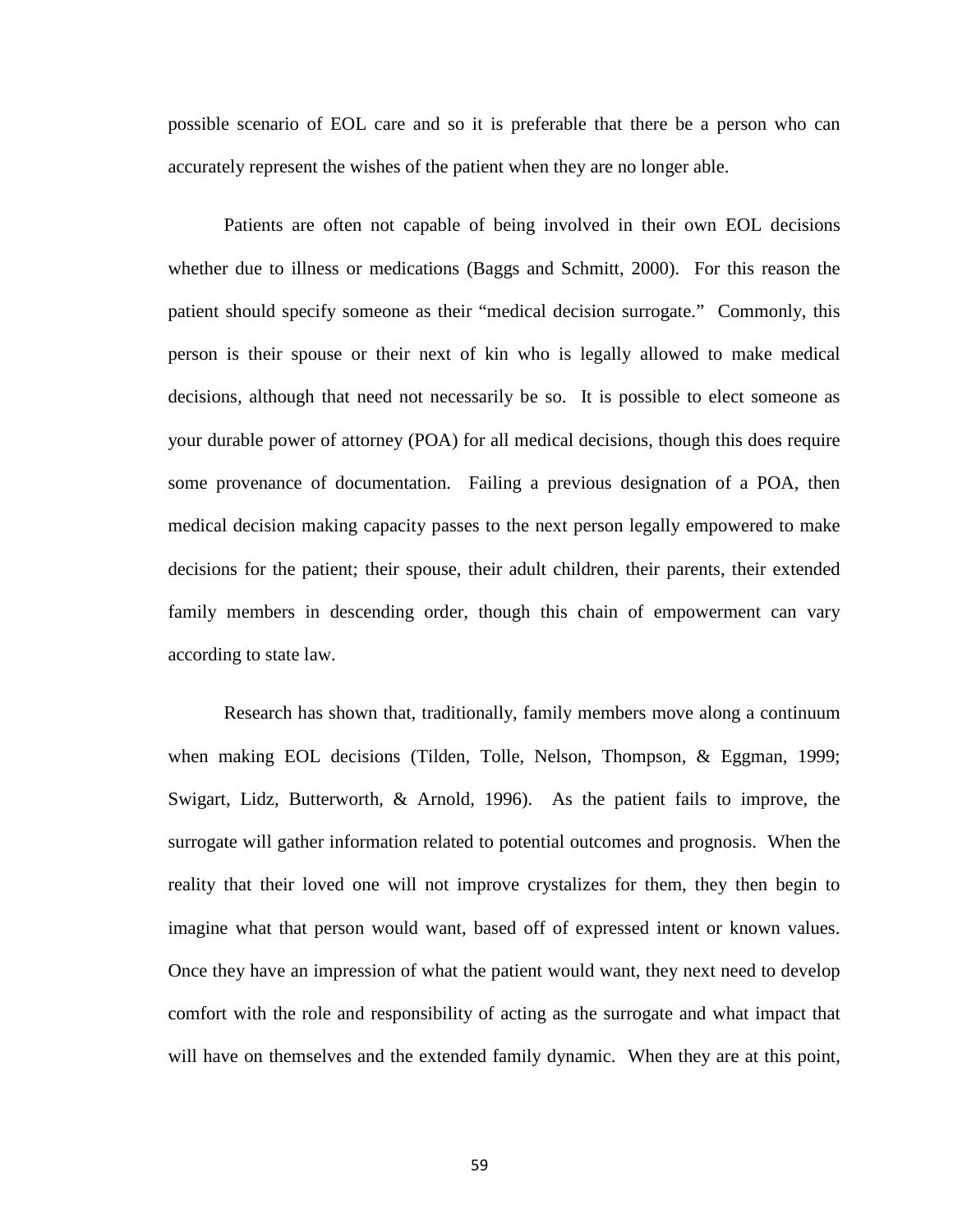possible scenario of EOL care and so it is preferable that there be a person who can accurately represent the wishes of the patient when they are no longer able.

Patients are often not capable of being involved in their own EOL decisions whether due to illness or medications (Baggs and Schmitt, 2000). For this reason the patient should specify someone as their "medical decision surrogate." Commonly, this person is their spouse or their next of kin who is legally allowed to make medical decisions, although that need not necessarily be so. It is possible to elect someone as your durable power of attorney (POA) for all medical decisions, though this does require some provenance of documentation. Failing a previous designation of a POA, then medical decision making capacity passes to the next person legally empowered to make decisions for the patient; their spouse, their adult children, their parents, their extended family members in descending order, though this chain of empowerment can vary according to state law.

Research has shown that, traditionally, family members move along a continuum when making EOL decisions (Tilden, Tolle, Nelson, Thompson, & Eggman, 1999; Swigart, Lidz, Butterworth, & Arnold, 1996). As the patient fails to improve, the surrogate will gather information related to potential outcomes and prognosis. When the reality that their loved one will not improve crystalizes for them, they then begin to imagine what that person would want, based off of expressed intent or known values. Once they have an impression of what the patient would want, they next need to develop comfort with the role and responsibility of acting as the surrogate and what impact that will have on themselves and the extended family dynamic. When they are at this point,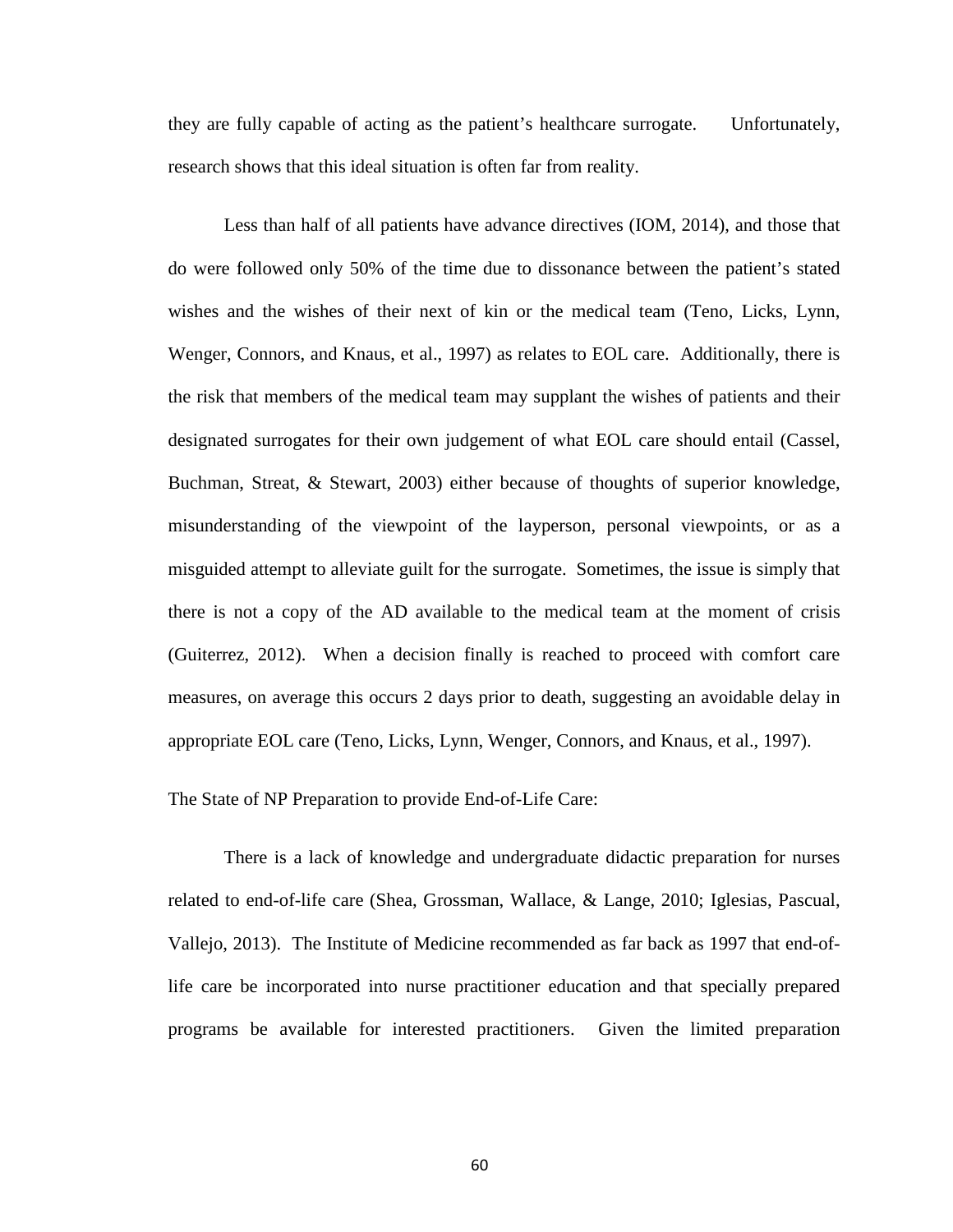they are fully capable of acting as the patient's healthcare surrogate. Unfortunately, research shows that this ideal situation is often far from reality.

Less than half of all patients have advance directives (IOM, 2014), and those that do were followed only 50% of the time due to dissonance between the patient's stated wishes and the wishes of their next of kin or the medical team (Teno, Licks, Lynn, Wenger, Connors, and Knaus, et al., 1997) as relates to EOL care. Additionally, there is the risk that members of the medical team may supplant the wishes of patients and their designated surrogates for their own judgement of what EOL care should entail (Cassel, Buchman, Streat, & Stewart, 2003) either because of thoughts of superior knowledge, misunderstanding of the viewpoint of the layperson, personal viewpoints, or as a misguided attempt to alleviate guilt for the surrogate. Sometimes, the issue is simply that there is not a copy of the AD available to the medical team at the moment of crisis (Guiterrez, 2012). When a decision finally is reached to proceed with comfort care measures, on average this occurs 2 days prior to death, suggesting an avoidable delay in appropriate EOL care (Teno, Licks, Lynn, Wenger, Connors, and Knaus, et al., 1997).

The State of NP Preparation to provide End-of-Life Care:

There is a lack of knowledge and undergraduate didactic preparation for nurses related to end-of-life care (Shea, Grossman, Wallace, & Lange, 2010; Iglesias, Pascual, Vallejo, 2013). The Institute of Medicine recommended as far back as 1997 that end-oflife care be incorporated into nurse practitioner education and that specially prepared programs be available for interested practitioners. Given the limited preparation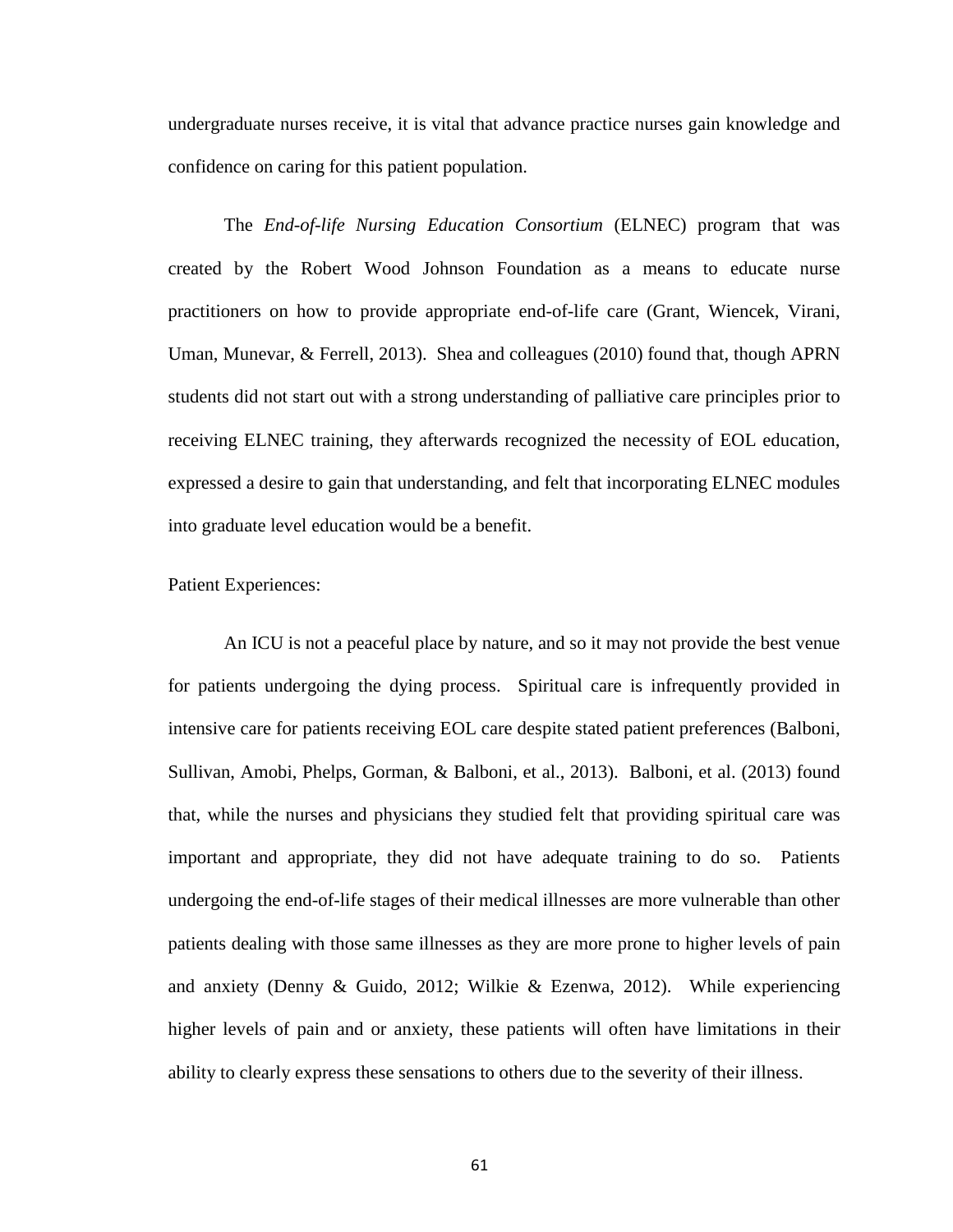undergraduate nurses receive, it is vital that advance practice nurses gain knowledge and confidence on caring for this patient population.

The *End-of-life Nursing Education Consortium* (ELNEC) program that was created by the Robert Wood Johnson Foundation as a means to educate nurse practitioners on how to provide appropriate end-of-life care (Grant, Wiencek, Virani, Uman, Munevar, & Ferrell, 2013). Shea and colleagues (2010) found that, though APRN students did not start out with a strong understanding of palliative care principles prior to receiving ELNEC training, they afterwards recognized the necessity of EOL education, expressed a desire to gain that understanding, and felt that incorporating ELNEC modules into graduate level education would be a benefit.

#### Patient Experiences:

An ICU is not a peaceful place by nature, and so it may not provide the best venue for patients undergoing the dying process. Spiritual care is infrequently provided in intensive care for patients receiving EOL care despite stated patient preferences (Balboni, Sullivan, Amobi, Phelps, Gorman, & Balboni, et al., 2013). Balboni, et al. (2013) found that, while the nurses and physicians they studied felt that providing spiritual care was important and appropriate, they did not have adequate training to do so. Patients undergoing the end-of-life stages of their medical illnesses are more vulnerable than other patients dealing with those same illnesses as they are more prone to higher levels of pain and anxiety (Denny & Guido, 2012; Wilkie & Ezenwa, 2012). While experiencing higher levels of pain and or anxiety, these patients will often have limitations in their ability to clearly express these sensations to others due to the severity of their illness.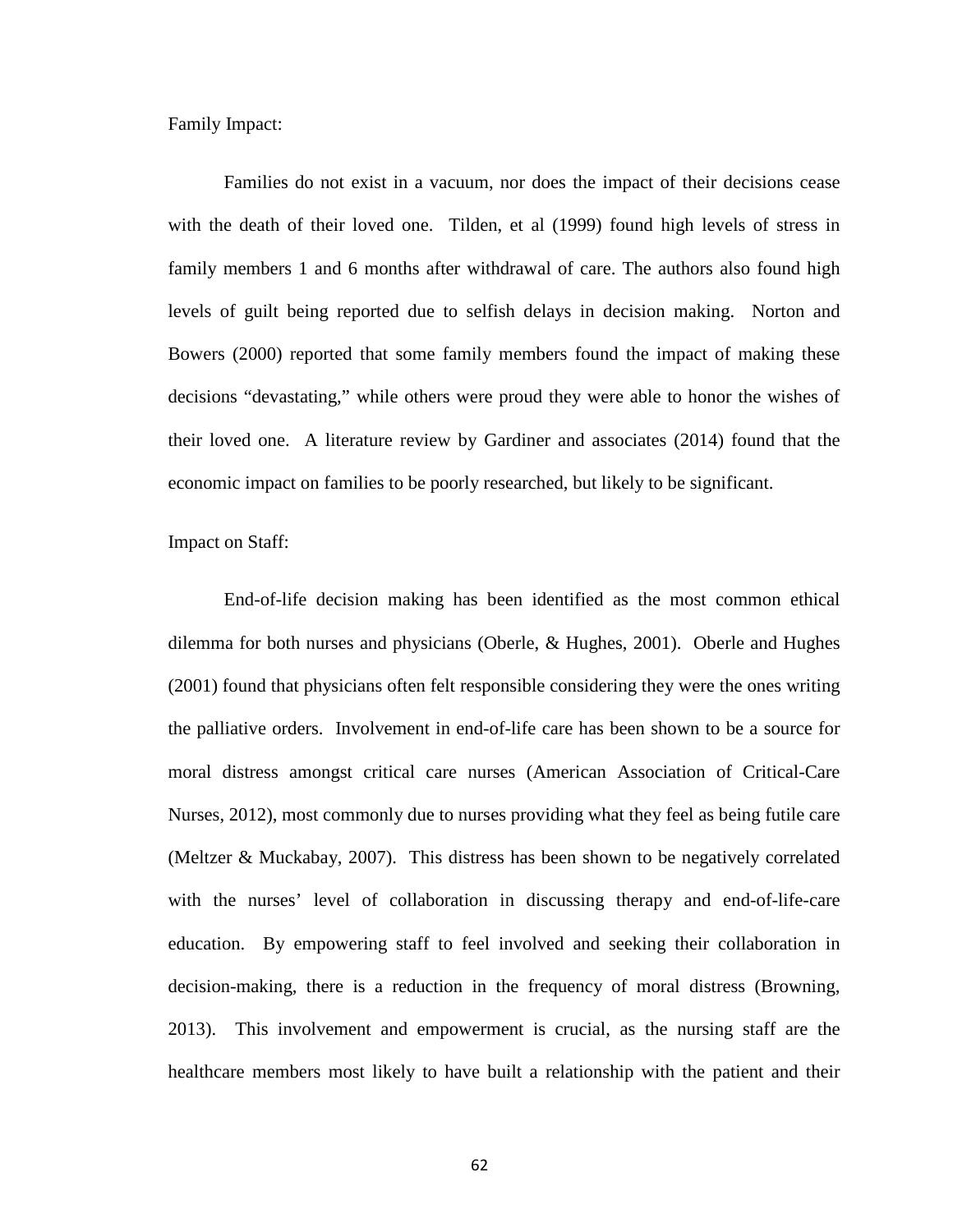Family Impact:

Families do not exist in a vacuum, nor does the impact of their decisions cease with the death of their loved one. Tilden, et al (1999) found high levels of stress in family members 1 and 6 months after withdrawal of care. The authors also found high levels of guilt being reported due to selfish delays in decision making. Norton and Bowers (2000) reported that some family members found the impact of making these decisions "devastating," while others were proud they were able to honor the wishes of their loved one. A literature review by Gardiner and associates (2014) found that the economic impact on families to be poorly researched, but likely to be significant.

Impact on Staff:

End-of-life decision making has been identified as the most common ethical dilemma for both nurses and physicians (Oberle, & Hughes, 2001). Oberle and Hughes (2001) found that physicians often felt responsible considering they were the ones writing the palliative orders. Involvement in end-of-life care has been shown to be a source for moral distress amongst critical care nurses (American Association of Critical-Care Nurses, 2012), most commonly due to nurses providing what they feel as being futile care (Meltzer & Muckabay, 2007). This distress has been shown to be negatively correlated with the nurses' level of collaboration in discussing therapy and end-of-life-care education. By empowering staff to feel involved and seeking their collaboration in decision-making, there is a reduction in the frequency of moral distress (Browning, 2013). This involvement and empowerment is crucial, as the nursing staff are the healthcare members most likely to have built a relationship with the patient and their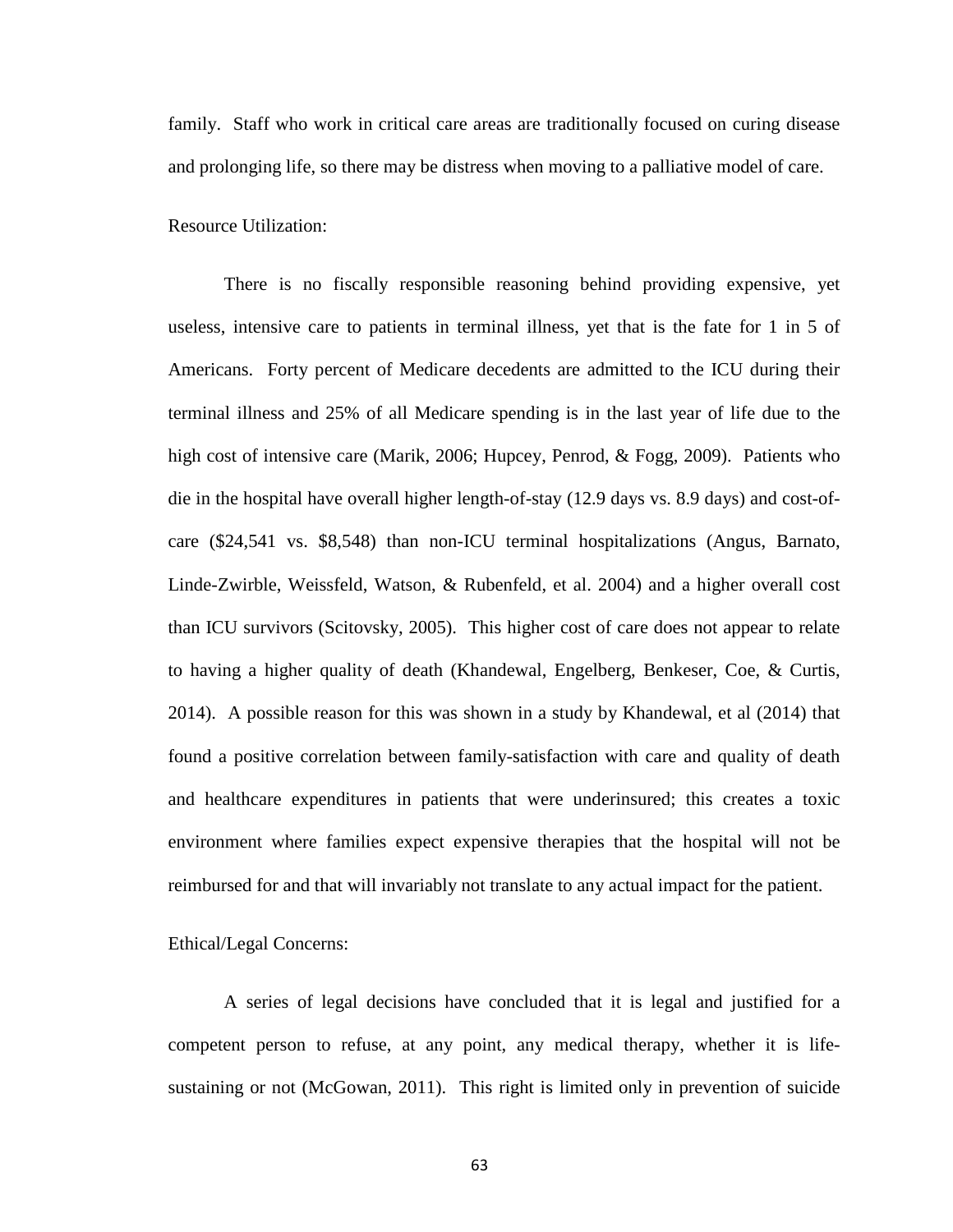family. Staff who work in critical care areas are traditionally focused on curing disease and prolonging life, so there may be distress when moving to a palliative model of care.

Resource Utilization:

There is no fiscally responsible reasoning behind providing expensive, yet useless, intensive care to patients in terminal illness, yet that is the fate for 1 in 5 of Americans. Forty percent of Medicare decedents are admitted to the ICU during their terminal illness and 25% of all Medicare spending is in the last year of life due to the high cost of intensive care (Marik, 2006; Hupcey, Penrod, & Fogg, 2009). Patients who die in the hospital have overall higher length-of-stay (12.9 days vs. 8.9 days) and cost-ofcare (\$24,541 vs. \$8,548) than non-ICU terminal hospitalizations (Angus, Barnato, Linde-Zwirble, Weissfeld, Watson, & Rubenfeld, et al. 2004) and a higher overall cost than ICU survivors (Scitovsky, 2005). This higher cost of care does not appear to relate to having a higher quality of death (Khandewal, Engelberg, Benkeser, Coe, & Curtis, 2014). A possible reason for this was shown in a study by Khandewal, et al (2014) that found a positive correlation between family-satisfaction with care and quality of death and healthcare expenditures in patients that were underinsured; this creates a toxic environment where families expect expensive therapies that the hospital will not be reimbursed for and that will invariably not translate to any actual impact for the patient.

#### Ethical/Legal Concerns:

A series of legal decisions have concluded that it is legal and justified for a competent person to refuse, at any point, any medical therapy, whether it is lifesustaining or not (McGowan, 2011). This right is limited only in prevention of suicide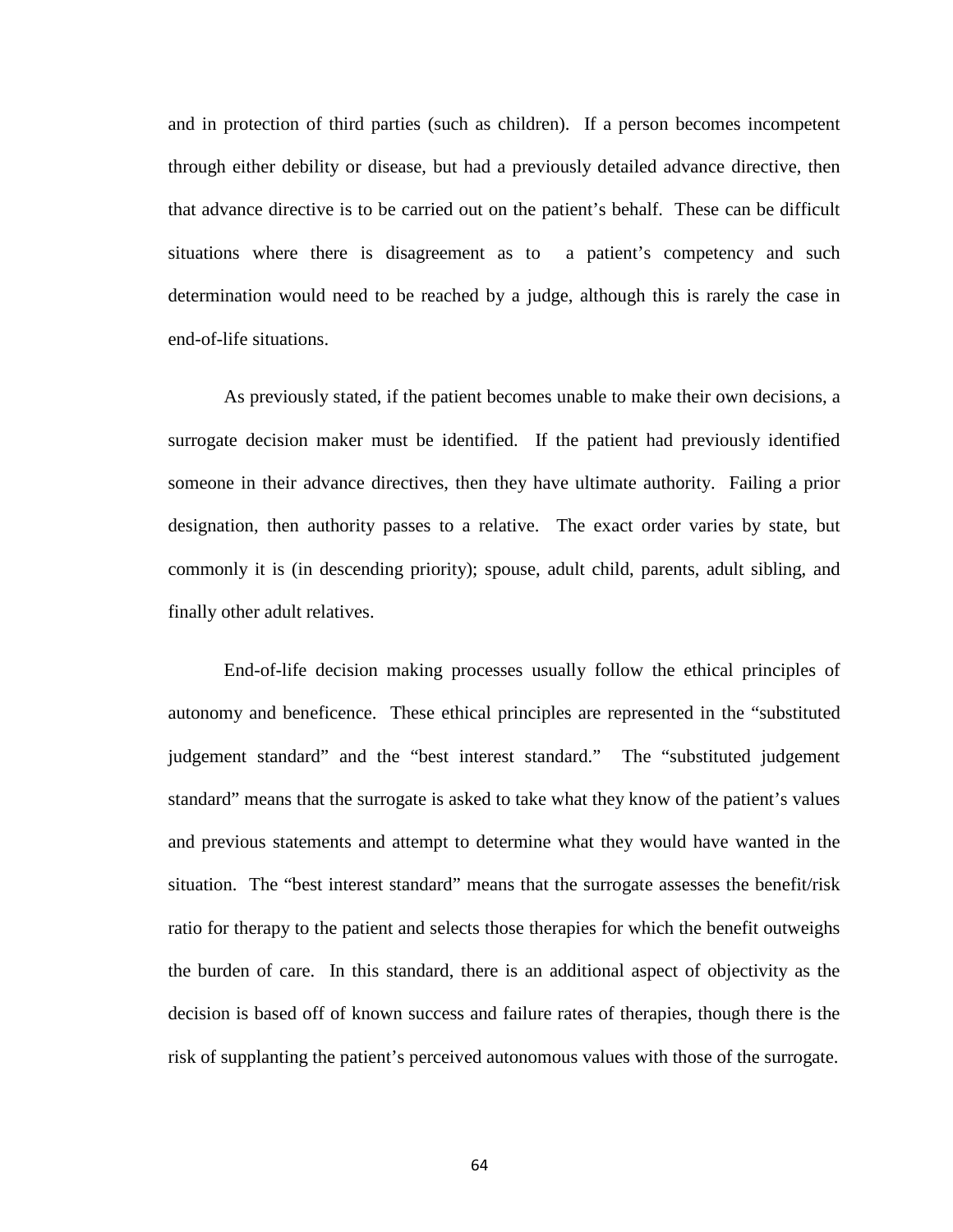and in protection of third parties (such as children). If a person becomes incompetent through either debility or disease, but had a previously detailed advance directive, then that advance directive is to be carried out on the patient's behalf. These can be difficult situations where there is disagreement as to a patient's competency and such determination would need to be reached by a judge, although this is rarely the case in end-of-life situations.

As previously stated, if the patient becomes unable to make their own decisions, a surrogate decision maker must be identified. If the patient had previously identified someone in their advance directives, then they have ultimate authority. Failing a prior designation, then authority passes to a relative. The exact order varies by state, but commonly it is (in descending priority); spouse, adult child, parents, adult sibling, and finally other adult relatives.

End-of-life decision making processes usually follow the ethical principles of autonomy and beneficence. These ethical principles are represented in the "substituted judgement standard" and the "best interest standard." The "substituted judgement standard" means that the surrogate is asked to take what they know of the patient's values and previous statements and attempt to determine what they would have wanted in the situation. The "best interest standard" means that the surrogate assesses the benefit/risk ratio for therapy to the patient and selects those therapies for which the benefit outweighs the burden of care. In this standard, there is an additional aspect of objectivity as the decision is based off of known success and failure rates of therapies, though there is the risk of supplanting the patient's perceived autonomous values with those of the surrogate.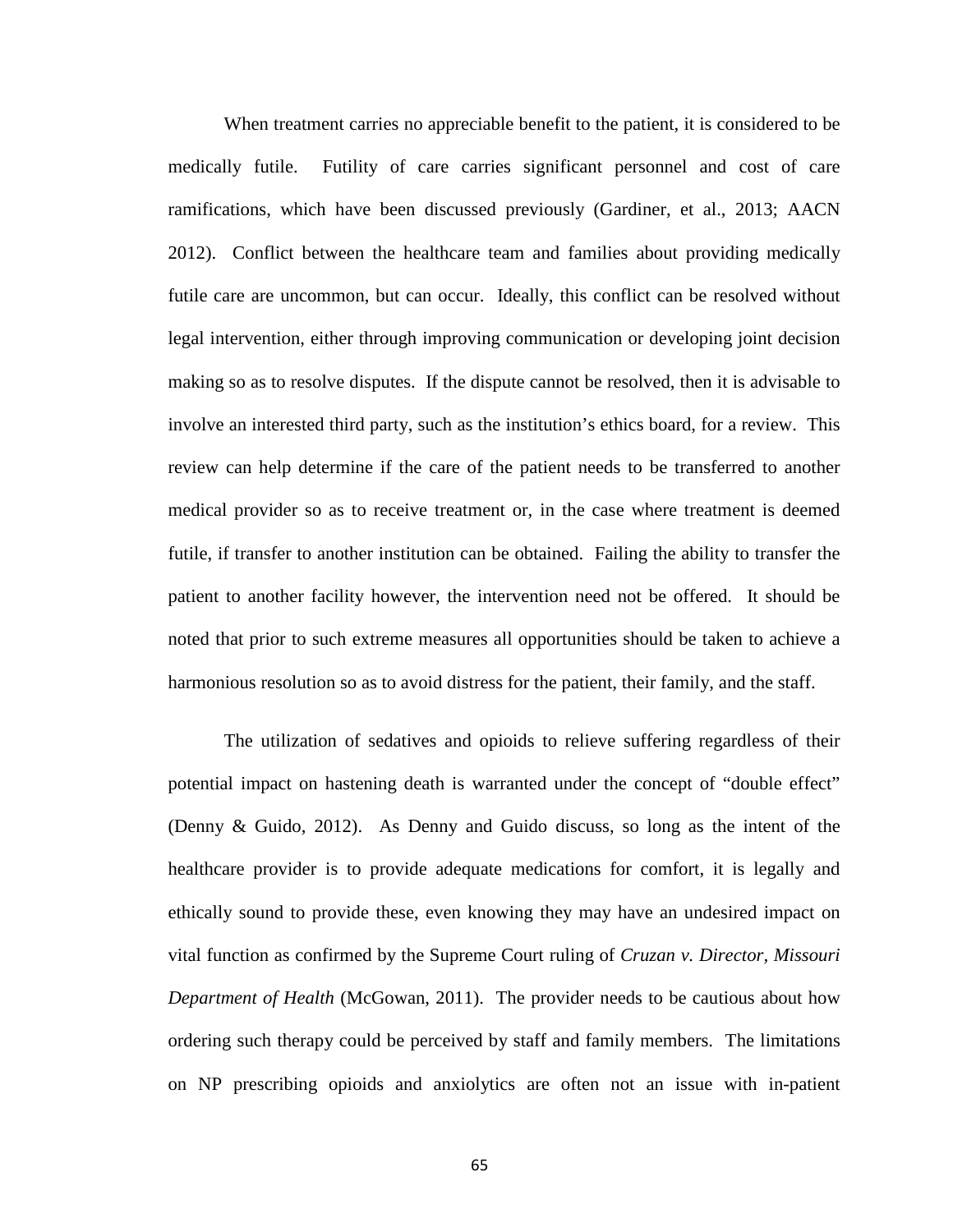When treatment carries no appreciable benefit to the patient, it is considered to be medically futile. Futility of care carries significant personnel and cost of care ramifications, which have been discussed previously (Gardiner, et al., 2013; AACN 2012). Conflict between the healthcare team and families about providing medically futile care are uncommon, but can occur. Ideally, this conflict can be resolved without legal intervention, either through improving communication or developing joint decision making so as to resolve disputes. If the dispute cannot be resolved, then it is advisable to involve an interested third party, such as the institution's ethics board, for a review. This review can help determine if the care of the patient needs to be transferred to another medical provider so as to receive treatment or, in the case where treatment is deemed futile, if transfer to another institution can be obtained. Failing the ability to transfer the patient to another facility however, the intervention need not be offered. It should be noted that prior to such extreme measures all opportunities should be taken to achieve a harmonious resolution so as to avoid distress for the patient, their family, and the staff.

The utilization of sedatives and opioids to relieve suffering regardless of their potential impact on hastening death is warranted under the concept of "double effect" (Denny & Guido, 2012). As Denny and Guido discuss, so long as the intent of the healthcare provider is to provide adequate medications for comfort, it is legally and ethically sound to provide these, even knowing they may have an undesired impact on vital function as confirmed by the Supreme Court ruling of *Cruzan v. Director, Missouri Department of Health* (McGowan, 2011). The provider needs to be cautious about how ordering such therapy could be perceived by staff and family members. The limitations on NP prescribing opioids and anxiolytics are often not an issue with in-patient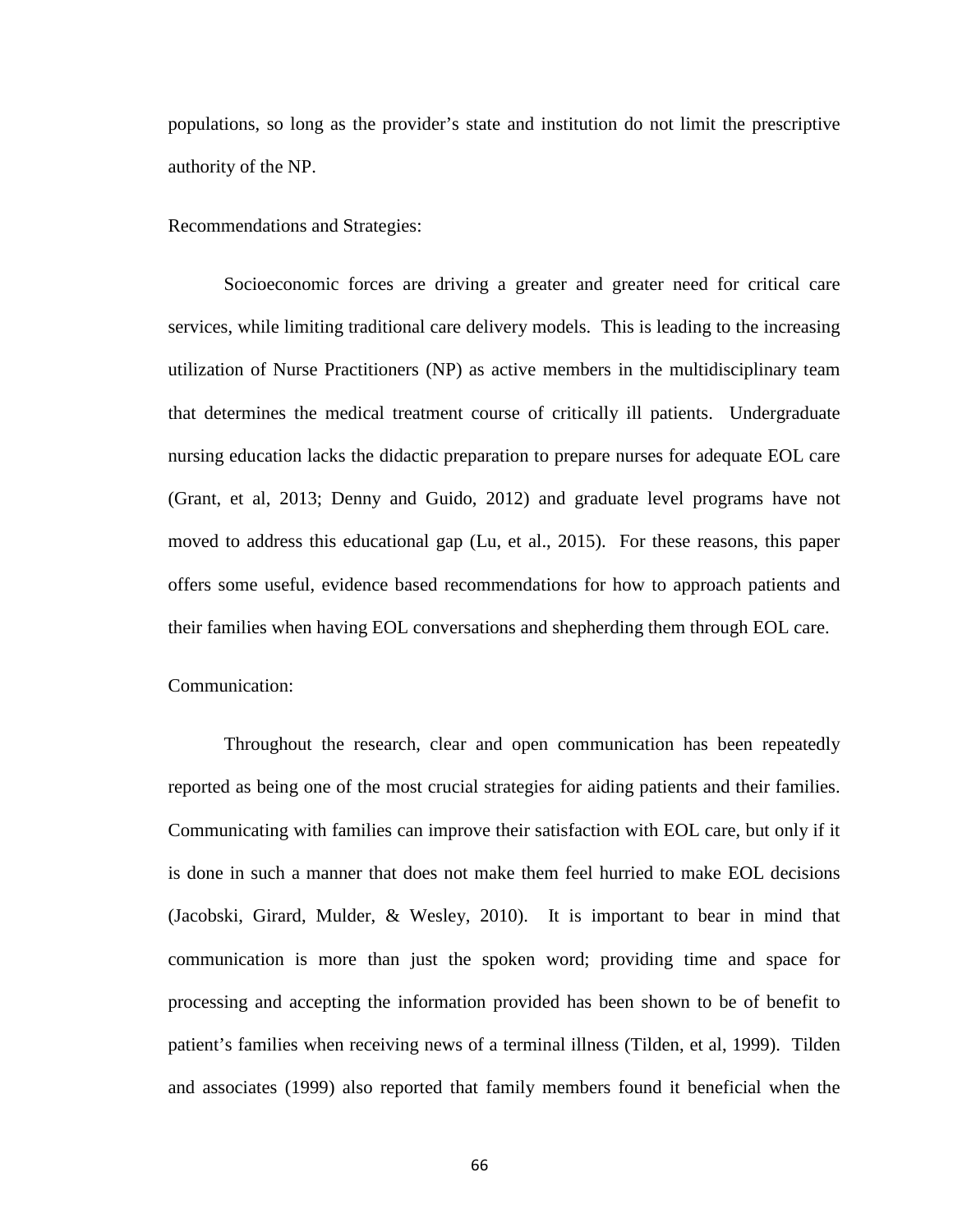populations, so long as the provider's state and institution do not limit the prescriptive authority of the NP.

Recommendations and Strategies:

Socioeconomic forces are driving a greater and greater need for critical care services, while limiting traditional care delivery models. This is leading to the increasing utilization of Nurse Practitioners (NP) as active members in the multidisciplinary team that determines the medical treatment course of critically ill patients. Undergraduate nursing education lacks the didactic preparation to prepare nurses for adequate EOL care (Grant, et al, 2013; Denny and Guido, 2012) and graduate level programs have not moved to address this educational gap (Lu, et al., 2015). For these reasons, this paper offers some useful, evidence based recommendations for how to approach patients and their families when having EOL conversations and shepherding them through EOL care.

Communication:

Throughout the research, clear and open communication has been repeatedly reported as being one of the most crucial strategies for aiding patients and their families. Communicating with families can improve their satisfaction with EOL care, but only if it is done in such a manner that does not make them feel hurried to make EOL decisions (Jacobski, Girard, Mulder, & Wesley, 2010). It is important to bear in mind that communication is more than just the spoken word; providing time and space for processing and accepting the information provided has been shown to be of benefit to patient's families when receiving news of a terminal illness (Tilden, et al, 1999). Tilden and associates (1999) also reported that family members found it beneficial when the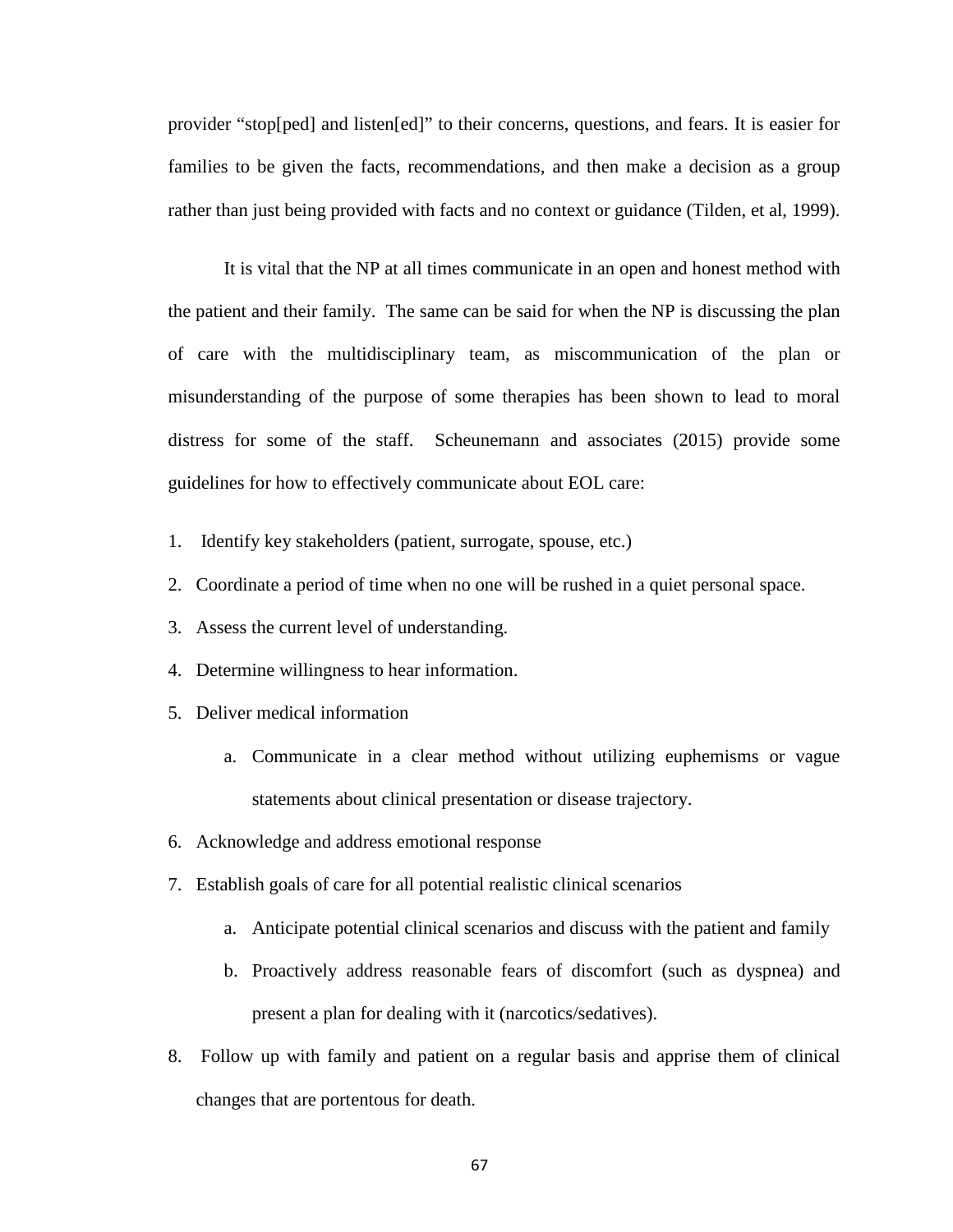provider "stop[ped] and listen[ed]" to their concerns, questions, and fears. It is easier for families to be given the facts, recommendations, and then make a decision as a group rather than just being provided with facts and no context or guidance (Tilden, et al, 1999).

It is vital that the NP at all times communicate in an open and honest method with the patient and their family. The same can be said for when the NP is discussing the plan of care with the multidisciplinary team, as miscommunication of the plan or misunderstanding of the purpose of some therapies has been shown to lead to moral distress for some of the staff. Scheunemann and associates (2015) provide some guidelines for how to effectively communicate about EOL care:

- 1. Identify key stakeholders (patient, surrogate, spouse, etc.)
- 2. Coordinate a period of time when no one will be rushed in a quiet personal space.
- 3. Assess the current level of understanding.
- 4. Determine willingness to hear information.
- 5. Deliver medical information
	- a. Communicate in a clear method without utilizing euphemisms or vague statements about clinical presentation or disease trajectory.
- 6. Acknowledge and address emotional response
- 7. Establish goals of care for all potential realistic clinical scenarios
	- a. Anticipate potential clinical scenarios and discuss with the patient and family
	- b. Proactively address reasonable fears of discomfort (such as dyspnea) and present a plan for dealing with it (narcotics/sedatives).
- 8. Follow up with family and patient on a regular basis and apprise them of clinical changes that are portentous for death.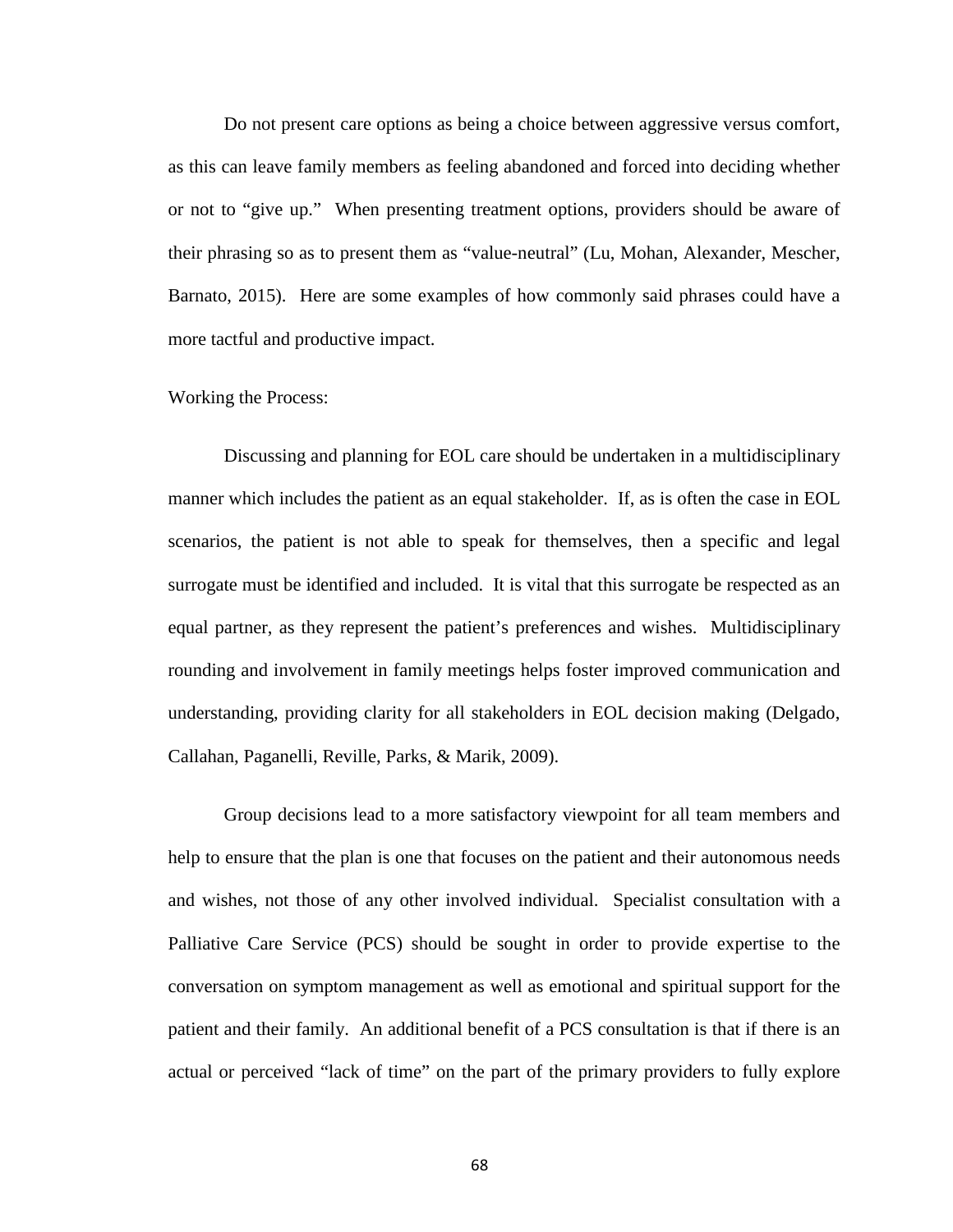Do not present care options as being a choice between aggressive versus comfort, as this can leave family members as feeling abandoned and forced into deciding whether or not to "give up." When presenting treatment options, providers should be aware of their phrasing so as to present them as "value-neutral" (Lu, Mohan, Alexander, Mescher, Barnato, 2015). Here are some examples of how commonly said phrases could have a more tactful and productive impact.

#### Working the Process:

Discussing and planning for EOL care should be undertaken in a multidisciplinary manner which includes the patient as an equal stakeholder. If, as is often the case in EOL scenarios, the patient is not able to speak for themselves, then a specific and legal surrogate must be identified and included. It is vital that this surrogate be respected as an equal partner, as they represent the patient's preferences and wishes. Multidisciplinary rounding and involvement in family meetings helps foster improved communication and understanding, providing clarity for all stakeholders in EOL decision making (Delgado, Callahan, Paganelli, Reville, Parks, & Marik, 2009).

Group decisions lead to a more satisfactory viewpoint for all team members and help to ensure that the plan is one that focuses on the patient and their autonomous needs and wishes, not those of any other involved individual. Specialist consultation with a Palliative Care Service (PCS) should be sought in order to provide expertise to the conversation on symptom management as well as emotional and spiritual support for the patient and their family. An additional benefit of a PCS consultation is that if there is an actual or perceived "lack of time" on the part of the primary providers to fully explore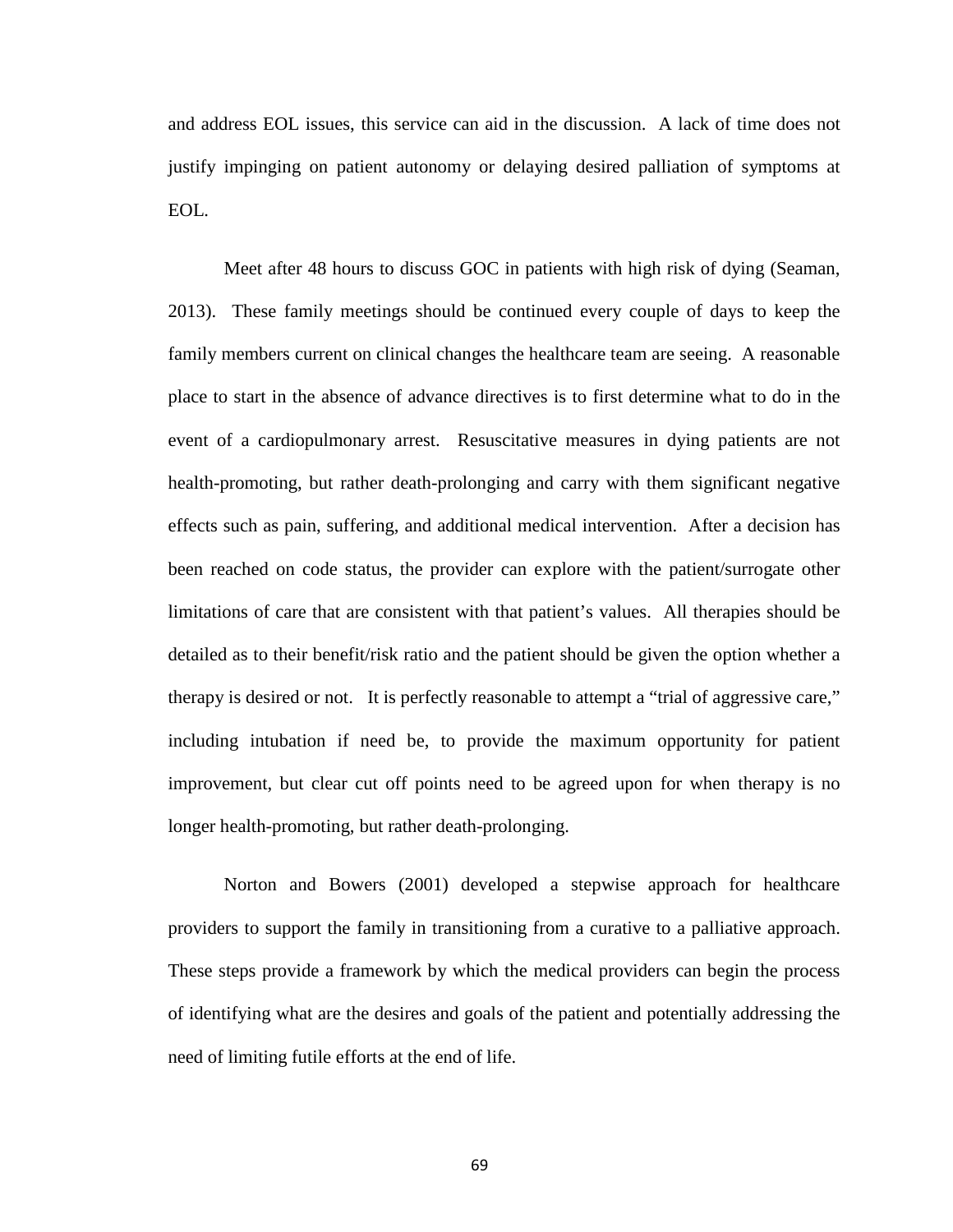and address EOL issues, this service can aid in the discussion. A lack of time does not justify impinging on patient autonomy or delaying desired palliation of symptoms at EOL.

Meet after 48 hours to discuss GOC in patients with high risk of dying (Seaman, 2013). These family meetings should be continued every couple of days to keep the family members current on clinical changes the healthcare team are seeing. A reasonable place to start in the absence of advance directives is to first determine what to do in the event of a cardiopulmonary arrest. Resuscitative measures in dying patients are not health-promoting, but rather death-prolonging and carry with them significant negative effects such as pain, suffering, and additional medical intervention. After a decision has been reached on code status, the provider can explore with the patient/surrogate other limitations of care that are consistent with that patient's values. All therapies should be detailed as to their benefit/risk ratio and the patient should be given the option whether a therapy is desired or not. It is perfectly reasonable to attempt a "trial of aggressive care," including intubation if need be, to provide the maximum opportunity for patient improvement, but clear cut off points need to be agreed upon for when therapy is no longer health-promoting, but rather death-prolonging.

Norton and Bowers (2001) developed a stepwise approach for healthcare providers to support the family in transitioning from a curative to a palliative approach. These steps provide a framework by which the medical providers can begin the process of identifying what are the desires and goals of the patient and potentially addressing the need of limiting futile efforts at the end of life.

69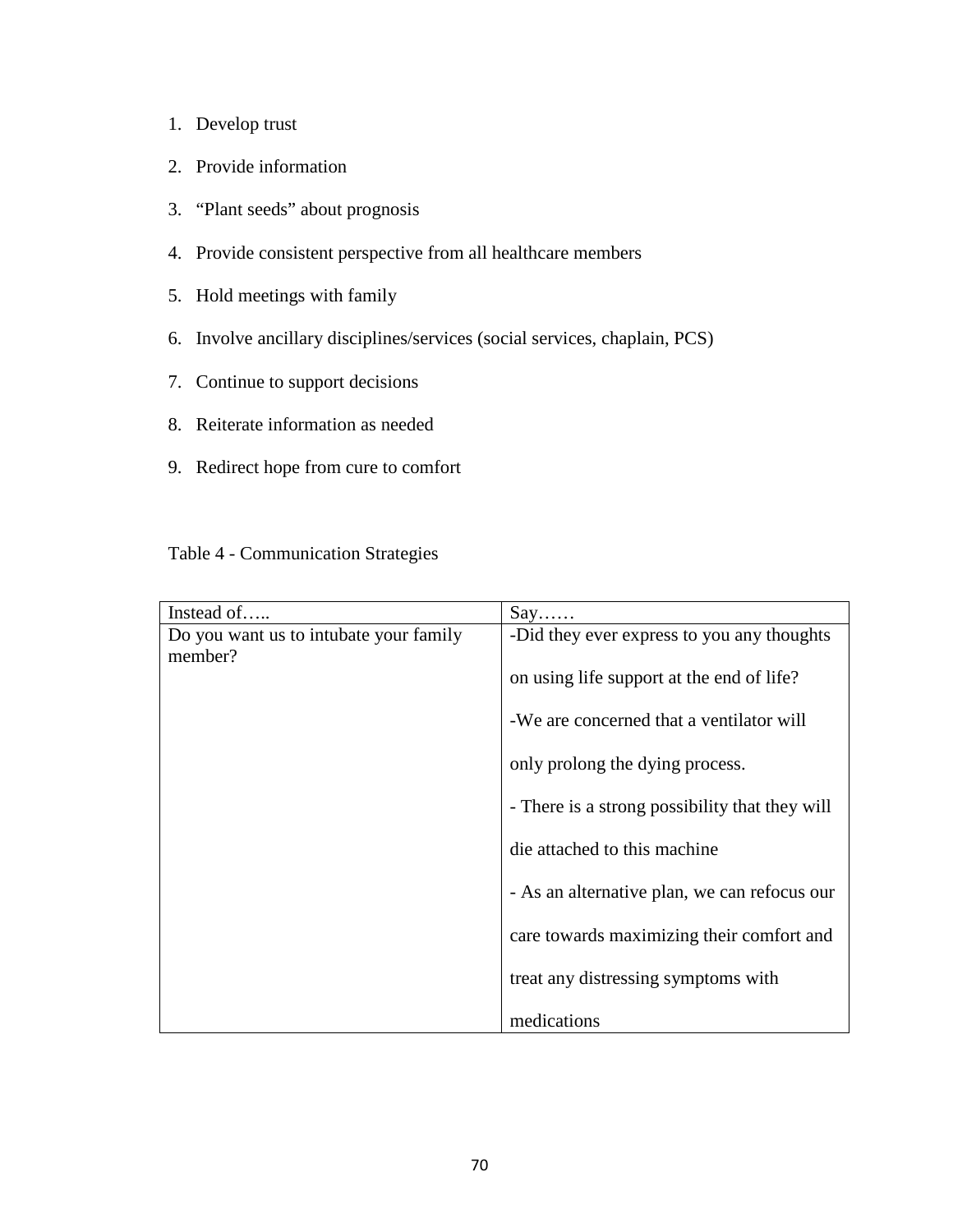- 1. Develop trust
- 2. Provide information
- 3. "Plant seeds" about prognosis
- 4. Provide consistent perspective from all healthcare members
- 5. Hold meetings with family
- 6. Involve ancillary disciplines/services (social services, chaplain, PCS)
- 7. Continue to support decisions
- 8. Reiterate information as needed
- 9. Redirect hope from cure to comfort

# Table 4 - Communication Strategies

| Instead of                             | $Say. \ldots$                                  |
|----------------------------------------|------------------------------------------------|
| Do you want us to intubate your family | -Did they ever express to you any thoughts     |
| member?                                | on using life support at the end of life?      |
|                                        | -We are concerned that a ventilator will       |
|                                        | only prolong the dying process.                |
|                                        | - There is a strong possibility that they will |
|                                        | die attached to this machine                   |
|                                        | - As an alternative plan, we can refocus our   |
|                                        | care towards maximizing their comfort and      |
|                                        | treat any distressing symptoms with            |
|                                        | medications                                    |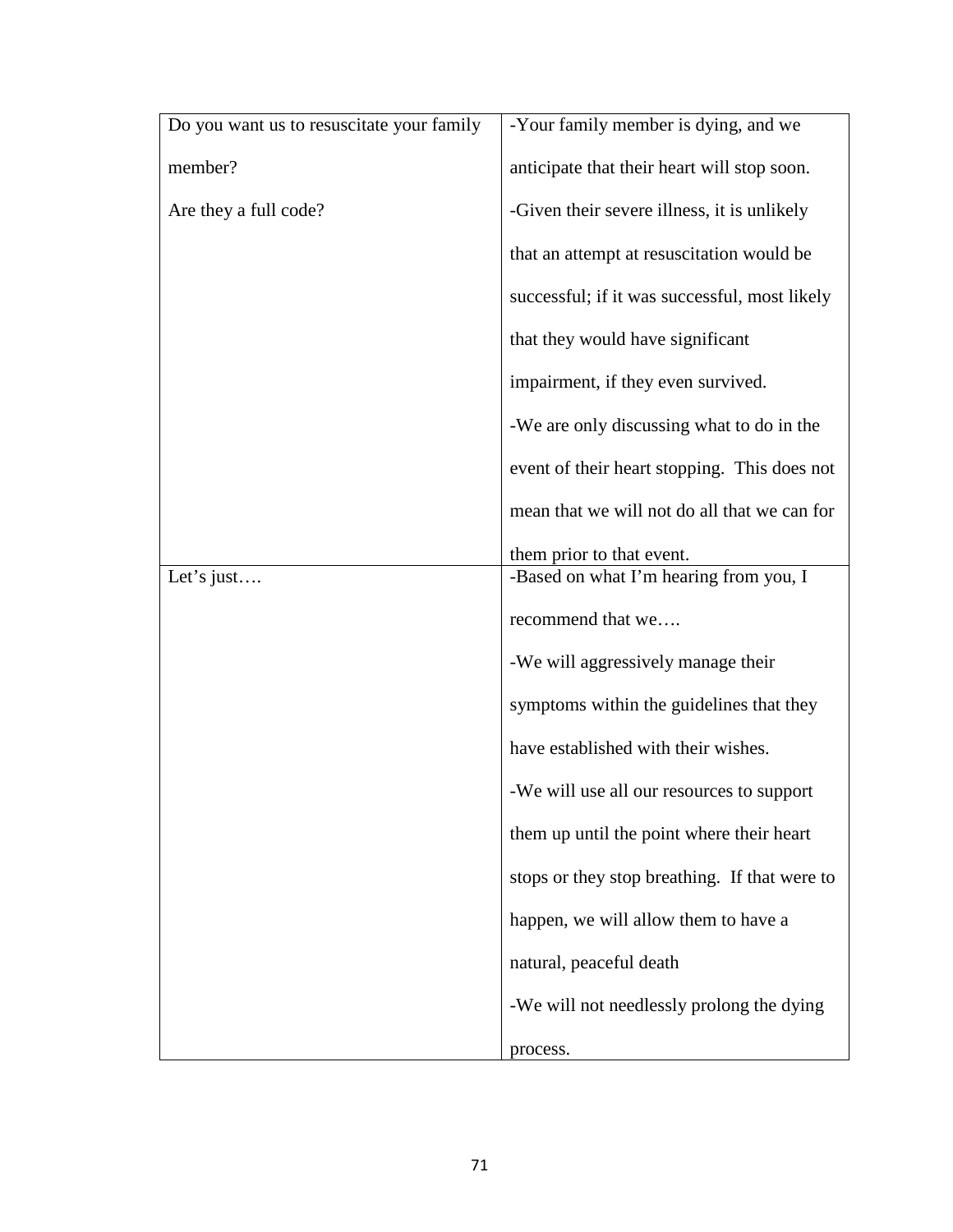| Do you want us to resuscitate your family | -Your family member is dying, and we                |
|-------------------------------------------|-----------------------------------------------------|
| member?                                   | anticipate that their heart will stop soon.         |
| Are they a full code?                     | -Given their severe illness, it is unlikely         |
|                                           | that an attempt at resuscitation would be           |
|                                           | successful; if it was successful, most likely       |
|                                           | that they would have significant                    |
|                                           | impairment, if they even survived.                  |
|                                           | -We are only discussing what to do in the           |
|                                           | event of their heart stopping. This does not        |
|                                           | mean that we will not do all that we can for        |
|                                           | them prior to that event.                           |
| Let's just                                | -Based on what I'm hearing from you, $\overline{I}$ |
|                                           | recommend that we                                   |
|                                           | -We will aggressively manage their                  |
|                                           | symptoms within the guidelines that they            |
|                                           | have established with their wishes.                 |
|                                           | -We will use all our resources to support           |
|                                           | them up until the point where their heart           |
|                                           | stops or they stop breathing. If that were to       |
|                                           | happen, we will allow them to have a                |
|                                           | natural, peaceful death                             |
|                                           | -We will not needlessly prolong the dying           |
|                                           | process.                                            |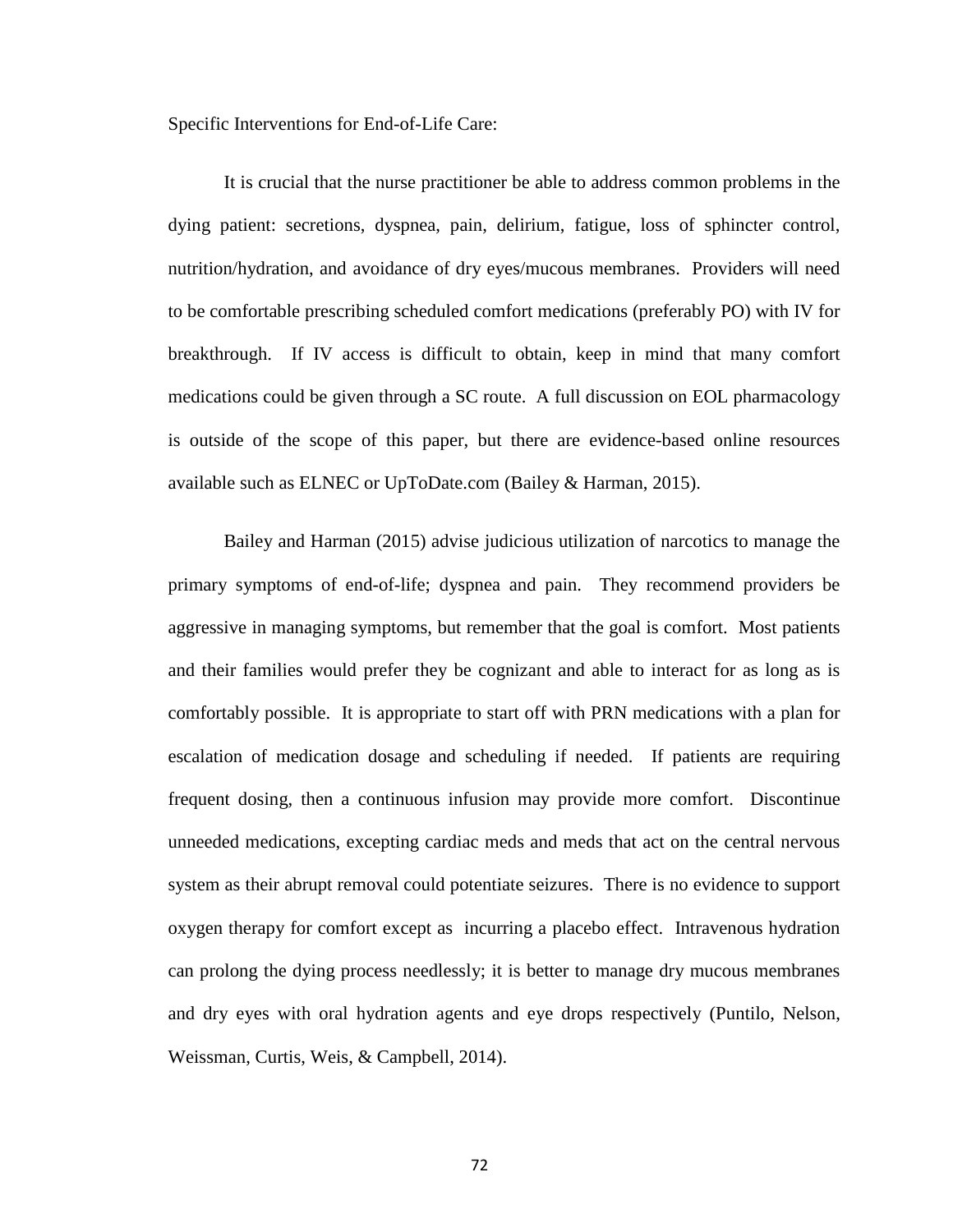Specific Interventions for End-of-Life Care:

It is crucial that the nurse practitioner be able to address common problems in the dying patient: secretions, dyspnea, pain, delirium, fatigue, loss of sphincter control, nutrition/hydration, and avoidance of dry eyes/mucous membranes. Providers will need to be comfortable prescribing scheduled comfort medications (preferably PO) with IV for breakthrough. If IV access is difficult to obtain, keep in mind that many comfort medications could be given through a SC route. A full discussion on EOL pharmacology is outside of the scope of this paper, but there are evidence-based online resources available such as ELNEC or UpToDate.com (Bailey & Harman, 2015).

Bailey and Harman (2015) advise judicious utilization of narcotics to manage the primary symptoms of end-of-life; dyspnea and pain. They recommend providers be aggressive in managing symptoms, but remember that the goal is comfort. Most patients and their families would prefer they be cognizant and able to interact for as long as is comfortably possible. It is appropriate to start off with PRN medications with a plan for escalation of medication dosage and scheduling if needed. If patients are requiring frequent dosing, then a continuous infusion may provide more comfort. Discontinue unneeded medications, excepting cardiac meds and meds that act on the central nervous system as their abrupt removal could potentiate seizures. There is no evidence to support oxygen therapy for comfort except as incurring a placebo effect. Intravenous hydration can prolong the dying process needlessly; it is better to manage dry mucous membranes and dry eyes with oral hydration agents and eye drops respectively (Puntilo, Nelson, Weissman, Curtis, Weis, & Campbell, 2014).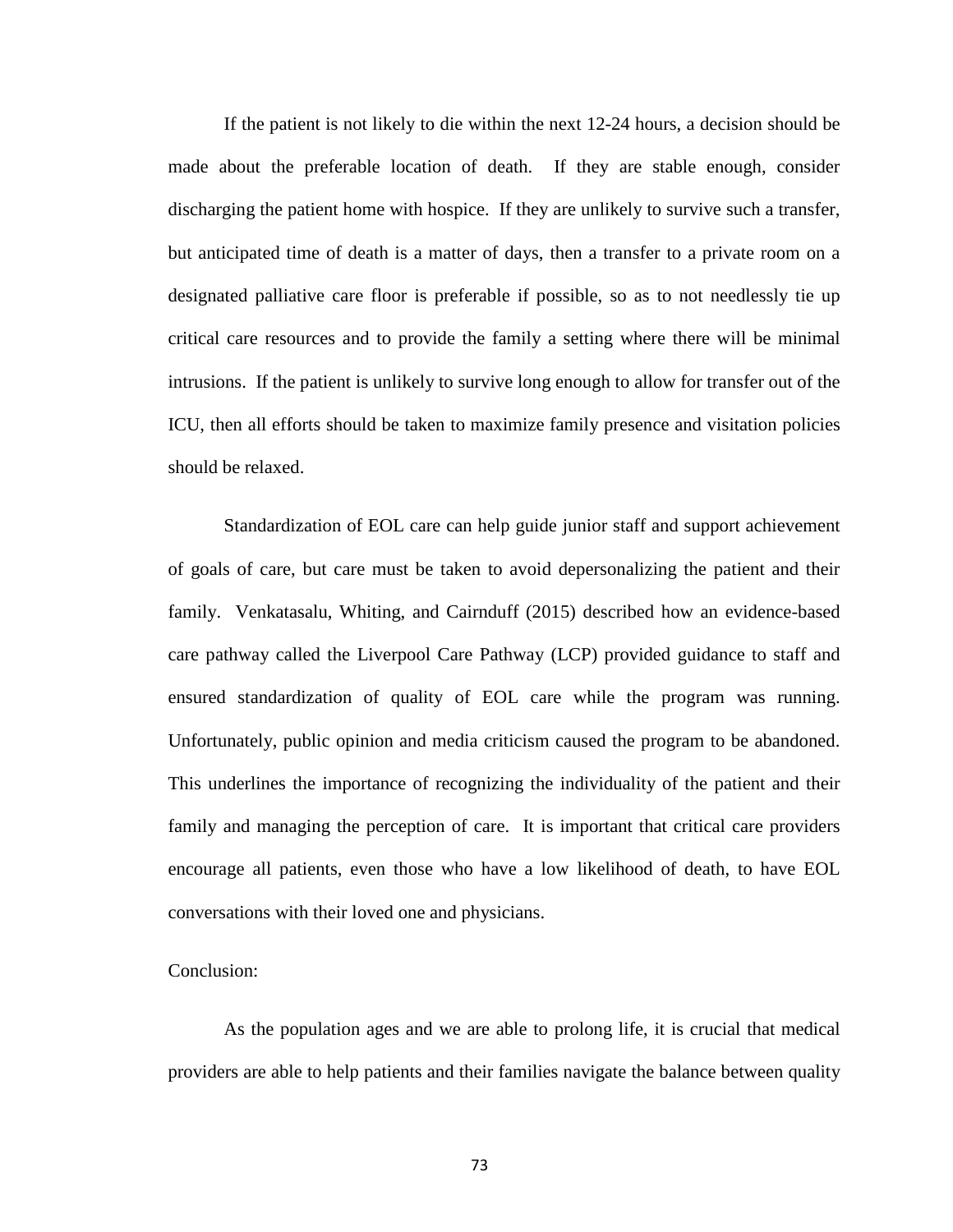If the patient is not likely to die within the next 12-24 hours, a decision should be made about the preferable location of death. If they are stable enough, consider discharging the patient home with hospice. If they are unlikely to survive such a transfer, but anticipated time of death is a matter of days, then a transfer to a private room on a designated palliative care floor is preferable if possible, so as to not needlessly tie up critical care resources and to provide the family a setting where there will be minimal intrusions. If the patient is unlikely to survive long enough to allow for transfer out of the ICU, then all efforts should be taken to maximize family presence and visitation policies should be relaxed.

Standardization of EOL care can help guide junior staff and support achievement of goals of care, but care must be taken to avoid depersonalizing the patient and their family. Venkatasalu, Whiting, and Cairnduff (2015) described how an evidence-based care pathway called the Liverpool Care Pathway (LCP) provided guidance to staff and ensured standardization of quality of EOL care while the program was running. Unfortunately, public opinion and media criticism caused the program to be abandoned. This underlines the importance of recognizing the individuality of the patient and their family and managing the perception of care. It is important that critical care providers encourage all patients, even those who have a low likelihood of death, to have EOL conversations with their loved one and physicians.

## Conclusion:

As the population ages and we are able to prolong life, it is crucial that medical providers are able to help patients and their families navigate the balance between quality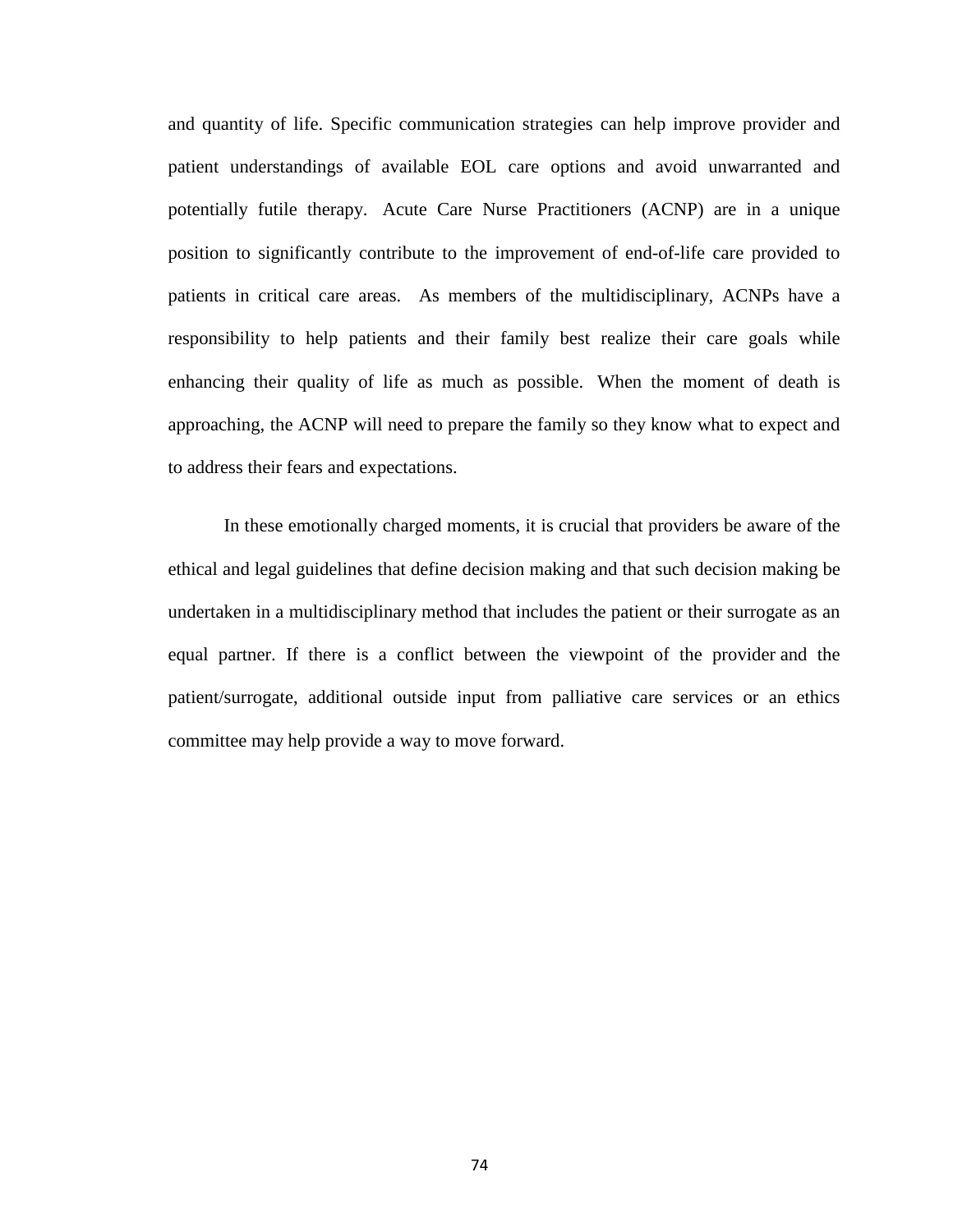and quantity of life. Specific communication strategies can help improve provider and patient understandings of available EOL care options and avoid unwarranted and potentially futile therapy. Acute Care Nurse Practitioners (ACNP) are in a unique position to significantly contribute to the improvement of end-of-life care provided to patients in critical care areas. As members of the multidisciplinary, ACNPs have a responsibility to help patients and their family best realize their care goals while enhancing their quality of life as much as possible. When the moment of death is approaching, the ACNP will need to prepare the family so they know what to expect and to address their fears and expectations.

In these emotionally charged moments, it is crucial that providers be aware of the ethical and legal guidelines that define decision making and that such decision making be undertaken in a multidisciplinary method that includes the patient or their surrogate as an equal partner. If there is a conflict between the viewpoint of the provider and the patient/surrogate, additional outside input from palliative care services or an ethics committee may help provide a way to move forward.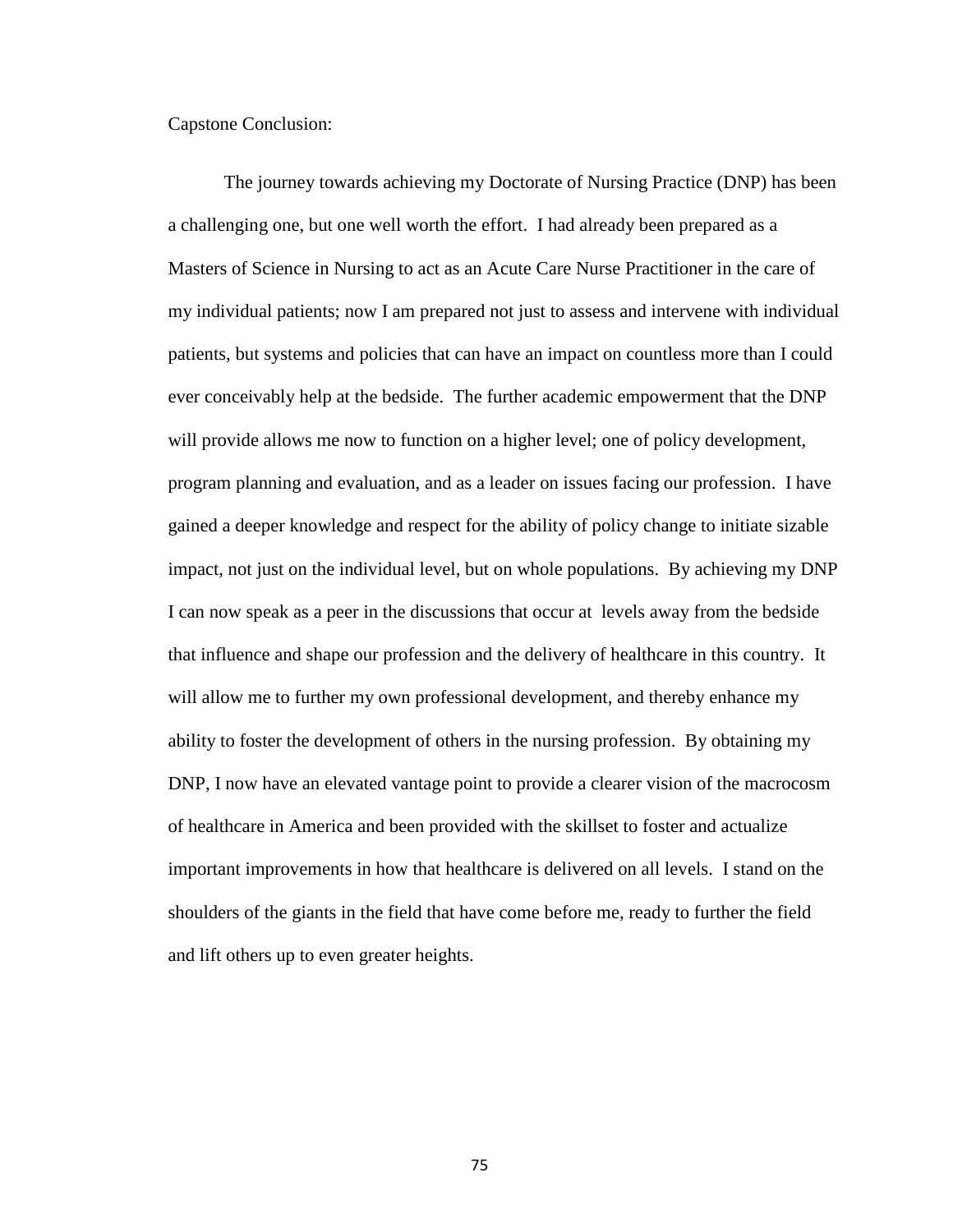### Capstone Conclusion:

The journey towards achieving my Doctorate of Nursing Practice (DNP) has been a challenging one, but one well worth the effort. I had already been prepared as a Masters of Science in Nursing to act as an Acute Care Nurse Practitioner in the care of my individual patients; now I am prepared not just to assess and intervene with individual patients, but systems and policies that can have an impact on countless more than I could ever conceivably help at the bedside. The further academic empowerment that the DNP will provide allows me now to function on a higher level; one of policy development, program planning and evaluation, and as a leader on issues facing our profession. I have gained a deeper knowledge and respect for the ability of policy change to initiate sizable impact, not just on the individual level, but on whole populations. By achieving my DNP I can now speak as a peer in the discussions that occur at levels away from the bedside that influence and shape our profession and the delivery of healthcare in this country. It will allow me to further my own professional development, and thereby enhance my ability to foster the development of others in the nursing profession. By obtaining my DNP, I now have an elevated vantage point to provide a clearer vision of the macrocosm of healthcare in America and been provided with the skillset to foster and actualize important improvements in how that healthcare is delivered on all levels. I stand on the shoulders of the giants in the field that have come before me, ready to further the field and lift others up to even greater heights.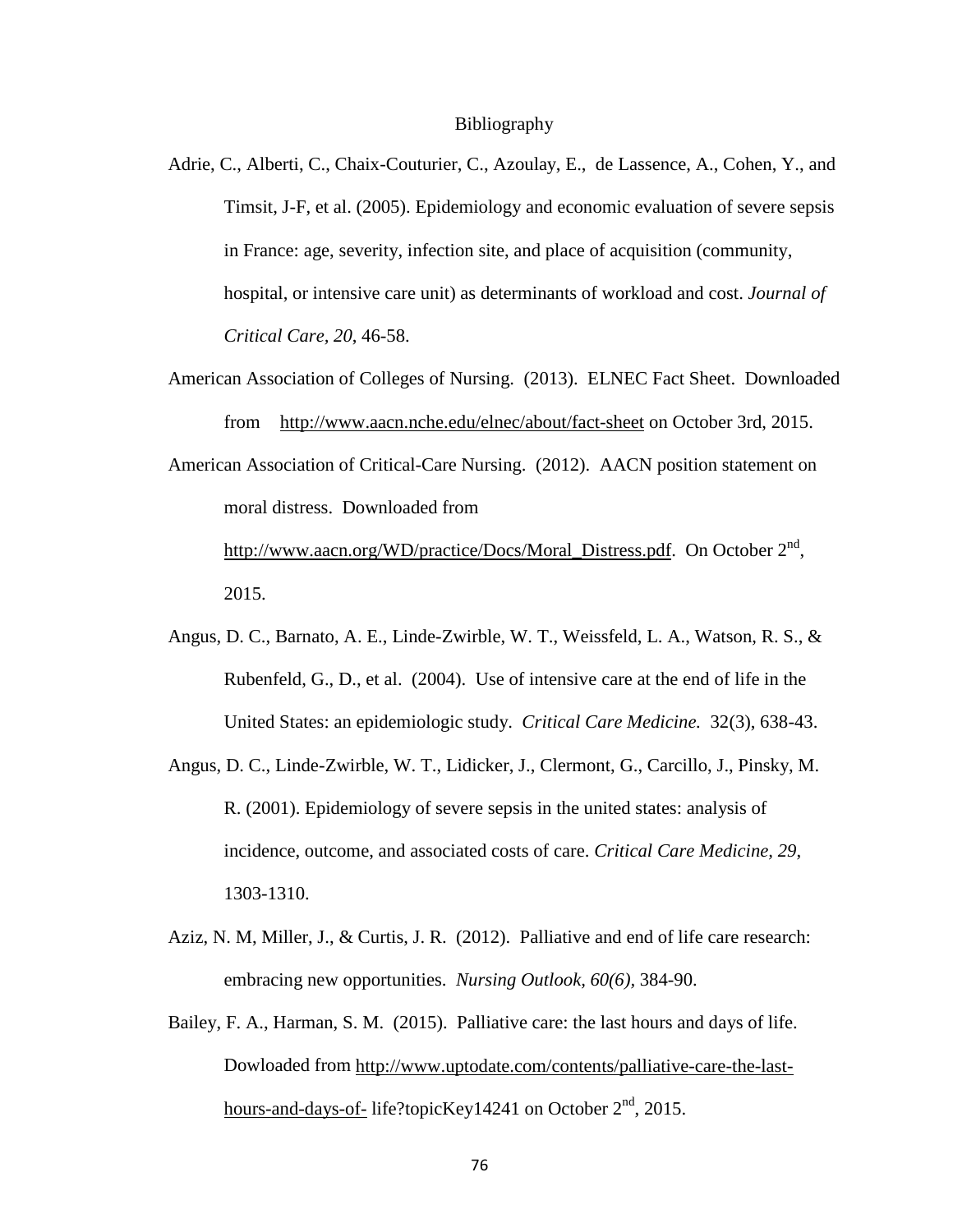#### Bibliography

- Adrie, C., Alberti, C., Chaix-Couturier, C., Azoulay, E., de Lassence, A., Cohen, Y., and Timsit, J-F, et al. (2005). Epidemiology and economic evaluation of severe sepsis in France: age, severity, infection site, and place of acquisition (community, hospital, or intensive care unit) as determinants of workload and cost. *Journal of Critical Care, 20*, 46-58.
- American Association of Colleges of Nursing. (2013). ELNEC Fact Sheet. Downloaded from <http://www.aacn.nche.edu/elnec/about/fact-sheet> on October 3rd, 2015.
- American Association of Critical-Care Nursing. (2012). AACN position statement on moral distress. Downloaded from

http://www.aacn.org/WD/practice/Docs/Moral Distress.pdf. On October  $2<sup>nd</sup>$ , 2015.

- Angus, D. C., Barnato, A. E., Linde-Zwirble, W. T., Weissfeld, L. A., Watson, R. S., & Rubenfeld, G., D., et al. (2004). Use of intensive care at the end of life in the United States: an epidemiologic study. *Critical Care Medicine.* 32(3), 638-43.
- Angus, D. C., Linde-Zwirble, W. T., Lidicker, J., Clermont, G., Carcillo, J., Pinsky, M. R. (2001). Epidemiology of severe sepsis in the united states: analysis of incidence, outcome, and associated costs of care. *Critical Care Medicine, 29*, 1303-1310.
- Aziz, N. M, Miller, J., & Curtis, J. R. (2012). Palliative and end of life care research: embracing new opportunities. *Nursing Outlook, 60(6),* 384-90.
- Bailey, F. A., Harman, S. M. (2015). Palliative care: the last hours and days of life. Dowloaded from [http://www.uptodate.com/contents/palliative-care-the-last](http://www.uptodate.com/contents/palliative-care-the-last-hours-and-days-of-)[hours-and-days-of-](http://www.uptodate.com/contents/palliative-care-the-last-hours-and-days-of-) life?topicKey14241 on October  $2<sup>nd</sup>$ , 2015.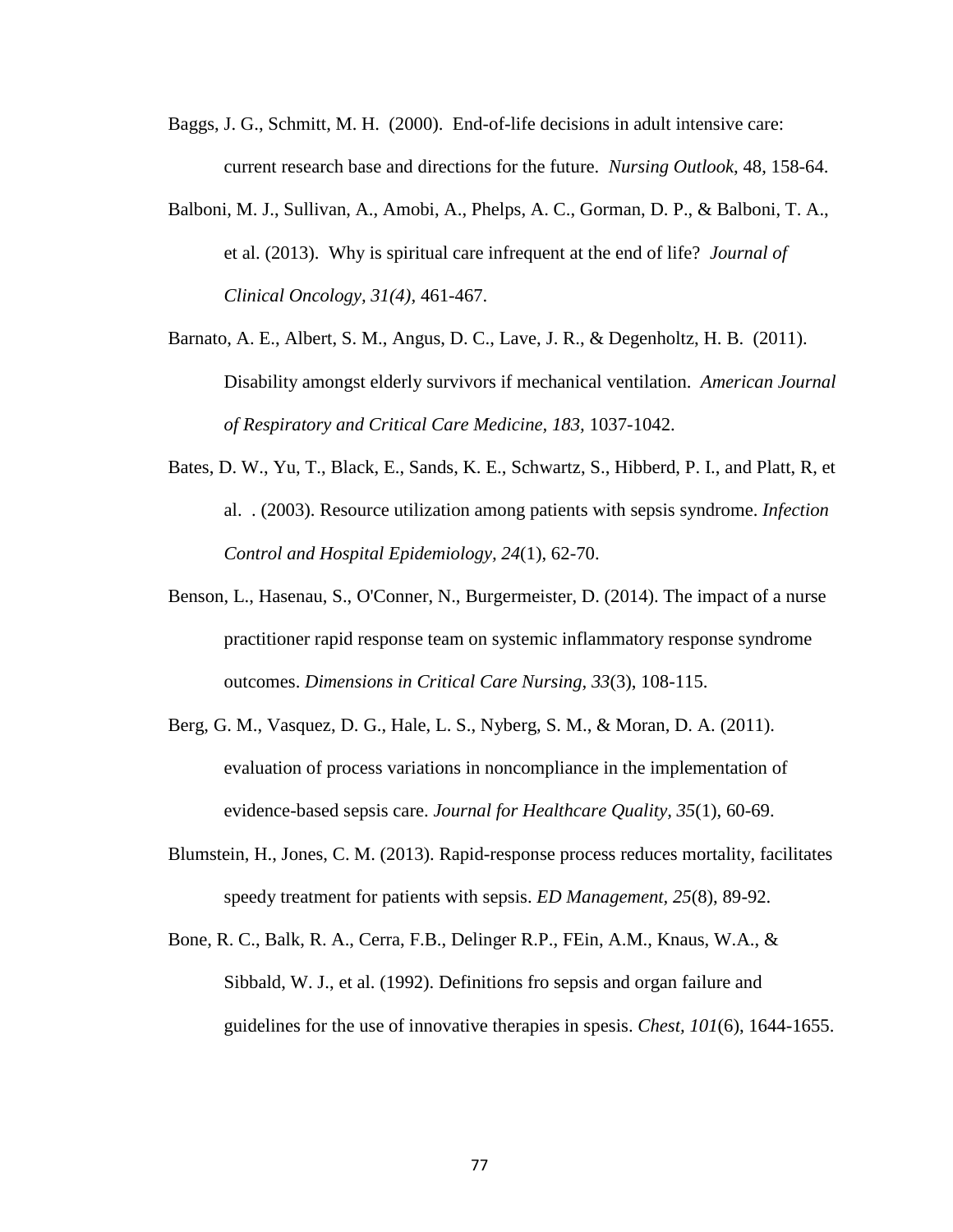- Baggs, J. G., Schmitt, M. H. (2000). End-of-life decisions in adult intensive care: current research base and directions for the future. *Nursing Outlook*, 48, 158-64.
- Balboni, M. J., Sullivan, A., Amobi, A., Phelps, A. C., Gorman, D. P., & Balboni, T. A., et al. (2013). Why is spiritual care infrequent at the end of life? *Journal of Clinical Oncology, 31(4),* 461-467.
- Barnato, A. E., Albert, S. M., Angus, D. C., Lave, J. R., & Degenholtz, H. B. (2011). Disability amongst elderly survivors if mechanical ventilation. *American Journal of Respiratory and Critical Care Medicine, 183,* 1037-1042.
- Bates, D. W., Yu, T., Black, E., Sands, K. E., Schwartz, S., Hibberd, P. I., and Platt, R, et al. . (2003). Resource utilization among patients with sepsis syndrome. *Infection Control and Hospital Epidemiology, 24*(1), 62-70.
- Benson, L., Hasenau, S., O'Conner, N., Burgermeister, D. (2014). The impact of a nurse practitioner rapid response team on systemic inflammatory response syndrome outcomes. *Dimensions in Critical Care Nursing, 33*(3), 108-115.
- Berg, G. M., Vasquez, D. G., Hale, L. S., Nyberg, S. M., & Moran, D. A. (2011). evaluation of process variations in noncompliance in the implementation of evidence-based sepsis care. *Journal for Healthcare Quality, 35*(1), 60-69.
- Blumstein, H., Jones, C. M. (2013). Rapid-response process reduces mortality, facilitates speedy treatment for patients with sepsis. *ED Management, 25*(8), 89-92.
- Bone, R. C., Balk, R. A., Cerra, F.B., Delinger R.P., FEin, A.M., Knaus, W.A., & Sibbald, W. J., et al. (1992). Definitions fro sepsis and organ failure and guidelines for the use of innovative therapies in spesis. *Chest, 101*(6), 1644-1655.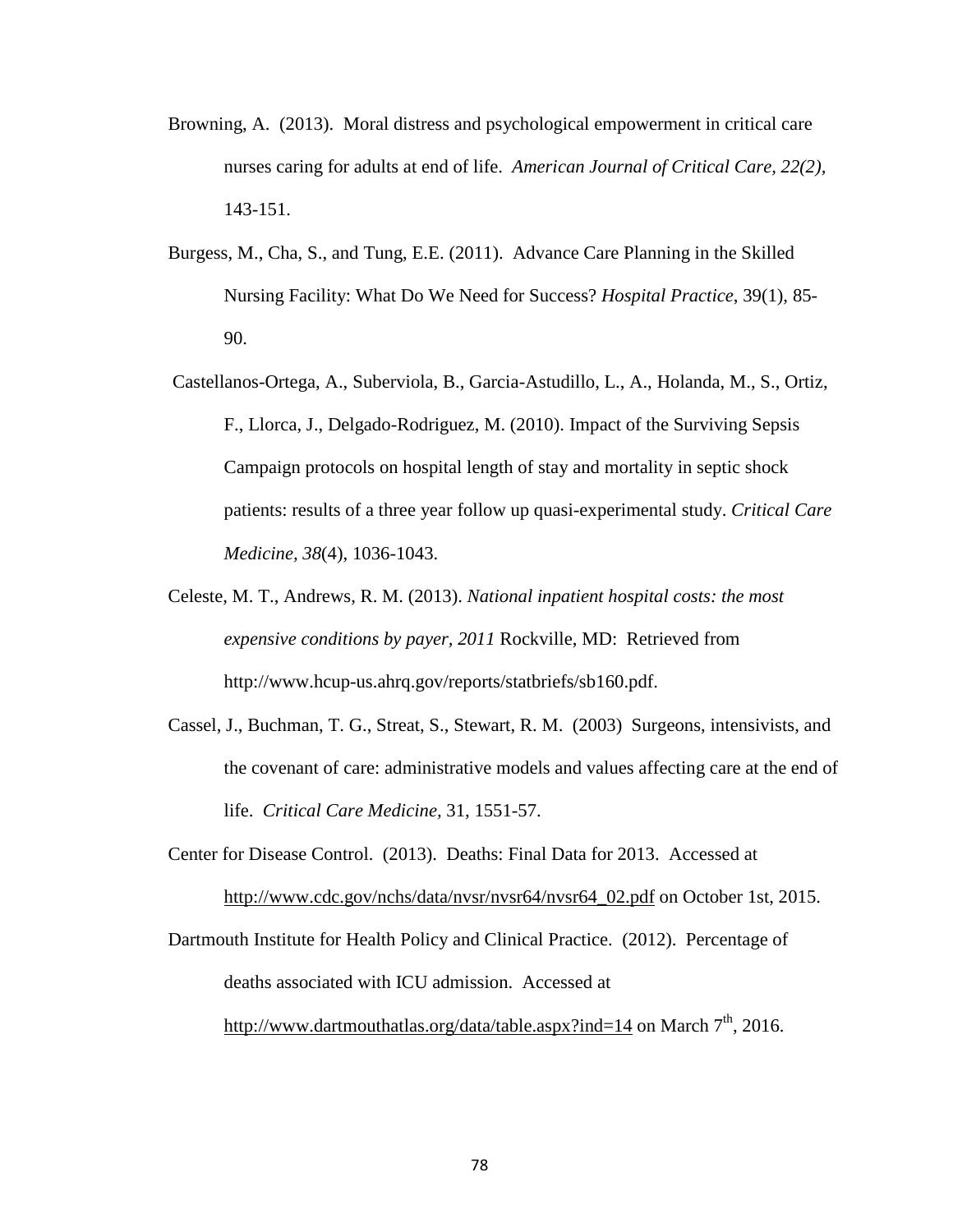- Browning, A. (2013). Moral distress and psychological empowerment in critical care nurses caring for adults at end of life. *American Journal of Critical Care, 22(2),*  143-151.
- Burgess, M., Cha, S., and Tung, E.E. (2011). Advance Care Planning in the Skilled Nursing Facility: What Do We Need for Success? *Hospital Practice*, 39(1), 85- 90.
- Castellanos-Ortega, A., Suberviola, B., Garcia-Astudillo, L., A., Holanda, M., S., Ortiz, F., Llorca, J., Delgado-Rodriguez, M. (2010). Impact of the Surviving Sepsis Campaign protocols on hospital length of stay and mortality in septic shock patients: results of a three year follow up quasi-experimental study. *Critical Care Medicine, 38*(4), 1036-1043.
- Celeste, M. T., Andrews, R. M. (2013). *National inpatient hospital costs: the most expensive conditions by payer, 2011* Rockville, MD: Retrieved from http://www.hcup-us.ahrq.gov/reports/statbriefs/sb160.pdf.
- Cassel, J., Buchman, T. G., Streat, S., Stewart, R. M. (2003) Surgeons, intensivists, and the covenant of care: administrative models and values affecting care at the end of life. *Critical Care Medicine,* 31, 1551-57.
- Center for Disease Control. (2013). Deaths: Final Data for 2013. Accessed at [http://www.cdc.gov/nchs/data/nvsr/nvsr64/nvsr64\\_02.pdf](http://www.cdc.gov/nchs/data/nvsr/nvsr64/nvsr64_02.pdf) on October 1st, 2015.

Dartmouth Institute for Health Policy and Clinical Practice. (2012). Percentage of deaths associated with ICU admission. Accessed at <http://www.dartmouthatlas.org/data/table.aspx?ind=14> on March  $7<sup>th</sup>$ , 2016.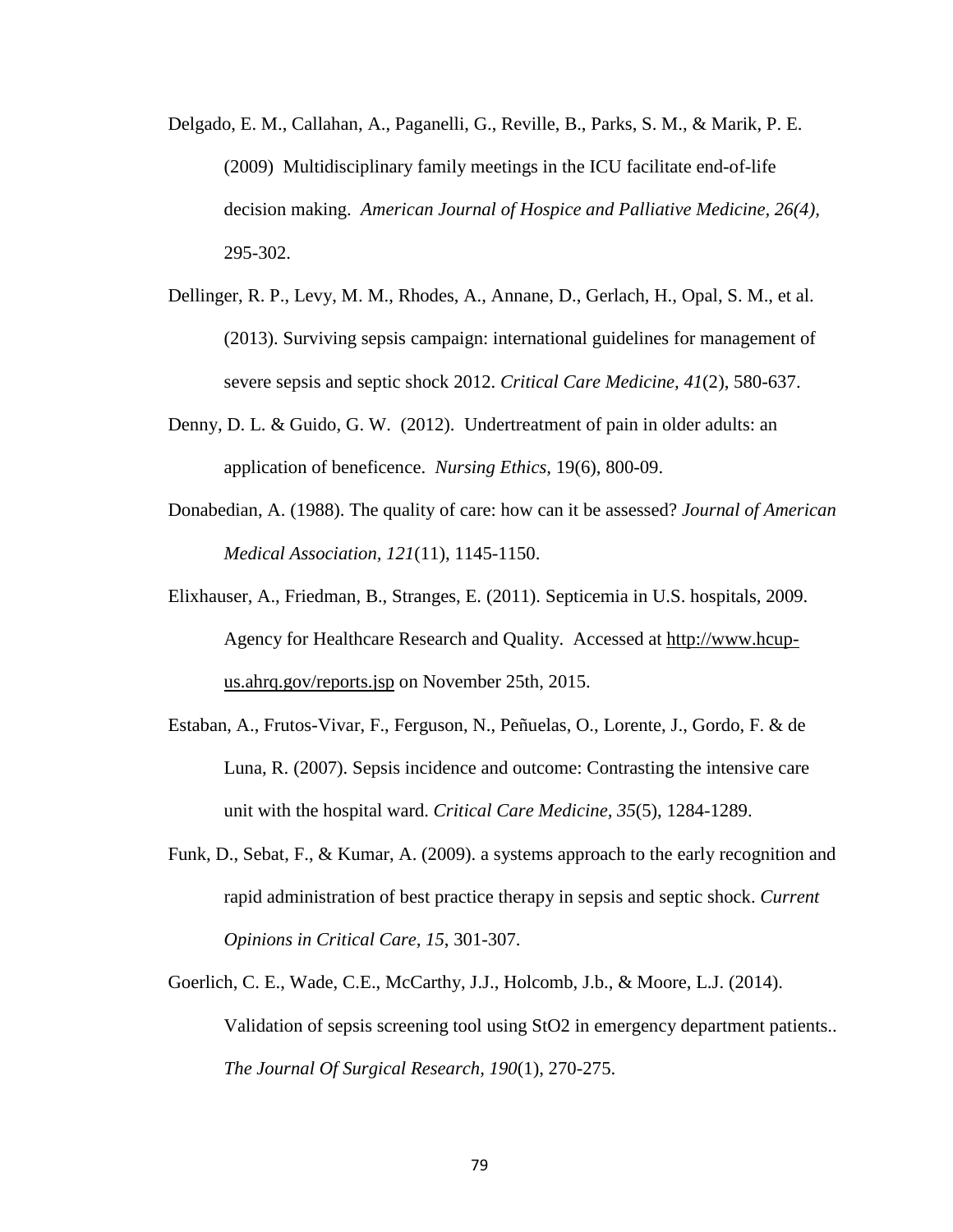- Delgado, E. M., Callahan, A., Paganelli, G., Reville, B., Parks, S. M., & Marik, P. E. (2009) Multidisciplinary family meetings in the ICU facilitate end-of-life decision making. *American Journal of Hospice and Palliative Medicine, 26(4),*  295-302.
- Dellinger, R. P., Levy, M. M., Rhodes, A., Annane, D., Gerlach, H., Opal, S. M., et al. (2013). Surviving sepsis campaign: international guidelines for management of severe sepsis and septic shock 2012. *Critical Care Medicine, 41*(2), 580-637.
- Denny, D. L. & Guido, G. W. (2012). Undertreatment of pain in older adults: an application of beneficence. *Nursing Ethics,* 19(6), 800-09.
- Donabedian, A. (1988). The quality of care: how can it be assessed? *Journal of American Medical Association, 121*(11), 1145-1150.
- Elixhauser, A., Friedman, B., Stranges, E. (2011). Septicemia in U.S. hospitals, 2009. Agency for Healthcare Research and Quality. Accessed at [http://www.hcup](http://www.hcup-us.ahrq.gov/reports.jsp)[us.ahrq.gov/reports.jsp](http://www.hcup-us.ahrq.gov/reports.jsp) on November 25th, 2015.
- Estaban, A., Frutos-Vivar, F., Ferguson, N., Peñuelas, O., Lorente, J., Gordo, F. & de Luna, R. (2007). Sepsis incidence and outcome: Contrasting the intensive care unit with the hospital ward. *Critical Care Medicine, 35*(5), 1284-1289.
- Funk, D., Sebat, F., & Kumar, A. (2009). a systems approach to the early recognition and rapid administration of best practice therapy in sepsis and septic shock. *Current Opinions in Critical Care, 15*, 301-307.
- Goerlich, C. E., Wade, C.E., McCarthy, J.J., Holcomb, J.b., & Moore, L.J. (2014). Validation of sepsis screening tool using StO2 in emergency department patients.. *The Journal Of Surgical Research, 190*(1), 270-275.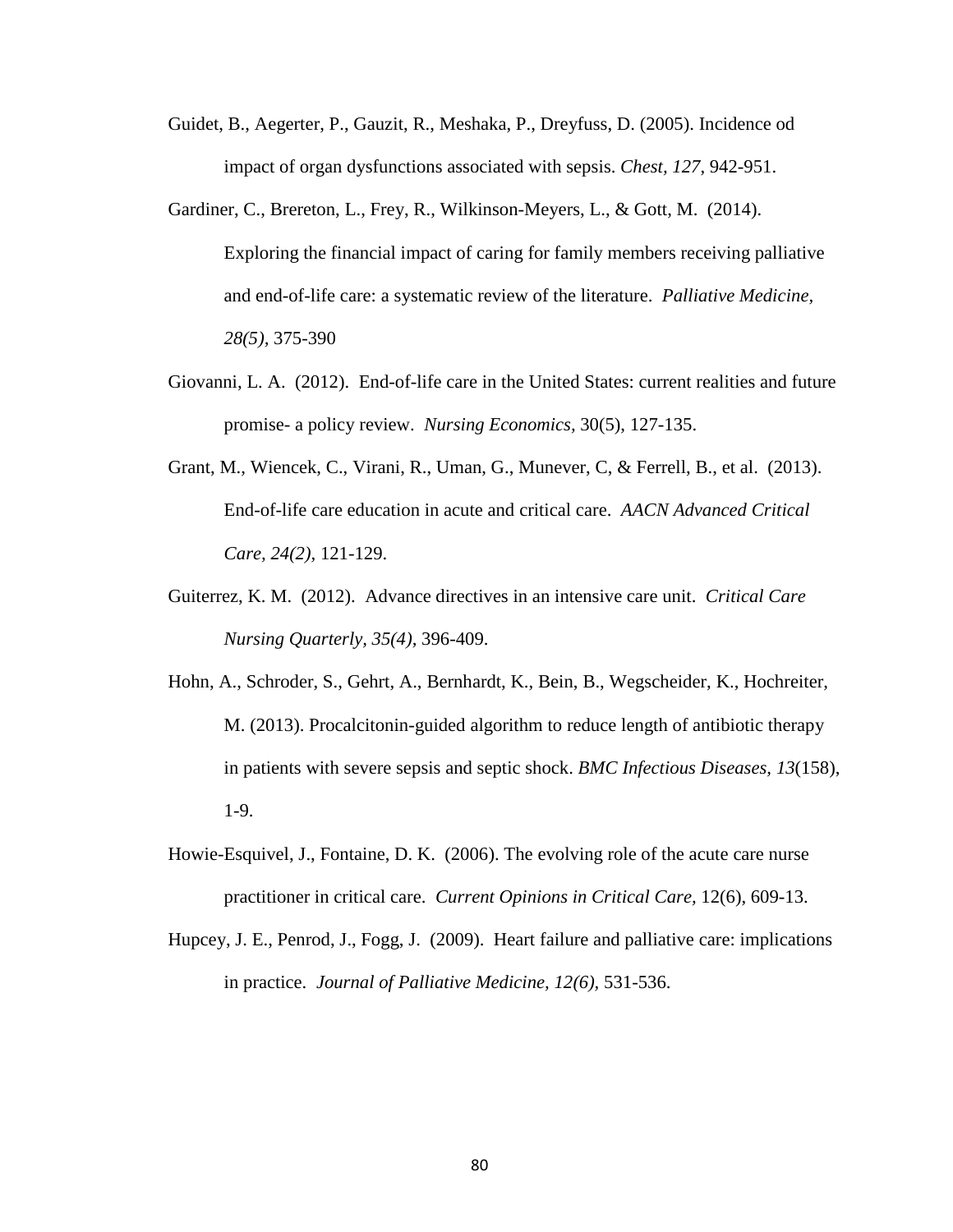- Guidet, B., Aegerter, P., Gauzit, R., Meshaka, P., Dreyfuss, D. (2005). Incidence od impact of organ dysfunctions associated with sepsis. *Chest, 127*, 942-951.
- Gardiner, C., Brereton, L., Frey, R., Wilkinson-Meyers, L., & Gott, M. (2014). Exploring the financial impact of caring for family members receiving palliative and end-of-life care: a systematic review of the literature. *Palliative Medicine, 28(5),* 375-390
- Giovanni, L. A. (2012). End-of-life care in the United States: current realities and future promise- a policy review. *Nursing Economics,* 30(5), 127-135.
- Grant, M., Wiencek, C., Virani, R., Uman, G., Munever, C, & Ferrell, B., et al. (2013). End-of-life care education in acute and critical care. *AACN Advanced Critical Care, 24(2),* 121-129.
- Guiterrez, K. M. (2012). Advance directives in an intensive care unit. *Critical Care Nursing Quarterly, 35(4),* 396-409.
- Hohn, A., Schroder, S., Gehrt, A., Bernhardt, K., Bein, B., Wegscheider, K., Hochreiter, M. (2013). Procalcitonin-guided algorithm to reduce length of antibiotic therapy in patients with severe sepsis and septic shock. *BMC Infectious Diseases, 13*(158), 1-9.
- Howie-Esquivel, J., Fontaine, D. K. (2006). The evolving role of the acute care nurse practitioner in critical care. *Current Opinions in Critical Care,* 12(6), 609-13.
- Hupcey, J. E., Penrod, J., Fogg, J. (2009). Heart failure and palliative care: implications in practice. *Journal of Palliative Medicine, 12(6),* 531-536.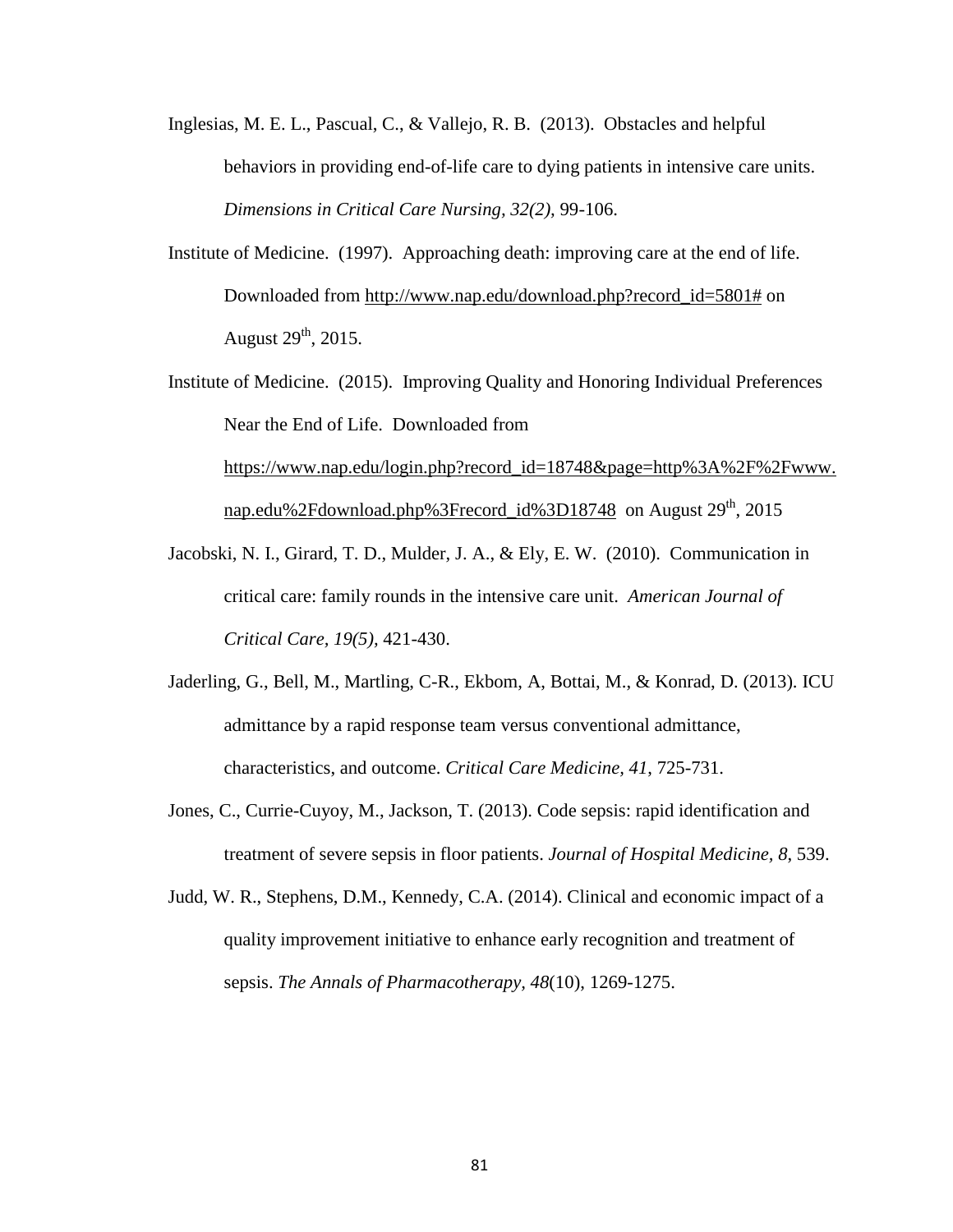- Inglesias, M. E. L., Pascual, C., & Vallejo, R. B. (2013). Obstacles and helpful behaviors in providing end-of-life care to dying patients in intensive care units. *Dimensions in Critical Care Nursing, 32(2),* 99-106.
- Institute of Medicine. (1997). Approaching death: improving care at the end of life. Downloaded from [http://www.nap.edu/download.php?record\\_id=5801#](http://www.nap.edu/download.php?record_id=5801) on August  $29<sup>th</sup>$ , 2015.
- Institute of Medicine. (2015). Improving Quality and Honoring Individual Preferences Near the End of Life. Downloaded from [https://www.nap.edu/login.php?record\\_id=18748&page=http%3A%2F%2Fwww.](https://www.nap.edu/login.php?record_id=18748&page=http%3A%2F%2Fwww.nap.edu) [nap.edu%](https://www.nap.edu/login.php?record_id=18748&page=http%3A%2F%2Fwww.nap.edu)2Fdownload.php%3Frecord\_id%3D18748 on August 29<sup>th</sup>, 2015
- Jacobski, N. I., Girard, T. D., Mulder, J. A., & Ely, E. W. (2010). Communication in critical care: family rounds in the intensive care unit. *American Journal of Critical Care, 19(5),* 421-430.
- Jaderling, G., Bell, M., Martling, C-R., Ekbom, A, Bottai, M., & Konrad, D. (2013). ICU admittance by a rapid response team versus conventional admittance, characteristics, and outcome. *Critical Care Medicine, 41*, 725-731.
- Jones, C., Currie-Cuyoy, M., Jackson, T. (2013). Code sepsis: rapid identification and treatment of severe sepsis in floor patients. *Journal of Hospital Medicine, 8*, 539.
- Judd, W. R., Stephens, D.M., Kennedy, C.A. (2014). Clinical and economic impact of a quality improvement initiative to enhance early recognition and treatment of sepsis. *The Annals of Pharmacotherapy, 48*(10), 1269-1275.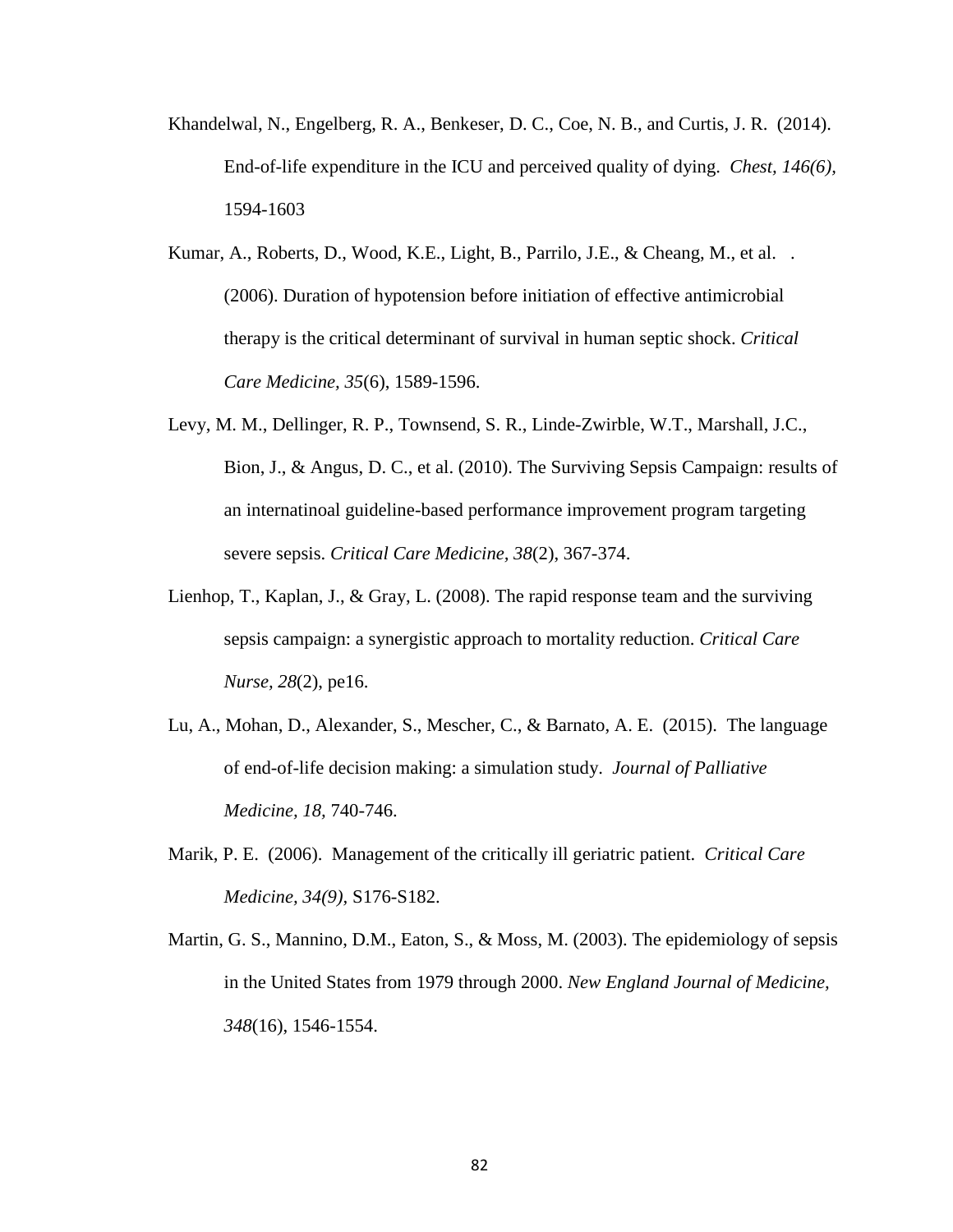- Khandelwal, N., Engelberg, R. A., Benkeser, D. C., Coe, N. B., and Curtis, J. R. (2014). End-of-life expenditure in the ICU and perceived quality of dying. *Chest, 146(6),*  1594-1603
- Kumar, A., Roberts, D., Wood, K.E., Light, B., Parrilo, J.E., & Cheang, M., et al. . (2006). Duration of hypotension before initiation of effective antimicrobial therapy is the critical determinant of survival in human septic shock. *Critical Care Medicine, 35*(6), 1589-1596.
- Levy, M. M., Dellinger, R. P., Townsend, S. R., Linde-Zwirble, W.T., Marshall, J.C., Bion, J., & Angus, D. C., et al. (2010). The Surviving Sepsis Campaign: results of an internatinoal guideline-based performance improvement program targeting severe sepsis. *Critical Care Medicine, 38*(2), 367-374.
- Lienhop, T., Kaplan, J., & Gray, L. (2008). The rapid response team and the surviving sepsis campaign: a synergistic approach to mortality reduction. *Critical Care Nurse, 28*(2), pe16.
- Lu, A., Mohan, D., Alexander, S., Mescher, C., & Barnato, A. E. (2015). The language of end-of-life decision making: a simulation study. *Journal of Palliative Medicine, 18,* 740-746.
- Marik, P. E. (2006). Management of the critically ill geriatric patient. *Critical Care Medicine, 34(9),* S176-S182.
- Martin, G. S., Mannino, D.M., Eaton, S., & Moss, M. (2003). The epidemiology of sepsis in the United States from 1979 through 2000. *New England Journal of Medicine, 348*(16), 1546-1554.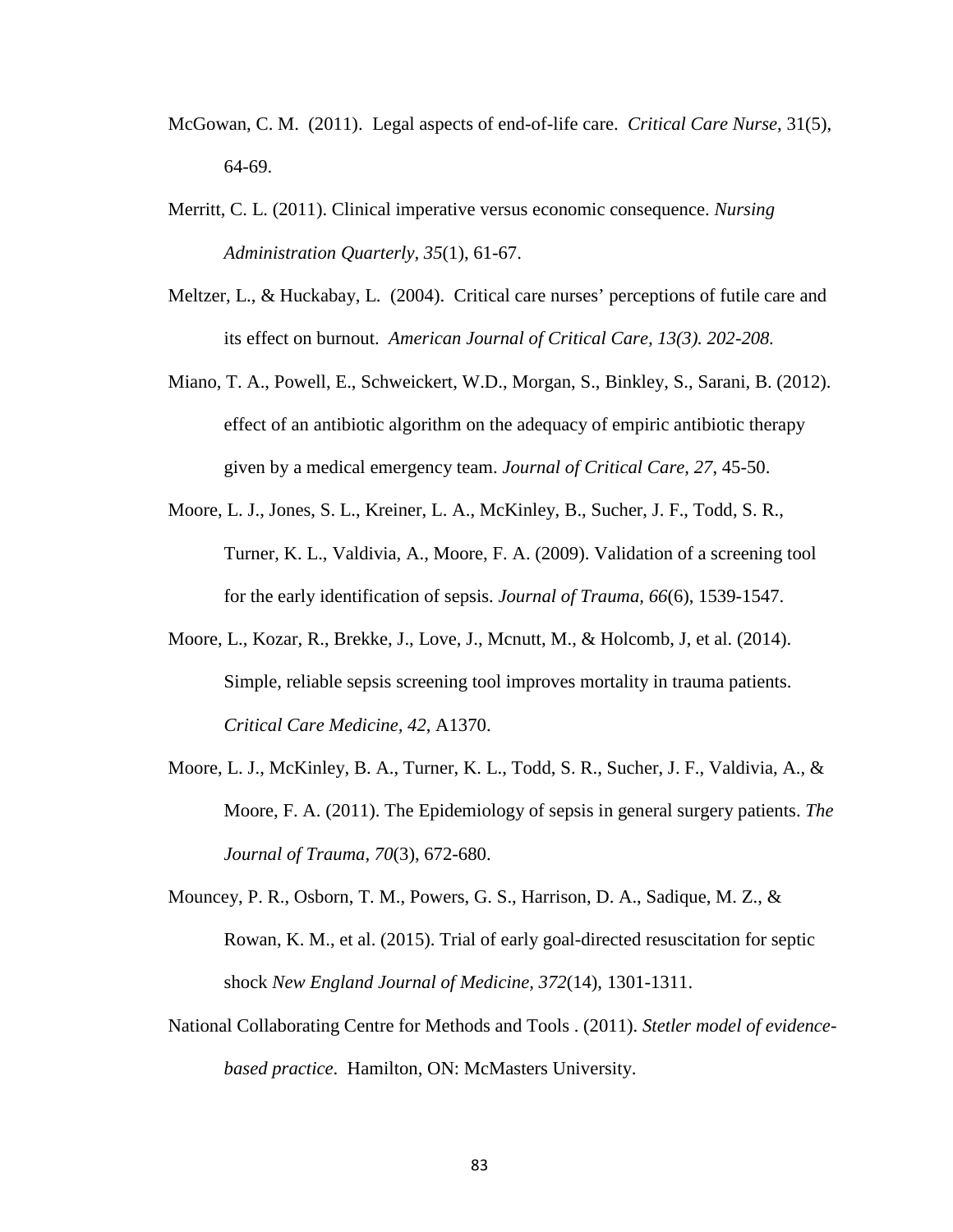- McGowan, C. M. (2011). Legal aspects of end-of-life care. *Critical Care Nurse*, 31(5), 64-69.
- Merritt, C. L. (2011). Clinical imperative versus economic consequence. *Nursing Administration Quarterly, 35*(1), 61-67.
- Meltzer, L., & Huckabay, L. (2004). Critical care nurses' perceptions of futile care and its effect on burnout. *American Journal of Critical Care, 13(3). 202-208.*
- Miano, T. A., Powell, E., Schweickert, W.D., Morgan, S., Binkley, S., Sarani, B. (2012). effect of an antibiotic algorithm on the adequacy of empiric antibiotic therapy given by a medical emergency team. *Journal of Critical Care, 27*, 45-50.
- Moore, L. J., Jones, S. L., Kreiner, L. A., McKinley, B., Sucher, J. F., Todd, S. R., Turner, K. L., Valdivia, A., Moore, F. A. (2009). Validation of a screening tool for the early identification of sepsis. *Journal of Trauma, 66*(6), 1539-1547.
- Moore, L., Kozar, R., Brekke, J., Love, J., Mcnutt, M., & Holcomb, J, et al. (2014). Simple, reliable sepsis screening tool improves mortality in trauma patients. *Critical Care Medicine, 42*, A1370.
- Moore, L. J., McKinley, B. A., Turner, K. L., Todd, S. R., Sucher, J. F., Valdivia, A., & Moore, F. A. (2011). The Epidemiology of sepsis in general surgery patients. *The Journal of Trauma, 70*(3), 672-680.
- Mouncey, P. R., Osborn, T. M., Powers, G. S., Harrison, D. A., Sadique, M. Z., & Rowan, K. M., et al. (2015). Trial of early goal-directed resuscitation for septic shock *New England Journal of Medicine, 372*(14), 1301-1311.
- National Collaborating Centre for Methods and Tools . (2011). *Stetler model of evidencebased practice*. Hamilton, ON: McMasters University.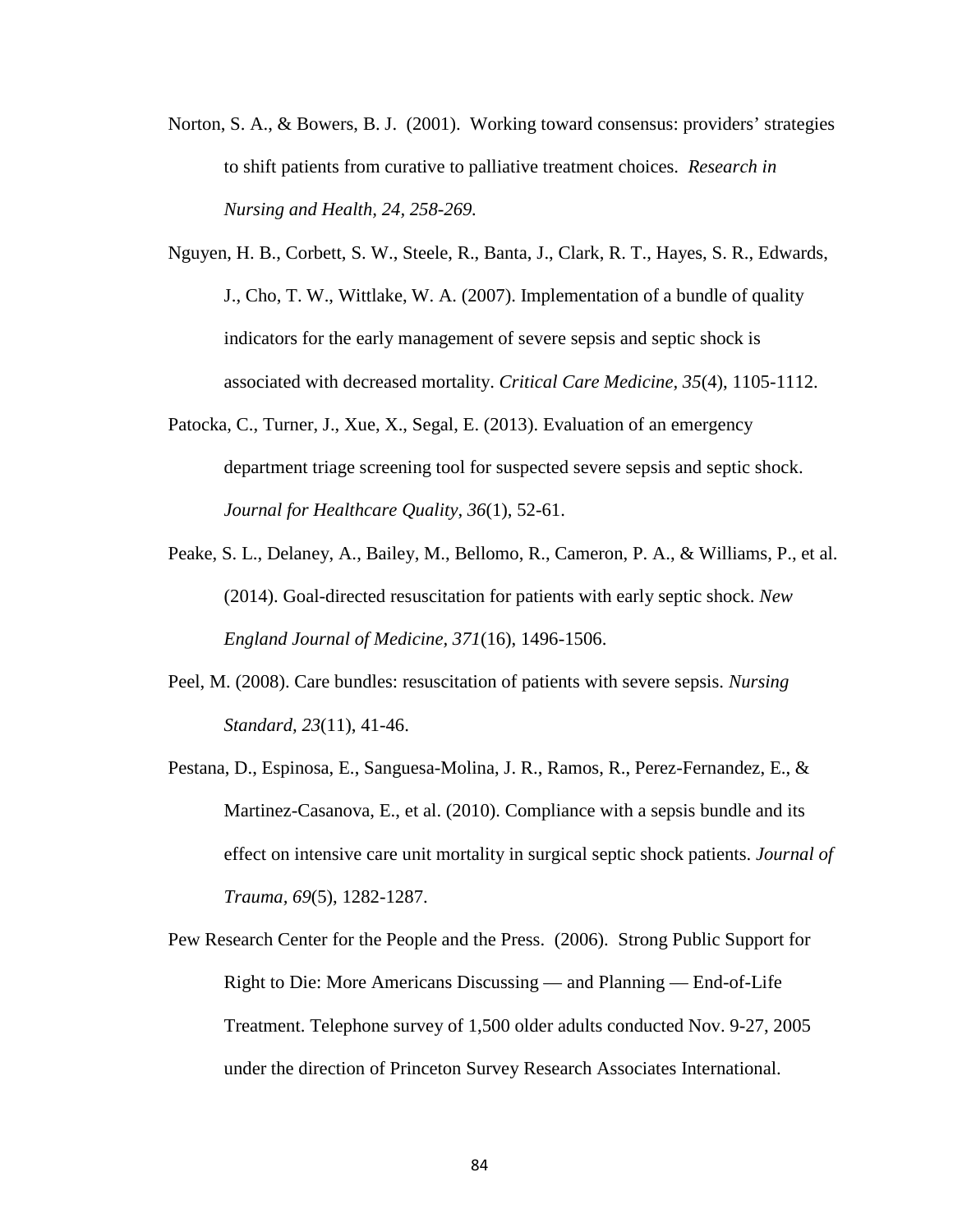- Norton, S. A., & Bowers, B. J. (2001). Working toward consensus: providers' strategies to shift patients from curative to palliative treatment choices. *Research in Nursing and Health, 24, 258-269.*
- Nguyen, H. B., Corbett, S. W., Steele, R., Banta, J., Clark, R. T., Hayes, S. R., Edwards, J., Cho, T. W., Wittlake, W. A. (2007). Implementation of a bundle of quality indicators for the early management of severe sepsis and septic shock is associated with decreased mortality. *Critical Care Medicine, 35*(4), 1105-1112.
- Patocka, C., Turner, J., Xue, X., Segal, E. (2013). Evaluation of an emergency department triage screening tool for suspected severe sepsis and septic shock. *Journal for Healthcare Quality, 36*(1), 52-61.
- Peake, S. L., Delaney, A., Bailey, M., Bellomo, R., Cameron, P. A., & Williams, P., et al. (2014). Goal-directed resuscitation for patients with early septic shock. *New England Journal of Medicine, 371*(16), 1496-1506.
- Peel, M. (2008). Care bundles: resuscitation of patients with severe sepsis. *Nursing Standard, 23*(11), 41-46.
- Pestana, D., Espinosa, E., Sanguesa-Molina, J. R., Ramos, R., Perez-Fernandez, E., & Martinez-Casanova, E., et al. (2010). Compliance with a sepsis bundle and its effect on intensive care unit mortality in surgical septic shock patients. *Journal of Trauma, 69*(5), 1282-1287.
- Pew Research Center for the People and the Press. (2006). Strong Public Support for Right to Die: More Americans Discussing — and Planning — End-of-Life Treatment. Telephone survey of 1,500 older adults conducted Nov. 9-27, 2005 under the direction of Princeton Survey Research Associates International.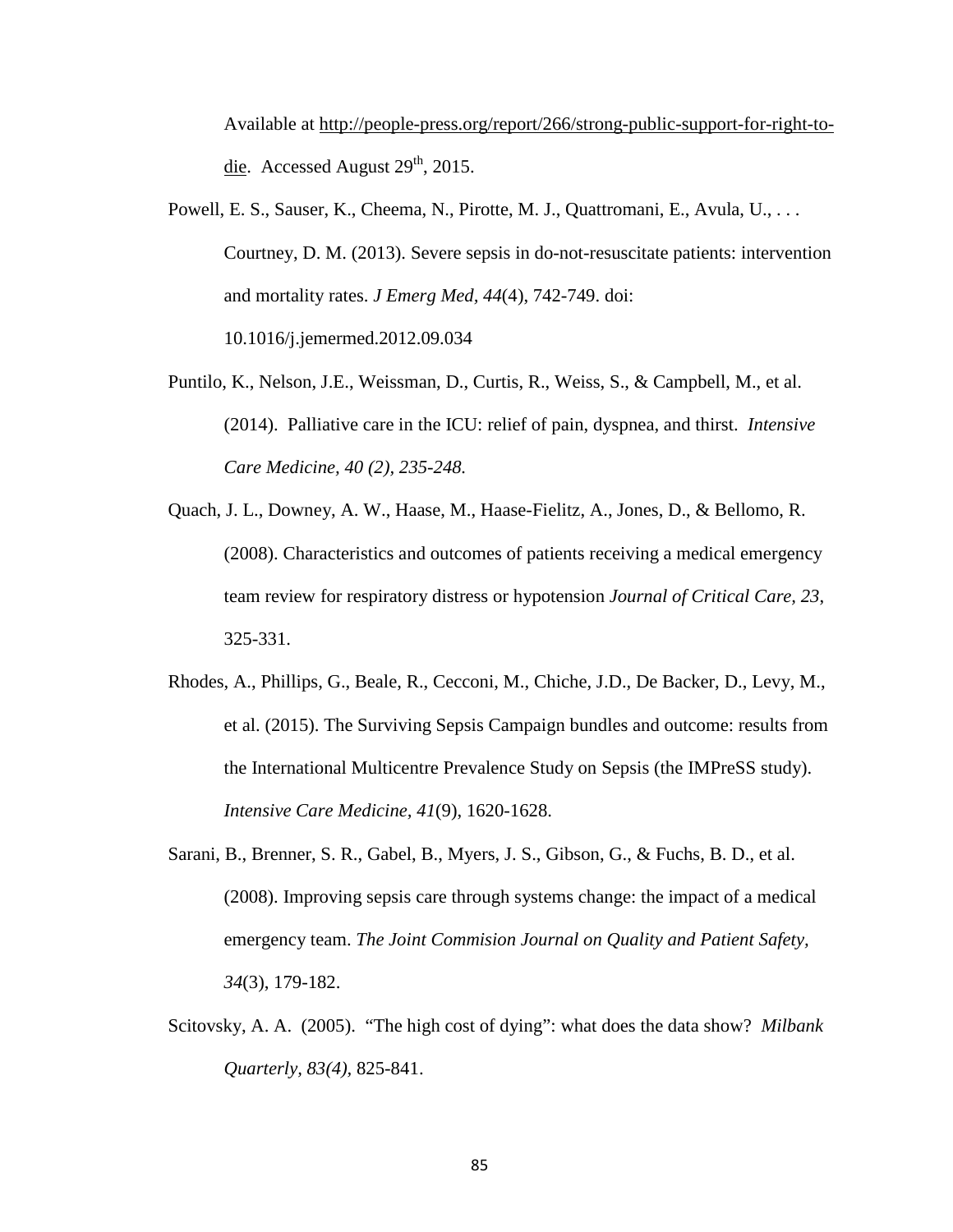Available at [http://people-press.org/report/266/strong-public-support-for-right-to](http://people-press.org/report/266/strong-public-support-for-right-to-die)[die.](http://people-press.org/report/266/strong-public-support-for-right-to-die) Accessed August  $29<sup>th</sup>$ , 2015.

- Powell, E. S., Sauser, K., Cheema, N., Pirotte, M. J., Quattromani, E., Avula, U., ... Courtney, D. M. (2013). Severe sepsis in do-not-resuscitate patients: intervention and mortality rates. *J Emerg Med, 44*(4), 742-749. doi: 10.1016/j.jemermed.2012.09.034
- Puntilo, K., Nelson, J.E., Weissman, D., Curtis, R., Weiss, S., & Campbell, M., et al. (2014). Palliative care in the ICU: relief of pain, dyspnea, and thirst. *Intensive Care Medicine, 40 (2), 235-248.*
- Quach, J. L., Downey, A. W., Haase, M., Haase-Fielitz, A., Jones, D., & Bellomo, R. (2008). Characteristics and outcomes of patients receiving a medical emergency team review for respiratory distress or hypotension *Journal of Critical Care, 23*, 325-331.
- Rhodes, A., Phillips, G., Beale, R., Cecconi, M., Chiche, J.D., De Backer, D., Levy, M., et al. (2015). The Surviving Sepsis Campaign bundles and outcome: results from the International Multicentre Prevalence Study on Sepsis (the IMPreSS study). *Intensive Care Medicine, 41*(9), 1620-1628.
- Sarani, B., Brenner, S. R., Gabel, B., Myers, J. S., Gibson, G., & Fuchs, B. D., et al. (2008). Improving sepsis care through systems change: the impact of a medical emergency team. *The Joint Commision Journal on Quality and Patient Safety, 34*(3), 179-182.
- Scitovsky, A. A. (2005). "The high cost of dying": what does the data show? *Milbank Quarterly, 83(4),* 825-841.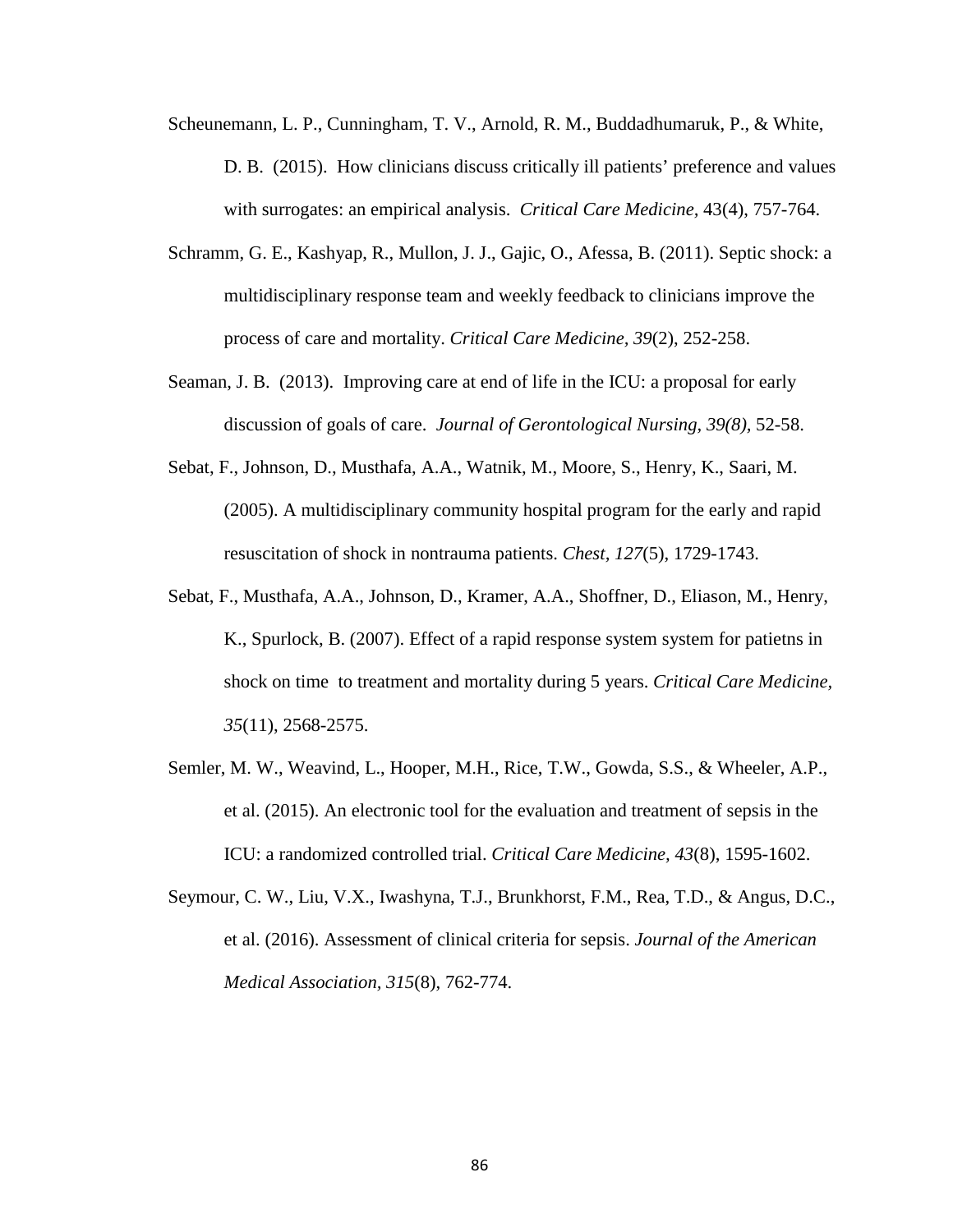- Scheunemann, L. P., Cunningham, T. V., Arnold, R. M., Buddadhumaruk, P., & White, D. B. (2015). How clinicians discuss critically ill patients' preference and values with surrogates: an empirical analysis. *Critical Care Medicine,* 43(4), 757-764.
- Schramm, G. E., Kashyap, R., Mullon, J. J., Gajic, O., Afessa, B. (2011). Septic shock: a multidisciplinary response team and weekly feedback to clinicians improve the process of care and mortality. *Critical Care Medicine, 39*(2), 252-258.
- Seaman, J. B. (2013). Improving care at end of life in the ICU: a proposal for early discussion of goals of care. *Journal of Gerontological Nursing, 39(8),* 52-58.
- Sebat, F., Johnson, D., Musthafa, A.A., Watnik, M., Moore, S., Henry, K., Saari, M. (2005). A multidisciplinary community hospital program for the early and rapid resuscitation of shock in nontrauma patients. *Chest, 127*(5), 1729-1743.
- Sebat, F., Musthafa, A.A., Johnson, D., Kramer, A.A., Shoffner, D., Eliason, M., Henry, K., Spurlock, B. (2007). Effect of a rapid response system system for patietns in shock on time to treatment and mortality during 5 years. *Critical Care Medicine, 35*(11), 2568-2575.
- Semler, M. W., Weavind, L., Hooper, M.H., Rice, T.W., Gowda, S.S., & Wheeler, A.P., et al. (2015). An electronic tool for the evaluation and treatment of sepsis in the ICU: a randomized controlled trial. *Critical Care Medicine, 43*(8), 1595-1602.
- Seymour, C. W., Liu, V.X., Iwashyna, T.J., Brunkhorst, F.M., Rea, T.D., & Angus, D.C., et al. (2016). Assessment of clinical criteria for sepsis. *Journal of the American Medical Association, 315*(8), 762-774.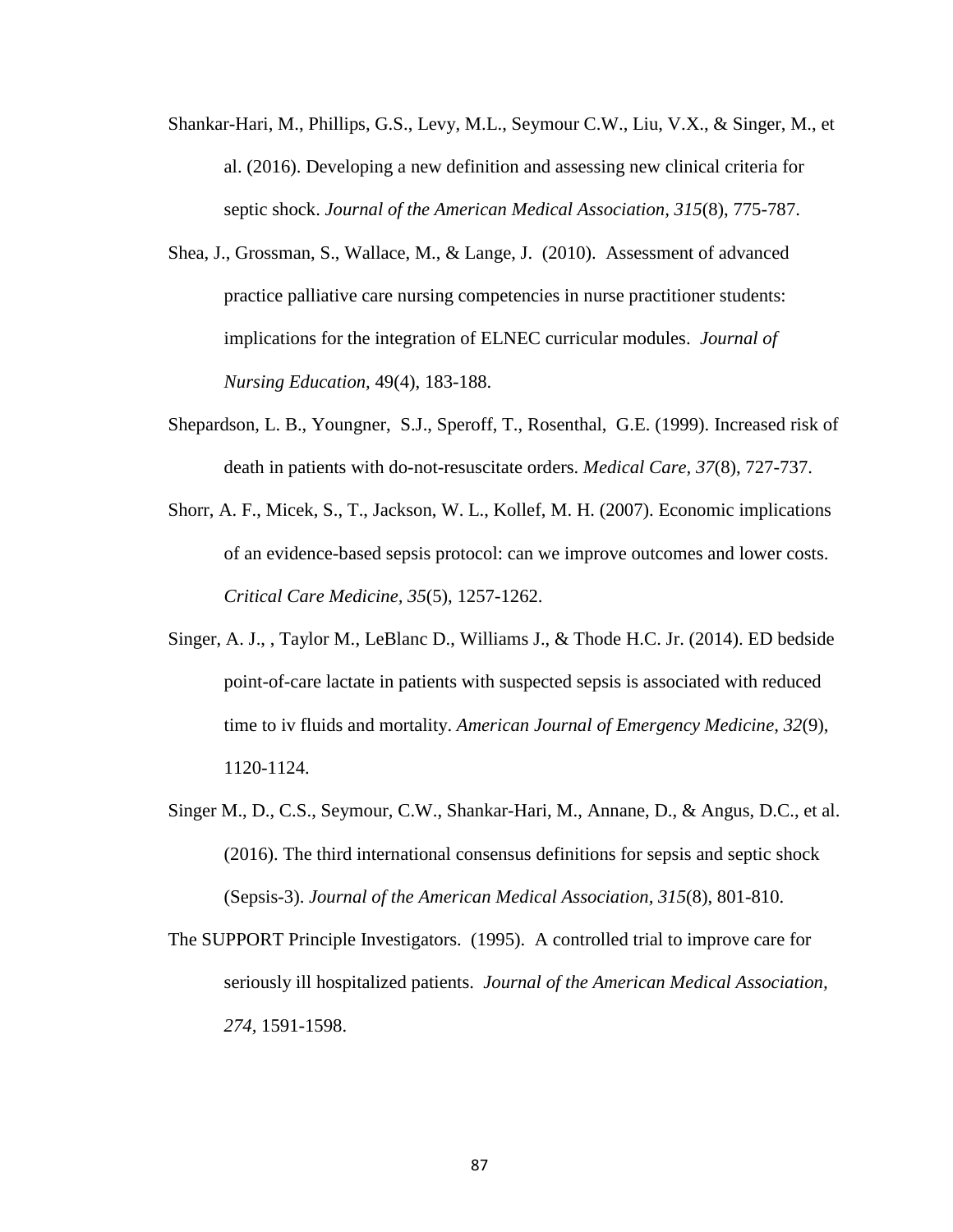- Shankar-Hari, M., Phillips, G.S., Levy, M.L., Seymour C.W., Liu, V.X., & Singer, M., et al. (2016). Developing a new definition and assessing new clinical criteria for septic shock. *Journal of the American Medical Association, 315*(8), 775-787.
- Shea, J., Grossman, S., Wallace, M., & Lange, J. (2010). Assessment of advanced practice palliative care nursing competencies in nurse practitioner students: implications for the integration of ELNEC curricular modules. *Journal of Nursing Education,* 49(4), 183-188.
- Shepardson, L. B., Youngner, S.J., Speroff, T., Rosenthal, G.E. (1999). Increased risk of death in patients with do-not-resuscitate orders. *Medical Care, 37*(8), 727-737.
- Shorr, A. F., Micek, S., T., Jackson, W. L., Kollef, M. H. (2007). Economic implications of an evidence-based sepsis protocol: can we improve outcomes and lower costs. *Critical Care Medicine, 35*(5), 1257-1262.
- Singer, A. J., , Taylor M., LeBlanc D., Williams J., & Thode H.C. Jr. (2014). ED bedside point-of-care lactate in patients with suspected sepsis is associated with reduced time to iv fluids and mortality. *American Journal of Emergency Medicine, 32*(9), 1120-1124.
- Singer M., D., C.S., Seymour, C.W., Shankar-Hari, M., Annane, D., & Angus, D.C., et al. (2016). The third international consensus definitions for sepsis and septic shock (Sepsis-3). *Journal of the American Medical Association, 315*(8), 801-810.
- The SUPPORT Principle Investigators. (1995). A controlled trial to improve care for seriously ill hospitalized patients. *Journal of the American Medical Association, 274,* 1591-1598.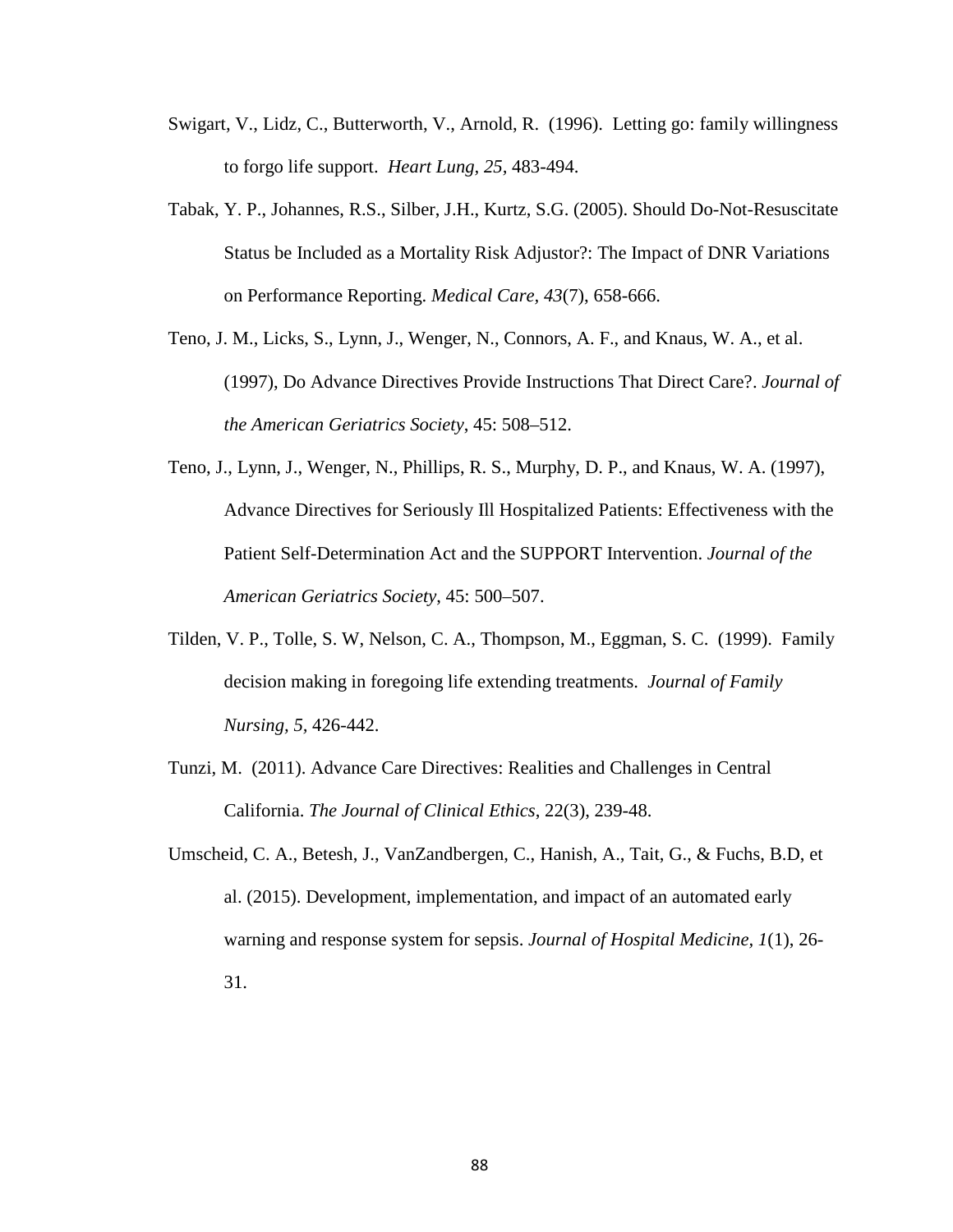- Swigart, V., Lidz, C., Butterworth, V., Arnold, R. (1996). Letting go: family willingness to forgo life support. *Heart Lung, 25,* 483-494.
- Tabak, Y. P., Johannes, R.S., Silber, J.H., Kurtz, S.G. (2005). Should Do-Not-Resuscitate Status be Included as a Mortality Risk Adjustor?: The Impact of DNR Variations on Performance Reporting. *Medical Care, 43*(7), 658-666.
- Teno, J. M., Licks, S., Lynn, J., Wenger, N., Connors, A. F., and Knaus, W. A., et al. (1997), Do Advance Directives Provide Instructions That Direct Care?. *Journal of the American Geriatrics Society*, 45: 508–512.
- Teno, J., Lynn, J., Wenger, N., Phillips, R. S., Murphy, D. P., and Knaus, W. A. (1997), Advance Directives for Seriously Ill Hospitalized Patients: Effectiveness with the Patient Self-Determination Act and the SUPPORT Intervention. *Journal of the American Geriatrics Society*, 45: 500–507.
- Tilden, V. P., Tolle, S. W, Nelson, C. A., Thompson, M., Eggman, S. C. (1999). Family decision making in foregoing life extending treatments. *Journal of Family Nursing, 5,* 426-442.
- Tunzi, M. (2011). Advance Care Directives: Realities and Challenges in Central California. *The Journal of Clinical Ethics*, 22(3), 239-48.
- Umscheid, C. A., Betesh, J., VanZandbergen, C., Hanish, A., Tait, G., & Fuchs, B.D, et al. (2015). Development, implementation, and impact of an automated early warning and response system for sepsis. *Journal of Hospital Medicine, 1*(1), 26- 31.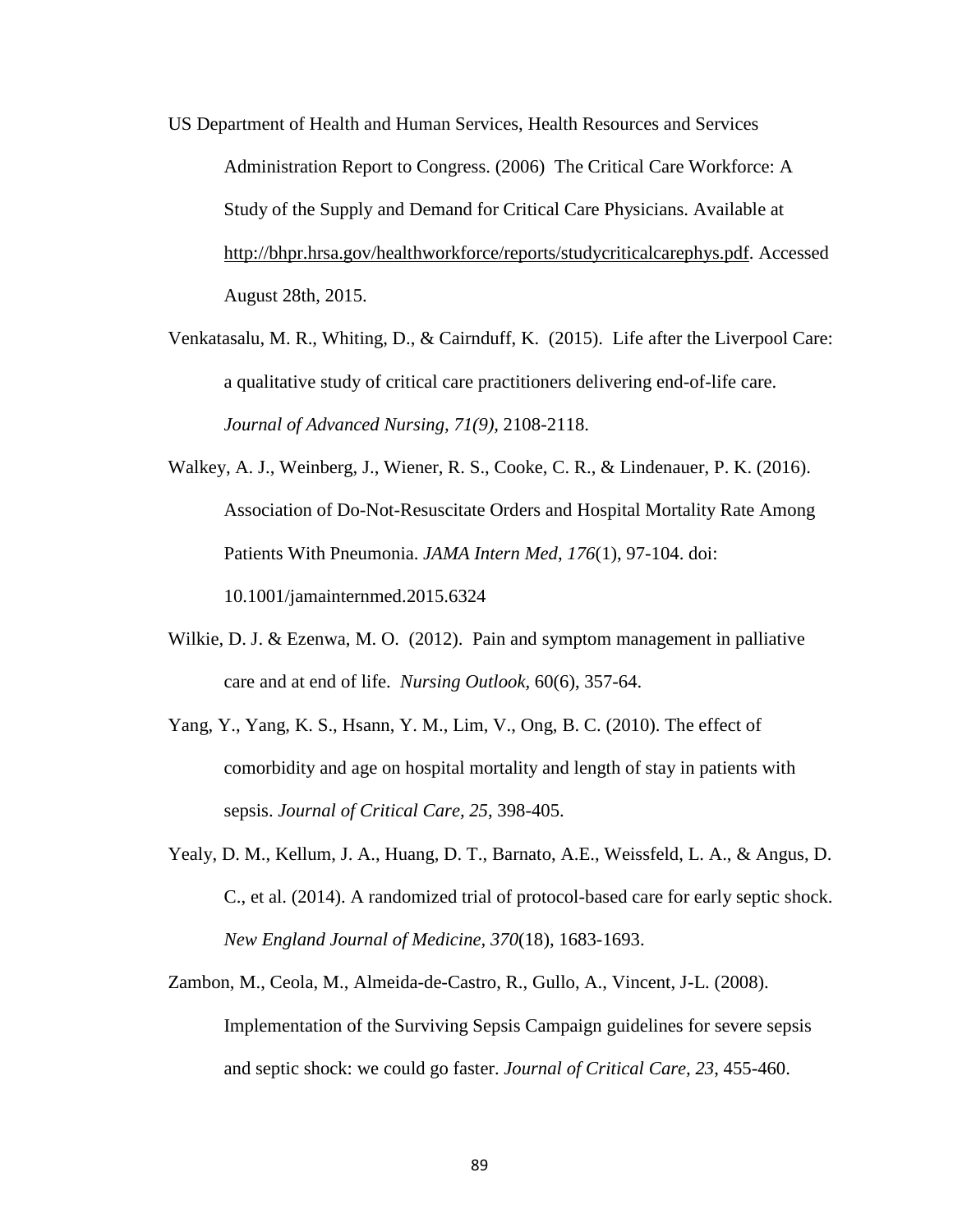- US Department of Health and Human Services, Health Resources and Services Administration Report to Congress. (2006) The Critical Care Workforce: A Study of the Supply and Demand for Critical Care Physicians. Available at [http://bhpr.hrsa.gov/healthworkforce/reports/studycriticalcarephys.pdf.](http://bhpr.hrsa.gov/healthworkforce/reports/studycriticalcarephys.pdf) Accessed August 28th, 2015.
- Venkatasalu, M. R., Whiting, D., & Cairnduff, K. (2015). Life after the Liverpool Care: a qualitative study of critical care practitioners delivering end-of-life care. *Journal of Advanced Nursing, 71(9),* 2108-2118.
- Walkey, A. J., Weinberg, J., Wiener, R. S., Cooke, C. R., & Lindenauer, P. K. (2016). Association of Do-Not-Resuscitate Orders and Hospital Mortality Rate Among Patients With Pneumonia. *JAMA Intern Med, 176*(1), 97-104. doi: 10.1001/jamainternmed.2015.6324
- Wilkie, D. J. & Ezenwa, M. O. (2012). Pain and symptom management in palliative care and at end of life. *Nursing Outlook,* 60(6), 357-64.
- Yang, Y., Yang, K. S., Hsann, Y. M., Lim, V., Ong, B. C. (2010). The effect of comorbidity and age on hospital mortality and length of stay in patients with sepsis. *Journal of Critical Care, 25*, 398-405.
- Yealy, D. M., Kellum, J. A., Huang, D. T., Barnato, A.E., Weissfeld, L. A., & Angus, D. C., et al. (2014). A randomized trial of protocol-based care for early septic shock. *New England Journal of Medicine, 370*(18), 1683-1693.
- Zambon, M., Ceola, M., Almeida-de-Castro, R., Gullo, A., Vincent, J-L. (2008). Implementation of the Surviving Sepsis Campaign guidelines for severe sepsis and septic shock: we could go faster. *Journal of Critical Care, 23*, 455-460.